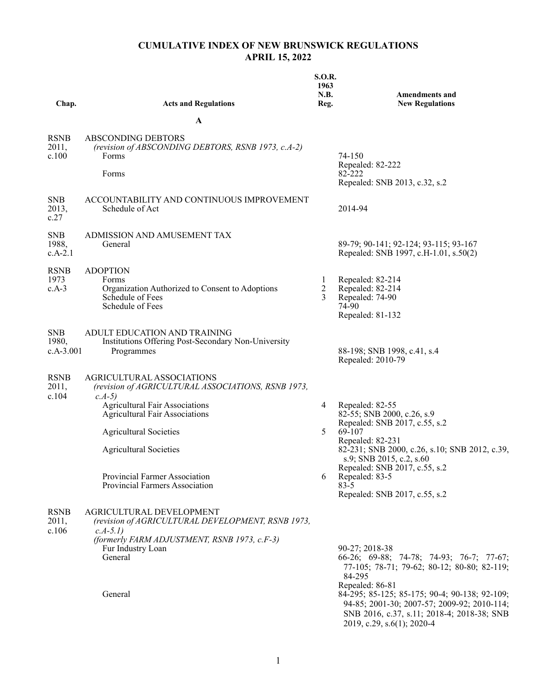## **CUMULATIVE INDEX OF NEW BRUNSWICK REGULATIONS APRIL 15, 2022**

| Chap.                              | <b>Acts and Regulations</b>                                                                                         | <b>S.O.R.</b><br>1963<br>N.B.<br>Reg. | <b>Amendments and</b><br><b>New Regulations</b>                                                                                                                                             |
|------------------------------------|---------------------------------------------------------------------------------------------------------------------|---------------------------------------|---------------------------------------------------------------------------------------------------------------------------------------------------------------------------------------------|
|                                    | A                                                                                                                   |                                       |                                                                                                                                                                                             |
| <b>RSNB</b><br>2011,<br>c.100      | <b>ABSCONDING DEBTORS</b><br>(revision of ABSCONDING DEBTORS, RSNB 1973, c.A-2)<br><b>Forms</b><br>Forms            |                                       | 74-150<br>Repealed: 82-222<br>82-222                                                                                                                                                        |
| <b>SNB</b><br>2013,<br>c.27        | ACCOUNTABILITY AND CONTINUOUS IMPROVEMENT<br>Schedule of Act                                                        |                                       | Repealed: SNB 2013, c.32, s.2<br>2014-94                                                                                                                                                    |
| <b>SNB</b><br>1988,<br>$c.A-2.1$   | ADMISSION AND AMUSEMENT TAX<br>General                                                                              |                                       | 89-79; 90-141; 92-124; 93-115; 93-167<br>Repealed: SNB 1997, c.H-1.01, s.50(2)                                                                                                              |
| <b>RSNB</b><br>1973<br>$c.A-3$     | <b>ADOPTION</b><br>Forms<br>Organization Authorized to Consent to Adoptions<br>Schedule of Fees<br>Schedule of Fees | $\mathbf{I}$<br>$\overline{2}$<br>3   | Repealed: 82-214<br>Repealed: 82-214<br>Repealed: 74-90<br>74-90<br>Repealed: 81-132                                                                                                        |
| <b>SNB</b><br>1980,<br>$c.A-3.001$ | ADULT EDUCATION AND TRAINING<br>Institutions Offering Post-Secondary Non-University<br>Programmes                   |                                       | 88-198; SNB 1998, c.41, s.4<br>Repealed: 2010-79                                                                                                                                            |
| <b>RSNB</b><br>2011,<br>c.104      | AGRICULTURAL ASSOCIATIONS<br>(revision of AGRICULTURAL ASSOCIATIONS, RSNB 1973,<br>$c.A-5)$                         |                                       |                                                                                                                                                                                             |
|                                    | <b>Agricultural Fair Associations</b><br><b>Agricultural Fair Associations</b>                                      | 4                                     | Repealed: 82-55<br>82-55; SNB 2000, c.26, s.9                                                                                                                                               |
|                                    | <b>Agricultural Societies</b><br><b>Agricultural Societies</b>                                                      | 5                                     | Repealed: SNB 2017, c.55, s.2<br>69-107<br>Repealed: 82-231<br>82-231; SNB 2000, c.26, s.10; SNB 2012, c.39,                                                                                |
|                                    | Provincial Farmer Association<br>Provincial Farmers Association                                                     | 6                                     | s.9; SNB 2015, c.2, s.60<br>Repealed: SNB 2017, c.55, s.2<br>Repealed: 83-5<br>$83 - 5$<br>Repealed: SNB 2017, c.55, s.2                                                                    |
| <b>RSNB</b><br>2011,<br>c.106      | AGRICULTURAL DEVELOPMENT<br>(revision of AGRICULTURAL DEVELOPMENT, RSNB 1973,<br>$c.A-5.I$                          |                                       |                                                                                                                                                                                             |
|                                    | (formerly FARM ADJUSTMENT, RSNB 1973, c.F-3)<br>Fur Industry Loan<br>General                                        |                                       | 90-27; 2018-38<br>66-26; 69-88; 74-78; 74-93; 76-7; 77-67;<br>77-105; 78-71; 79-62; 80-12; 80-80; 82-119;<br>84-295                                                                         |
|                                    | General                                                                                                             |                                       | Repealed: 86-81<br>84-295; 85-125; 85-175; 90-4; 90-138; 92-109;<br>94-85; 2001-30; 2007-57; 2009-92; 2010-114;<br>SNB 2016, c.37, s.11; 2018-4; 2018-38; SNB<br>2019, c.29, s.6(1); 2020-4 |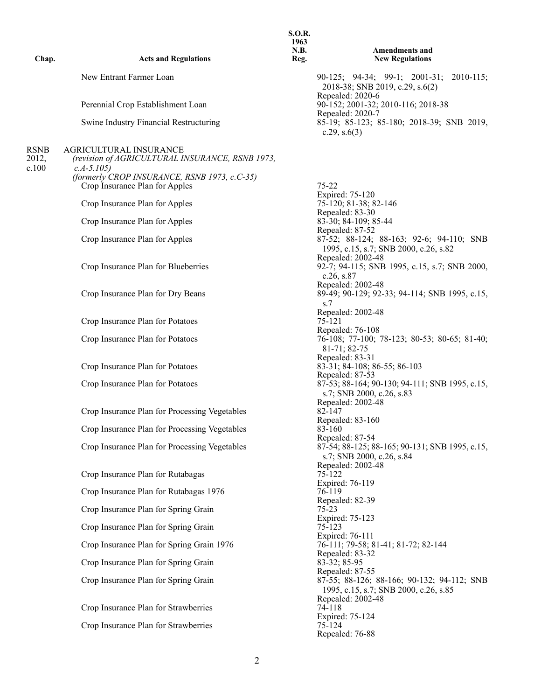| Chap.                  | <b>Acts and Regulations</b>                                                                                                                                                       | 1963<br>N.B.<br>Reg. | <b>Amendments and</b><br><b>New Regulations</b>                                                      |
|------------------------|-----------------------------------------------------------------------------------------------------------------------------------------------------------------------------------|----------------------|------------------------------------------------------------------------------------------------------|
|                        | New Entrant Farmer Loan                                                                                                                                                           |                      | 90-125; 94-34; 99-1; 2001-31; 2010-115;<br>2018-38; SNB 2019, c.29, s.6(2)                           |
|                        | Perennial Crop Establishment Loan                                                                                                                                                 |                      | Repealed: 2020-6<br>90-152; 2001-32; 2010-116; 2018-38                                               |
|                        | Swine Industry Financial Restructuring                                                                                                                                            |                      | Repealed: 2020-7<br>85-19; 85-123; 85-180; 2018-39; SNB 2019,<br>c.29, $s.6(3)$                      |
| RSNB<br>2012,<br>c.100 | <b>AGRICULTURAL INSURANCE</b><br>(revision of AGRICULTURAL INSURANCE, RSNB 1973,<br>$c.A-5.105$<br>(formerly CROP INSURANCE, RSNB 1973, c.C-35)<br>Crop Insurance Plan for Apples |                      | $75 - 22$                                                                                            |
|                        | Crop Insurance Plan for Apples                                                                                                                                                    |                      | Expired: 75-120<br>75-120; 81-38; 82-146                                                             |
|                        | Crop Insurance Plan for Apples                                                                                                                                                    |                      | Repealed: 83-30<br>83-30; 84-109; 85-44                                                              |
|                        | Crop Insurance Plan for Apples                                                                                                                                                    |                      | Repealed: 87-52<br>87-52; 88-124; 88-163; 92-6; 94-110; SNB<br>1995, c.15, s.7; SNB 2000, c.26, s.82 |
|                        | Crop Insurance Plan for Blueberries                                                                                                                                               |                      | Repealed: 2002-48<br>92-7; 94-115; SNB 1995, c.15, s.7; SNB 2000,<br>c.26, s.87                      |
|                        | Crop Insurance Plan for Dry Beans                                                                                                                                                 |                      | Repealed: 2002-48<br>89-49; 90-129; 92-33; 94-114; SNB 1995, c.15,<br>s.7                            |
|                        | Crop Insurance Plan for Potatoes                                                                                                                                                  |                      | Repealed: 2002-48<br>75-121                                                                          |
|                        | Crop Insurance Plan for Potatoes                                                                                                                                                  |                      | Repealed: 76-108<br>76-108; 77-100; 78-123; 80-53; 80-65; 81-40;<br>81-71; 82-75                     |
|                        | Crop Insurance Plan for Potatoes                                                                                                                                                  |                      | Repealed: 83-31<br>83-31; 84-108; 86-55; 86-103<br>Repealed: 87-53                                   |
|                        | Crop Insurance Plan for Potatoes                                                                                                                                                  |                      | 87-53; 88-164; 90-130; 94-111; SNB 1995, c.15,<br>s.7; SNB 2000, c.26, s.83                          |
|                        | Crop Insurance Plan for Processing Vegetables                                                                                                                                     |                      | Repealed: 2002-48<br>$82 - 147$<br>Repealed: 83-160                                                  |
|                        | Crop Insurance Plan for Processing Vegetables                                                                                                                                     |                      | 83-160<br>Repealed: 87-54                                                                            |
|                        | Crop Insurance Plan for Processing Vegetables                                                                                                                                     |                      | 87-54; 88-125; 88-165; 90-131; SNB 1995, c.15,<br>s.7; SNB 2000, c.26, s.84                          |
|                        | Crop Insurance Plan for Rutabagas                                                                                                                                                 |                      | Repealed: 2002-48<br>75-122<br>Expired: 76-119                                                       |
|                        | Crop Insurance Plan for Rutabagas 1976                                                                                                                                            |                      | 76-119<br>Repealed: 82-39                                                                            |
|                        | Crop Insurance Plan for Spring Grain                                                                                                                                              |                      | $75 - 23$<br>Expired: 75-123                                                                         |
|                        | Crop Insurance Plan for Spring Grain                                                                                                                                              |                      | 75-123<br>Expired: 76-111                                                                            |
|                        | Crop Insurance Plan for Spring Grain 1976                                                                                                                                         |                      | 76-111; 79-58; 81-41; 81-72; 82-144<br>Repealed: 83-32                                               |
|                        | Crop Insurance Plan for Spring Grain                                                                                                                                              |                      | 83-32; 85-95<br>Repealed: 87-55                                                                      |
|                        | Crop Insurance Plan for Spring Grain                                                                                                                                              |                      | 87-55; 88-126; 88-166; 90-132; 94-112; SNB<br>1995, c.15, s.7; SNB 2000, c.26, s.85                  |
|                        | Crop Insurance Plan for Strawberries                                                                                                                                              |                      | Repealed: 2002-48<br>74-118                                                                          |
|                        | Crop Insurance Plan for Strawberries                                                                                                                                              |                      | Expired: 75-124<br>75-124<br>Repealed: 76-88                                                         |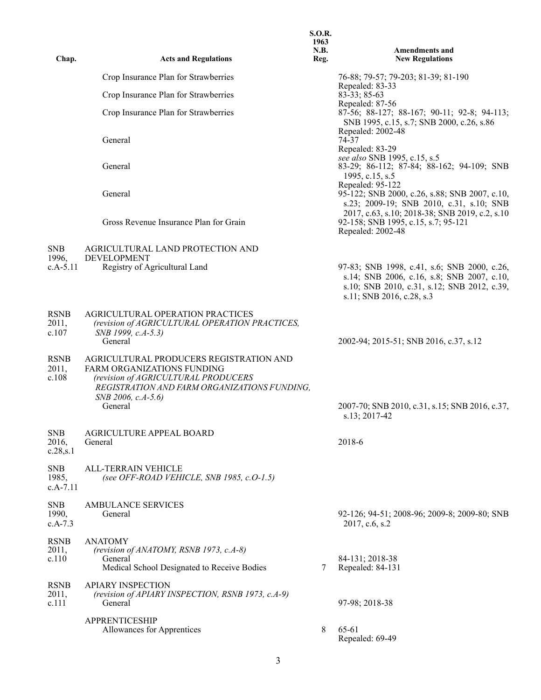| Chap.                             | <b>Acts and Regulations</b>                                                                                                                                                                   | <b>S.O.R.</b><br>1963<br>N.B.<br>Reg. | <b>Amendments and</b><br><b>New Regulations</b>                                                                                                                       |
|-----------------------------------|-----------------------------------------------------------------------------------------------------------------------------------------------------------------------------------------------|---------------------------------------|-----------------------------------------------------------------------------------------------------------------------------------------------------------------------|
|                                   | Crop Insurance Plan for Strawberries                                                                                                                                                          |                                       | 76-88; 79-57; 79-203; 81-39; 81-190                                                                                                                                   |
|                                   | Crop Insurance Plan for Strawberries                                                                                                                                                          |                                       | Repealed: 83-33<br>$83 - 33$ ; $85 - 63$                                                                                                                              |
|                                   | Crop Insurance Plan for Strawberries                                                                                                                                                          |                                       | Repealed: 87-56<br>87-56; 88-127; 88-167; 90-11; 92-8; 94-113;<br>SNB 1995, c.15, s.7; SNB 2000, c.26, s.86<br>Repealed: 2002-48                                      |
|                                   | General                                                                                                                                                                                       |                                       | 74-37<br>Repealed: 83-29                                                                                                                                              |
|                                   | General                                                                                                                                                                                       |                                       | see also SNB 1995, c.15, s.5<br>83-29; 86-112; 87-84; 88-162; 94-109; SNB<br>1995, c.15, s.5<br>Repealed: 95-122                                                      |
|                                   | General                                                                                                                                                                                       |                                       | 95-122; SNB 2000, c.26, s.88; SNB 2007, c.10,<br>s.23; 2009-19; SNB 2010, c.31, s.10; SNB                                                                             |
|                                   | Gross Revenue Insurance Plan for Grain                                                                                                                                                        |                                       | 2017, c.63, s.10; 2018-38; SNB 2019, c.2, s.10<br>92-158; SNB 1995, c.15, s.7; 95-121<br>Repealed: 2002-48                                                            |
| <b>SNB</b><br>1996,               | AGRICULTURAL LAND PROTECTION AND<br><b>DEVELOPMENT</b>                                                                                                                                        |                                       |                                                                                                                                                                       |
| $c.A-5.11$                        | Registry of Agricultural Land                                                                                                                                                                 |                                       | 97-83; SNB 1998, c.41, s.6; SNB 2000, c.26,<br>s.14; SNB 2006, c.16, s.8; SNB 2007, c.10,<br>s.10; SNB 2010, c.31, s.12; SNB 2012, c.39,<br>s.11; SNB 2016, c.28, s.3 |
| <b>RSNB</b><br>2011,<br>c.107     | AGRICULTURAL OPERATION PRACTICES<br>(revision of AGRICULTURAL OPERATION PRACTICES,<br>SNB 1999, c.A-5.3)<br>General                                                                           |                                       | 2002-94; 2015-51; SNB 2016, c.37, s.12                                                                                                                                |
| <b>RSNB</b><br>2011,<br>c.108     | AGRICULTURAL PRODUCERS REGISTRATION AND<br>FARM ORGANIZATIONS FUNDING<br>(revision of AGRICULTURAL PRODUCERS<br>REGISTRATION AND FARM ORGANIZATIONS FUNDING,<br>SNB 2006, c.A-5.6)<br>General |                                       | 2007-70; SNB 2010, c.31, s.15; SNB 2016, c.37,<br>s.13; 2017-42                                                                                                       |
| <b>SNB</b><br>2016,<br>c.28, s.1  | AGRICULTURE APPEAL BOARD<br>General                                                                                                                                                           |                                       | 2018-6                                                                                                                                                                |
| <b>SNB</b><br>1985,<br>$c.A-7.11$ | <b>ALL-TERRAIN VEHICLE</b><br>(see OFF-ROAD VEHICLE, SNB 1985, c.O-1.5)                                                                                                                       |                                       |                                                                                                                                                                       |
| <b>SNB</b><br>1990,<br>$c.A-7.3$  | <b>AMBULANCE SERVICES</b><br>General                                                                                                                                                          |                                       | 92-126; 94-51; 2008-96; 2009-8; 2009-80; SNB<br>2017, c.6, s.2                                                                                                        |
| <b>RSNB</b><br>2011,<br>c.110     | <b>ANATOMY</b><br>(revision of ANATOMY, RSNB 1973, c.A-8)<br>General<br>Medical School Designated to Receive Bodies                                                                           | 7                                     | 84-131; 2018-38<br>Repealed: 84-131                                                                                                                                   |
| <b>RSNB</b><br>2011,<br>c.111     | <b>APIARY INSPECTION</b><br>(revision of APIARY INSPECTION, RSNB 1973, c.A-9)<br>General                                                                                                      |                                       | 97-98; 2018-38                                                                                                                                                        |
|                                   | <b>APPRENTICESHIP</b><br>Allowances for Apprentices                                                                                                                                           | 8                                     | 65-61<br>Repealed: 69-49                                                                                                                                              |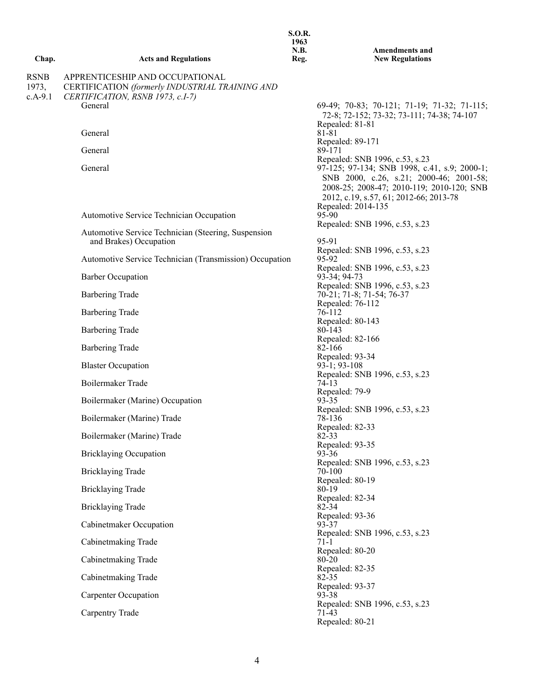|                                   |                                                                                                                        | 1963<br>N.B. | <b>Amendments and</b>                                                                                                                                                                                |
|-----------------------------------|------------------------------------------------------------------------------------------------------------------------|--------------|------------------------------------------------------------------------------------------------------------------------------------------------------------------------------------------------------|
| Chap.                             | <b>Acts and Regulations</b>                                                                                            | Reg.         | <b>New Regulations</b>                                                                                                                                                                               |
| <b>RSNB</b><br>1973,<br>$c.A-9.1$ | APPRENTICESHIP AND OCCUPATIONAL<br>CERTIFICATION (formerly INDUSTRIAL TRAINING AND<br>CERTIFICATION, RSNB 1973, c.I-7) |              |                                                                                                                                                                                                      |
|                                   | General                                                                                                                |              | 69-49; 70-83; 70-121; 71-19; 71-32; 71-115;<br>72-8; 72-152; 73-32; 73-111; 74-38; 74-107<br>Repealed: 81-81                                                                                         |
|                                   | General                                                                                                                |              | 81-81<br>Repealed: 89-171                                                                                                                                                                            |
|                                   | General                                                                                                                |              | 89-171<br>Repealed: SNB 1996, c.53, s.23                                                                                                                                                             |
|                                   | General                                                                                                                |              | 97-125; 97-134; SNB 1998, c.41, s.9; 2000-1;<br>SNB 2000, c.26, s.21; 2000-46; 2001-58;<br>2008-25; 2008-47; 2010-119; 2010-120; SNB<br>2012, c.19, s.57, 61; 2012-66; 2013-78<br>Repealed: 2014-135 |
|                                   | Automotive Service Technician Occupation                                                                               |              | 95-90<br>Repealed: SNB 1996, c.53, s.23                                                                                                                                                              |
|                                   | Automotive Service Technician (Steering, Suspension                                                                    |              |                                                                                                                                                                                                      |
|                                   | and Brakes) Occupation                                                                                                 |              | 95-91<br>Repealed: SNB 1996, c.53, s.23                                                                                                                                                              |
|                                   | Automotive Service Technician (Transmission) Occupation                                                                |              | 95-92<br>Repealed: SNB 1996, c.53, s.23                                                                                                                                                              |
|                                   | <b>Barber Occupation</b>                                                                                               |              | 93-34; 94-73                                                                                                                                                                                         |
|                                   | <b>Barbering Trade</b>                                                                                                 |              | Repealed: SNB 1996, c.53, s.23<br>70-21; 71-8; 71-54; 76-37                                                                                                                                          |
|                                   | <b>Barbering Trade</b>                                                                                                 |              | Repealed: 76-112<br>76-112                                                                                                                                                                           |
|                                   | <b>Barbering Trade</b>                                                                                                 |              | Repealed: 80-143<br>80-143                                                                                                                                                                           |
|                                   | <b>Barbering Trade</b>                                                                                                 |              | Repealed: 82-166<br>82-166                                                                                                                                                                           |
|                                   | <b>Blaster Occupation</b>                                                                                              |              | Repealed: 93-34<br>$93-1$ ; 93-108                                                                                                                                                                   |
|                                   | Boilermaker Trade                                                                                                      |              | Repealed: SNB 1996, c.53, s.23<br>$74-13$<br>Repealed: 79-9                                                                                                                                          |
|                                   | Boilermaker (Marine) Occupation                                                                                        |              | 93-35                                                                                                                                                                                                |
|                                   | Boilermaker (Marine) Trade                                                                                             |              | Repealed: SNB 1996, c.53, s.23<br>78-136                                                                                                                                                             |
|                                   | Boilermaker (Marine) Trade                                                                                             |              | Repealed: 82-33<br>$82 - 33$                                                                                                                                                                         |
|                                   | <b>Bricklaying Occupation</b>                                                                                          |              | Repealed: 93-35<br>$93 - 36$                                                                                                                                                                         |
|                                   | <b>Bricklaying Trade</b>                                                                                               |              | Repealed: SNB 1996, c.53, s.23<br>70-100                                                                                                                                                             |
|                                   |                                                                                                                        |              | Repealed: 80-19                                                                                                                                                                                      |
|                                   | <b>Bricklaying Trade</b>                                                                                               |              | 80-19<br>Repealed: 82-34                                                                                                                                                                             |
|                                   | <b>Bricklaying Trade</b>                                                                                               |              | 82-34<br>Repealed: 93-36                                                                                                                                                                             |
|                                   | Cabinetmaker Occupation                                                                                                |              | 93-37<br>Repealed: SNB 1996, c.53, s.23                                                                                                                                                              |
|                                   | Cabinetmaking Trade                                                                                                    |              | $71-1$<br>Repealed: 80-20                                                                                                                                                                            |
|                                   | Cabinetmaking Trade                                                                                                    |              | 80-20                                                                                                                                                                                                |
|                                   | Cabinetmaking Trade                                                                                                    |              | Repealed: 82-35<br>$82 - 35$                                                                                                                                                                         |
|                                   | <b>Carpenter Occupation</b>                                                                                            |              | Repealed: 93-37<br>93-38                                                                                                                                                                             |
|                                   | Carpentry Trade                                                                                                        |              | Repealed: SNB 1996, c.53, s.23<br>71-43<br>Repealed: 80-21                                                                                                                                           |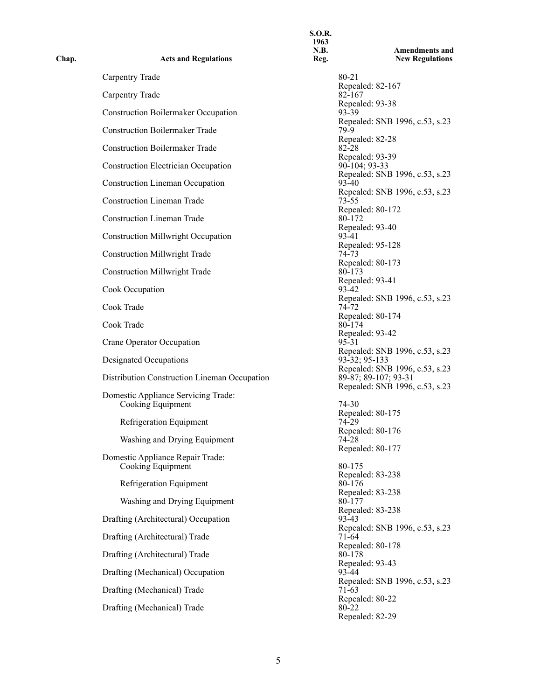| Chap. | <b>Acts and Regulations</b>                              | 1963<br>N.B.<br>Reg. | <b>Amendments and</b><br><b>New Regulations</b>                                          |
|-------|----------------------------------------------------------|----------------------|------------------------------------------------------------------------------------------|
|       | Carpentry Trade                                          |                      | 80-21                                                                                    |
|       | <b>Carpentry Trade</b>                                   |                      | Repealed: 82-167<br>82-167                                                               |
|       | <b>Construction Boilermaker Occupation</b>               |                      | Repealed: 93-38<br>93-39                                                                 |
|       | <b>Construction Boilermaker Trade</b>                    |                      | Repealed: SNB 1996, c.53, s.23<br>79-9                                                   |
|       | <b>Construction Boilermaker Trade</b>                    |                      | Repealed: 82-28<br>82-28                                                                 |
|       | <b>Construction Electrician Occupation</b>               |                      | Repealed: 93-39<br>90-104; 93-33                                                         |
|       | <b>Construction Lineman Occupation</b>                   |                      | Repealed: SNB 1996, c.53, s.23<br>93-40                                                  |
|       | <b>Construction Lineman Trade</b>                        |                      | Repealed: SNB 1996, c.53, s.23<br>$73 - 55$                                              |
|       | <b>Construction Lineman Trade</b>                        |                      | Repealed: 80-172<br>80-172                                                               |
|       |                                                          |                      | Repealed: 93-40<br>93-41                                                                 |
|       | <b>Construction Millwright Occupation</b>                |                      | Repealed: 95-128                                                                         |
|       | <b>Construction Millwright Trade</b>                     |                      | 74-73<br>Repealed: 80-173                                                                |
|       | <b>Construction Millwright Trade</b>                     |                      | 80-173<br>Repealed: 93-41                                                                |
|       | Cook Occupation                                          |                      | 93-42<br>Repealed: SNB 1996, c.53, s.23                                                  |
|       | Cook Trade                                               |                      | 74-72<br>Repealed: 80-174                                                                |
|       | Cook Trade                                               |                      | 80-174<br>Repealed: 93-42                                                                |
|       | Crane Operator Occupation                                |                      | 95-31<br>Repealed: SNB 1996, c.53, s.23                                                  |
|       | Designated Occupations                                   |                      | 93-32; 95-133                                                                            |
|       | Distribution Construction Lineman Occupation             |                      | Repealed: SNB 1996, c.53, s.23<br>89-87; 89-107; 93-31<br>Repealed: SNB 1996, c.53, s.23 |
|       | Domestic Appliance Servicing Trade:<br>Cooking Equipment |                      | 74-30                                                                                    |
|       |                                                          |                      | Repealed: 80-175                                                                         |
|       | Refrigeration Equipment                                  |                      | 74-29<br>Repealed: 80-176                                                                |
|       | Washing and Drying Equipment                             |                      | $74 - 28$<br>Repealed: 80-177                                                            |
|       | Domestic Appliance Repair Trade:<br>Cooking Equipment    |                      | 80-175                                                                                   |
|       | Refrigeration Equipment                                  |                      | Repealed: 83-238<br>80-176                                                               |
|       | Washing and Drying Equipment                             |                      | Repealed: 83-238<br>80-177                                                               |
|       | Drafting (Architectural) Occupation                      |                      | Repealed: 83-238<br>93-43                                                                |
|       | Drafting (Architectural) Trade                           |                      | Repealed: SNB 1996, c.53, s.23<br>71-64                                                  |
|       |                                                          |                      | Repealed: 80-178                                                                         |
|       | Drafting (Architectural) Trade                           |                      | 80-178<br>Repealed: 93-43                                                                |
|       | Drafting (Mechanical) Occupation                         |                      | 93-44<br>Repealed: SNB 1996, c.53, s.23                                                  |
|       | Drafting (Mechanical) Trade                              |                      | 71-63<br>Repealed: 80-22                                                                 |
|       | Drafting (Mechanical) Trade                              |                      | 80-22<br>Repealed: 82-29                                                                 |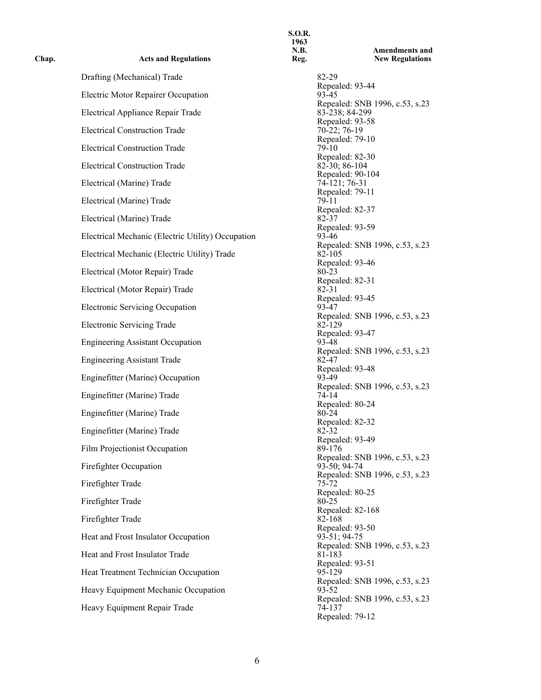| <b>Acts and Regulations</b>                       | N.B.<br>Reg. |                       |
|---------------------------------------------------|--------------|-----------------------|
| Drafting (Mechanical) Trade                       |              | 82-29                 |
| Electric Motor Repairer Occupation                |              | Repeal<br>93-45       |
| Electrical Appliance Repair Trade                 |              | Repeal<br>83-238      |
| <b>Electrical Construction Trade</b>              |              | Repeal<br>$70-22$ ;   |
| <b>Electrical Construction Trade</b>              |              | Repeal<br>79-10       |
| <b>Electrical Construction Trade</b>              |              | Repeal<br>$82-30;$    |
| Electrical (Marine) Trade                         |              | Repeal<br>74-121      |
| Electrical (Marine) Trade                         |              | Repeal<br>79-11       |
| Electrical (Marine) Trade                         |              | Repeal<br>82-37       |
| Electrical Mechanic (Electric Utility) Occupation |              | Repeal<br>93-46       |
| Electrical Mechanic (Electric Utility) Trade      |              | Repeal<br>82-105      |
| Electrical (Motor Repair) Trade                   |              | Repeal<br>80-23       |
| Electrical (Motor Repair) Trade                   |              | Repeal<br>82-31       |
| Electronic Servicing Occupation                   |              | Repeal<br>93-47       |
| <b>Electronic Servicing Trade</b>                 |              | Repeal<br>82-129      |
| <b>Engineering Assistant Occupation</b>           |              | Repeal<br>93-48       |
|                                                   |              | Repeal<br>82-47       |
| <b>Engineering Assistant Trade</b>                |              | Repeal                |
| Enginefitter (Marine) Occupation                  |              | 93-49<br>Repeal       |
| Enginefitter (Marine) Trade                       |              | 74-14<br>Repeal       |
| Enginefitter (Marine) Trade                       |              | 80-24<br>Repeal       |
| Enginefitter (Marine) Trade                       |              | 82-32                 |
| Film Projectionist Occupation                     |              | Repeal<br>89-176      |
| Firefighter Occupation                            |              | Repeal<br>$93 - 50$ ; |
|                                                   |              | Repeal                |
| Firefighter Trade                                 |              | 75-72<br>Repeal       |
| Firefighter Trade                                 |              | 80-25                 |
| Firefighter Trade                                 |              | Repeal<br>82-168      |
| Heat and Frost Insulator Occupation               |              | Repeal<br>$93-51;$    |
| Heat and Frost Insulator Trade                    |              | Repeal<br>81-183      |
|                                                   |              | Repeal                |
| Heat Treatment Technician Occupation              |              | 95-129<br>Repeal      |
| Heavy Equipment Mechanic Occupation               |              | 93-52                 |
| Heavy Equipment Repair Trade                      |              | Repeal<br>74-137      |
|                                                   |              | <b>D</b> eneal        |

**Chap.** 

**S.O.R. 1963 N.B. Reg. Amendments and New Regulations** Repealed: 93-44 Repealed: SNB 1996, c.53, s.23 Electrical Appliance Repair Trade 83-238; 84-299 Repealed: 93-58  $70-22$ ; 76-19 Repealed: 79-10<br>79-10 Repealed: 82-30  $82-30; 86-104$ Repealed: 90-104 74-121; 76-31 Repealed: 79-11<br>79-11 Repealed: 82-37 Repealed: 93-59<br>93-46 Repealed: SNB 1996, c.53, s.23 Repealed: 93-46<br>80-23 Repealed: 82-31<br>82-31 Repealed: 93-45 Repealed: SNB 1996, c.53, s.23<br>82-129 Repealed: 93-47 Repealed: SNB 1996, c.53, s.23 Repealed: 93-48<br>93-49 Repealed: SNB 1996, c.53, s.23<br>74-14 Repealed: 80-24 Repealed: 82-32 Repealed: 93-49<br>89-176 Repealed: SNB 1996, c.53, s.23 93-50; 94-74 Repealed: SNB 1996, c.53, s.23<br>75-72 Repealed: 80-25 Repealed: 82-168 Repealed: 93-50  $93-51$ ; 94-75 Repealed: SNB 1996, c.53, s.23<br>81-183 Repealed: 93-51<br>95-129 Repealed: SNB 1996, c.53, s.23<br>93-52 Repealed: SNB 1996, c.53, s.23<br>74-137 Repealed: 79-12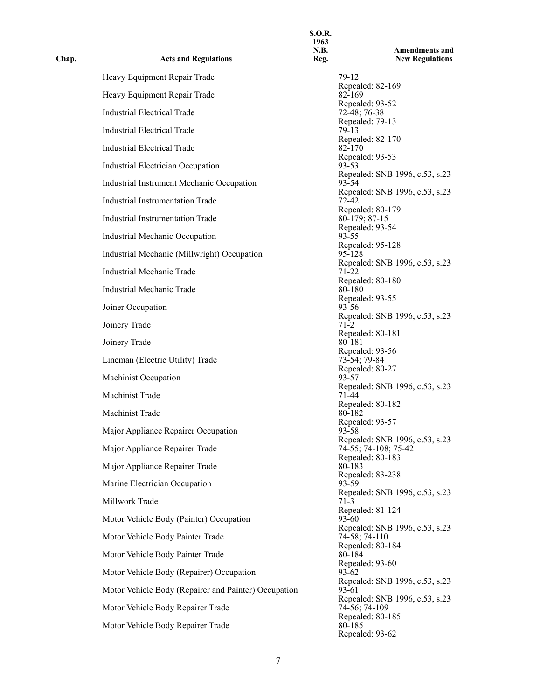| Chap. | <b>Acts and Regulations</b>                          | <b>S.O.R.</b><br>1963<br><b>N.B.</b><br>Reg. | <b>Amendments and</b><br><b>New Regulations</b>        |
|-------|------------------------------------------------------|----------------------------------------------|--------------------------------------------------------|
|       | Heavy Equipment Repair Trade                         |                                              | 79-12                                                  |
|       | Heavy Equipment Repair Trade                         |                                              | Repealed: 82-169<br>82-169                             |
|       | <b>Industrial Electrical Trade</b>                   |                                              | Repealed: 93-52<br>$72-48$ ; 76-38                     |
|       | <b>Industrial Electrical Trade</b>                   |                                              | Repealed: 79-13<br>$79-13$                             |
|       | <b>Industrial Electrical Trade</b>                   |                                              | Repealed: 82-170<br>82-170                             |
|       | Industrial Electrician Occupation                    |                                              | Repealed: 93-53<br>93-53                               |
|       | Industrial Instrument Mechanic Occupation            |                                              | Repealed: SNB 1996, c.53, s.23<br>93-54                |
|       | Industrial Instrumentation Trade                     |                                              | Repealed: SNB 1996, c.53, s.23<br>$72 - 42$            |
|       | <b>Industrial Instrumentation Trade</b>              |                                              | Repealed: 80-179<br>$80-179; 87-15$                    |
|       | Industrial Mechanic Occupation                       |                                              | Repealed: 93-54<br>$93 - 55$                           |
|       | Industrial Mechanic (Millwright) Occupation          |                                              | Repealed: 95-128<br>95-128                             |
|       | Industrial Mechanic Trade                            |                                              | Repealed: SNB 1996, c.53, s.23<br>71-22                |
|       | Industrial Mechanic Trade                            |                                              | Repealed: 80-180<br>80-180                             |
|       | Joiner Occupation                                    |                                              | Repealed: 93-55<br>$93 - 56$                           |
|       | Joinery Trade                                        |                                              | Repealed: SNB 1996, c.53, s.23<br>$71-2$               |
|       | Joinery Trade                                        |                                              | Repealed: 80-181<br>80-181                             |
|       | Lineman (Electric Utility) Trade                     |                                              | Repealed: 93-56<br>73-54; 79-84                        |
|       | <b>Machinist Occupation</b>                          |                                              | Repealed: 80-27<br>93-57                               |
|       | Machinist Trade                                      |                                              | Repealed: SNB 1996, c.53, s.23<br>71-44                |
|       | Machinist Trade                                      |                                              | Repealed: 80-182<br>80-182                             |
|       | Major Appliance Repairer Occupation                  |                                              | Repealed: 93-57<br>93-58                               |
|       | Major Appliance Repairer Trade                       |                                              | Repealed: SNB 1996, c.53, s.23<br>74-55; 74-108; 75-42 |
|       | Major Appliance Repairer Trade                       |                                              | Repealed: 80-183<br>80-183                             |
|       | Marine Electrician Occupation                        |                                              | Repealed: 83-238<br>93-59                              |
|       | Millwork Trade                                       |                                              | Repealed: SNB 1996, c.53, s.23<br>$71-3$               |
|       | Motor Vehicle Body (Painter) Occupation              |                                              | Repealed: 81-124<br>93-60                              |
|       | Motor Vehicle Body Painter Trade                     |                                              | Repealed: SNB 1996, c.53, s.23<br>74-58; 74-110        |
|       | Motor Vehicle Body Painter Trade                     |                                              | Repealed: 80-184<br>80-184                             |
|       | Motor Vehicle Body (Repairer) Occupation             |                                              | Repealed: 93-60<br>93-62                               |
|       | Motor Vehicle Body (Repairer and Painter) Occupation |                                              | Repealed: SNB 1996, c.53, s.23<br>93-61                |
|       | Motor Vehicle Body Repairer Trade                    |                                              | Repealed: SNB 1996, c.53, s.23<br>74-56; 74-109        |
|       | Motor Vehicle Body Repairer Trade                    |                                              | Repealed: 80-185<br>80-185                             |
|       |                                                      |                                              | Repealed: 93-62                                        |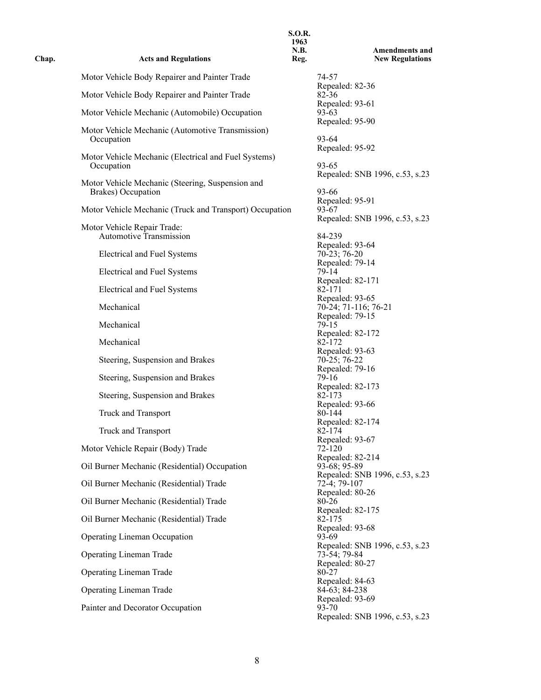| Chap. | <b>Acts and Regulations</b>                                            | 1963<br>N.B.<br>Reg. | <b>Amendments and</b><br><b>New Regulations</b> |
|-------|------------------------------------------------------------------------|----------------------|-------------------------------------------------|
|       | Motor Vehicle Body Repairer and Painter Trade                          |                      | 74-57                                           |
|       | Motor Vehicle Body Repairer and Painter Trade                          |                      | Repealed: 82-36<br>82-36                        |
|       | Motor Vehicle Mechanic (Automobile) Occupation                         |                      | Repealed: 93-61<br>93-63                        |
|       | Motor Vehicle Mechanic (Automotive Transmission)                       |                      | Repealed: 95-90                                 |
|       | Occupation                                                             |                      | 93-64<br>Repealed: 95-92                        |
|       | Motor Vehicle Mechanic (Electrical and Fuel Systems)<br>Occupation     |                      | $93 - 65$                                       |
|       |                                                                        |                      | Repealed: SNB 1996, c.53, s.23                  |
|       | Motor Vehicle Mechanic (Steering, Suspension and<br>Brakes) Occupation |                      | 93-66                                           |
|       | Motor Vehicle Mechanic (Truck and Transport) Occupation                |                      | Repealed: 95-91<br>93-67                        |
|       | Motor Vehicle Repair Trade:                                            |                      | Repealed: SNB 1996, c.53, s.23                  |
|       | <b>Automotive Transmission</b>                                         |                      | 84-239<br>Repealed: 93-64                       |
|       | <b>Electrical and Fuel Systems</b>                                     |                      | $70-23; 76-20$                                  |
|       | Electrical and Fuel Systems                                            |                      | Repealed: 79-14<br>79-14                        |
|       | <b>Electrical and Fuel Systems</b>                                     |                      | Repealed: 82-171<br>82-171                      |
|       | Mechanical                                                             |                      | Repealed: 93-65<br>70-24; 71-116; 76-21         |
|       |                                                                        |                      | Repealed: 79-15                                 |
|       | Mechanical                                                             |                      | 79-15<br>Repealed: 82-172                       |
|       | Mechanical                                                             |                      | 82-172<br>Repealed: 93-63                       |
|       | Steering, Suspension and Brakes                                        |                      | $70-25; 76-22$<br>Repealed: 79-16               |
|       | Steering, Suspension and Brakes                                        |                      | 79-16                                           |
|       | Steering, Suspension and Brakes                                        |                      | Repealed: 82-173<br>82-173                      |
|       | Truck and Transport                                                    |                      | Repealed: 93-66<br>80-144                       |
|       | Truck and Transport                                                    |                      | Repealed: 82-174<br>82-174                      |
|       | Motor Vehicle Repair (Body) Trade                                      |                      | Repealed: 93-67<br>72-120                       |
|       |                                                                        |                      | Repealed: 82-214                                |
|       | Oil Burner Mechanic (Residential) Occupation                           |                      | 93-68; 95-89<br>Repealed: SNB 1996, c.53, s.23  |
|       | Oil Burner Mechanic (Residential) Trade                                |                      | $72-4; 79-107$<br>Repealed: 80-26               |
|       | Oil Burner Mechanic (Residential) Trade                                |                      | 80-26<br>Repealed: 82-175                       |
|       | Oil Burner Mechanic (Residential) Trade                                |                      | 82-175<br>Repealed: 93-68                       |
|       | <b>Operating Lineman Occupation</b>                                    |                      | $93-69$                                         |
|       | <b>Operating Lineman Trade</b>                                         |                      | Repealed: SNB 1996, c.53, s.23<br>73-54; 79-84  |
|       | <b>Operating Lineman Trade</b>                                         |                      | Repealed: 80-27<br>80-27                        |
|       | Operating Lineman Trade                                                |                      | Repealed: 84-63<br>84-63; 84-238                |
|       |                                                                        |                      | Repealed: 93-69                                 |
|       | Painter and Decorator Occupation                                       |                      | 93-70<br>Repealed: SNB 1996, c.53, s.23         |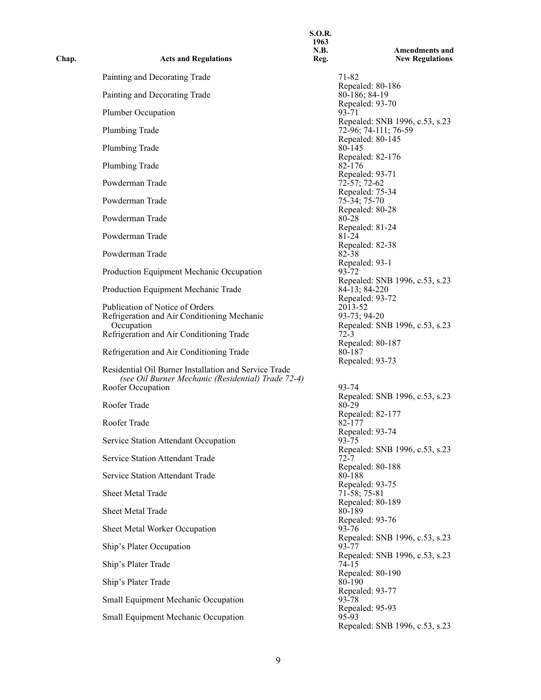| Chap. | <b>Acts and Regulations</b>                                                                                                      | <b>S.O.R.</b><br>1963<br>N.B.<br>Reg. | <b>Amendments and</b><br><b>New Regulations</b>                              |
|-------|----------------------------------------------------------------------------------------------------------------------------------|---------------------------------------|------------------------------------------------------------------------------|
|       | Painting and Decorating Trade                                                                                                    |                                       | 71-82                                                                        |
|       | Painting and Decorating Trade                                                                                                    |                                       | Repealed: 80-186<br>80-186; 84-19                                            |
|       | Plumber Occupation                                                                                                               |                                       | Repealed: 93-70<br>93-71                                                     |
|       | Plumbing Trade                                                                                                                   |                                       | Repealed: SNB 1996, c.53, s.23<br>72-96; 74-111; 76-59                       |
|       | Plumbing Trade                                                                                                                   |                                       | Repealed: 80-145<br>80-145                                                   |
|       | Plumbing Trade                                                                                                                   |                                       | Repealed: 82-176<br>82-176                                                   |
|       | Powderman Trade                                                                                                                  |                                       | Repealed: 93-71<br>72-57; 72-62                                              |
|       | Powderman Trade                                                                                                                  |                                       | Repealed: 75-34<br>$75-34; 75-70$                                            |
|       | Powderman Trade                                                                                                                  |                                       | Repealed: 80-28<br>80-28                                                     |
|       | Powderman Trade                                                                                                                  |                                       | Repealed: 81-24<br>81-24                                                     |
|       | Powderman Trade                                                                                                                  |                                       | Repealed: 82-38<br>82-38                                                     |
|       | Production Equipment Mechanic Occupation                                                                                         |                                       | Repealed: 93-1<br>93-72                                                      |
|       | Production Equipment Mechanic Trade                                                                                              |                                       | Repealed: SNB 1996, c.53, s.23<br>84-13; 84-220                              |
|       | Publication of Notice of Orders<br>Refrigeration and Air Conditioning Mechanic<br>Occupation                                     |                                       | Repealed: 93-72<br>2013-52<br>93-73; 94-20<br>Repealed: SNB 1996, c.53, s.23 |
|       | Refrigeration and Air Conditioning Trade                                                                                         |                                       | $72-3$                                                                       |
|       | Refrigeration and Air Conditioning Trade                                                                                         |                                       | Repealed: 80-187<br>80-187                                                   |
|       | Residential Oil Burner Installation and Service Trade<br>(see Oil Burner Mechanic (Residential) Trade 72-4)<br>Roofer Occupation |                                       | Repealed: 93-73<br>93-74                                                     |
|       | Roofer Trade                                                                                                                     |                                       | Repealed: SNB 1996, c.53, s.23<br>80-29                                      |
|       | Roofer Trade                                                                                                                     |                                       | Repealed: 82-177<br>82-177                                                   |
|       | Service Station Attendant Occupation                                                                                             |                                       | Repealed: 93-74<br>93-75                                                     |
|       | Service Station Attendant Trade                                                                                                  |                                       | Repealed: SNB 1996, c.53, s.23<br>72-7                                       |
|       | Service Station Attendant Trade                                                                                                  |                                       | Repealed: 80-188<br>80-188                                                   |
|       | Sheet Metal Trade                                                                                                                |                                       | Repealed: 93-75<br>71-58; 75-81                                              |
|       | Sheet Metal Trade                                                                                                                |                                       | Repealed: 80-189<br>80-189                                                   |
|       | Sheet Metal Worker Occupation                                                                                                    |                                       | Repealed: 93-76<br>93-76                                                     |
|       | Ship's Plater Occupation                                                                                                         |                                       | Repealed: SNB 1996, c.53, s.23<br>93-77                                      |
|       | Ship's Plater Trade                                                                                                              |                                       | Repealed: SNB 1996, c.53, s.23<br>74-15                                      |
|       | Ship's Plater Trade                                                                                                              |                                       | Repealed: 80-190<br>80-190                                                   |
|       | Small Equipment Mechanic Occupation                                                                                              |                                       | Repealed: 93-77<br>93-78                                                     |
|       | Small Equipment Mechanic Occupation                                                                                              |                                       | Repealed: 95-93<br>95-93<br>Repealed: SNB 1996, c.53, s.23                   |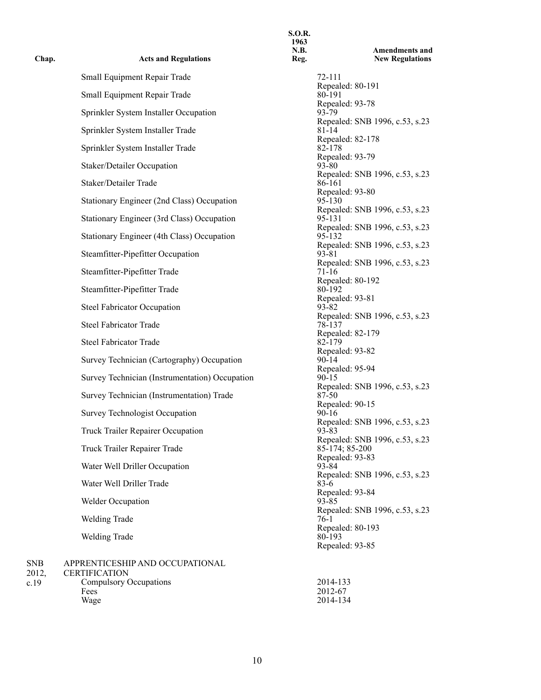| <b>Acts and Regulations</b>                    | N.B.<br>Reg. |                   |
|------------------------------------------------|--------------|-------------------|
| Small Equipment Repair Trade                   |              | 72-111            |
| Small Equipment Repair Trade                   |              | Repeal<br>80-191  |
| Sprinkler System Installer Occupation          |              | Repeal<br>93-79   |
|                                                |              | Repeal            |
| Sprinkler System Installer Trade               |              | 81-14<br>Repeal   |
| Sprinkler System Installer Trade               |              | 82-178<br>Repeal  |
| Staker/Detailer Occupation                     |              | 93-80             |
| Staker/Detailer Trade                          |              | Repeal<br>86-161  |
| Stationary Engineer (2nd Class) Occupation     |              | Repeal<br>95-130  |
|                                                |              | Repeal            |
| Stationary Engineer (3rd Class) Occupation     |              | 95-131<br>Repeal  |
| Stationary Engineer (4th Class) Occupation     |              | 95-132            |
| Steamfitter-Pipefitter Occupation              |              | Repeal<br>93-81   |
| Steamfitter-Pipefitter Trade                   |              | Repeal<br>71-16   |
|                                                |              | Repeal            |
| Steamfitter-Pipefitter Trade                   |              | 80-192<br>Repeal  |
| <b>Steel Fabricator Occupation</b>             |              | 93-82<br>Repeal   |
| <b>Steel Fabricator Trade</b>                  |              | 78-137            |
| <b>Steel Fabricator Trade</b>                  |              | Repeal<br>82-179  |
| Survey Technician (Cartography) Occupation     |              | Repeal<br>$90-14$ |
|                                                |              | Repeal            |
| Survey Technician (Instrumentation) Occupation |              | 90-15<br>Repeal   |
| Survey Technician (Instrumentation) Trade      |              | 87-50<br>Repeal   |
| Survey Technologist Occupation                 |              | $90 - 16$         |
| Truck Trailer Repairer Occupation              |              | Repeal<br>93-83   |
| Truck Trailer Repairer Trade                   |              | Repeal<br>85-174  |
|                                                |              | Repeal            |
| Water Well Driller Occupation                  |              | 93-84<br>Repeal   |
| Water Well Driller Trade                       |              | 83-6<br>Repeal    |
| Welder Occupation                              |              | 93-85             |
| <b>Welding Trade</b>                           |              | Repeal<br>76-1    |
| <b>Welding Trade</b>                           |              | Repeal<br>80-193  |
|                                                |              | Repeal            |
| APPRENTICESHIP AND OCCUPATIONAL                |              |                   |

**Chap.** 

## SNB 2012, c.19 CERTIFICATION Compulsory Occupations 2014-133 Fees 2012-67<br>Wage 2014-13 Wage 2014-134

**1963 N.B. Reg. Amendments and New Regulations** Repealed: 80-191<br>80-191 Repealed: 93-78<br>93-79 Repealed: SNB 1996, c.53, s.23<br>81-14 Repealed: 82-178 Repealed: 93-79<br>93-80 Repealed: SNB 1996, c.53, s.23<br>86-161 Repealed: 93-80<br>95-130 Repealed: SNB 1996, c.53, s.23 Repealed: SNB 1996, c.53, s.23<br>95-132 Repealed: SNB 1996, c.53, s.23 Repealed: SNB 1996, c.53, s.23<br>71-16 Repealed: 80-192<br>80-192 Repealed: 93-81 Repealed: SNB 1996, c.53, s.23<br>78-137 Repealed: 82-179<br>82-179 Repealed: 93-82 Repealed: 95-94<br>90-15 Repealed: SNB 1996, c.53, s.23<br>87-50 Repealed: 90-15<br>90-16 Repealed: SNB 1996, c.53, s.23<br>93-83 Repealed: SNB 1996, c.53, s.23 85-174; 85-200 Repealed: 93-83 Repealed: SNB 1996, c.53, s.23<br>83-6 Repealed: 93-84 Repealed: SNB 1996, c.53, s.23 Repealed: 80-193<br>80-193 Repealed: 93-85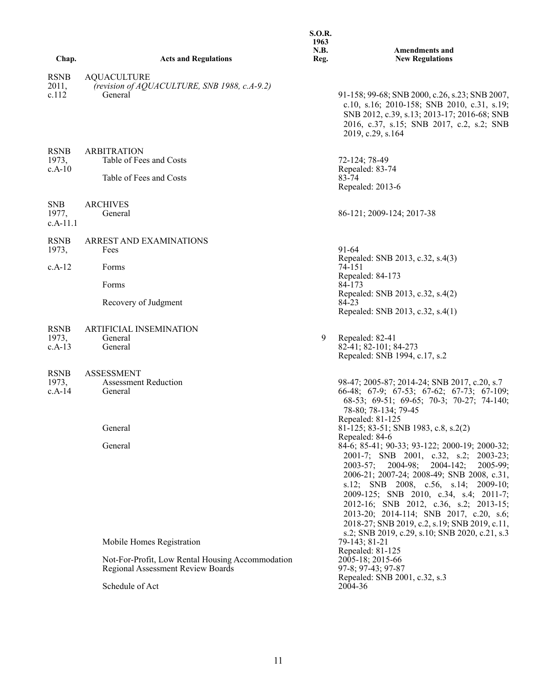|                                  |                                                                                                                                       | <b>S.O.R.</b><br>1963<br>N.B. | <b>Amendments and</b>                                                                                                                                                                                                                                                                                                                                                                                                                                                                                                                |
|----------------------------------|---------------------------------------------------------------------------------------------------------------------------------------|-------------------------------|--------------------------------------------------------------------------------------------------------------------------------------------------------------------------------------------------------------------------------------------------------------------------------------------------------------------------------------------------------------------------------------------------------------------------------------------------------------------------------------------------------------------------------------|
| Chap.                            | <b>Acts and Regulations</b>                                                                                                           | Reg.                          | <b>New Regulations</b>                                                                                                                                                                                                                                                                                                                                                                                                                                                                                                               |
| <b>RSNB</b><br>2011,<br>c.112    | <b>AQUACULTURE</b><br>(revision of AQUACULTURE, SNB 1988, c.A-9.2)<br>General                                                         |                               | 91-158; 99-68; SNB 2000, c.26, s.23; SNB 2007,<br>c.10, s.16; 2010-158; SNB 2010, c.31, s.19;<br>SNB 2012, c.39, s.13; 2013-17; 2016-68; SNB<br>2016, c.37, s.15; SNB 2017, c.2, s.2; SNB<br>2019, c.29, s.164                                                                                                                                                                                                                                                                                                                       |
| <b>RSNB</b><br>1973,<br>$c.A-10$ | <b>ARBITRATION</b><br>Table of Fees and Costs<br>Table of Fees and Costs                                                              |                               | 72-124; 78-49<br>Repealed: 83-74<br>83-74<br>Repealed: 2013-6                                                                                                                                                                                                                                                                                                                                                                                                                                                                        |
| <b>SNB</b><br>1977,<br>c.A-11.1  | <b>ARCHIVES</b><br>General                                                                                                            |                               | 86-121; 2009-124; 2017-38                                                                                                                                                                                                                                                                                                                                                                                                                                                                                                            |
| <b>RSNB</b><br>1973,             | ARREST AND EXAMINATIONS<br>Fees                                                                                                       |                               | 91-64<br>Repealed: SNB 2013, c.32, s.4(3)                                                                                                                                                                                                                                                                                                                                                                                                                                                                                            |
| $c.A-12$                         | Forms                                                                                                                                 |                               | 74-151<br>Repealed: 84-173<br>84-173                                                                                                                                                                                                                                                                                                                                                                                                                                                                                                 |
|                                  | Forms<br>Recovery of Judgment                                                                                                         |                               | Repealed: SNB 2013, c.32, s.4(2)<br>84-23<br>Repealed: SNB 2013, c.32, s.4(1)                                                                                                                                                                                                                                                                                                                                                                                                                                                        |
| <b>RSNB</b><br>1973,<br>$c.A-13$ | <b>ARTIFICIAL INSEMINATION</b><br>General<br>General                                                                                  | 9                             | Repealed: 82-41<br>82-41; 82-101; 84-273<br>Repealed: SNB 1994, c.17, s.2                                                                                                                                                                                                                                                                                                                                                                                                                                                            |
| <b>RSNB</b><br>1973,<br>$c.A-14$ | <b>ASSESSMENT</b><br><b>Assessment Reduction</b><br>General<br>General<br>General                                                     |                               | 98-47; 2005-87; 2014-24; SNB 2017, c.20, s.7<br>66-48; 67-9; 67-53; 67-62; 67-73; 67-109;<br>68-53; 69-51; 69-65; 70-3; 70-27; 74-140;<br>78-80; 78-134; 79-45<br>Repealed: 81-125<br>81-125; 83-51; SNB 1983, c.8, s.2(2)<br>Repealed: 84-6<br>84-6; 85-41; 90-33; 93-122; 2000-19; 2000-32;<br>2001-7; SNB 2001, c.32, s.2; 2003-23;<br>$2004-98;$<br>$2004 - 142;$<br>$2005-99;$<br>$2003 - 57$ ;<br>2006-21; 2007-24; 2008-49; SNB 2008, c.31,<br>s.12; SNB 2008, c.56, s.14; 2009-10;<br>2009-125; SNB 2010, c.34, s.4; 2011-7; |
|                                  | Mobile Homes Registration<br>Not-For-Profit, Low Rental Housing Accommodation<br>Regional Assessment Review Boards<br>Schedule of Act |                               | 2012-16; SNB 2012, c.36, s.2; 2013-15;<br>2013-20; 2014-114; SNB 2017, c.20, s.6;<br>2018-27; SNB 2019, c.2, s.19; SNB 2019, c.11,<br>s.2; SNB 2019, c.29, s.10; SNB 2020, c.21, s.3<br>79-143; 81-21<br>Repealed: 81-125<br>2005-18; 2015-66<br>97-8; 97-43; 97-87<br>Repealed: SNB 2001, c.32, s.3<br>2004-36                                                                                                                                                                                                                      |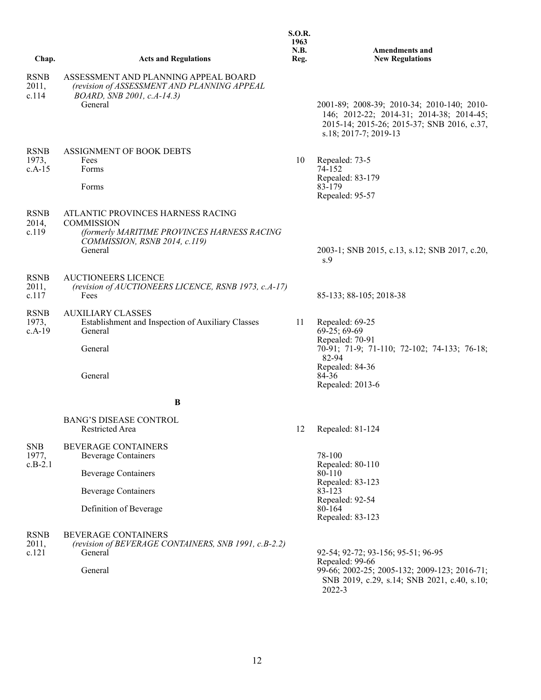|                                  |                                                                                                                                                   | 1963<br>N.B. | <b>Amendments and</b>                                                                                                                                          |
|----------------------------------|---------------------------------------------------------------------------------------------------------------------------------------------------|--------------|----------------------------------------------------------------------------------------------------------------------------------------------------------------|
| Chap.                            | <b>Acts and Regulations</b>                                                                                                                       | Reg.         | <b>New Regulations</b>                                                                                                                                         |
| <b>RSNB</b><br>2011,<br>c.114    | ASSESSMENT AND PLANNING APPEAL BOARD<br>(revision of ASSESSMENT AND PLANNING APPEAL<br>BOARD, SNB 2001, c.A-14.3)<br>General                      |              | 2001-89; 2008-39; 2010-34; 2010-140; 2010-<br>146; 2012-22; 2014-31; 2014-38; 2014-45;<br>2015-14; 2015-26; 2015-37; SNB 2016, c.37,<br>s.18; 2017-7; 2019-13  |
| <b>RSNB</b><br>1973,<br>$c.A-15$ | ASSIGNMENT OF BOOK DEBTS<br>Fees<br>Forms<br>Forms                                                                                                | 10           | Repealed: 73-5<br>74-152<br>Repealed: 83-179<br>83-179<br>Repealed: 95-57                                                                                      |
| <b>RSNB</b><br>2014,<br>c.119    | ATLANTIC PROVINCES HARNESS RACING<br><b>COMMISSION</b><br>(formerly MARITIME PROVINCES HARNESS RACING<br>COMMISSION, RSNB 2014, c.119)<br>General |              | 2003-1; SNB 2015, c.13, s.12; SNB 2017, c.20,<br>s.9                                                                                                           |
| <b>RSNB</b><br>2011,<br>c.117    | <b>AUCTIONEERS LICENCE</b><br>(revision of AUCTIONEERS LICENCE, RSNB 1973, c.A-17)<br>Fees                                                        |              | 85-133; 88-105; 2018-38                                                                                                                                        |
| <b>RSNB</b><br>1973,<br>$c.A-19$ | <b>AUXILIARY CLASSES</b><br>Establishment and Inspection of Auxiliary Classes<br>General<br>General<br>General                                    | 11           | Repealed: 69-25<br>$69-25; 69-69$<br>Repealed: 70-91<br>70-91; 71-9; 71-110; 72-102; 74-133; 76-18;<br>82-94<br>Repealed: 84-36<br>84-36<br>Repealed: 2013-6   |
|                                  | B                                                                                                                                                 |              |                                                                                                                                                                |
|                                  | <b>BANG'S DISEASE CONTROL</b><br>Restricted Area                                                                                                  | 12           | Repealed: 81-124                                                                                                                                               |
| <b>SNB</b><br>1977,<br>$c.B-2.1$ | <b>BEVERAGE CONTAINERS</b><br><b>Beverage Containers</b><br><b>Beverage Containers</b><br><b>Beverage Containers</b><br>Definition of Beverage    |              | 78-100<br>Repealed: 80-110<br>80-110<br>Repealed: 83-123<br>83-123<br>Repealed: 92-54<br>80-164<br>Repealed: 83-123                                            |
| <b>RSNB</b><br>2011,<br>c.121    | <b>BEVERAGE CONTAINERS</b><br>(revision of BEVERAGE CONTAINERS, SNB 1991, c.B-2.2)<br>General<br>General                                          |              | 92-54; 92-72; 93-156; 95-51; 96-95<br>Repealed: 99-66<br>99-66; 2002-25; 2005-132; 2009-123; 2016-71;<br>SNB 2019, c.29, s.14; SNB 2021, c.40, s.10;<br>2022-3 |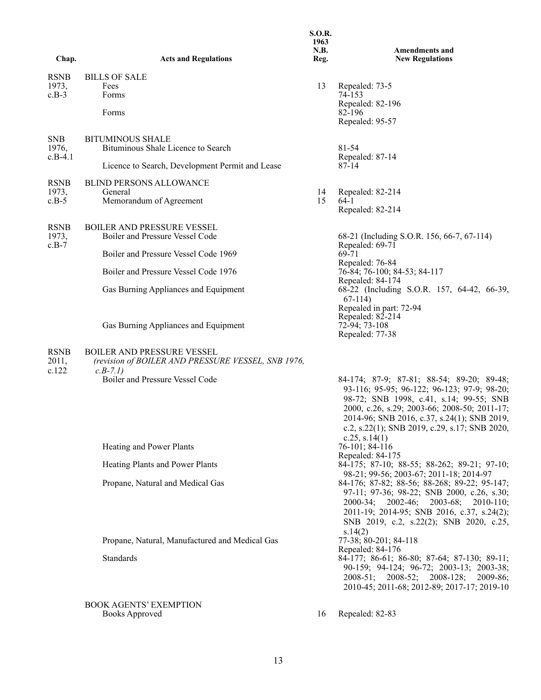| Chap.                         | <b>Acts and Regulations</b>                                                                          | <b>S.O.R.</b><br>1963<br>N.B.<br>Reg. | <b>Amendments and</b><br><b>New Regulations</b>                                                                                                                                                                                                                                                         |
|-------------------------------|------------------------------------------------------------------------------------------------------|---------------------------------------|---------------------------------------------------------------------------------------------------------------------------------------------------------------------------------------------------------------------------------------------------------------------------------------------------------|
| <b>RSNB</b>                   | <b>BILLS OF SALE</b>                                                                                 |                                       |                                                                                                                                                                                                                                                                                                         |
| 1973,<br>$c.B-3$              | Fees<br>Forms                                                                                        | 13                                    | Repealed: 73-5<br>74-153                                                                                                                                                                                                                                                                                |
|                               | Forms                                                                                                |                                       | Repealed: 82-196<br>82-196<br>Repealed: 95-57                                                                                                                                                                                                                                                           |
|                               |                                                                                                      |                                       |                                                                                                                                                                                                                                                                                                         |
| <b>SNB</b><br>1976,           | <b>BITUMINOUS SHALE</b><br>Bituminous Shale Licence to Search                                        |                                       | 81-54                                                                                                                                                                                                                                                                                                   |
| $c.B-4.1$                     | Licence to Search, Development Permit and Lease                                                      |                                       | Repealed: 87-14<br>87-14                                                                                                                                                                                                                                                                                |
| <b>RSNB</b>                   | <b>BLIND PERSONS ALLOWANCE</b>                                                                       |                                       |                                                                                                                                                                                                                                                                                                         |
| 1973,                         | General                                                                                              | 14                                    | Repealed: 82-214                                                                                                                                                                                                                                                                                        |
| $c.B-5$                       | Memorandum of Agreement                                                                              | 15                                    | $64-1$<br>Repealed: 82-214                                                                                                                                                                                                                                                                              |
| <b>RSNB</b>                   | <b>BOILER AND PRESSURE VESSEL</b>                                                                    |                                       |                                                                                                                                                                                                                                                                                                         |
| 1973,<br>$c.B-7$              | Boiler and Pressure Vessel Code                                                                      |                                       | 68-21 (Including S.O.R. 156, 66-7, 67-114)<br>Repealed: 69-71                                                                                                                                                                                                                                           |
|                               | Boiler and Pressure Vessel Code 1969                                                                 |                                       | 69-71<br>Repealed: 76-84                                                                                                                                                                                                                                                                                |
|                               | Boiler and Pressure Vessel Code 1976                                                                 |                                       | 76-84; 76-100; 84-53; 84-117                                                                                                                                                                                                                                                                            |
|                               | Gas Burning Appliances and Equipment                                                                 |                                       | Repealed: 84-174<br>68-22 (Including S.O.R. 157, 64-42, 66-39,<br>$67-114$                                                                                                                                                                                                                              |
|                               | Gas Burning Appliances and Equipment                                                                 |                                       | Repealed in part: 72-94<br>Repealed: 82-214<br>72-94; 73-108<br>Repealed: 77-38                                                                                                                                                                                                                         |
| <b>RSNB</b><br>2011,<br>c.122 | <b>BOILER AND PRESSURE VESSEL</b><br>(revision of BOILER AND PRESSURE VESSEL, SNB 1976,<br>$c.B-7.1$ |                                       |                                                                                                                                                                                                                                                                                                         |
|                               | Boiler and Pressure Vessel Code                                                                      |                                       | 84-174; 87-9; 87-81; 88-54; 89-20; 89-48;<br>93-116; 95-95; 96-122; 96-123; 97-9; 98-20;<br>98-72; SNB 1998, c.41, s.14; 99-55; SNB<br>2000, c.26, s.29; 2003-66; 2008-50; 2011-17;<br>2014-96; SNB 2016, c.37, s.24(1); SNB 2019,<br>c.2, s.22(1); SNB 2019, c.29, s.17; SNB 2020,<br>c.25, s.14 $(1)$ |
|                               | Heating and Power Plants                                                                             |                                       | 76-101; 84-116<br>Repealed: 84-175                                                                                                                                                                                                                                                                      |
|                               | Heating Plants and Power Plants                                                                      |                                       | 84-175; 87-10; 88-55; 88-262; 89-21; 97-10;<br>98-21; 99-56; 2003-67; 2011-18; 2014-97                                                                                                                                                                                                                  |
|                               | Propane, Natural and Medical Gas                                                                     |                                       | 84-176; 87-82; 88-56; 88-268; 89-22; 95-147;<br>97-11; 97-36; 98-22; SNB 2000, c.26, s.30;<br>2000-34; 2002-46; 2003-68; 2010-110;<br>2011-19; 2014-95; SNB 2016, c.37, s.24(2);<br>SNB 2019, c.2, s.22(2); SNB 2020, c.25,                                                                             |
|                               |                                                                                                      |                                       | s.14(2)                                                                                                                                                                                                                                                                                                 |
|                               | Propane, Natural, Manufactured and Medical Gas                                                       |                                       | 77-38; 80-201; 84-118<br>Repealed: 84-176                                                                                                                                                                                                                                                               |
|                               | Standards                                                                                            |                                       | 84-177; 86-61; 86-80; 87-64; 87-130; 89-11;<br>90-159; 94-124; 96-72; 2003-13; 2003-38;<br>2008-51; 2008-52; 2008-128;<br>$2009 - 86;$<br>2010-45; 2011-68; 2012-89; 2017-17; 2019-10                                                                                                                   |
|                               | <b>BOOK AGENTS' EXEMPTION</b><br><b>Books Approved</b>                                               | 16                                    | Repealed: 82-83                                                                                                                                                                                                                                                                                         |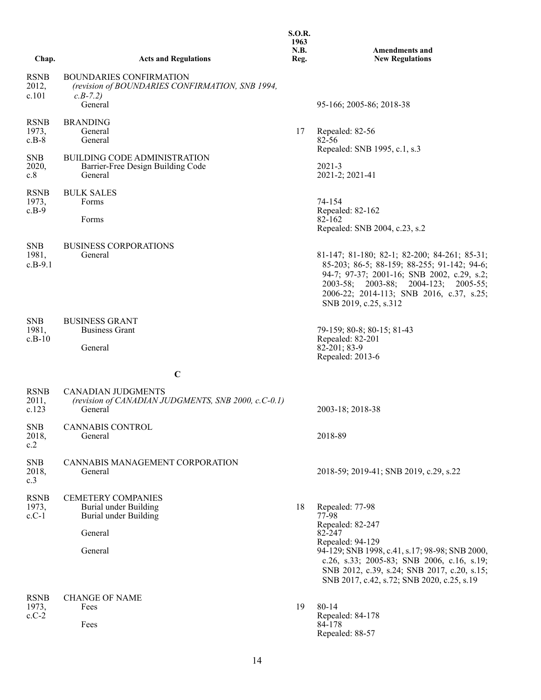| Chap.                            | <b>Acts and Regulations</b>                                                                               | 1963<br>N.B.<br>Reg. | <b>Amendments and</b><br><b>New Regulations</b>                                                                                                                                                                                                                         |
|----------------------------------|-----------------------------------------------------------------------------------------------------------|----------------------|-------------------------------------------------------------------------------------------------------------------------------------------------------------------------------------------------------------------------------------------------------------------------|
| <b>RSNB</b><br>2012,<br>c.101    | <b>BOUNDARIES CONFIRMATION</b><br>(revision of BOUNDARIES CONFIRMATION, SNB 1994,<br>$c.B-7.2$<br>General |                      | 95-166; 2005-86; 2018-38                                                                                                                                                                                                                                                |
| <b>RSNB</b><br>1973,<br>$c.B-8$  | <b>BRANDING</b><br>General<br>General                                                                     | 17                   | Repealed: 82-56<br>82-56                                                                                                                                                                                                                                                |
| <b>SNB</b><br>2020,<br>c.8       | <b>BUILDING CODE ADMINISTRATION</b><br>Barrier-Free Design Building Code<br>General                       |                      | Repealed: SNB 1995, c.1, s.3<br>$2021 - 3$<br>2021-2; 2021-41                                                                                                                                                                                                           |
| <b>RSNB</b><br>1973,<br>$c.B-9$  | <b>BULK SALES</b><br>Forms<br>Forms                                                                       |                      | 74-154<br>Repealed: 82-162<br>82-162<br>Repealed: SNB 2004, c.23, s.2                                                                                                                                                                                                   |
| <b>SNB</b><br>1981,<br>$c.B-9.1$ | <b>BUSINESS CORPORATIONS</b><br>General                                                                   |                      | 81-147; 81-180; 82-1; 82-200; 84-261; 85-31;<br>85-203; 86-5; 88-159; 88-255; 91-142; 94-6;<br>94-7; 97-37; 2001-16; SNB 2002, c.29, s.2;<br>2003-58; 2003-88; 2004-123; 2005-55;<br>2006-22; 2014-113; SNB 2016, c.37, s.25;<br>SNB 2019, c.25, s.312                  |
| <b>SNB</b><br>1981,<br>$c.B-10$  | <b>BUSINESS GRANT</b><br><b>Business Grant</b><br>General                                                 |                      | 79-159; 80-8; 80-15; 81-43<br>Repealed: 82-201<br>82-201; 83-9<br>Repealed: 2013-6                                                                                                                                                                                      |
|                                  | $\mathbf C$                                                                                               |                      |                                                                                                                                                                                                                                                                         |
| <b>RSNB</b><br>2011,<br>c.123    | <b>CANADIAN JUDGMENTS</b><br>(revision of CANADIAN JUDGMENTS, SNB 2000, c.C-0.1)<br>General               |                      | 2003-18; 2018-38                                                                                                                                                                                                                                                        |
| <b>SNB</b><br>2018,<br>c.2       | CANNABIS CONTROL<br>General                                                                               |                      | 2018-89                                                                                                                                                                                                                                                                 |
| <b>SNB</b><br>2018,<br>c.3       | CANNABIS MANAGEMENT CORPORATION<br>General                                                                |                      | 2018-59; 2019-41; SNB 2019, c.29, s.22                                                                                                                                                                                                                                  |
| <b>RSNB</b><br>1973,<br>$c.C-1$  | <b>CEMETERY COMPANIES</b><br>Burial under Building<br>Burial under Building<br>General<br>General         | 18                   | Repealed: 77-98<br>77-98<br>Repealed: 82-247<br>82-247<br>Repealed: 94-129<br>94-129; SNB 1998, c.41, s.17; 98-98; SNB 2000,<br>c.26, s.33; 2005-83; SNB 2006, c.16, s.19;<br>SNB 2012, c.39, s.24; SNB 2017, c.20, s.15;<br>SNB 2017, c.42, s.72; SNB 2020, c.25, s.19 |
| <b>RSNB</b><br>1973,<br>$c.C-2$  | <b>CHANGE OF NAME</b><br>Fees<br>Fees                                                                     | 19                   | 80-14<br>Repealed: 84-178<br>84-178<br>Repealed: 88-57                                                                                                                                                                                                                  |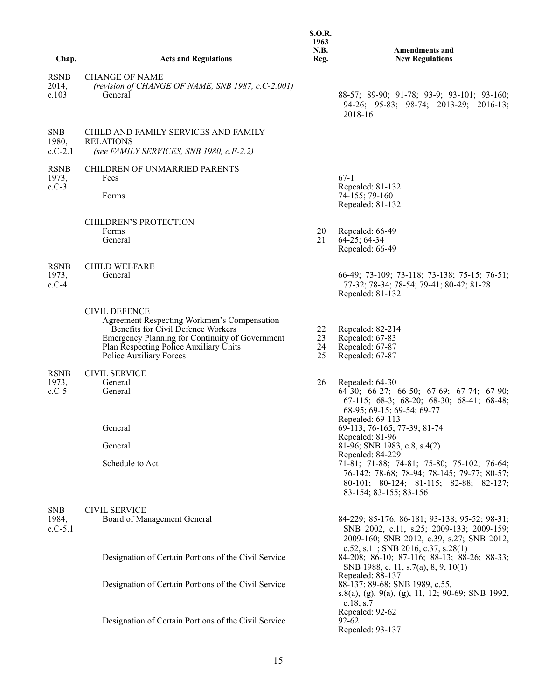|                                  |                                                                                                                                                                                                                                   | <b>S.O.R.</b><br>1963<br>N.B. | <b>Amendments and</b>                                                                                                                                                                                             |
|----------------------------------|-----------------------------------------------------------------------------------------------------------------------------------------------------------------------------------------------------------------------------------|-------------------------------|-------------------------------------------------------------------------------------------------------------------------------------------------------------------------------------------------------------------|
| Chap.                            | <b>Acts and Regulations</b>                                                                                                                                                                                                       | Reg.                          | <b>New Regulations</b>                                                                                                                                                                                            |
| <b>RSNB</b><br>2014,<br>c.103    | <b>CHANGE OF NAME</b><br>(revision of CHANGE OF NAME, SNB 1987, c.C-2.001)<br>General                                                                                                                                             |                               | 88-57; 89-90; 91-78; 93-9; 93-101; 93-160;<br>94-26; 95-83; 98-74; 2013-29; 2016-13;<br>2018-16                                                                                                                   |
| <b>SNB</b><br>1980,<br>$c.C-2.1$ | CHILD AND FAMILY SERVICES AND FAMILY<br><b>RELATIONS</b><br>(see FAMILY SERVICES, SNB 1980, c.F-2.2)                                                                                                                              |                               |                                                                                                                                                                                                                   |
| <b>RSNB</b><br>1973,<br>$c.C-3$  | CHILDREN OF UNMARRIED PARENTS<br>Fees<br>Forms                                                                                                                                                                                    |                               | $67-1$<br>Repealed: 81-132<br>74-155; 79-160<br>Repealed: 81-132                                                                                                                                                  |
|                                  | CHILDREN'S PROTECTION<br>Forms<br>General                                                                                                                                                                                         | 20<br>21                      | Repealed: 66-49<br>$64 - 25$ ; $64 - 34$<br>Repealed: 66-49                                                                                                                                                       |
| <b>RSNB</b><br>1973,<br>$c.C-4$  | <b>CHILD WELFARE</b><br>General                                                                                                                                                                                                   |                               | 66-49; 73-109; 73-118; 73-138; 75-15; 76-51;<br>77-32; 78-34; 78-54; 79-41; 80-42; 81-28<br>Repealed: 81-132                                                                                                      |
|                                  | <b>CIVIL DEFENCE</b><br>Agreement Respecting Workmen's Compensation<br>Benefits for Civil Defence Workers<br>Emergency Planning for Continuity of Government<br>Plan Respecting Police Auxiliary Units<br>Police Auxiliary Forces | 22<br>23<br>24<br>25          | Repealed: 82-214<br>Repealed: 67-83<br>Repealed: 67-87<br>Repealed: 67-87                                                                                                                                         |
| <b>RSNB</b><br>1973,<br>$c.C-5$  | <b>CIVIL SERVICE</b><br>General<br>General                                                                                                                                                                                        | 26                            | Repealed: 64-30<br>64-30; 66-27; 66-50; 67-69; 67-74; 67-90;<br>67-115; 68-3; 68-20; 68-30; 68-41; 68-48;<br>68-95; 69-15; 69-54; 69-77<br>Repealed: 69-113                                                       |
|                                  | General                                                                                                                                                                                                                           |                               | 69-113; 76-165; 77-39; 81-74<br>Repealed: 81-96                                                                                                                                                                   |
|                                  | General<br>Schedule to Act                                                                                                                                                                                                        |                               | 81-96; SNB 1983, c.8, s.4(2)<br>Repealed: 84-229<br>71-81; 71-88; 74-81; 75-80; 75-102; 76-64;<br>76-142; 78-68; 78-94; 78-145; 79-77; 80-57;<br>80-101; 80-124; 81-115; 82-88; 82-127;<br>83-154; 83-155; 83-156 |
| <b>SNB</b><br>1984,<br>$c.C-5.1$ | <b>CIVIL SERVICE</b><br>Board of Management General                                                                                                                                                                               |                               | 84-229; 85-176; 86-181; 93-138; 95-52; 98-31;<br>SNB 2002, c.11, s.25; 2009-133; 2009-159;<br>2009-160; SNB 2012, c.39, s.27; SNB 2012,                                                                           |
|                                  | Designation of Certain Portions of the Civil Service                                                                                                                                                                              |                               | c.52, s.11; SNB 2016, c.37, s.28(1)<br>84-208; 86-10; 87-116; 88-13; 88-26; 88-33;<br>SNB 1988, c. 11, s.7(a), 8, 9, 10(1)                                                                                        |
|                                  | Designation of Certain Portions of the Civil Service                                                                                                                                                                              |                               | Repealed: 88-137<br>88-137; 89-68; SNB 1989, c.55,<br>s.8(a), (g), 9(a), (g), 11, 12; 90-69; SNB 1992,<br>c.18, s.7                                                                                               |
|                                  | Designation of Certain Portions of the Civil Service                                                                                                                                                                              |                               | Repealed: 92-62<br>$92 - 62$<br>Repealed: 93-137                                                                                                                                                                  |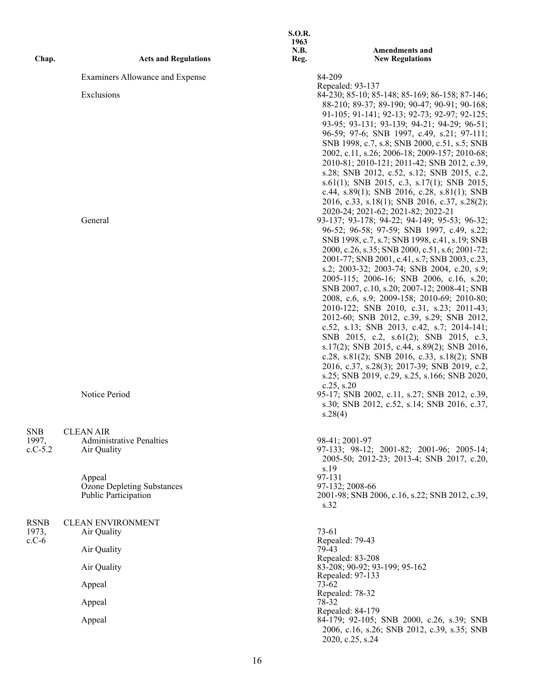| Chap.                            | <b>Acts and Regulations</b>                                         | <b>S.O.R.</b><br>1963<br><b>N.B.</b><br>Reg. | <b>Amendments and</b><br><b>New Regulations</b>                                                                                                                                                                                                                                                                                                                                                                                                                                                                                                                                                                                                                                                                                                                                                                                                                                                                                                                                                              |
|----------------------------------|---------------------------------------------------------------------|----------------------------------------------|--------------------------------------------------------------------------------------------------------------------------------------------------------------------------------------------------------------------------------------------------------------------------------------------------------------------------------------------------------------------------------------------------------------------------------------------------------------------------------------------------------------------------------------------------------------------------------------------------------------------------------------------------------------------------------------------------------------------------------------------------------------------------------------------------------------------------------------------------------------------------------------------------------------------------------------------------------------------------------------------------------------|
|                                  | Examiners Allowance and Expense                                     | 84-209                                       |                                                                                                                                                                                                                                                                                                                                                                                                                                                                                                                                                                                                                                                                                                                                                                                                                                                                                                                                                                                                              |
|                                  | Exclusions                                                          |                                              | Repealed: 93-137<br>84-230; 85-10; 85-148; 85-169; 86-158; 87-146;<br>88-210; 89-37; 89-190; 90-47; 90-91; 90-168;<br>91-105; 91-141; 92-13; 92-73; 92-97; 92-125;<br>93-95; 93-131; 93-139; 94-21; 94-29; 96-51;<br>96-59; 97-6; SNB 1997, c.49, s.21; 97-111;<br>SNB 1998, c.7, s.8; SNB 2000, c.51, s.5; SNB<br>2002, c.11, s.26; 2006-18; 2009-157; 2010-68;<br>2010-81; 2010-121; 2011-42; SNB 2012, c.39,<br>s.28; SNB 2012, c.52, s.12; SNB 2015, c.2,<br>s.61(1); SNB 2015, c.3, s.17(1); SNB 2015,<br>c.44, s.89(1); SNB 2016, c.28, s.81(1); SNB                                                                                                                                                                                                                                                                                                                                                                                                                                                   |
|                                  | General<br>Notice Period                                            | $c.25$ , $s.20$<br>s.28(4)                   | 2016, c.33, s.18(1); SNB 2016, c.37, s.28(2);<br>2020-24; 2021-62; 2021-82; 2022-21<br>93-137; 93-178; 94-22; 94-149; 95-53; 96-32;<br>96-52; 96-58; 97-59; SNB 1997, c.49, s.22;<br>SNB 1998, c.7, s.7; SNB 1998, c.41, s.19; SNB<br>2000, c.26, s.35; SNB 2000, c.51, s.6; 2001-72;<br>2001-77; SNB 2001, c.41, s.7; SNB 2003, c.23,<br>s.2; 2003-32; 2003-74; SNB 2004, c.20, s.9;<br>2005-115; 2006-16; SNB 2006, c.16, s.20;<br>SNB 2007, c.10, s.20; 2007-12; 2008-41; SNB<br>2008, c.6, s.9; 2009-158; 2010-69; 2010-80;<br>2010-122; SNB 2010, c.31, s.23; 2011-43;<br>2012-60; SNB 2012, c.39, s.29; SNB 2012,<br>c.52, s.13; SNB 2013, c.42, s.7; 2014-141;<br>SNB 2015, c.2, s.61(2); SNB 2015, c.3,<br>s.17(2); SNB 2015, c.44, s.89(2); SNB 2016,<br>c.28, s.81(2); SNB 2016, c.33, s.18(2); SNB<br>2016, c.37, s.28(3); 2017-39; SNB 2019, c.2,<br>s.25; SNB 2019, c.29, s.25, s.166; SNB 2020,<br>95-17; SNB 2002, c.11, s.27; SNB 2012, c.39,<br>s.30; SNB 2012, c.52, s.14; SNB 2016, c.37, |
| <b>SNB</b><br>1997,<br>$c.C-5.2$ | <b>CLEAN AIR</b><br><b>Administrative Penalties</b><br>Air Quality  | 98-41; 2001-97<br>s.19                       | 97-133; 98-12; 2001-82; 2001-96; 2005-14;<br>2005-50; 2012-23; 2013-4; SNB 2017, c.20,                                                                                                                                                                                                                                                                                                                                                                                                                                                                                                                                                                                                                                                                                                                                                                                                                                                                                                                       |
|                                  | Appeal<br><b>Ozone Depleting Substances</b><br>Public Participation | 97-131<br>97-132; 2008-66<br>s.32            | 2001-98; SNB 2006, c.16, s.22; SNB 2012, c.39,                                                                                                                                                                                                                                                                                                                                                                                                                                                                                                                                                                                                                                                                                                                                                                                                                                                                                                                                                               |
| <b>RSNB</b><br>1973,             | <b>CLEAN ENVIRONMENT</b><br>Air Quality                             | 73-61                                        |                                                                                                                                                                                                                                                                                                                                                                                                                                                                                                                                                                                                                                                                                                                                                                                                                                                                                                                                                                                                              |
| $c.C-6$                          | Air Quality                                                         | Repealed: 79-43<br>79-43                     |                                                                                                                                                                                                                                                                                                                                                                                                                                                                                                                                                                                                                                                                                                                                                                                                                                                                                                                                                                                                              |
|                                  | Air Quality                                                         |                                              | Repealed: 83-208<br>83-208; 90-92; 93-199; 95-162                                                                                                                                                                                                                                                                                                                                                                                                                                                                                                                                                                                                                                                                                                                                                                                                                                                                                                                                                            |
|                                  | Appeal                                                              | 73-62                                        | Repealed: 97-133                                                                                                                                                                                                                                                                                                                                                                                                                                                                                                                                                                                                                                                                                                                                                                                                                                                                                                                                                                                             |
|                                  | Appeal                                                              | Repealed: 78-32<br>78-32                     |                                                                                                                                                                                                                                                                                                                                                                                                                                                                                                                                                                                                                                                                                                                                                                                                                                                                                                                                                                                                              |
|                                  | Appeal                                                              |                                              | Repealed: 84-179<br>84-179; 92-105; SNB 2000, c.26, s.39; SNB<br>2006, c.16, s.26; SNB 2012, c.39, s.35; SNB<br>2020, c.25, s.24                                                                                                                                                                                                                                                                                                                                                                                                                                                                                                                                                                                                                                                                                                                                                                                                                                                                             |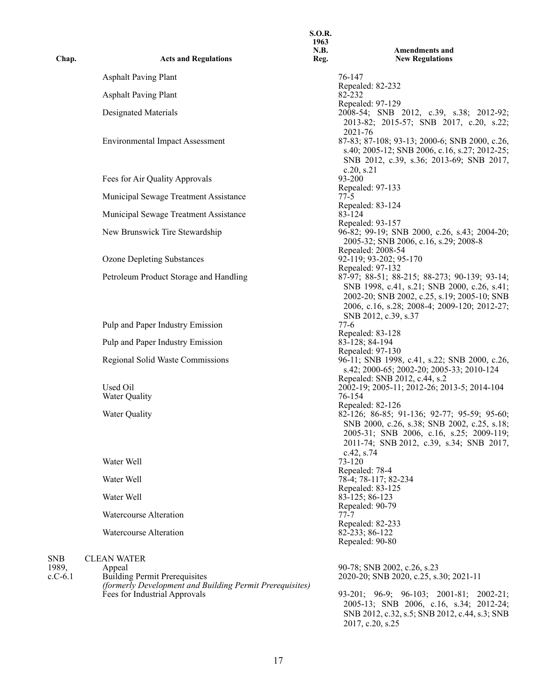|                    |                                                                                           | <b>S.O.R.</b><br>1963<br>N.B. | Amendments and                                                                                                                                                                                         |
|--------------------|-------------------------------------------------------------------------------------------|-------------------------------|--------------------------------------------------------------------------------------------------------------------------------------------------------------------------------------------------------|
| Chap.              | <b>Acts and Regulations</b>                                                               | Reg.                          | <b>New Regulations</b>                                                                                                                                                                                 |
|                    | <b>Asphalt Paving Plant</b>                                                               |                               | 76-147<br>Repealed: 82-232                                                                                                                                                                             |
|                    | <b>Asphalt Paving Plant</b>                                                               |                               | 82-232                                                                                                                                                                                                 |
|                    | Designated Materials                                                                      |                               | Repealed: 97-129<br>2008-54; SNB 2012, c.39, s.38; 2012-92;<br>2013-82; 2015-57; SNB 2017, c.20, s.22;                                                                                                 |
|                    | <b>Environmental Impact Assessment</b>                                                    |                               | 2021-76<br>87-83; 87-108; 93-13; 2000-6; SNB 2000, c.26,<br>s.40; 2005-12; SNB 2006, c.16, s.27; 2012-25;<br>SNB 2012, c.39, s.36; 2013-69; SNB 2017,                                                  |
|                    | Fees for Air Quality Approvals                                                            |                               | c.20, s.21<br>93-200                                                                                                                                                                                   |
|                    | Municipal Sewage Treatment Assistance                                                     |                               | Repealed: 97-133<br>$77-5$                                                                                                                                                                             |
|                    | Municipal Sewage Treatment Assistance                                                     |                               | Repealed: 83-124<br>83-124                                                                                                                                                                             |
|                    | New Brunswick Tire Stewardship                                                            |                               | Repealed: 93-157<br>96-82; 99-19; SNB 2000, c.26, s.43; 2004-20;<br>2005-32; SNB 2006, c.16, s.29; 2008-8                                                                                              |
|                    | <b>Ozone Depleting Substances</b>                                                         |                               | Repealed: 2008-54<br>92-119; 93-202; 95-170<br>Repealed: 97-132                                                                                                                                        |
|                    | Petroleum Product Storage and Handling                                                    |                               | 87-97; 88-51; 88-215; 88-273; 90-139; 93-14;<br>SNB 1998, c.41, s.21; SNB 2000, c.26, s.41;<br>2002-20; SNB 2002, c.25, s.19; 2005-10; SNB<br>2006, c.16, s.28; 2008-4; 2009-120; 2012-27;             |
|                    | Pulp and Paper Industry Emission                                                          |                               | SNB 2012, c.39, s.37<br>77-6                                                                                                                                                                           |
|                    | Pulp and Paper Industry Emission                                                          |                               | Repealed: 83-128<br>83-128; 84-194                                                                                                                                                                     |
|                    | Regional Solid Waste Commissions                                                          |                               | Repealed: 97-130<br>96-11; SNB 1998, c.41, s.22; SNB 2000, c.26,<br>s.42; 2000-65; 2002-20; 2005-33; 2010-124                                                                                          |
|                    | Used Oil<br>Water Quality                                                                 |                               | Repealed: SNB 2012, c.44, s.2<br>2002-19; 2005-11; 2012-26; 2013-5; 2014-104<br>76-154                                                                                                                 |
|                    | Water Quality                                                                             |                               | Repealed: 82-126<br>82-126; 86-85; 91-136; 92-77; 95-59; 95-60;<br>SNB 2000, c.26, s.38; SNB 2002, c.25, s.18;<br>2005-31; SNB 2006, c.16, s.25; 2009-119;<br>2011-74; SNB 2012, c.39, s.34; SNB 2017, |
|                    | Water Well                                                                                |                               | $c.42$ , s.74<br>73-120                                                                                                                                                                                |
|                    | Water Well                                                                                |                               | Repealed: 78-4<br>78-4; 78-117; 82-234                                                                                                                                                                 |
|                    | Water Well                                                                                |                               | Repealed: 83-125<br>83-125; 86-123                                                                                                                                                                     |
|                    | Watercourse Alteration                                                                    |                               | Repealed: 90-79<br>$77 - 7$                                                                                                                                                                            |
|                    | Watercourse Alteration                                                                    |                               | Repealed: 82-233<br>82-233; 86-122<br>Repealed: 90-80                                                                                                                                                  |
| <b>SNB</b>         | <b>CLEAN WATER</b>                                                                        |                               |                                                                                                                                                                                                        |
| 1989,<br>$c.C-6.1$ | Appeal<br><b>Building Permit Prerequisites</b>                                            |                               | 90-78; SNB 2002, c.26, s.23<br>2020-20; SNB 2020, c.25, s.30; 2021-11                                                                                                                                  |
|                    | (formerly Development and Building Permit Prerequisites)<br>Fees for Industrial Approvals |                               | 93-201; 96-9; 96-103; 2001-81; 2002-21;<br>2005-13; SNB 2006, c.16, s.34; 2012-24;<br>SNB 2012, c.32, s.5; SNB 2012, c.44, s.3; SNB                                                                    |

2017, c.20, s.25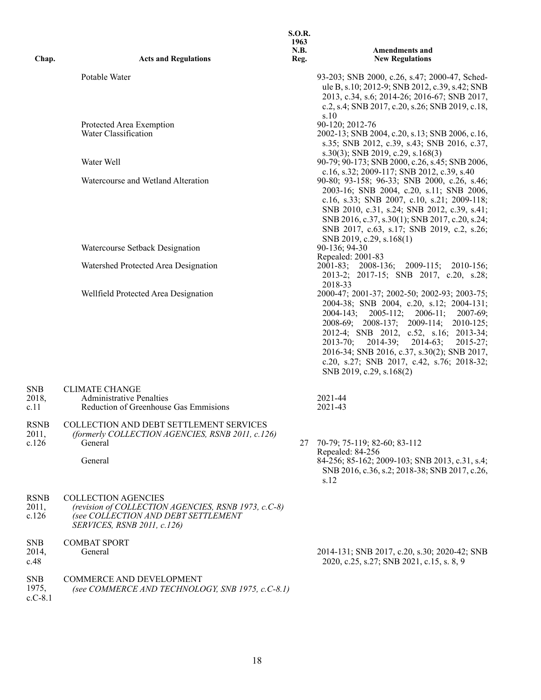| Chap.                            | <b>Acts and Regulations</b>                                                                                                                             | <b>S.O.R.</b><br>1963<br>N.B.<br>Reg. | <b>Amendments and</b><br><b>New Regulations</b>                                                                                                                                                                                                                                                                                                                                                                      |
|----------------------------------|---------------------------------------------------------------------------------------------------------------------------------------------------------|---------------------------------------|----------------------------------------------------------------------------------------------------------------------------------------------------------------------------------------------------------------------------------------------------------------------------------------------------------------------------------------------------------------------------------------------------------------------|
|                                  | Potable Water                                                                                                                                           |                                       | 93-203; SNB 2000, c.26, s.47; 2000-47, Sched-<br>ule B, s.10; 2012-9; SNB 2012, c.39, s.42; SNB<br>2013, c.34, s.6; 2014-26; 2016-67; SNB 2017,<br>c.2, s.4; SNB 2017, c.20, s.26; SNB 2019, c.18,<br>s.10                                                                                                                                                                                                           |
|                                  | Protected Area Exemption<br>Water Classification                                                                                                        |                                       | 90-120; 2012-76<br>2002-13; SNB 2004, c.20, s.13; SNB 2006, c.16,<br>s.35; SNB 2012, c.39, s.43; SNB 2016, c.37,                                                                                                                                                                                                                                                                                                     |
|                                  | Water Well                                                                                                                                              |                                       | $s.30(3)$ ; SNB 2019, c.29, s.168(3)<br>90-79; 90-173; SNB 2000, c.26, s.45; SNB 2006,<br>c.16, s.32; 2009-117; SNB 2012, c.39, s.40                                                                                                                                                                                                                                                                                 |
|                                  | Watercourse and Wetland Alteration                                                                                                                      |                                       | 90-80; 93-158; 96-33; SNB 2000, c.26, s.46;<br>2003-16; SNB 2004, c.20, s.11; SNB 2006,<br>c.16, s.33; SNB 2007, c.10, s.21; 2009-118;<br>SNB 2010, c.31, s.24; SNB 2012, c.39, s.41;<br>SNB 2016, c.37, s.30(1); SNB 2017, c.20, s.24;<br>SNB 2017, c.63, s.17; SNB 2019, c.2, s.26;<br>SNB 2019, c.29, s.168(1)                                                                                                    |
|                                  | Watercourse Setback Designation                                                                                                                         |                                       | 90-136; 94-30<br>Repealed: 2001-83                                                                                                                                                                                                                                                                                                                                                                                   |
|                                  | Watershed Protected Area Designation                                                                                                                    |                                       | 2001-83; 2008-136; 2009-115;<br>2010-156;<br>2013-2; 2017-15; SNB 2017, c.20, s.28;<br>2018-33                                                                                                                                                                                                                                                                                                                       |
|                                  | Wellfield Protected Area Designation                                                                                                                    |                                       | 2000-47; 2001-37; 2002-50; 2002-93; 2003-75;<br>2004-38; SNB 2004, c.20, s.12; 2004-131;<br>$2004 - 143;$<br>$2005-112$ ; $2006-11$ ;<br>2007-69;<br>2008-69; 2008-137; 2009-114; 2010-125;<br>2012-4; SNB 2012, c.52, s.16; 2013-34;<br>$2013-70; 2014-39;$<br>$2014-63;$<br>$2015 - 27$ ;<br>2016-34; SNB 2016, c.37, s.30(2); SNB 2017,<br>c.20, s.27; SNB 2017, c.42, s.76; 2018-32;<br>SNB 2019, c.29, s.168(2) |
| <b>SNB</b><br>2018,<br>c.11      | <b>CLIMATE CHANGE</b><br><b>Administrative Penalties</b><br>Reduction of Greenhouse Gas Emmisions                                                       |                                       | 2021-44<br>2021-43                                                                                                                                                                                                                                                                                                                                                                                                   |
| <b>RSNB</b><br>2011,<br>c.126    | COLLECTION AND DEBT SETTLEMENT SERVICES<br>(formerly COLLECTION AGENCIES, RSNB 2011, c.126)<br>General<br>General                                       | 27                                    | 70-79; 75-119; 82-60; 83-112<br>Repealed: 84-256<br>84-256; 85-162; 2009-103; SNB 2013, c.31, s.4;<br>SNB 2016, c.36, s.2; 2018-38; SNB 2017, c.26,<br>s.12                                                                                                                                                                                                                                                          |
| <b>RSNB</b><br>2011,<br>c.126    | <b>COLLECTION AGENCIES</b><br>(revision of COLLECTION AGENCIES, RSNB 1973, c.C-8)<br>(see COLLECTION AND DEBT SETTLEMENT<br>SERVICES, RSNB 2011, c.126) |                                       |                                                                                                                                                                                                                                                                                                                                                                                                                      |
| <b>SNB</b><br>2014,<br>c.48      | <b>COMBAT SPORT</b><br>General                                                                                                                          |                                       | 2014-131; SNB 2017, c.20, s.30; 2020-42; SNB<br>2020, c.25, s.27; SNB 2021, c.15, s. 8, 9                                                                                                                                                                                                                                                                                                                            |
| <b>SNB</b><br>1975,<br>$c.C-8.1$ | <b>COMMERCE AND DEVELOPMENT</b><br>(see COMMERCE AND TECHNOLOGY, SNB 1975, c.C-8.1)                                                                     |                                       |                                                                                                                                                                                                                                                                                                                                                                                                                      |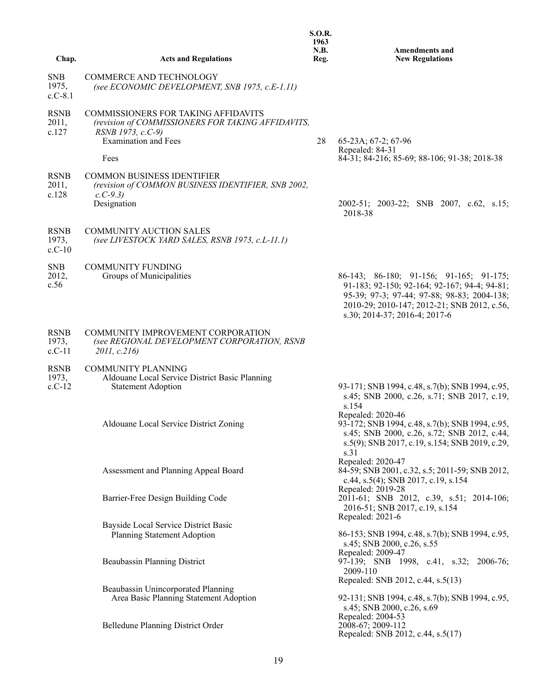| Chap.                            | <b>Acts and Regulations</b>                                                                                                                          | <b>S.O.R.</b><br>1963<br>N.B.<br>Reg. | <b>Amendments and</b><br><b>New Regulations</b>                                                                                                                                                                        |
|----------------------------------|------------------------------------------------------------------------------------------------------------------------------------------------------|---------------------------------------|------------------------------------------------------------------------------------------------------------------------------------------------------------------------------------------------------------------------|
|                                  |                                                                                                                                                      |                                       |                                                                                                                                                                                                                        |
| <b>SNB</b><br>1975,<br>$c.C-8.1$ | <b>COMMERCE AND TECHNOLOGY</b><br>(see ECONOMIC DEVELOPMENT, SNB 1975, c.E-1.11)                                                                     |                                       |                                                                                                                                                                                                                        |
| <b>RSNB</b><br>2011,<br>c.127    | COMMISSIONERS FOR TAKING AFFIDAVITS<br>(revision of COMMISSIONERS FOR TAKING AFFIDAVITS,<br>RSNB 1973, c.C-9)<br><b>Examination and Fees</b><br>Fees | 28                                    | 65-23A; 67-2; 67-96<br>Repealed: 84-31<br>84-31; 84-216; 85-69; 88-106; 91-38; 2018-38                                                                                                                                 |
|                                  |                                                                                                                                                      |                                       |                                                                                                                                                                                                                        |
| <b>RSNB</b><br>2011,<br>c.128    | <b>COMMON BUSINESS IDENTIFIER</b><br>(revision of COMMON BUSINESS IDENTIFIER, SNB 2002,<br>$c. C-9.3$<br>Designation                                 |                                       | 2002-51; 2003-22; SNB 2007, c.62, s.15;<br>2018-38                                                                                                                                                                     |
| <b>RSNB</b><br>1973,<br>$c.C-10$ | <b>COMMUNITY AUCTION SALES</b><br>(see LIVESTOCK YARD SALES, RSNB 1973, c.L-11.1)                                                                    |                                       |                                                                                                                                                                                                                        |
| <b>SNB</b><br>2012,<br>c.56      | <b>COMMUNITY FUNDING</b><br>Groups of Municipalities                                                                                                 |                                       | 86-143; 86-180; 91-156; 91-165; 91-175;<br>91-183; 92-150; 92-164; 92-167; 94-4; 94-81;<br>95-39; 97-3; 97-44; 97-88; 98-83; 2004-138;<br>2010-29; 2010-147; 2012-21; SNB 2012, c.56,<br>s.30; 2014-37; 2016-4; 2017-6 |
| <b>RSNB</b><br>1973,<br>$c.C-11$ | COMMUNITY IMPROVEMENT CORPORATION<br>(see REGIONAL DEVELOPMENT CORPORATION, RSNB<br>2011, c.216                                                      |                                       |                                                                                                                                                                                                                        |
| <b>RSNB</b><br>1973,<br>$c.C-12$ | <b>COMMUNITY PLANNING</b><br>Aldouane Local Service District Basic Planning<br><b>Statement Adoption</b>                                             |                                       | 93-171; SNB 1994, c.48, s.7(b); SNB 1994, c.95,<br>s.45; SNB 2000, c.26, s.71; SNB 2017, c.19,                                                                                                                         |
|                                  | Aldouane Local Service District Zoning                                                                                                               |                                       | s.154<br>Repealed: 2020-46<br>93-172; SNB 1994, c.48, s.7(b); SNB 1994, c.95,<br>s.45; SNB 2000, c.26, s.72; SNB 2012, c.44,<br>s.5(9); SNB 2017, c.19, s.154; SNB 2019, c.29,<br>s.31                                 |
|                                  | Assessment and Planning Appeal Board                                                                                                                 |                                       | Repealed: 2020-47<br>84-59; SNB 2001, c.32, s.5; 2011-59; SNB 2012,<br>c.44, s.5(4); SNB 2017, c.19, s.154<br>Repealed: 2019-28                                                                                        |
|                                  | Barrier-Free Design Building Code                                                                                                                    |                                       | 2011-61; SNB 2012, c.39, s.51; 2014-106;<br>2016-51; SNB 2017, c.19, s.154<br>Repealed: 2021-6                                                                                                                         |
|                                  | Bayside Local Service District Basic<br>Planning Statement Adoption                                                                                  |                                       | 86-153; SNB 1994, c.48, s.7(b); SNB 1994, c.95,<br>s.45; SNB 2000, c.26, s.55                                                                                                                                          |
|                                  | Beaubassin Planning District                                                                                                                         |                                       | Repealed: 2009-47<br>97-139; SNB 1998, c.41, s.32; 2006-76;<br>2009-110<br>Repealed: SNB 2012, c.44, s.5(13)                                                                                                           |
|                                  | Beaubassin Unincorporated Planning<br>Area Basic Planning Statement Adoption                                                                         |                                       | 92-131; SNB 1994, c.48, s.7(b); SNB 1994, c.95,<br>s.45; SNB 2000, c.26, s.69                                                                                                                                          |
|                                  | Belledune Planning District Order                                                                                                                    |                                       | Repealed: 2004-53<br>2008-67; 2009-112<br>Repealed: SNB 2012, c.44, s.5(17)                                                                                                                                            |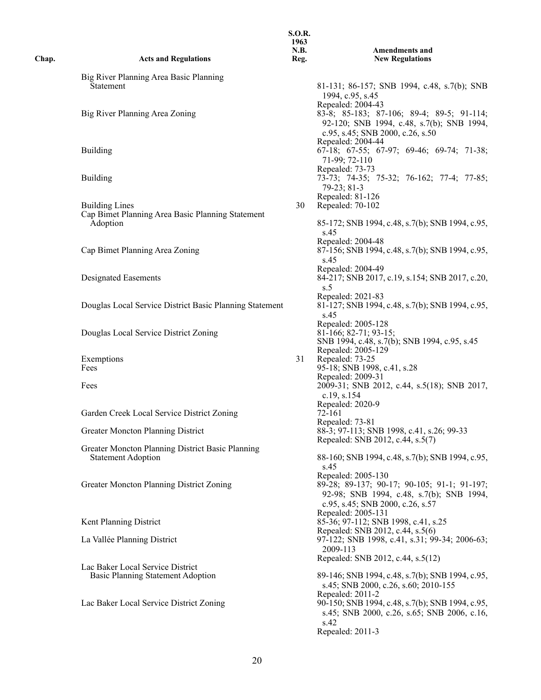| Chap. | <b>Acts and Regulations</b>                                                   | 1963<br><b>N.B.</b><br>Reg. | <b>Amendments and</b><br><b>New Regulations</b>                                                                                                   |
|-------|-------------------------------------------------------------------------------|-----------------------------|---------------------------------------------------------------------------------------------------------------------------------------------------|
|       | Big River Planning Area Basic Planning                                        |                             |                                                                                                                                                   |
|       | Statement                                                                     |                             | 81-131; 86-157; SNB 1994, c.48, s.7(b); SNB<br>1994, c.95, s.45<br>Repealed: 2004-43                                                              |
|       | Big River Planning Area Zoning                                                |                             | 83-8; 85-183; 87-106; 89-4; 89-5; 91-114;<br>92-120; SNB 1994, c.48, s.7(b); SNB 1994,<br>c.95, s.45; SNB 2000, c.26, s.50                        |
|       | <b>Building</b>                                                               |                             | Repealed: 2004-44<br>$67-18$ ; $67-55$ ; $67-97$ ; $69-46$ ; $69-74$ ; $71-38$ ;<br>71-99; 72-110                                                 |
|       | <b>Building</b>                                                               |                             | Repealed: 73-73<br>73-73; 74-35; 75-32; 76-162; 77-4; 77-85;<br>79-23; 81-3<br>Repealed: 81-126                                                   |
|       | <b>Building Lines</b><br>Cap Bimet Planning Area Basic Planning Statement     | 30                          | Repealed: 70-102                                                                                                                                  |
|       | Adoption                                                                      |                             | 85-172; SNB 1994, c.48, s.7(b); SNB 1994, c.95,<br>s.45<br>Repealed: 2004-48                                                                      |
|       | Cap Bimet Planning Area Zoning                                                |                             | 87-156; SNB 1994, c.48, s.7(b); SNB 1994, c.95,<br>s.45                                                                                           |
|       | Designated Easements                                                          |                             | Repealed: 2004-49<br>84-217; SNB 2017, c.19, s.154; SNB 2017, c.20,<br>s.5                                                                        |
|       | Douglas Local Service District Basic Planning Statement                       |                             | Repealed: 2021-83<br>81-127; SNB 1994, c.48, s.7(b); SNB 1994, c.95,<br>s.45                                                                      |
|       | Douglas Local Service District Zoning                                         |                             | Repealed: 2005-128<br>81-166; 82-71; 93-15;<br>SNB 1994, c.48, s.7(b); SNB 1994, c.95, s.45                                                       |
|       | Exemptions<br>Fees                                                            | 31                          | Repealed: 2005-129<br>Repealed: 73-25<br>95-18; SNB 1998, c.41, s.28<br>Repealed: 2009-31                                                         |
|       | Fees                                                                          |                             | 2009-31; SNB 2012, c.44, s.5(18); SNB 2017,<br>c.19, s.154                                                                                        |
|       | Garden Creek Local Service District Zoning                                    |                             | Repealed: 2020-9<br>72-161<br>Repealed: 73-81                                                                                                     |
|       | Greater Moncton Planning District                                             |                             | 88-3; 97-113; SNB 1998, c.41, s.26; 99-33<br>Repealed: SNB 2012, c.44, s.5(7)                                                                     |
|       | Greater Moncton Planning District Basic Planning<br><b>Statement Adoption</b> |                             | 88-160; SNB 1994, c.48, s.7(b); SNB 1994, c.95,<br>s.45                                                                                           |
|       | Greater Moncton Planning District Zoning                                      |                             | Repealed: 2005-130<br>89-28; 89-137; 90-17; 90-105; 91-1; 91-197;<br>92-98; SNB 1994, c.48, s.7(b); SNB 1994,<br>c.95, s.45; SNB 2000, c.26, s.57 |
|       | Kent Planning District                                                        |                             | Repealed: 2005-131<br>85-36; 97-112; SNB 1998, c.41, s.25<br>Repealed: SNB 2012, c.44, s.5(6)                                                     |
|       | La Vallée Planning District                                                   |                             | 97-122; SNB 1998, c.41, s.31; 99-34; 2006-63;<br>2009-113<br>Repealed: SNB 2012, c.44, s.5(12)                                                    |
|       | Lac Baker Local Service District<br>Basic Planning Statement Adoption         |                             | 89-146; SNB 1994, c.48, s.7(b); SNB 1994, c.95,<br>s.45; SNB 2000, c.26, s.60; 2010-155                                                           |
|       | Lac Baker Local Service District Zoning                                       |                             | Repealed: 2011-2<br>90-150; SNB 1994, c.48, s.7(b); SNB 1994, c.95,<br>s.45; SNB 2000, c.26, s.65; SNB 2006, c.16,<br>s.42<br>Repealed: 2011-3    |
|       |                                                                               |                             |                                                                                                                                                   |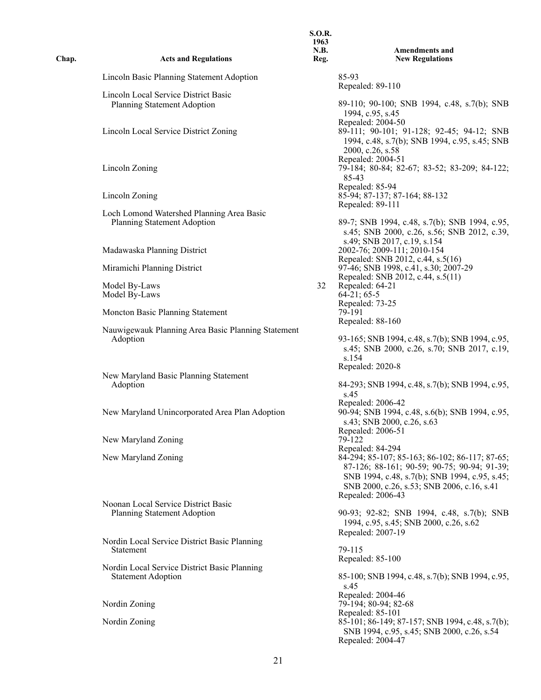| Chap. | <b>Acts and Regulations</b>                                               | 1963<br><b>N.B.</b><br>Reg. | <b>Amendments and</b><br><b>New Regulations</b>                                                                                                                                                                   |
|-------|---------------------------------------------------------------------------|-----------------------------|-------------------------------------------------------------------------------------------------------------------------------------------------------------------------------------------------------------------|
|       | Lincoln Basic Planning Statement Adoption                                 |                             | 85-93<br>Repealed: 89-110                                                                                                                                                                                         |
|       | Lincoln Local Service District Basic<br>Planning Statement Adoption       |                             | 89-110; 90-100; SNB 1994, c.48, s.7(b); SNB<br>1994, c.95, s.45                                                                                                                                                   |
|       | Lincoln Local Service District Zoning                                     |                             | Repealed: 2004-50<br>89-111; 90-101; 91-128; 92-45; 94-12; SNB<br>1994, c.48, s.7(b); SNB 1994, c.95, s.45; SNB<br>2000, c.26, s.58                                                                               |
|       | Lincoln Zoning                                                            |                             | Repealed: 2004-51<br>79-184; 80-84; 82-67; 83-52; 83-209; 84-122;<br>85-43<br>Repealed: 85-94                                                                                                                     |
|       | Lincoln Zoning                                                            |                             | 85-94; 87-137; 87-164; 88-132<br>Repealed: 89-111                                                                                                                                                                 |
|       | Loch Lomond Watershed Planning Area Basic<br>Planning Statement Adoption  |                             | 89-7; SNB 1994, c.48, s.7(b); SNB 1994, c.95,<br>s.45; SNB 2000, c.26, s.56; SNB 2012, c.39,                                                                                                                      |
|       | Madawaska Planning District                                               |                             | s.49; SNB 2017, c.19, s.154<br>2002-76; 2009-111; 2010-154<br>Repealed: SNB 2012, c.44, s.5(16)                                                                                                                   |
|       | Miramichi Planning District                                               |                             | 97-46; SNB 1998, c.41, s.30; 2007-29<br>Repealed: SNB 2012, c.44, s.5(11)                                                                                                                                         |
|       | Model By-Laws<br>Model By-Laws                                            | 32                          | Repealed: 64-21<br>$64-21$ ; 65-5<br>Repealed: 73-25                                                                                                                                                              |
|       | Moncton Basic Planning Statement                                          |                             | 79-191<br>Repealed: 88-160                                                                                                                                                                                        |
|       | Nauwigewauk Planning Area Basic Planning Statement<br>Adoption            |                             | 93-165; SNB 1994, c.48, s.7(b); SNB 1994, c.95,<br>s.45; SNB 2000, c.26, s.70; SNB 2017, c.19,<br>s.154<br>Repealed: 2020-8                                                                                       |
|       | New Maryland Basic Planning Statement<br>Adoption                         |                             | 84-293; SNB 1994, c.48, s.7(b); SNB 1994, c.95,<br>s.45                                                                                                                                                           |
|       | New Maryland Unincorporated Area Plan Adoption                            |                             | Repealed: 2006-42<br>90-94; SNB 1994, c.48, s.6(b); SNB 1994, c.95,<br>s.43; SNB 2000, c.26, s.63<br>Repealed: 2006-51                                                                                            |
|       | New Maryland Zoning                                                       |                             | 79-122<br>Repealed: 84-294                                                                                                                                                                                        |
|       | New Maryland Zoning                                                       |                             | 84-294; 85-107; 85-163; 86-102; 86-117; 87-65;<br>87-126; 88-161; 90-59; 90-75; 90-94; 91-39;<br>SNB 1994, c.48, s.7(b); SNB 1994, c.95, s.45;<br>SNB 2000, c.26, s.53; SNB 2006, c.16, s.41<br>Repealed: 2006-43 |
|       | Noonan Local Service District Basic<br><b>Planning Statement Adoption</b> |                             | 90-93; 92-82; SNB 1994, c.48, s.7(b); SNB<br>1994, c.95, s.45; SNB 2000, c.26, s.62<br>Repealed: 2007-19                                                                                                          |
|       | Nordin Local Service District Basic Planning<br>Statement                 |                             | 79-115<br>Repealed: 85-100                                                                                                                                                                                        |
|       | Nordin Local Service District Basic Planning<br><b>Statement Adoption</b> |                             | 85-100; SNB 1994, c.48, s.7(b); SNB 1994, c.95,<br>s.45                                                                                                                                                           |
|       | Nordin Zoning                                                             |                             | Repealed: 2004-46<br>79-194; 80-94; 82-68                                                                                                                                                                         |
|       | Nordin Zoning                                                             |                             | Repealed: 85-101<br>85-101; 86-149; 87-157; SNB 1994, c.48, s.7(b);<br>SNB 1994, c.95, s.45; SNB 2000, c.26, s.54<br>Repealed: 2004-47                                                                            |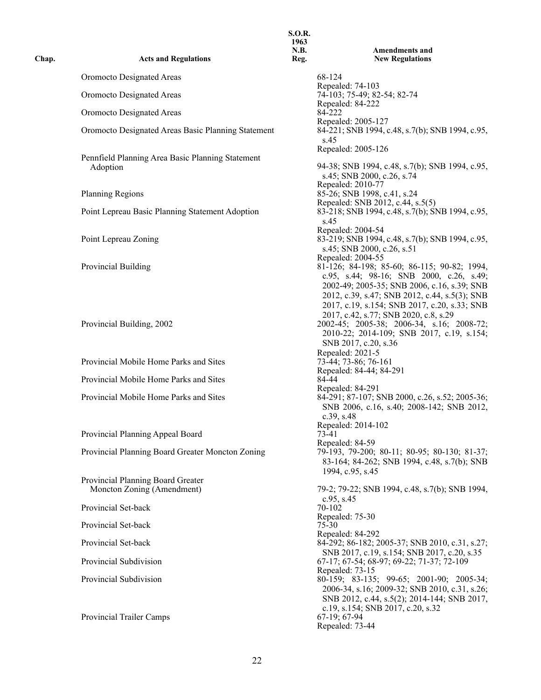| Chap. | <b>Acts and Regulations</b>                                     | 1963<br>N.B.<br>Reg. | <b>Amendments and</b><br><b>New Regulations</b>                                                                                                                                                                                                              |
|-------|-----------------------------------------------------------------|----------------------|--------------------------------------------------------------------------------------------------------------------------------------------------------------------------------------------------------------------------------------------------------------|
|       | Oromocto Designated Areas                                       |                      | 68-124                                                                                                                                                                                                                                                       |
|       | Oromocto Designated Areas                                       |                      | Repealed: 74-103<br>74-103; 75-49; 82-54; 82-74                                                                                                                                                                                                              |
|       | Oromocto Designated Areas                                       |                      | Repealed: 84-222<br>84-222                                                                                                                                                                                                                                   |
|       | Oromocto Designated Areas Basic Planning Statement              |                      | Repealed: 2005-127<br>84-221; SNB 1994, c.48, s.7(b); SNB 1994, c.95,<br>s.45                                                                                                                                                                                |
|       | Pennfield Planning Area Basic Planning Statement<br>Adoption    |                      | Repealed: 2005-126<br>94-38; SNB 1994, c.48, s.7(b); SNB 1994, c.95,<br>s.45; SNB 2000, c.26, s.74                                                                                                                                                           |
|       | <b>Planning Regions</b>                                         |                      | Repealed: 2010-77<br>85-26; SNB 1998, c.41, s.24                                                                                                                                                                                                             |
|       | Point Lepreau Basic Planning Statement Adoption                 |                      | Repealed: SNB 2012, c.44, s.5(5)<br>83-218; SNB 1994, c.48, s.7(b); SNB 1994, c.95,<br>s.45                                                                                                                                                                  |
|       | Point Lepreau Zoning                                            |                      | Repealed: 2004-54<br>83-219; SNB 1994, c.48, s.7(b); SNB 1994, c.95,<br>s.45; SNB 2000, c.26, s.51                                                                                                                                                           |
|       | Provincial Building                                             |                      | Repealed: 2004-55<br>81-126; 84-198; 85-60; 86-115; 90-82; 1994,<br>c.95, s.44; 98-16; SNB 2000, c.26, s.49;<br>2002-49; 2005-35; SNB 2006, c.16, s.39; SNB<br>2012, c.39, s.47; SNB 2012, c.44, s.5(3); SNB<br>2017, c.19, s.154; SNB 2017, c.20, s.33; SNB |
|       | Provincial Building, 2002                                       |                      | 2017, c.42, s.77; SNB 2020, c.8, s.29<br>2002-45; 2005-38; 2006-34, s.16; 2008-72;<br>2010-22; 2014-109; SNB 2017, c.19, s.154;<br>SNB 2017, c.20, s.36                                                                                                      |
|       | Provincial Mobile Home Parks and Sites                          |                      | Repealed: 2021-5<br>73-44; 73-86; 76-161<br>Repealed: 84-44; 84-291                                                                                                                                                                                          |
|       | Provincial Mobile Home Parks and Sites                          |                      | 84-44                                                                                                                                                                                                                                                        |
|       | Provincial Mobile Home Parks and Sites                          |                      | Repealed: 84-291<br>84-291; 87-107; SNB 2000, c.26, s.52; 2005-36;<br>SNB 2006, c.16, s.40; 2008-142; SNB 2012,<br>c.39, s.48                                                                                                                                |
|       | Provincial Planning Appeal Board                                |                      | Repealed: 2014-102<br>73-41<br>Repealed: 84-59                                                                                                                                                                                                               |
|       | Provincial Planning Board Greater Moncton Zoning                |                      | 79-193, 79-200; 80-11; 80-95; 80-130; 81-37;<br>83-164; 84-262; SNB 1994, c.48, s.7(b); SNB<br>1994, c.95, s.45                                                                                                                                              |
|       | Provincial Planning Board Greater<br>Moncton Zoning (Amendment) |                      | 79-2; 79-22; SNB 1994, c.48, s.7(b); SNB 1994,                                                                                                                                                                                                               |
|       | Provincial Set-back                                             |                      | $c.95$ , s.45<br>70-102                                                                                                                                                                                                                                      |
|       | Provincial Set-back                                             |                      | Repealed: 75-30<br>75-30                                                                                                                                                                                                                                     |
|       | Provincial Set-back                                             |                      | Repealed: 84-292<br>84-292; 86-182; 2005-37; SNB 2010, c.31, s.27;                                                                                                                                                                                           |
|       | Provincial Subdivision                                          |                      | SNB 2017, c.19, s.154; SNB 2017, c.20, s.35<br>67-17; 67-54; 68-97; 69-22; 71-37; 72-109                                                                                                                                                                     |
|       |                                                                 |                      | Repealed: 73-15                                                                                                                                                                                                                                              |
|       | Provincial Subdivision<br>Provincial Trailer Camps              |                      | 80-159; 83-135; 99-65; 2001-90; 2005-34;<br>2006-34, s.16; 2009-32; SNB 2010, c.31, s.26;<br>SNB 2012, c.44, s.5(2); 2014-144; SNB 2017,<br>c.19, s.154; SNB 2017, c.20, s.32<br>67-19; 67-94                                                                |
|       |                                                                 |                      | Repealed: 73-44                                                                                                                                                                                                                                              |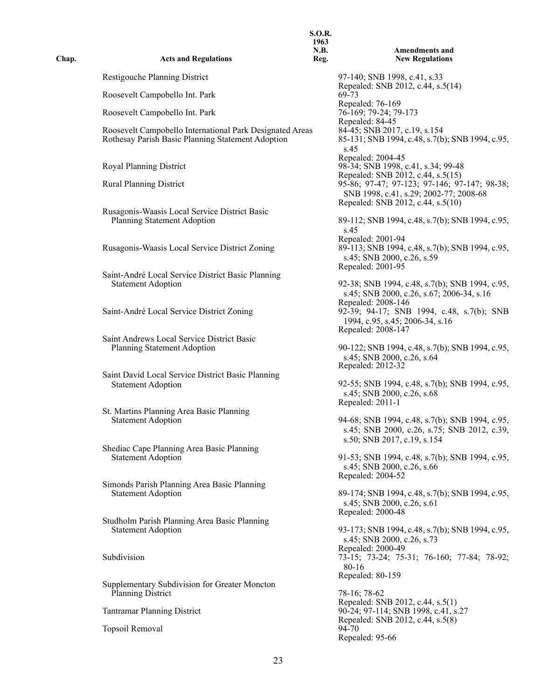| Chap. | <b>Acts and Regulations</b>                                                                                   | <b>S.O.R.</b><br>1963<br><b>N.B.</b><br>Reg. | <b>Amendments and</b><br><b>New Regulations</b>                                                                              |
|-------|---------------------------------------------------------------------------------------------------------------|----------------------------------------------|------------------------------------------------------------------------------------------------------------------------------|
|       | Restigouche Planning District                                                                                 |                                              | 97-140; SNB 1998, c.41, s.33                                                                                                 |
|       | Roosevelt Campobello Int. Park                                                                                |                                              | Repealed: SNB 2012, c.44, s.5(14)<br>69-73                                                                                   |
|       | Roosevelt Campobello Int. Park                                                                                |                                              | Repealed: 76-169<br>76-169; 79-24; 79-173                                                                                    |
|       | Roosevelt Campobello International Park Designated Areas<br>Rothesay Parish Basic Planning Statement Adoption |                                              | Repealed: 84-45<br>84-45; SNB 2017, c.19, s.154<br>85-131; SNB 1994, c.48, s.7(b); SNB 1994, c.95,<br>s.45                   |
|       | Royal Planning District                                                                                       |                                              | Repealed: 2004-45<br>98-34; SNB 1998, c.41, s.34; 99-48                                                                      |
|       | <b>Rural Planning District</b>                                                                                |                                              | Repealed: SNB 2012, c.44, s.5(15)<br>95-86; 97-47; 97-123; 97-146; 97-147; 98-38;<br>SNB 1998, c.41, s.29; 2002-77; 2008-68  |
|       | Rusagonis-Waasis Local Service District Basic<br>Planning Statement Adoption                                  |                                              | Repealed: SNB 2012, c.44, s.5(10)<br>89-112; SNB 1994, c.48, s.7(b); SNB 1994, c.95,<br>s.45<br>Repealed: 2001-94            |
|       | Rusagonis-Waasis Local Service District Zoning                                                                |                                              | 89-113; SNB 1994, c.48, s.7(b); SNB 1994, c.95,<br>s.45; SNB 2000, c.26, s.59<br>Repealed: 2001-95                           |
|       | Saint-André Local Service District Basic Planning<br><b>Statement Adoption</b>                                |                                              | 92-38; SNB 1994, c.48, s.7(b); SNB 1994, c.95,<br>s.45; SNB 2000, c.26, s.67; 2006-34, s.16<br>Repealed: 2008-146            |
|       | Saint-André Local Service District Zoning                                                                     |                                              | 92-39; 94-17; SNB 1994, c.48, s.7(b); SNB<br>1994, c.95, s.45; 2006-34, s.16<br>Repealed: 2008-147                           |
|       | Saint Andrews Local Service District Basic<br>Planning Statement Adoption                                     |                                              | 90-122; SNB 1994, c.48, s.7(b); SNB 1994, c.95,<br>s.45; SNB 2000, c.26, s.64<br>Repealed: 2012-32                           |
|       | Saint David Local Service District Basic Planning<br><b>Statement Adoption</b>                                |                                              | 92-55; SNB 1994, c.48, s.7(b); SNB 1994, c.95,<br>s.45; SNB 2000, c.26, s.68<br>Repealed: 2011-1                             |
|       | St. Martins Planning Area Basic Planning<br><b>Statement Adoption</b>                                         |                                              | 94-68; SNB 1994, c.48, s.7(b); SNB 1994, c.95,<br>s.45; SNB 2000, c.26, s.75; SNB 2012, c.39,<br>s.50; SNB 2017, c.19, s.154 |
|       | Shediac Cape Planning Area Basic Planning<br><b>Statement Adoption</b>                                        |                                              | 91-53; SNB 1994, c.48, s.7(b); SNB 1994, c.95,<br>s.45; SNB 2000, c.26, s.66<br>Repealed: 2004-52                            |
|       | Simonds Parish Planning Area Basic Planning<br><b>Statement Adoption</b>                                      |                                              | 89-174; SNB 1994, c.48, s.7(b); SNB 1994, c.95,<br>s.45; SNB 2000, c.26, s.61<br>Repealed: 2000-48                           |
|       | Studholm Parish Planning Area Basic Planning<br><b>Statement Adoption</b>                                     |                                              | 93-173; SNB 1994, c.48, s.7(b); SNB 1994, c.95,<br>s.45; SNB 2000, c.26, s.73<br>Repealed: 2000-49                           |
|       | Subdivision                                                                                                   |                                              | 73-15; 73-24; 75-31; 76-160; 77-84; 78-92;<br>80-16<br>Repealed: 80-159                                                      |
|       | Supplementary Subdivision for Greater Moncton<br><b>Planning District</b>                                     |                                              | 78-16; 78-62<br>Repealed: SNB 2012, c.44, s.5(1)                                                                             |
|       | <b>Tantramar Planning District</b>                                                                            |                                              | 90-24; 97-114; SNB 1998, c.41, s.27<br>Repealed: SNB 2012, c.44, s.5(8)                                                      |
|       | Topsoil Removal                                                                                               |                                              | 94-70<br>Repealed: 95-66                                                                                                     |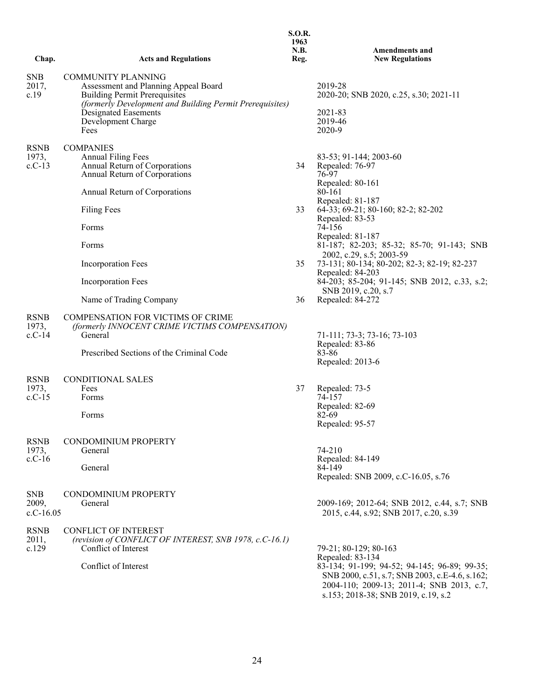|                                  |                                                                                                                                                                       | <b>S.O.R.</b><br>1963<br>N.B. | <b>Amendments and</b>                                                                                                                                                                                  |
|----------------------------------|-----------------------------------------------------------------------------------------------------------------------------------------------------------------------|-------------------------------|--------------------------------------------------------------------------------------------------------------------------------------------------------------------------------------------------------|
| Chap.                            | <b>Acts and Regulations</b>                                                                                                                                           | Reg.                          | <b>New Regulations</b>                                                                                                                                                                                 |
| <b>SNB</b><br>2017,<br>c.19      | <b>COMMUNITY PLANNING</b><br>Assessment and Planning Appeal Board<br><b>Building Permit Prerequisites</b><br>(formerly Development and Building Permit Prerequisites) |                               | 2019-28<br>2020-20; SNB 2020, c.25, s.30; 2021-11                                                                                                                                                      |
|                                  | Designated Easements<br>Development Charge<br>Fees                                                                                                                    |                               | 2021-83<br>2019-46<br>2020-9                                                                                                                                                                           |
| <b>RSNB</b><br>1973,<br>$c.C-13$ | <b>COMPANIES</b><br><b>Annual Filing Fees</b><br>Annual Return of Corporations<br>Annual Return of Corporations                                                       | 34                            | 83-53; 91-144; 2003-60<br>Repealed: 76-97<br>76-97<br>Repealed: 80-161                                                                                                                                 |
|                                  | Annual Return of Corporations                                                                                                                                         |                               | 80-161<br>Repealed: 81-187                                                                                                                                                                             |
|                                  | <b>Filing Fees</b>                                                                                                                                                    | 33                            | 64-33; 69-21; 80-160; 82-2; 82-202<br>Repealed: 83-53                                                                                                                                                  |
|                                  | Forms                                                                                                                                                                 |                               | 74-156<br>Repealed: 81-187                                                                                                                                                                             |
|                                  | Forms                                                                                                                                                                 |                               | 81-187; 82-203; 85-32; 85-70; 91-143; SNB<br>2002, c.29, s.5; 2003-59                                                                                                                                  |
|                                  | Incorporation Fees                                                                                                                                                    | 35                            | 73-131; 80-134; 80-202; 82-3; 82-19; 82-237<br>Repealed: 84-203                                                                                                                                        |
|                                  | Incorporation Fees                                                                                                                                                    |                               | 84-203; 85-204; 91-145; SNB 2012, c.33, s.2;<br>SNB 2019, c.20, s.7                                                                                                                                    |
|                                  | Name of Trading Company                                                                                                                                               | 36                            | Repealed: 84-272                                                                                                                                                                                       |
| <b>RSNB</b><br>1973,<br>$c.C-14$ | <b>COMPENSATION FOR VICTIMS OF CRIME</b><br>(formerly INNOCENT CRIME VICTIMS COMPENSATION)<br>General                                                                 |                               | 71-111; 73-3; 73-16; 73-103                                                                                                                                                                            |
|                                  | Prescribed Sections of the Criminal Code                                                                                                                              |                               | Repealed: 83-86<br>83-86<br>Repealed: 2013-6                                                                                                                                                           |
| <b>RSNB</b>                      | CONDITIONAL SALES                                                                                                                                                     |                               |                                                                                                                                                                                                        |
| 1973,<br>$c.C-15$                | Fees<br>Forms                                                                                                                                                         | 37                            | Repealed: 73-5<br>74-157                                                                                                                                                                               |
|                                  | Forms                                                                                                                                                                 |                               | Repealed: 82-69<br>82-69<br>Repealed: 95-57                                                                                                                                                            |
| <b>RSNB</b>                      | CONDOMINIUM PROPERTY                                                                                                                                                  |                               |                                                                                                                                                                                                        |
| 1973,                            | General                                                                                                                                                               |                               | 74-210                                                                                                                                                                                                 |
| $c.C-16$                         | General                                                                                                                                                               |                               | Repealed: 84-149<br>84-149<br>Repealed: SNB 2009, c.C-16.05, s.76                                                                                                                                      |
| <b>SNB</b><br>2009,              | CONDOMINIUM PROPERTY<br>General                                                                                                                                       |                               | 2009-169; 2012-64; SNB 2012, c.44, s.7; SNB                                                                                                                                                            |
| $c.C-16.05$                      |                                                                                                                                                                       |                               | 2015, c.44, s.92; SNB 2017, c.20, s.39                                                                                                                                                                 |
| <b>RSNB</b><br>2011,<br>c.129    | <b>CONFLICT OF INTEREST</b><br>(revision of CONFLICT OF INTEREST, SNB 1978, c.C-16.1)<br>Conflict of Interest                                                         |                               | 79-21; 80-129; 80-163                                                                                                                                                                                  |
|                                  | Conflict of Interest                                                                                                                                                  |                               | Repealed: 83-134<br>83-134; 91-199; 94-52; 94-145; 96-89; 99-35;<br>SNB 2000, c.51, s.7; SNB 2003, c.E-4.6, s.162;<br>2004-110; 2009-13; 2011-4; SNB 2013, c.7,<br>s.153; 2018-38; SNB 2019, c.19, s.2 |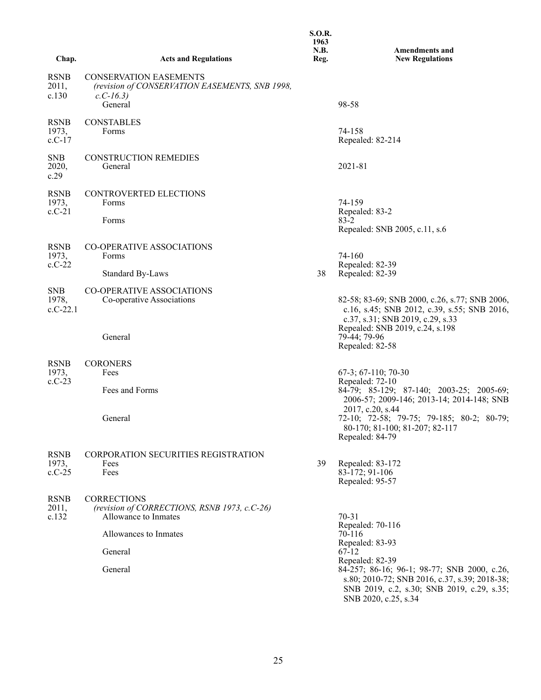| Chap.                            | <b>Acts and Regulations</b>                                                                              | <b>S.O.R.</b><br>1963<br>N.B.<br>Reg. | <b>Amendments and</b><br><b>New Regulations</b>                                                                                                               |
|----------------------------------|----------------------------------------------------------------------------------------------------------|---------------------------------------|---------------------------------------------------------------------------------------------------------------------------------------------------------------|
| RSNB<br>2011,<br>c.130           | <b>CONSERVATION EASEMENTS</b><br>(revision of CONSERVATION EASEMENTS, SNB 1998,<br>$c.C-16.3$<br>General |                                       | 98-58                                                                                                                                                         |
| RSNB<br>1973,<br>c.C-17          | <b>CONSTABLES</b><br>Forms                                                                               |                                       | 74-158<br>Repealed: 82-214                                                                                                                                    |
| <b>SNB</b><br>2020,<br>c.29      | <b>CONSTRUCTION REMEDIES</b><br>General                                                                  |                                       | 2021-81                                                                                                                                                       |
| <b>RSNB</b><br>1973,<br>c.C-21   | CONTROVERTED ELECTIONS<br>Forms<br>Forms                                                                 |                                       | 74-159<br>Repealed: 83-2<br>83-2<br>Repealed: SNB 2005, c.11, s.6                                                                                             |
| <b>RSNB</b><br>1973,<br>$c.C-22$ | CO-OPERATIVE ASSOCIATIONS<br>Forms<br>Standard By-Laws                                                   | 38                                    | 74-160<br>Repealed: 82-39<br>Repealed: 82-39                                                                                                                  |
| SNB<br>1978,<br>$c.C-22.1$       | CO-OPERATIVE ASSOCIATIONS<br>Co-operative Associations                                                   |                                       | 82-58; 83-69; SNB 2000, c.26, s.77; SNB 2006,<br>c.16, s.45; SNB 2012, c.39, s.55; SNB 2016,<br>c.37, s.31; SNB 2019, c.29, s.33                              |
|                                  | General                                                                                                  |                                       | Repealed: SNB 2019, c.24, s.198<br>79-44; 79-96<br>Repealed: 82-58                                                                                            |
| <b>RSNB</b><br>1973,<br>$c.C-23$ | <b>CORONERS</b><br>Fees<br>Fees and Forms                                                                |                                       | $67-3$ ; $67-110$ ; $70-30$<br>Repealed: 72-10<br>84-79; 85-129; 87-140; 2003-25; 2005-69;<br>2006-57; 2009-146; 2013-14; 2014-148; SNB                       |
|                                  | General                                                                                                  |                                       | 2017, c.20, s.44<br>72-10; 72-58; 79-75; 79-185; 80-2; 80-79;<br>80-170; 81-100; 81-207; 82-117<br>Repealed: 84-79                                            |
| <b>RSNB</b><br>1973,<br>$c.C-25$ | <b>CORPORATION SECURITIES REGISTRATION</b><br>Fees<br>Fees                                               | 39                                    | Repealed: 83-172<br>83-172; 91-106<br>Repealed: 95-57                                                                                                         |
| RSNB<br>2011,<br>c.132           | <b>CORRECTIONS</b><br>(revision of CORRECTIONS, RSNB 1973, c.C-26)<br>Allowance to Inmates               |                                       | $70 - 31$<br>Repealed: 70-116                                                                                                                                 |
|                                  | Allowances to Inmates<br>General                                                                         |                                       | 70-116<br>Repealed: 83-93<br>67-12                                                                                                                            |
|                                  | General                                                                                                  |                                       | Repealed: 82-39<br>84-257; 86-16; 96-1; 98-77; SNB 2000, c.26,<br>s.80; 2010-72; SNB 2016, c.37, s.39; 2018-38;<br>SNB 2019, c.2, s.30; SNB 2019, c.29, s.35; |

SNB 2020, c.25, s.34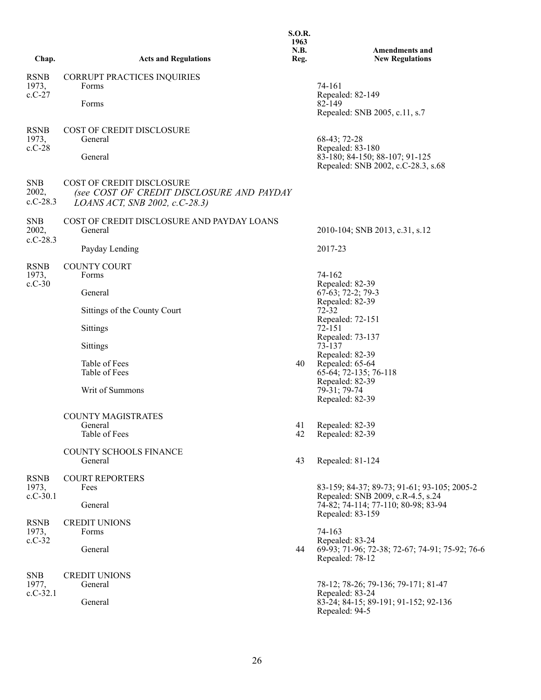| Chap.                              | <b>Acts and Regulations</b>                                                                                     | <b>S.O.R.</b><br>1963<br>N.B.<br>Reg. | <b>Amendments and</b><br><b>New Regulations</b>                                                                             |
|------------------------------------|-----------------------------------------------------------------------------------------------------------------|---------------------------------------|-----------------------------------------------------------------------------------------------------------------------------|
| <b>RSNB</b><br>1973,<br>$c.C-27$   | CORRUPT PRACTICES INQUIRIES<br>Forms<br>Forms                                                                   |                                       | 74-161<br>Repealed: 82-149<br>82-149<br>Repealed: SNB 2005, c.11, s.7                                                       |
| <b>RSNB</b><br>1973,<br>$c.C-28$   | <b>COST OF CREDIT DISCLOSURE</b><br>General<br>General                                                          |                                       | 68-43; 72-28<br>Repealed: 83-180<br>83-180; 84-150; 88-107; 91-125<br>Repealed: SNB 2002, c.C-28.3, s.68                    |
| <b>SNB</b><br>2002,<br>$c.C-28.3$  | <b>COST OF CREDIT DISCLOSURE</b><br>(see COST OF CREDIT DISCLOSURE AND PAYDAY<br>LOANS ACT, SNB 2002, c.C-28.3) |                                       |                                                                                                                             |
| <b>SNB</b><br>2002,<br>$c.C-28.3$  | COST OF CREDIT DISCLOSURE AND PAYDAY LOANS<br>General                                                           |                                       | 2010-104; SNB 2013, c.31, s.12                                                                                              |
| <b>RSNB</b>                        | Payday Lending<br><b>COUNTY COURT</b>                                                                           |                                       | 2017-23                                                                                                                     |
| 1973,<br>$c.C-30$                  | Forms<br>General                                                                                                |                                       | 74-162<br>Repealed: 82-39<br>$67-63$ ; 72-2; 79-3                                                                           |
|                                    | Sittings of the County Court                                                                                    |                                       | Repealed: 82-39<br>$72 - 32$<br>Repealed: 72-151                                                                            |
|                                    | <b>Sittings</b>                                                                                                 |                                       | $72 - 151$<br>Repealed: 73-137                                                                                              |
|                                    | <b>Sittings</b><br>Table of Fees<br>Table of Fees<br>Writ of Summons                                            | 40                                    | 73-137<br>Repealed: 82-39<br>Repealed: 65-64<br>65-64; 72-135; 76-118<br>Repealed: 82-39<br>79-31; 79-74<br>Repealed: 82-39 |
|                                    | <b>COUNTY MAGISTRATES</b><br>General<br>Table of Fees                                                           | 42                                    | 41 Repealed: 82-39<br>Repealed: 82-39                                                                                       |
|                                    | COUNTY SCHOOLS FINANCE<br>General                                                                               | 43                                    | Repealed: 81-124                                                                                                            |
| <b>RSNB</b><br>1973,<br>$c.C-30.1$ | <b>COURT REPORTERS</b><br>Fees                                                                                  |                                       | 83-159; 84-37; 89-73; 91-61; 93-105; 2005-2<br>Repealed: SNB 2009, c.R-4.5, s.24                                            |
|                                    | General                                                                                                         |                                       | 74-82; 74-114; 77-110; 80-98; 83-94<br>Repealed: 83-159                                                                     |
| <b>RSNB</b><br>1973,<br>$c.C-32$   | <b>CREDIT UNIONS</b><br>Forms<br>General                                                                        | 44                                    | 74-163<br>Repealed: 83-24<br>69-93; 71-96; 72-38; 72-67; 74-91; 75-92; 76-6<br>Repealed: 78-12                              |
| <b>SNB</b><br>1977,<br>$c.C-32.1$  | <b>CREDIT UNIONS</b><br>General<br>General                                                                      |                                       | 78-12; 78-26; 79-136; 79-171; 81-47<br>Repealed: 83-24<br>83-24; 84-15; 89-191; 91-152; 92-136<br>Repealed: 94-5            |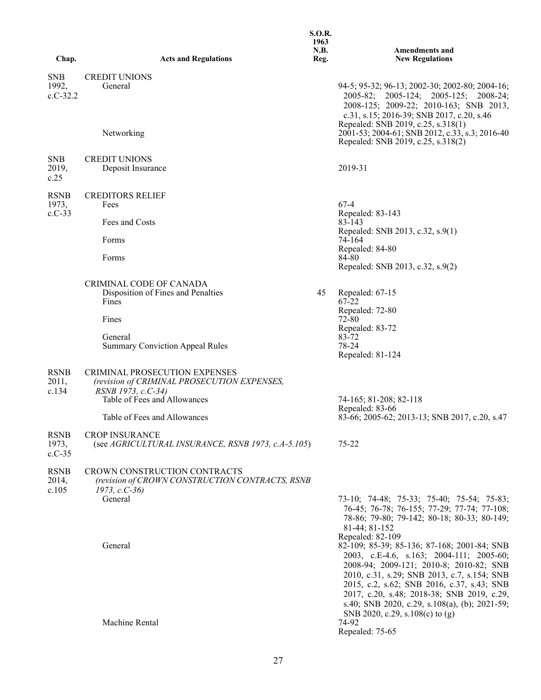|                                   |                                                                                                                                           | <b>S.O.R.</b><br>1963<br>N.B. | <b>Amendments and</b>                                                                                                                                                                                                                                                                                              |
|-----------------------------------|-------------------------------------------------------------------------------------------------------------------------------------------|-------------------------------|--------------------------------------------------------------------------------------------------------------------------------------------------------------------------------------------------------------------------------------------------------------------------------------------------------------------|
| Chap.                             | <b>Acts and Regulations</b>                                                                                                               | Reg.                          | <b>New Regulations</b>                                                                                                                                                                                                                                                                                             |
| <b>SNB</b><br>1992,<br>$c.C-32.2$ | <b>CREDIT UNIONS</b><br>General                                                                                                           |                               | 94-5; 95-32; 96-13; 2002-30; 2002-80; 2004-16;<br>2005-82; 2005-124; 2005-125; 2008-24;<br>2008-125; 2009-22; 2010-163; SNB 2013,<br>c.31, s.15; 2016-39; SNB 2017, c.20, s.46<br>Repealed: SNB 2019, c.25, s.318(1)                                                                                               |
|                                   | Networking                                                                                                                                |                               | 2001-53; 2004-61; SNB 2012, c.33, s.3; 2016-40<br>Repealed: SNB 2019, c.25, s.318(2)                                                                                                                                                                                                                               |
| <b>SNB</b><br>2019,<br>c.25       | <b>CREDIT UNIONS</b><br>Deposit Insurance                                                                                                 |                               | 2019-31                                                                                                                                                                                                                                                                                                            |
| <b>RSNB</b><br>1973,<br>$c.C-33$  | <b>CREDITORS RELIEF</b><br>Fees<br>Fees and Costs<br>Forms<br>Forms                                                                       |                               | $67-4$<br>Repealed: 83-143<br>83-143<br>Repealed: SNB 2013, c.32, s.9(1)<br>74-164<br>Repealed: 84-80<br>84-80                                                                                                                                                                                                     |
|                                   | CRIMINAL CODE OF CANADA                                                                                                                   |                               | Repealed: SNB 2013, c.32, s.9(2)                                                                                                                                                                                                                                                                                   |
|                                   | Disposition of Fines and Penalties<br>Fines                                                                                               | 45                            | Repealed: 67-15<br>67-22                                                                                                                                                                                                                                                                                           |
|                                   | Fines                                                                                                                                     |                               | Repealed: 72-80<br>$72 - 80$<br>Repealed: 83-72                                                                                                                                                                                                                                                                    |
|                                   | General<br><b>Summary Conviction Appeal Rules</b>                                                                                         |                               | 83-72<br>78-24<br>Repealed: 81-124                                                                                                                                                                                                                                                                                 |
| <b>RSNB</b><br>2011,<br>c.134     | <b>CRIMINAL PROSECUTION EXPENSES</b><br>(revision of CRIMINAL PROSECUTION EXPENSES,<br>RSNB 1973, c.C-34)<br>Table of Fees and Allowances |                               | 74-165; 81-208; 82-118<br>Repealed: 83-66                                                                                                                                                                                                                                                                          |
|                                   | Table of Fees and Allowances                                                                                                              |                               | 83-66; 2005-62; 2013-13; SNB 2017, c.20, s.47                                                                                                                                                                                                                                                                      |
| <b>RSNB</b><br>1973,<br>$c.C-35$  | <b>CROP INSURANCE</b><br>(see $AGRICULTURAL$ INSURANCE, RSNB 1973, c.A-5.105)                                                             |                               | 75-22                                                                                                                                                                                                                                                                                                              |
| <b>RSNB</b><br>2014,<br>c.105     | CROWN CONSTRUCTION CONTRACTS<br>(revision of CROWN CONSTRUCTION CONTRACTS, RSNB<br>$1973, c.C-36$                                         |                               |                                                                                                                                                                                                                                                                                                                    |
|                                   | General<br>General                                                                                                                        |                               | 73-10; 74-48; 75-33; 75-40; 75-54; 75-83;<br>76-45; 76-78; 76-155; 77-29; 77-74; 77-108;<br>78-86; 79-80; 79-142; 80-18; 80-33; 80-149;<br>81-44; 81-152<br>Repealed: 82-109<br>82-109; 85-39; 85-136; 87-168; 2001-84; SNB<br>2003, c.E-4.6, s.163; 2004-111; 2005-60;<br>2008-94; 2009-121; 2010-8; 2010-82; SNB |
|                                   | Machine Rental                                                                                                                            |                               | 2010, c.31, s.29; SNB 2013, c.7, s.154; SNB<br>2015, c.2, s.62; SNB 2016, c.37, s.43; SNB<br>2017, c.20, s.48; 2018-38; SNB 2019, c.29,<br>s.40; SNB 2020, c.29, s.108(a), (b); 2021-59;<br>SNB 2020, c.29, s.108(c) to (g)<br>74-92<br>Repealed: 75-65                                                            |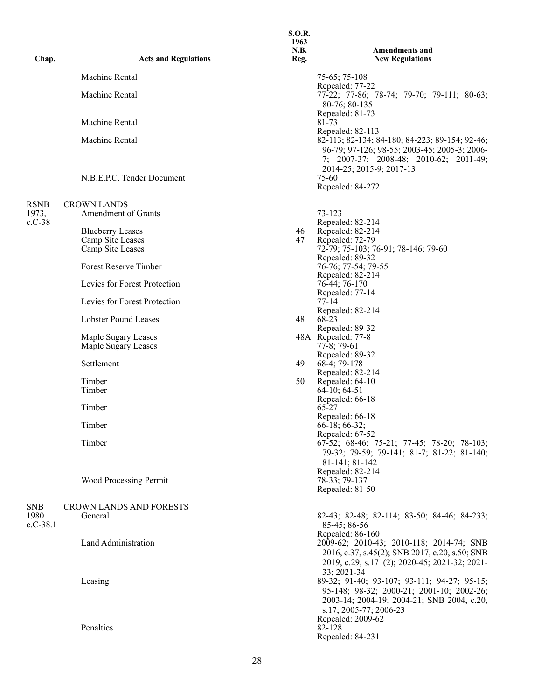| Chap.              | <b>Acts and Regulations</b>   | 1963<br>N.B.<br>Reg. | <b>Amendments and</b><br><b>New Regulations</b>                                                                                                                                          |
|--------------------|-------------------------------|----------------------|------------------------------------------------------------------------------------------------------------------------------------------------------------------------------------------|
|                    | Machine Rental                |                      | 75-65; 75-108                                                                                                                                                                            |
|                    | Machine Rental                |                      | Repealed: 77-22<br>77-22; 77-86; 78-74; 79-70; 79-111; 80-63;<br>80-76; 80-135                                                                                                           |
|                    | Machine Rental                |                      | Repealed: 81-73<br>81-73                                                                                                                                                                 |
|                    | Machine Rental                |                      | Repealed: 82-113<br>82-113; 82-134; 84-180; 84-223; 89-154; 92-46;<br>96-79; 97-126; 98-55; 2003-45; 2005-3; 2006-<br>7; 2007-37; 2008-48; 2010-62; 2011-49;<br>2014-25; 2015-9; 2017-13 |
|                    | N.B.E.P.C. Tender Document    |                      | 75-60<br>Repealed: 84-272                                                                                                                                                                |
| <b>RSNB</b>        | <b>CROWN LANDS</b>            |                      |                                                                                                                                                                                          |
| 1973,              | Amendment of Grants           |                      | 73-123                                                                                                                                                                                   |
| $c.C-38$           | <b>Blueberry Leases</b>       | 46                   | Repealed: 82-214<br>Repealed: 82-214                                                                                                                                                     |
|                    | Camp Site Leases              | 47                   | Repealed: 72-79                                                                                                                                                                          |
|                    | Camp Site Leases              |                      | 72-79; 75-103; 76-91; 78-146; 79-60                                                                                                                                                      |
|                    | <b>Forest Reserve Timber</b>  |                      | Repealed: 89-32<br>76-76; 77-54; 79-55<br>Repealed: 82-214                                                                                                                               |
|                    | Levies for Forest Protection  |                      | 76-44; 76-170                                                                                                                                                                            |
|                    | Levies for Forest Protection  |                      | Repealed: 77-14<br>$77-14$<br>Repealed: 82-214                                                                                                                                           |
|                    | <b>Lobster Pound Leases</b>   | 48                   | 68-23                                                                                                                                                                                    |
|                    | Maple Sugary Leases           |                      | Repealed: 89-32<br>48A Repealed: 77-8                                                                                                                                                    |
|                    | Maple Sugary Leases           |                      | $77-8$ ; 79-61                                                                                                                                                                           |
|                    | Settlement                    | 49                   | Repealed: 89-32<br>68-4; 79-178<br>Repealed: 82-214                                                                                                                                      |
|                    | Timber<br>Timber              | 50                   | Repealed: 64-10<br>64-10; 64-51                                                                                                                                                          |
|                    | Timber                        |                      | Repealed: 66-18<br>65-27<br>Repealed: 66-18                                                                                                                                              |
|                    | Timber                        |                      | $66-18$ ; 66-32;                                                                                                                                                                         |
|                    | Timber                        |                      | Repealed: 67-52<br>67-52; 68-46; 75-21; 77-45; 78-20; 78-103;<br>79-32; 79-59; 79-141; 81-7; 81-22; 81-140;<br>81-141; 81-142                                                            |
|                    | <b>Wood Processing Permit</b> |                      | Repealed: 82-214<br>78-33; 79-137<br>Repealed: 81-50                                                                                                                                     |
| <b>SNB</b>         | CROWN LANDS AND FORESTS       |                      |                                                                                                                                                                                          |
| 1980<br>$c.C-38.1$ | General                       |                      | 82-43; 82-48; 82-114; 83-50; 84-46; 84-233;                                                                                                                                              |
|                    | Land Administration           |                      | 85-45; 86-56<br>Repealed: 86-160<br>2009-62; 2010-43; 2010-118; 2014-74; SNB<br>2016, c.37, s.45(2); SNB 2017, c.20, s.50; SNB<br>2019, c.29, s.171(2); 2020-45; 2021-32; 2021-          |
|                    | Leasing                       |                      | 33; 2021-34<br>89-32; 91-40; 93-107; 93-111; 94-27; 95-15;<br>95-148; 98-32; 2000-21; 2001-10; 2002-26;<br>2003-14; 2004-19; 2004-21; SNB 2004, c.20,<br>s.17; 2005-77; 2006-23          |
|                    | Penalties                     |                      | Repealed: 2009-62<br>82-128<br>Repealed: 84-231                                                                                                                                          |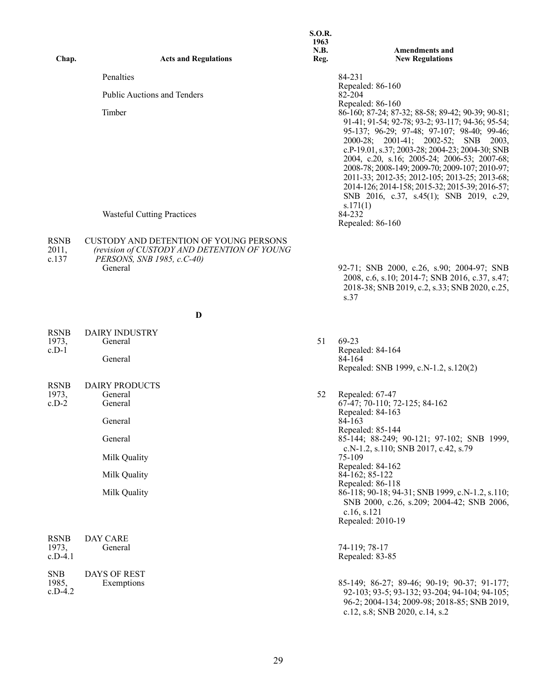| Chap.                             | <b>Acts and Regulations</b>                                                                                                | <b>S.O.R.</b><br>1963<br>N.B.<br>Reg. | <b>Amendments and</b><br><b>New Regulations</b>                                                                                                                                                                                                                                                                                                                                                                                                                                                                                     |
|-----------------------------------|----------------------------------------------------------------------------------------------------------------------------|---------------------------------------|-------------------------------------------------------------------------------------------------------------------------------------------------------------------------------------------------------------------------------------------------------------------------------------------------------------------------------------------------------------------------------------------------------------------------------------------------------------------------------------------------------------------------------------|
|                                   | Penalties                                                                                                                  |                                       | 84-231                                                                                                                                                                                                                                                                                                                                                                                                                                                                                                                              |
|                                   | <b>Public Auctions and Tenders</b>                                                                                         |                                       | Repealed: 86-160<br>82-204                                                                                                                                                                                                                                                                                                                                                                                                                                                                                                          |
|                                   | Timber                                                                                                                     |                                       | Repealed: 86-160<br>86-160; 87-24; 87-32; 88-58; 89-42; 90-39; 90-81;<br>91-41; 91-54; 92-78; 93-2; 93-117; 94-36; 95-54;<br>95-137; 96-29; 97-48; 97-107; 98-40; 99-46;<br>2000-28; 2001-41; 2002-52; SNB<br>2003.<br>c.P-19.01, s.37; 2003-28; 2004-23; 2004-30; SNB<br>2004, c.20, s.16; 2005-24; 2006-53; 2007-68;<br>2008-78; 2008-149; 2009-70; 2009-107; 2010-97;<br>2011-33; 2012-35; 2012-105; 2013-25; 2013-68;<br>2014-126; 2014-158; 2015-32; 2015-39; 2016-57;<br>SNB 2016, c.37, s.45(1); SNB 2019, c.29,<br>s.171(1) |
|                                   | <b>Wasteful Cutting Practices</b>                                                                                          |                                       | 84-232<br>Repealed: 86-160                                                                                                                                                                                                                                                                                                                                                                                                                                                                                                          |
| <b>RSNB</b><br>2011,<br>c.137     | <b>CUSTODY AND DETENTION OF YOUNG PERSONS</b><br>(revision of CUSTODY AND DETENTION OF YOUNG<br>PERSONS, SNB 1985, c.C-40) |                                       |                                                                                                                                                                                                                                                                                                                                                                                                                                                                                                                                     |
|                                   | General                                                                                                                    |                                       | 92-71; SNB 2000, c.26, s.90; 2004-97; SNB<br>2008, c.6, s.10; 2014-7; SNB 2016, c.37, s.47;<br>2018-38; SNB 2019, c.2, s.33; SNB 2020, c.25,<br>s.37                                                                                                                                                                                                                                                                                                                                                                                |
|                                   | D                                                                                                                          |                                       |                                                                                                                                                                                                                                                                                                                                                                                                                                                                                                                                     |
| <b>RSNB</b>                       | <b>DAIRY INDUSTRY</b>                                                                                                      |                                       |                                                                                                                                                                                                                                                                                                                                                                                                                                                                                                                                     |
| 1973,<br>$c.D-1$                  | General<br>General                                                                                                         | 51                                    | 69-23<br>Repealed: 84-164<br>84-164<br>Repealed: SNB 1999, c.N-1.2, s.120(2)                                                                                                                                                                                                                                                                                                                                                                                                                                                        |
| <b>RSNB</b>                       | <b>DAIRY PRODUCTS</b>                                                                                                      |                                       |                                                                                                                                                                                                                                                                                                                                                                                                                                                                                                                                     |
| 1973,<br>$c.D-2$                  | General<br>General                                                                                                         | 52                                    | Repealed: 67-47<br>67-47; 70-110; 72-125; 84-162<br>Repealed: 84-163                                                                                                                                                                                                                                                                                                                                                                                                                                                                |
|                                   | General                                                                                                                    |                                       | 84-163<br>Repealed: 85-144                                                                                                                                                                                                                                                                                                                                                                                                                                                                                                          |
|                                   | General                                                                                                                    |                                       | 85-144; 88-249; 90-121; 97-102; SNB 1999,<br>c.N-1.2, s.110; SNB 2017, c.42, s.79                                                                                                                                                                                                                                                                                                                                                                                                                                                   |
|                                   | Milk Quality                                                                                                               |                                       | 75-109<br>Repealed: 84-162                                                                                                                                                                                                                                                                                                                                                                                                                                                                                                          |
|                                   | Milk Quality                                                                                                               |                                       | 84-162; 85-122<br>Repealed: 86-118                                                                                                                                                                                                                                                                                                                                                                                                                                                                                                  |
|                                   | Milk Quality                                                                                                               |                                       | 86-118; 90-18; 94-31; SNB 1999, c.N-1.2, s.110;<br>SNB 2000, c.26, s.209; 2004-42; SNB 2006,<br>c.16, s.121<br>Repealed: 2010-19                                                                                                                                                                                                                                                                                                                                                                                                    |
| <b>RSNB</b><br>1973,<br>$c.D-4.1$ | DAY CARE<br>General                                                                                                        |                                       | 74-119; 78-17<br>Repealed: 83-85                                                                                                                                                                                                                                                                                                                                                                                                                                                                                                    |
| <b>SNB</b><br>1985,<br>$c.D-4.2$  | DAYS OF REST<br>Exemptions                                                                                                 |                                       | 85-149; 86-27; 89-46; 90-19; 90-37; 91-177;<br>92-103; 93-5; 93-132; 93-204; 94-104; 94-105;<br>96-2; 2004-134; 2009-98; 2018-85; SNB 2019,<br>c.12, s.8; SNB 2020, c.14, s.2                                                                                                                                                                                                                                                                                                                                                       |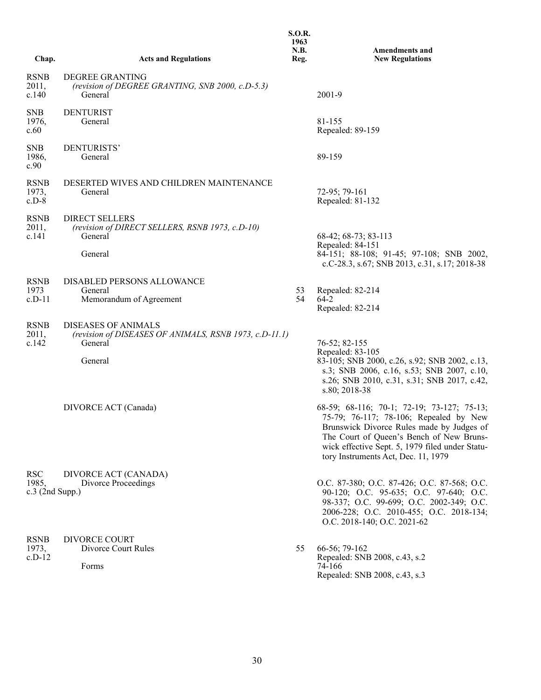| Chap.                                    | <b>Acts and Regulations</b>                                                                                | <b>S.O.R.</b><br>1963<br>N.B.<br>Reg. | <b>Amendments and</b><br><b>New Regulations</b>                                                                                                                                                                                                                         |
|------------------------------------------|------------------------------------------------------------------------------------------------------------|---------------------------------------|-------------------------------------------------------------------------------------------------------------------------------------------------------------------------------------------------------------------------------------------------------------------------|
| <b>RSNB</b><br>2011,<br>c.140            | DEGREE GRANTING<br>(revision of DEGREE GRANTING, SNB 2000, c.D-5.3)<br>General                             |                                       | 2001-9                                                                                                                                                                                                                                                                  |
| <b>SNB</b><br>1976,<br>c.60              | <b>DENTURIST</b><br>General                                                                                |                                       | 81-155<br>Repealed: 89-159                                                                                                                                                                                                                                              |
| <b>SNB</b><br>1986,<br>c.90              | DENTURISTS'<br>General                                                                                     |                                       | 89-159                                                                                                                                                                                                                                                                  |
| <b>RSNB</b><br>1973,<br>$c.D-8$          | DESERTED WIVES AND CHILDREN MAINTENANCE<br>General                                                         |                                       | 72-95; 79-161<br>Repealed: 81-132                                                                                                                                                                                                                                       |
| <b>RSNB</b><br>2011,<br>c.141            | <b>DIRECT SELLERS</b><br>(revision of DIRECT SELLERS, RSNB 1973, c.D-10)<br>General<br>General             |                                       | 68-42; 68-73; 83-113<br>Repealed: 84-151<br>84-151; 88-108; 91-45; 97-108; SNB 2002,<br>c.C-28.3, s.67; SNB 2013, c.31, s.17; 2018-38                                                                                                                                   |
| <b>RSNB</b><br>1973<br>$c.D-11$          | DISABLED PERSONS ALLOWANCE<br>General<br>Memorandum of Agreement                                           | 53<br>54                              | Repealed: 82-214<br>64-2<br>Repealed: 82-214                                                                                                                                                                                                                            |
| <b>RSNB</b><br>2011,<br>c.142            | <b>DISEASES OF ANIMALS</b><br>(revision of DISEASES OF ANIMALS, RSNB 1973, c.D-11.1)<br>General<br>General |                                       | 76-52; 82-155<br>Repealed: 83-105<br>83-105; SNB 2000, c.26, s.92; SNB 2002, c.13,<br>s.3; SNB 2006, c.16, s.53; SNB 2007, c.10,<br>s.26; SNB 2010, c.31, s.31; SNB 2017, c.42,<br>s.80; 2018-38                                                                        |
|                                          | DIVORCE ACT (Canada)                                                                                       |                                       | 68-59; 68-116; 70-1; 72-19; 73-127; 75-13;<br>75-79; 76-117; 78-106; Repealed by New<br>Brunswick Divorce Rules made by Judges of<br>The Court of Queen's Bench of New Bruns-<br>wick effective Sept. 5, 1979 filed under Statu-<br>tory Instruments Act, Dec. 11, 1979 |
| <b>RSC</b><br>1985,<br>$c.3$ (2nd Supp.) | DIVORCE ACT (CANADA)<br>Divorce Proceedings                                                                |                                       | O.C. 87-380; O.C. 87-426; O.C. 87-568; O.C.<br>90-120; O.C. 95-635; O.C. 97-640; O.C.<br>98-337; O.C. 99-699; O.C. 2002-349; O.C.<br>2006-228; O.C. 2010-455; O.C. 2018-134;<br>O.C. 2018-140; O.C. 2021-62                                                             |
| <b>RSNB</b><br>1973,<br>$c.D-12$         | <b>DIVORCE COURT</b><br>Divorce Court Rules<br>Forms                                                       | 55                                    | 66-56; 79-162<br>Repealed: SNB 2008, c.43, s.2<br>74-166<br>Repealed: SNB 2008, c.43, s.3                                                                                                                                                                               |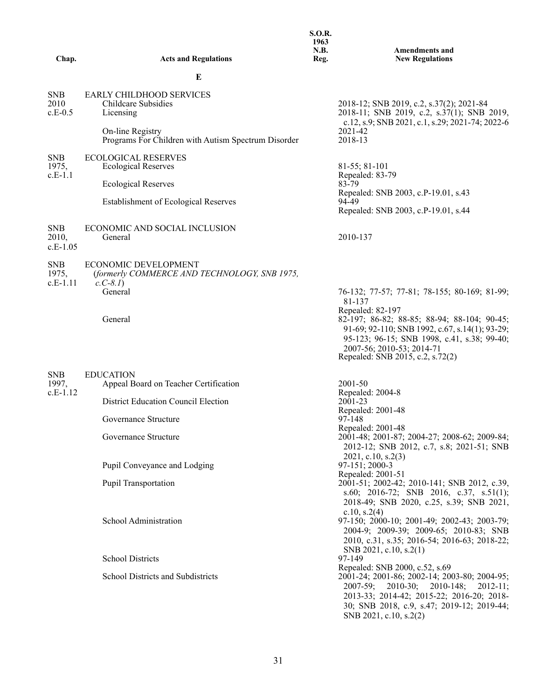|                                   |                                                                                         | <b>S.O.R.</b><br>1963<br>N.B. | <b>Amendments and</b>                                                                                                                                                                                                           |
|-----------------------------------|-----------------------------------------------------------------------------------------|-------------------------------|---------------------------------------------------------------------------------------------------------------------------------------------------------------------------------------------------------------------------------|
| Chap.                             | <b>Acts and Regulations</b>                                                             | Reg.                          | <b>New Regulations</b>                                                                                                                                                                                                          |
|                                   | Е                                                                                       |                               |                                                                                                                                                                                                                                 |
| <b>SNB</b><br>2010<br>$c.E-0.5$   | <b>EARLY CHILDHOOD SERVICES</b><br>Childcare Subsidies<br>Licensing<br>On-line Registry |                               | 2018-12; SNB 2019, c.2, s.37(2); 2021-84<br>2018-11; SNB 2019, c.2, s.37(1); SNB 2019,<br>c.12, s.9; SNB 2021, c.1, s.29; 2021-74; 2022-6<br>2021-42                                                                            |
|                                   | Programs For Children with Autism Spectrum Disorder                                     |                               | 2018-13                                                                                                                                                                                                                         |
| <b>SNB</b><br>1975,<br>$c.E-1.1$  | <b>ECOLOGICAL RESERVES</b><br><b>Ecological Reserves</b>                                |                               | 81-55; 81-101<br>Repealed: 83-79                                                                                                                                                                                                |
|                                   | <b>Ecological Reserves</b>                                                              |                               | 83-79<br>Repealed: SNB 2003, c.P-19.01, s.43                                                                                                                                                                                    |
|                                   | <b>Establishment of Ecological Reserves</b>                                             |                               | 94-49<br>Repealed: SNB 2003, c.P-19.01, s.44                                                                                                                                                                                    |
| <b>SNB</b><br>2010,<br>$c.E-1.05$ | ECONOMIC AND SOCIAL INCLUSION<br>General                                                |                               | 2010-137                                                                                                                                                                                                                        |
| <b>SNB</b><br>1975,<br>$c.E-1.11$ | ECONOMIC DEVELOPMENT<br>(formerly COMMERCE AND TECHNOLOGY, SNB 1975,<br>$c.C-8.1$       |                               |                                                                                                                                                                                                                                 |
|                                   | General                                                                                 |                               | 76-132; 77-57; 77-81; 78-155; 80-169; 81-99;<br>81-137<br>Repealed: 82-197                                                                                                                                                      |
|                                   | General                                                                                 |                               | 82-197; 86-82; 88-85; 88-94; 88-104; 90-45;<br>91-69; 92-110; SNB 1992, c.67, s.14(1); 93-29;<br>95-123; 96-15; SNB 1998, c.41, s.38; 99-40;<br>2007-56; 2010-53; 2014-71<br>Repealed: SNB 2015, c.2, s.72(2)                   |
| <b>SNB</b><br>1997,               | <b>EDUCATION</b><br>Appeal Board on Teacher Certification                               |                               | 2001-50                                                                                                                                                                                                                         |
| $c.E-1.12$                        | <b>District Education Council Election</b>                                              |                               | Repealed: 2004-8<br>$2001 - 23$                                                                                                                                                                                                 |
|                                   | Governance Structure                                                                    |                               | Repealed: 2001-48<br>97-148<br>Repealed: 2001-48                                                                                                                                                                                |
|                                   | Governance Structure                                                                    |                               | 2001-48; 2001-87; 2004-27; 2008-62; 2009-84;<br>2012-12; SNB 2012, c.7, s.8; 2021-51; SNB<br>2021, c.10, s.2(3)                                                                                                                 |
|                                   | Pupil Conveyance and Lodging                                                            |                               | 97-151; 2000-3<br>Repealed: 2001-51                                                                                                                                                                                             |
|                                   | <b>Pupil Transportation</b>                                                             |                               | 2001-51; 2002-42; 2010-141; SNB 2012, c.39,<br>s.60; 2016-72; SNB 2016, c.37, s.51(1);<br>2018-49; SNB 2020, c.25, s.39; SNB 2021,                                                                                              |
|                                   | School Administration                                                                   |                               | c.10, s.2 $(4)$<br>97-150; 2000-10; 2001-49; 2002-43; 2003-79;<br>2004-9; 2009-39; 2009-65; 2010-83; SNB<br>2010, c.31, s.35; 2016-54; 2016-63; 2018-22;<br>SNB 2021, c.10, s.2(1)                                              |
|                                   | <b>School Districts</b>                                                                 |                               | 97-149<br>Repealed: SNB 2000, c.52, s.69                                                                                                                                                                                        |
|                                   | <b>School Districts and Subdistricts</b>                                                |                               | 2001-24; 2001-86; 2002-14; 2003-80; 2004-95;<br>$2010-30$ ; $2010-148$ ;<br>$2007 - 59$ ;<br>$2012 - 11$ ;<br>2013-33; 2014-42; 2015-22; 2016-20; 2018-<br>30; SNB 2018, c.9, s.47; 2019-12; 2019-44;<br>SNB 2021, c.10, s.2(2) |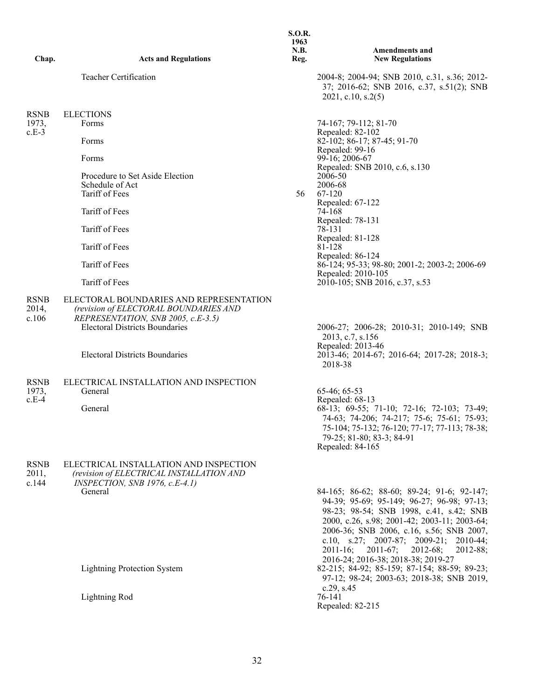| Chap.                           | <b>Acts and Regulations</b>                                                                                                                                                                              | <b>S.O.R.</b><br>1963<br>N.B.<br>Reg. | <b>Amendments and</b><br><b>New Regulations</b>                                                                                                                                                                                                                                                                                                                            |
|---------------------------------|----------------------------------------------------------------------------------------------------------------------------------------------------------------------------------------------------------|---------------------------------------|----------------------------------------------------------------------------------------------------------------------------------------------------------------------------------------------------------------------------------------------------------------------------------------------------------------------------------------------------------------------------|
|                                 | Teacher Certification                                                                                                                                                                                    |                                       | 2004-8; 2004-94; SNB 2010, c.31, s.36; 2012-<br>37; 2016-62; SNB 2016, c.37, s.51(2); SNB<br>2021, c.10, s.2(5)                                                                                                                                                                                                                                                            |
| <b>RSNB</b>                     | <b>ELECTIONS</b>                                                                                                                                                                                         |                                       |                                                                                                                                                                                                                                                                                                                                                                            |
| 1973,                           | Forms                                                                                                                                                                                                    |                                       | 74-167; 79-112; 81-70                                                                                                                                                                                                                                                                                                                                                      |
| $c.E-3$                         | Forms                                                                                                                                                                                                    |                                       | Repealed: 82-102<br>82-102; 86-17; 87-45; 91-70<br>Repealed: 99-16                                                                                                                                                                                                                                                                                                         |
|                                 | Forms                                                                                                                                                                                                    |                                       | 99-16; 2006-67<br>Repealed: SNB 2010, c.6, s.130                                                                                                                                                                                                                                                                                                                           |
|                                 | Procedure to Set Aside Election                                                                                                                                                                          |                                       | 2006-50                                                                                                                                                                                                                                                                                                                                                                    |
|                                 | Schedule of Act<br>Tariff of Fees                                                                                                                                                                        | 56                                    | 2006-68<br>67-120                                                                                                                                                                                                                                                                                                                                                          |
|                                 |                                                                                                                                                                                                          |                                       | Repealed: 67-122                                                                                                                                                                                                                                                                                                                                                           |
|                                 | Tariff of Fees                                                                                                                                                                                           |                                       | 74-168<br>Repealed: 78-131                                                                                                                                                                                                                                                                                                                                                 |
|                                 | Tariff of Fees                                                                                                                                                                                           |                                       | 78-131                                                                                                                                                                                                                                                                                                                                                                     |
|                                 | Tariff of Fees                                                                                                                                                                                           |                                       | Repealed: 81-128<br>81-128                                                                                                                                                                                                                                                                                                                                                 |
|                                 | Tariff of Fees                                                                                                                                                                                           |                                       | Repealed: 86-124<br>86-124; 95-33; 98-80; 2001-2; 2003-2; 2006-69<br>Repealed: 2010-105                                                                                                                                                                                                                                                                                    |
|                                 | Tariff of Fees                                                                                                                                                                                           |                                       | 2010-105; SNB 2016, c.37, s.53                                                                                                                                                                                                                                                                                                                                             |
| <b>RSNB</b><br>2014,<br>c.106   | ELECTORAL BOUNDARIES AND REPRESENTATION<br>(revision of ELECTORAL BOUNDARIES AND<br>REPRESENTATION, SNB 2005, c.E-3.5)<br><b>Electoral Districts Boundaries</b><br><b>Electoral Districts Boundaries</b> |                                       | 2006-27; 2006-28; 2010-31; 2010-149; SNB<br>2013, c.7, s.156<br>Repealed: 2013-46<br>2013-46; 2014-67; 2016-64; 2017-28; 2018-3;                                                                                                                                                                                                                                           |
|                                 |                                                                                                                                                                                                          |                                       | 2018-38                                                                                                                                                                                                                                                                                                                                                                    |
| <b>RSNB</b><br>1973,<br>$c.E-4$ | ELECTRICAL INSTALLATION AND INSPECTION<br>General                                                                                                                                                        |                                       | 65-46; 65-53<br>Repealed: 68-13                                                                                                                                                                                                                                                                                                                                            |
|                                 | General                                                                                                                                                                                                  |                                       | 68-13; 69-55; 71-10; 72-16; 72-103; 73-49;<br>74-63; 74-206; 74-217; 75-6; 75-61; 75-93;<br>75-104; 75-132; 76-120; 77-17; 77-113; 78-38;<br>79-25; 81-80; 83-3; 84-91<br>Repealed: 84-165                                                                                                                                                                                 |
| <b>RSNB</b><br>2011,<br>c.144   | ELECTRICAL INSTALLATION AND INSPECTION<br>(revision of ELECTRICAL INSTALLATION AND<br>INSPECTION, SNB 1976, c.E-4.1)                                                                                     |                                       |                                                                                                                                                                                                                                                                                                                                                                            |
|                                 | General                                                                                                                                                                                                  |                                       | 84-165; 86-62; 88-60; 89-24; 91-6; 92-147;<br>94-39; 95-69; 95-149; 96-27; 96-98; 97-13;<br>98-23; 98-54; SNB 1998, c.41, s.42; SNB<br>2000, c.26, s.98; 2001-42; 2003-11; 2003-64;<br>2006-36; SNB 2006, c.16, s.56; SNB 2007,<br>c.10, s.27; 2007-87; 2009-21; 2010-44;<br>2012-68;<br>$2011 - 16$ ;<br>$2011-67;$<br>$2012 - 88;$<br>2016-24; 2016-38; 2018-38; 2019-27 |
|                                 | <b>Lightning Protection System</b>                                                                                                                                                                       |                                       | 82-215; 84-92; 85-159; 87-154; 88-59; 89-23;<br>97-12; 98-24; 2003-63; 2018-38; SNB 2019,<br>c.29, s.45                                                                                                                                                                                                                                                                    |
|                                 | <b>Lightning Rod</b>                                                                                                                                                                                     |                                       | 76-141<br>Repealed: 82-215                                                                                                                                                                                                                                                                                                                                                 |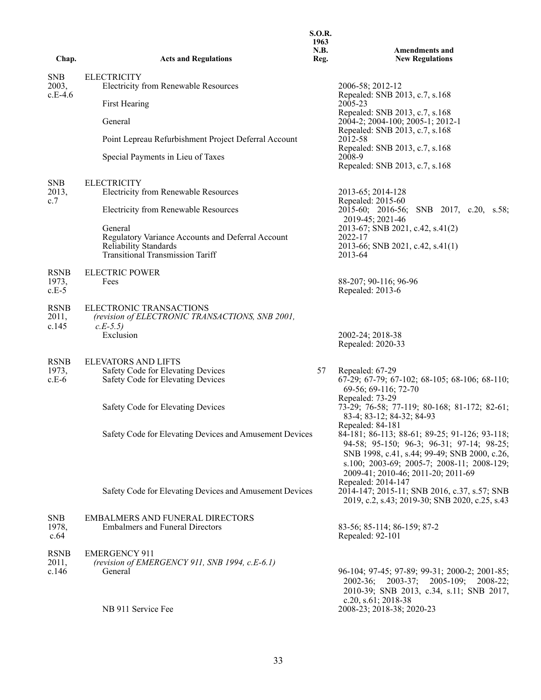| Chap.                           | <b>Acts and Regulations</b>                                                                                                      | <b>S.O.R.</b><br>1963<br>N.B.<br>Reg. | <b>Amendments and</b><br><b>New Regulations</b>                                                                                                                                                                                                                          |
|---------------------------------|----------------------------------------------------------------------------------------------------------------------------------|---------------------------------------|--------------------------------------------------------------------------------------------------------------------------------------------------------------------------------------------------------------------------------------------------------------------------|
| <b>SNB</b><br>2003,             | <b>ELECTRICITY</b><br><b>Electricity from Renewable Resources</b>                                                                |                                       | 2006-58; 2012-12                                                                                                                                                                                                                                                         |
| $c.E-4.6$                       | First Hearing                                                                                                                    |                                       | Repealed: SNB 2013, c.7, s.168<br>2005-23                                                                                                                                                                                                                                |
|                                 | General                                                                                                                          |                                       | Repealed: SNB 2013, c.7, s.168<br>2004-2; 2004-100; 2005-1; 2012-1                                                                                                                                                                                                       |
|                                 | Point Lepreau Refurbishment Project Deferral Account                                                                             |                                       | Repealed: SNB 2013, c.7, s.168<br>2012-58<br>Repealed: SNB 2013, c.7, s.168                                                                                                                                                                                              |
|                                 | Special Payments in Lieu of Taxes                                                                                                |                                       | 2008-9<br>Repealed: SNB 2013, c.7, s.168                                                                                                                                                                                                                                 |
| <b>SNB</b><br>2013,<br>c.7      | <b>ELECTRICITY</b><br><b>Electricity from Renewable Resources</b>                                                                |                                       | 2013-65; 2014-128<br>Repealed: 2015-60                                                                                                                                                                                                                                   |
|                                 | Electricity from Renewable Resources                                                                                             |                                       | 2015-60; 2016-56; SNB 2017, c.20, s.58;<br>2019-45; 2021-46                                                                                                                                                                                                              |
|                                 | General<br>Regulatory Variance Accounts and Deferral Account<br>Reliability Standards<br><b>Transitional Transmission Tariff</b> |                                       | 2013-67; SNB 2021, c.42, s.41(2)<br>2022-17<br>2013-66; SNB 2021, c.42, s.41(1)<br>2013-64                                                                                                                                                                               |
| <b>RSNB</b><br>1973,<br>$c.E-5$ | <b>ELECTRIC POWER</b><br>Fees                                                                                                    |                                       | 88-207; 90-116; 96-96<br>Repealed: 2013-6                                                                                                                                                                                                                                |
| <b>RSNB</b><br>2011,<br>c.145   | ELECTRONIC TRANSACTIONS<br>(revision of ELECTRONIC TRANSACTIONS, SNB 2001,<br>$c.E-5.5)$                                         |                                       |                                                                                                                                                                                                                                                                          |
|                                 | Exclusion                                                                                                                        |                                       | 2002-24; 2018-38<br>Repealed: 2020-33                                                                                                                                                                                                                                    |
| <b>RSNB</b><br>1973,<br>$c.E-6$ | <b>ELEVATORS AND LIFTS</b><br>Safety Code for Elevating Devices<br>Safety Code for Elevating Devices                             | 57                                    | Repealed: 67-29<br>67-29; 67-79; 67-102; 68-105; 68-106; 68-110;<br>69-56; 69-116; 72-70<br>Repealed: 73-29                                                                                                                                                              |
|                                 | Safety Code for Elevating Devices                                                                                                |                                       | 73-29; 76-58; 77-119; 80-168; 81-172; 82-61;<br>83-4; 83-12; 84-32; 84-93                                                                                                                                                                                                |
|                                 | Safety Code for Elevating Devices and Amusement Devices                                                                          |                                       | Repealed: 84-181<br>84-181; 86-113; 88-61; 89-25; 91-126; 93-118;<br>94-58; 95-150; 96-3; 96-31; 97-14; 98-25;<br>SNB 1998, c.41, s.44; 99-49; SNB 2000, c.26,<br>s.100; 2003-69; 2005-7; 2008-11; 2008-129;<br>2009-41; 2010-46; 2011-20; 2011-69<br>Repealed: 2014-147 |
|                                 | Safety Code for Elevating Devices and Amusement Devices                                                                          |                                       | 2014-147; 2015-11; SNB 2016, c.37, s.57; SNB<br>2019, c.2, s.43; 2019-30; SNB 2020, c.25, s.43                                                                                                                                                                           |
| <b>SNB</b><br>1978,<br>c.64     | <b>EMBALMERS AND FUNERAL DIRECTORS</b><br><b>Embalmers and Funeral Directors</b>                                                 |                                       | 83-56; 85-114; 86-159; 87-2<br>Repealed: 92-101                                                                                                                                                                                                                          |
| <b>RSNB</b><br>2011,<br>c.146   | <b>EMERGENCY 911</b><br>(revision of EMERGENCY 911, SNB 1994, c.E-6.1)<br>General                                                |                                       | 96-104; 97-45; 97-89; 99-31; 2000-2; 2001-85;<br>2003-37; 2005-109; 2008-22;<br>$2002 - 36$ ;<br>2010-39; SNB 2013, c.34, s.11; SNB 2017,                                                                                                                                |
|                                 | NB 911 Service Fee                                                                                                               |                                       | c.20, s.61; 2018-38<br>2008-23; 2018-38; 2020-23                                                                                                                                                                                                                         |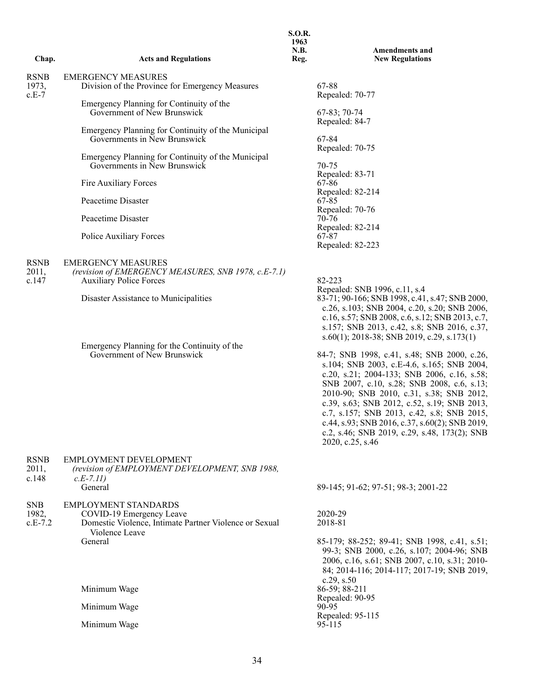| Chap.                           | <b>Acts and Regulations</b>                                                                                        | <b>S.O.R.</b><br>1963<br><b>N.B.</b><br>Reg. | <b>Amendments and</b><br><b>New Regulations</b>                                                                                                                                                                                                                                                                                                                                                                                                       |
|---------------------------------|--------------------------------------------------------------------------------------------------------------------|----------------------------------------------|-------------------------------------------------------------------------------------------------------------------------------------------------------------------------------------------------------------------------------------------------------------------------------------------------------------------------------------------------------------------------------------------------------------------------------------------------------|
|                                 |                                                                                                                    |                                              |                                                                                                                                                                                                                                                                                                                                                                                                                                                       |
| <b>RSNB</b><br>1973,<br>$c.E-7$ | <b>EMERGENCY MEASURES</b><br>Division of the Province for Emergency Measures                                       |                                              | 67-88<br>Repealed: 70-77                                                                                                                                                                                                                                                                                                                                                                                                                              |
|                                 | Emergency Planning for Continuity of the<br>Government of New Brunswick                                            |                                              | 67-83; 70-74<br>Repealed: 84-7                                                                                                                                                                                                                                                                                                                                                                                                                        |
|                                 | Emergency Planning for Continuity of the Municipal<br>Governments in New Brunswick                                 |                                              | 67-84                                                                                                                                                                                                                                                                                                                                                                                                                                                 |
|                                 | Emergency Planning for Continuity of the Municipal<br>Governments in New Brunswick                                 |                                              | Repealed: 70-75<br>70-75<br>Repealed: 83-71                                                                                                                                                                                                                                                                                                                                                                                                           |
|                                 | Fire Auxiliary Forces                                                                                              |                                              | 67-86                                                                                                                                                                                                                                                                                                                                                                                                                                                 |
|                                 | Peacetime Disaster                                                                                                 |                                              | Repealed: 82-214<br>67-85                                                                                                                                                                                                                                                                                                                                                                                                                             |
|                                 | Peacetime Disaster                                                                                                 |                                              | Repealed: 70-76<br>$70-76$<br>Repealed: 82-214                                                                                                                                                                                                                                                                                                                                                                                                        |
|                                 | Police Auxiliary Forces                                                                                            |                                              | 67-87<br>Repealed: 82-223                                                                                                                                                                                                                                                                                                                                                                                                                             |
| <b>RSNB</b><br>2011,<br>c.147   | <b>EMERGENCY MEASURES</b><br>(revision of EMERGENCY MEASURES, SNB 1978, c.E-7.1)<br><b>Auxiliary Police Forces</b> |                                              | 82-223                                                                                                                                                                                                                                                                                                                                                                                                                                                |
|                                 | Disaster Assistance to Municipalities                                                                              |                                              | Repealed: SNB 1996, c.11, s.4<br>83-71; 90-166; SNB 1998, c.41, s.47; SNB 2000,<br>c.26, s.103; SNB 2004, c.20, s.20; SNB 2006,<br>c.16, s.57; SNB 2008, c.6, s.12; SNB 2013, c.7,<br>s.157; SNB 2013, c.42, s.8; SNB 2016, c.37,<br>$s.60(1)$ ; 2018-38; SNB 2019, c.29, s.173(1)                                                                                                                                                                    |
|                                 | Emergency Planning for the Continuity of the<br>Government of New Brunswick                                        |                                              | 84-7; SNB 1998, c.41, s.48; SNB 2000, c.26,<br>s.104; SNB 2003, c.E-4.6, s.165; SNB 2004,<br>c.20, s.21; 2004-133; SNB 2006, c.16, s.58;<br>SNB 2007, c.10, s.28; SNB 2008, c.6, s.13;<br>2010-90; SNB 2010, c.31, s.38; SNB 2012,<br>c.39, s.63; SNB 2012, c.52, s.19; SNB 2013,<br>c.7, s.157; SNB 2013, c.42, s.8; SNB 2015,<br>c.44, s.93; SNB 2016, c.37, s.60(2); SNB 2019,<br>c.2, s.46; SNB 2019, c.29, s.48, 173(2); SNB<br>2020, c.25, s.46 |
| <b>RSNB</b><br>2011,<br>c.148   | EMPLOYMENT DEVELOPMENT<br>(revision of EMPLOYMENT DEVELOPMENT, SNB 1988,<br>$c.E-7.11)$<br>General                 |                                              | 89-145; 91-62; 97-51; 98-3; 2001-22                                                                                                                                                                                                                                                                                                                                                                                                                   |
| <b>SNB</b>                      |                                                                                                                    |                                              |                                                                                                                                                                                                                                                                                                                                                                                                                                                       |
| 1982,<br>$c.E-7.2$              | <b>EMPLOYMENT STANDARDS</b><br>COVID-19 Emergency Leave<br>Domestic Violence, Intimate Partner Violence or Sexual  |                                              | 2020-29<br>2018-81                                                                                                                                                                                                                                                                                                                                                                                                                                    |
|                                 | Violence Leave<br>General                                                                                          |                                              | 85-179; 88-252; 89-41; SNB 1998, c.41, s.51;<br>99-3; SNB 2000, c.26, s.107; 2004-96; SNB<br>2006, c.16, s.61; SNB 2007, c.10, s.31; 2010-<br>84; 2014-116; 2014-117; 2017-19; SNB 2019,<br>c.29, s.50                                                                                                                                                                                                                                                |
|                                 | Minimum Wage                                                                                                       |                                              | 86-59; 88-211<br>Repealed: 90-95                                                                                                                                                                                                                                                                                                                                                                                                                      |
|                                 | Minimum Wage                                                                                                       |                                              | 90-95                                                                                                                                                                                                                                                                                                                                                                                                                                                 |
|                                 | Minimum Wage                                                                                                       |                                              | Repealed: 95-115<br>95-115                                                                                                                                                                                                                                                                                                                                                                                                                            |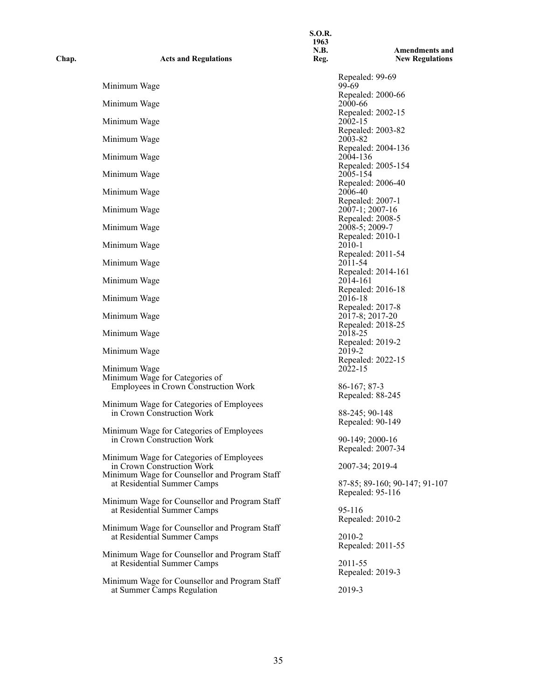| Chap. | <b>Acts and Regulations</b>                                                  | <b>S.O.R.</b><br>1963<br>N.B.<br>Reg. | <b>Amendments and</b><br><b>New Regulations</b>   |
|-------|------------------------------------------------------------------------------|---------------------------------------|---------------------------------------------------|
|       | Minimum Wage                                                                 |                                       | Repealed: 99-69<br>99-69                          |
|       | Minimum Wage                                                                 |                                       | Repealed: 2000-66<br>2000-66                      |
|       | Minimum Wage                                                                 |                                       | Repealed: 2002-15<br>2002-15                      |
|       |                                                                              |                                       | Repealed: 2003-82                                 |
|       | Minimum Wage                                                                 |                                       | 2003-82<br>Repealed: 2004-136                     |
|       | Minimum Wage                                                                 |                                       | 2004-136<br>Repealed: 2005-154                    |
|       | Minimum Wage                                                                 |                                       | 2005-154<br>Repealed: 2006-40                     |
|       | Minimum Wage                                                                 |                                       | 2006-40                                           |
|       | Minimum Wage                                                                 |                                       | Repealed: 2007-1<br>2007-1; 2007-16               |
|       | Minimum Wage                                                                 |                                       | Repealed: 2008-5<br>2008-5; 2009-7                |
|       | Minimum Wage                                                                 |                                       | Repealed: 2010-1<br>$2010 - 1$                    |
|       |                                                                              |                                       | Repealed: 2011-54                                 |
|       | Minimum Wage                                                                 |                                       | 2011-54<br>Repealed: 2014-161                     |
|       | Minimum Wage                                                                 |                                       | 2014-161<br>Repealed: 2016-18                     |
|       | Minimum Wage                                                                 |                                       | 2016-18<br>Repealed: 2017-8                       |
|       | Minimum Wage                                                                 |                                       | 2017-8; 2017-20                                   |
|       | Minimum Wage                                                                 |                                       | Repealed: 2018-25<br>2018-25                      |
|       | Minimum Wage                                                                 |                                       | Repealed: 2019-2<br>2019-2                        |
|       | Minimum Wage                                                                 |                                       | Repealed: 2022-15<br>2022-15                      |
|       | Minimum Wage for Categories of                                               |                                       |                                                   |
|       | Employees in Crown Construction Work                                         |                                       | $86-167; 87-3$<br>Repealed: 88-245                |
|       | Minimum Wage for Categories of Employees<br>in Crown Construction Work       |                                       | 88-245; 90-148                                    |
|       | Minimum Wage for Categories of Employees                                     |                                       | Repealed: 90-149                                  |
|       | in Crown Construction Work                                                   |                                       | 90-149; 2000-16                                   |
|       | Minimum Wage for Categories of Employees                                     |                                       | Repealed: 2007-34                                 |
|       | in Crown Construction Work<br>Minimum Wage for Counsellor and Program Staff  |                                       | 2007-34; 2019-4                                   |
|       | at Residential Summer Camps                                                  |                                       | 87-85; 89-160; 90-147; 91-107<br>Repealed: 95-116 |
|       | Minimum Wage for Counsellor and Program Staff                                |                                       |                                                   |
|       | at Residential Summer Camps                                                  |                                       | 95-116<br>Repealed: 2010-2                        |
|       | Minimum Wage for Counsellor and Program Staff<br>at Residential Summer Camps |                                       | 2010-2                                            |
|       |                                                                              |                                       | Repealed: 2011-55                                 |
|       | Minimum Wage for Counsellor and Program Staff<br>at Residential Summer Camps |                                       | 2011-55                                           |
|       | Minimum Wage for Counsellor and Program Staff                                |                                       | Repealed: 2019-3                                  |
|       | at Summer Camps Regulation                                                   |                                       | 2019-3                                            |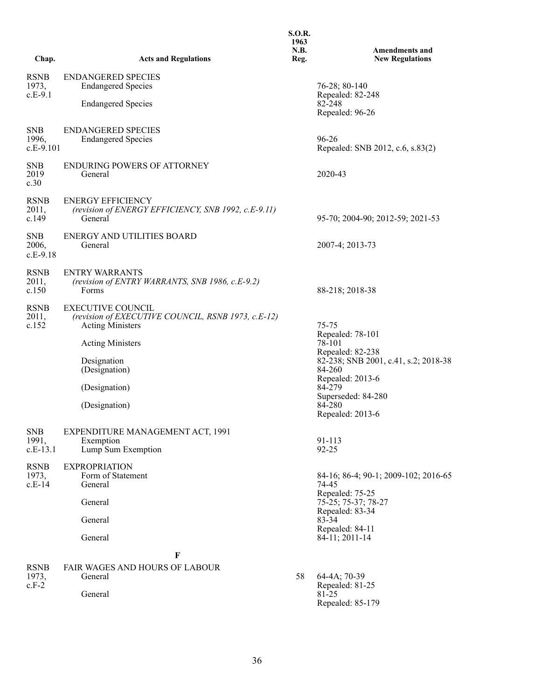| Chap.                              | <b>Acts and Regulations</b>                                                                                                                                                                            | <b>S.O.R.</b><br>1963<br>N.B.<br>Reg. | <b>Amendments and</b><br><b>New Regulations</b>                                                                                                                                             |
|------------------------------------|--------------------------------------------------------------------------------------------------------------------------------------------------------------------------------------------------------|---------------------------------------|---------------------------------------------------------------------------------------------------------------------------------------------------------------------------------------------|
| <b>RSNB</b><br>1973,<br>$c.E-9.1$  | <b>ENDANGERED SPECIES</b><br><b>Endangered Species</b><br><b>Endangered Species</b>                                                                                                                    |                                       | 76-28; 80-140<br>Repealed: 82-248<br>82-248<br>Repealed: 96-26                                                                                                                              |
| <b>SNB</b><br>1996,<br>$c.E-9.101$ | <b>ENDANGERED SPECIES</b><br><b>Endangered Species</b>                                                                                                                                                 |                                       | 96-26<br>Repealed: SNB 2012, c.6, s.83(2)                                                                                                                                                   |
| <b>SNB</b><br>2019<br>c.30         | <b>ENDURING POWERS OF ATTORNEY</b><br>General                                                                                                                                                          |                                       | 2020-43                                                                                                                                                                                     |
| <b>RSNB</b><br>2011,<br>c.149      | <b>ENERGY EFFICIENCY</b><br>(revision of ENERGY EFFICIENCY, SNB 1992, c.E-9.11)<br>General                                                                                                             |                                       | 95-70; 2004-90; 2012-59; 2021-53                                                                                                                                                            |
| <b>SNB</b><br>2006,<br>$c.E-9.18$  | ENERGY AND UTILITIES BOARD<br>General                                                                                                                                                                  |                                       | 2007-4; 2013-73                                                                                                                                                                             |
| <b>RSNB</b><br>2011,<br>c.150      | <b>ENTRY WARRANTS</b><br>(revision of ENTRY WARRANTS, SNB 1986, c.E-9.2)<br>Forms                                                                                                                      |                                       | 88-218; 2018-38                                                                                                                                                                             |
| <b>RSNB</b><br>2011,<br>c.152      | <b>EXECUTIVE COUNCIL</b><br>(revision of EXECUTIVE COUNCIL, RSNB 1973, c.E-12)<br><b>Acting Ministers</b><br><b>Acting Ministers</b><br>Designation<br>(Designation)<br>(Designation)<br>(Designation) |                                       | 75-75<br>Repealed: 78-101<br>78-101<br>Repealed: 82-238<br>82-238; SNB 2001, c.41, s.2; 2018-38<br>84-260<br>Repealed: 2013-6<br>84-279<br>Superseded: 84-280<br>84-280<br>Repealed: 2013-6 |
| <b>SNB</b><br>1991,<br>$c.E-13.1$  | EXPENDITURE MANAGEMENT ACT, 1991<br>Exemption<br>Lump Sum Exemption                                                                                                                                    |                                       | 91-113<br>$92 - 25$                                                                                                                                                                         |
| <b>RSNB</b><br>1973,<br>$c.E-14$   | <b>EXPROPRIATION</b><br>Form of Statement<br>General<br>General<br>General<br>General<br>F                                                                                                             |                                       | 84-16; 86-4; 90-1; 2009-102; 2016-65<br>74-45<br>Repealed: 75-25<br>75-25; 75-37; 78-27<br>Repealed: 83-34<br>83-34<br>Repealed: 84-11<br>84-11; 2011-14                                    |
| <b>RSNB</b><br>1973,<br>$c.F-2$    | FAIR WAGES AND HOURS OF LABOUR<br>General<br>General                                                                                                                                                   | 58                                    | 64-4A; 70-39<br>Repealed: 81-25<br>81-25<br>Repealed: 85-179                                                                                                                                |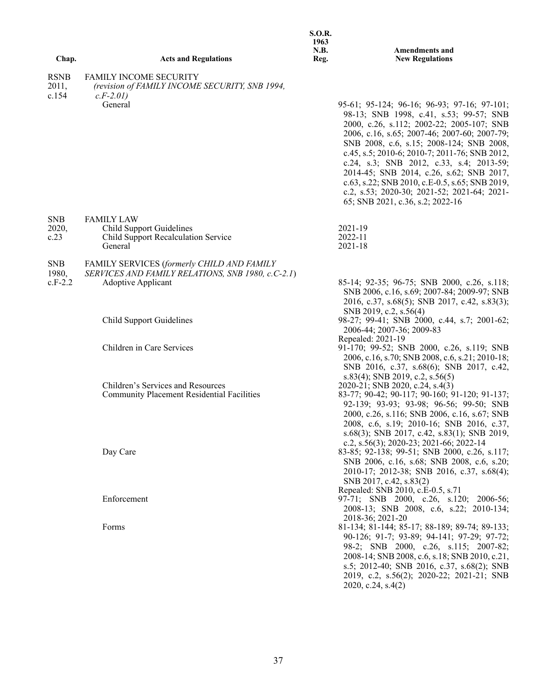|                      |                                                                                                 | 1963<br>N.B. | <b>Amendments and</b>                                                                                                                                                                                                                                                                                                                                                                                                                                                                                         |
|----------------------|-------------------------------------------------------------------------------------------------|--------------|---------------------------------------------------------------------------------------------------------------------------------------------------------------------------------------------------------------------------------------------------------------------------------------------------------------------------------------------------------------------------------------------------------------------------------------------------------------------------------------------------------------|
| Chap.                | <b>Acts and Regulations</b>                                                                     | Reg.         | <b>New Regulations</b>                                                                                                                                                                                                                                                                                                                                                                                                                                                                                        |
| <b>RSNB</b><br>2011, | <b>FAMILY INCOME SECURITY</b><br>(revision of FAMILY INCOME SECURITY, SNB 1994,                 |              |                                                                                                                                                                                                                                                                                                                                                                                                                                                                                                               |
| c.154                | $c.F-2.01$<br>General                                                                           |              | 95-61; 95-124; 96-16; 96-93; 97-16; 97-101;<br>98-13; SNB 1998, c.41, s.53; 99-57; SNB<br>2000, c.26, s.112; 2002-22; 2005-107; SNB<br>2006, c.16, s.65; 2007-46; 2007-60; 2007-79;<br>SNB 2008, c.6, s.15; 2008-124; SNB 2008,<br>c.45, s.5; 2010-6; 2010-7; 2011-76; SNB 2012,<br>c.24, s.3; SNB 2012, c.33, s.4; 2013-59;<br>2014-45; SNB 2014, c.26, s.62; SNB 2017,<br>c.63, s.22; SNB 2010, c.E-0.5, s.65; SNB 2019,<br>c.2, s.53; 2020-30; 2021-52; 2021-64; 2021-<br>65; SNB 2021, c.36, s.2; 2022-16 |
| <b>SNB</b><br>2020,  | <b>FAMILY LAW</b><br><b>Child Support Guidelines</b>                                            |              | 2021-19                                                                                                                                                                                                                                                                                                                                                                                                                                                                                                       |
| c.23                 | Child Support Recalculation Service<br>General                                                  |              | 2022-11<br>$2021 - 18$                                                                                                                                                                                                                                                                                                                                                                                                                                                                                        |
| <b>SNB</b><br>1980,  | FAMILY SERVICES (formerly CHILD AND FAMILY<br>SERVICES AND FAMILY RELATIONS, SNB 1980, c.C-2.1) |              |                                                                                                                                                                                                                                                                                                                                                                                                                                                                                                               |
| $c.F-2.2$            | <b>Adoptive Applicant</b>                                                                       |              | 85-14; 92-35; 96-75; SNB 2000, c.26, s.118;<br>SNB 2006, c.16, s.69; 2007-84; 2009-97; SNB<br>2016, c.37, s.68(5); SNB 2017, c.42, s.83(3);<br>SNB 2019, c.2, s.56(4)                                                                                                                                                                                                                                                                                                                                         |
|                      | <b>Child Support Guidelines</b>                                                                 |              | 98-27; 99-41; SNB 2000, c.44, s.7; 2001-62;<br>2006-44; 2007-36; 2009-83<br>Repealed: 2021-19                                                                                                                                                                                                                                                                                                                                                                                                                 |
|                      | Children in Care Services                                                                       |              | 91-170; 99-52; SNB 2000, c.26, s.119; SNB<br>2006, c.16, s.70; SNB 2008, c.6, s.21; 2010-18;<br>SNB 2016, c.37, s.68(6); SNB 2017, c.42,                                                                                                                                                                                                                                                                                                                                                                      |
|                      | Children's Services and Resources<br><b>Community Placement Residential Facilities</b>          |              | $s.83(4)$ ; SNB 2019, c.2, $s.56(5)$<br>2020-21; SNB 2020, c.24, s.4(3)<br>83-77; 90-42; 90-117; 90-160; 91-120; 91-137;<br>92-139; 93-93; 93-98; 96-56; 99-50; SNB<br>2000, c.26, s.116; SNB 2006, c.16, s.67; SNB<br>2008, c.6, s.19; 2010-16; SNB 2016, c.37,<br>s.68(3); SNB 2017, c.42, s.83(1); SNB 2019,                                                                                                                                                                                               |
|                      | Day Care                                                                                        |              | c.2, s.56(3); 2020-23; 2021-66; 2022-14<br>83-85; 92-138; 99-51; SNB 2000, c.26, s.117;<br>SNB 2006, c.16, s.68; SNB 2008, c.6, s.20;<br>2010-17; 2012-38; SNB 2016, c.37, s.68(4);<br>SNB 2017, c.42, s.83(2)                                                                                                                                                                                                                                                                                                |
|                      | Enforcement                                                                                     |              | Repealed: SNB 2010, c.E-0.5, s.71<br>97-71; SNB 2000, c.26, s.120; 2006-56;<br>2008-13; SNB 2008, c.6, s.22; 2010-134;<br>2018-36; 2021-20                                                                                                                                                                                                                                                                                                                                                                    |
|                      | Forms                                                                                           |              | 81-134; 81-144; 85-17; 88-189; 89-74; 89-133;<br>90-126; 91-7; 93-89; 94-141; 97-29; 97-72;<br>98-2; SNB 2000, c.26, s.115; 2007-82;<br>2008-14; SNB 2008, c.6, s.18; SNB 2010, c.21,<br>s.5; 2012-40; SNB 2016, c.37, s.68(2); SNB<br>2019, c.2, s.56(2); 2020-22; 2021-21; SNB<br>2020, c.24, s.4(2)                                                                                                                                                                                                        |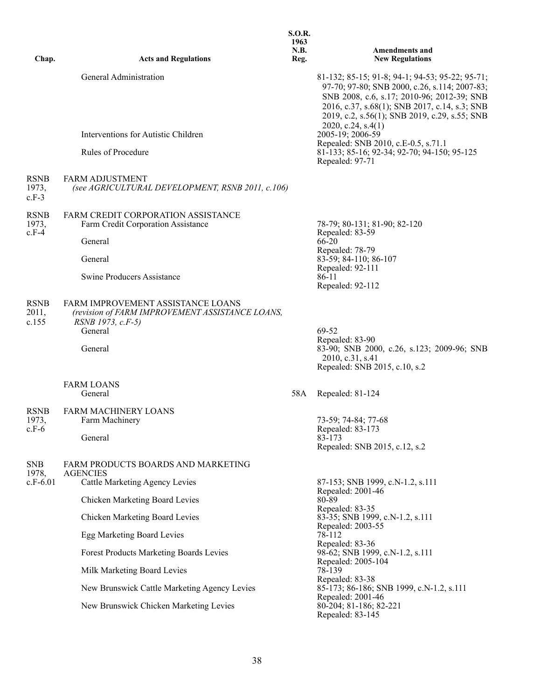| Chap.                  | <b>Acts and Regulations</b>                                                                                          | <b>S.O.R.</b><br>1963<br>N.B.<br>Reg. | <b>Amendments and</b><br><b>New Regulations</b>                                                                                                                                                                                                                           |
|------------------------|----------------------------------------------------------------------------------------------------------------------|---------------------------------------|---------------------------------------------------------------------------------------------------------------------------------------------------------------------------------------------------------------------------------------------------------------------------|
|                        | General Administration                                                                                               |                                       | 81-132; 85-15; 91-8; 94-1; 94-53; 95-22; 95-71;<br>97-70; 97-80; SNB 2000, c.26, s.114; 2007-83;<br>SNB 2008, c.6, s.17; 2010-96; 2012-39; SNB<br>2016, c.37, s.68(1); SNB 2017, c.14, s.3; SNB<br>2019, c.2, s.56(1); SNB 2019, c.29, s.55; SNB<br>2020, c.24, s.4 $(1)$ |
|                        | Interventions for Autistic Children                                                                                  |                                       | 2005-19; 2006-59<br>Repealed: SNB 2010, c.E-0.5, s.71.1                                                                                                                                                                                                                   |
|                        | Rules of Procedure                                                                                                   |                                       | 81-133; 85-16; 92-34; 92-70; 94-150; 95-125<br>Repealed: 97-71                                                                                                                                                                                                            |
| RSNB<br>1973,<br>c.F-3 | <b>FARM ADJUSTMENT</b><br>(see AGRICULTURAL DEVELOPMENT, RSNB 2011, c.106)                                           |                                       |                                                                                                                                                                                                                                                                           |
| RSNB<br>1973,<br>c.F-4 | FARM CREDIT CORPORATION ASSISTANCE<br>Farm Credit Corporation Assistance                                             |                                       | 78-79; 80-131; 81-90; 82-120<br>Repealed: 83-59                                                                                                                                                                                                                           |
|                        | General                                                                                                              |                                       | 66-20                                                                                                                                                                                                                                                                     |
|                        | General                                                                                                              |                                       | Repealed: 78-79<br>83-59; 84-110; 86-107                                                                                                                                                                                                                                  |
|                        | <b>Swine Producers Assistance</b>                                                                                    |                                       | Repealed: 92-111<br>86-11<br>Repealed: 92-112                                                                                                                                                                                                                             |
| RSNB<br>2011,<br>c.155 | FARM IMPROVEMENT ASSISTANCE LOANS<br>(revision of FARM IMPROVEMENT ASSISTANCE LOANS,<br>RSNB 1973, c.F-5)<br>General |                                       | 69-52<br>Repealed: 83-90                                                                                                                                                                                                                                                  |
|                        | General                                                                                                              |                                       | 83-90; SNB 2000, c.26, s.123; 2009-96; SNB<br>2010, c.31, s.41<br>Repealed: SNB 2015, c.10, s.2                                                                                                                                                                           |
|                        | <b>FARM LOANS</b><br>General                                                                                         | 58A                                   | Repealed: 81-124                                                                                                                                                                                                                                                          |
| RSNB<br>1973,          | <b>FARM MACHINERY LOANS</b><br>Farm Machinery                                                                        |                                       | 73-59; 74-84; 77-68                                                                                                                                                                                                                                                       |
| c.F-6                  | General                                                                                                              |                                       | Repealed: 83-173<br>83-173<br>Repealed: SNB 2015, c.12, s.2                                                                                                                                                                                                               |
| SNB                    | FARM PRODUCTS BOARDS AND MARKETING                                                                                   |                                       |                                                                                                                                                                                                                                                                           |
| 1978,<br>c.F-6.01      | <b>AGENCIES</b><br><b>Cattle Marketing Agency Levies</b>                                                             |                                       | 87-153; SNB 1999, c.N-1.2, s.111                                                                                                                                                                                                                                          |
|                        | Chicken Marketing Board Levies                                                                                       |                                       | Repealed: 2001-46<br>80-89                                                                                                                                                                                                                                                |
|                        | Chicken Marketing Board Levies                                                                                       |                                       | Repealed: 83-35<br>83-35; SNB 1999, c.N-1.2, s.111                                                                                                                                                                                                                        |
|                        | Egg Marketing Board Levies                                                                                           |                                       | Repealed: 2003-55<br>78-112                                                                                                                                                                                                                                               |
|                        | Forest Products Marketing Boards Levies                                                                              |                                       | Repealed: 83-36<br>98-62; SNB 1999, c.N-1.2, s.111                                                                                                                                                                                                                        |
|                        | Milk Marketing Board Levies                                                                                          |                                       | Repealed: 2005-104<br>78-139                                                                                                                                                                                                                                              |
|                        | New Brunswick Cattle Marketing Agency Levies                                                                         |                                       | Repealed: 83-38<br>85-173; 86-186; SNB 1999, c.N-1.2, s.111                                                                                                                                                                                                               |
|                        | New Brunswick Chicken Marketing Levies                                                                               |                                       | Repealed: 2001-46<br>80-204; 81-186; 82-221<br>Repealed: 83-145                                                                                                                                                                                                           |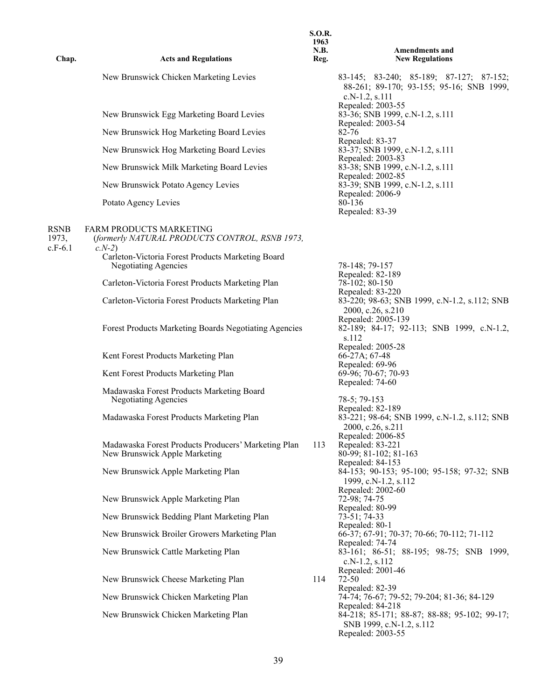| Chap.                             | <b>Acts and Regulations</b>                                                                 | <b>S.O.R.</b><br>1963<br><b>N.B.</b><br>Reg. | <b>Amendments and</b><br><b>New Regulations</b>                                                                   |
|-----------------------------------|---------------------------------------------------------------------------------------------|----------------------------------------------|-------------------------------------------------------------------------------------------------------------------|
|                                   | New Brunswick Chicken Marketing Levies                                                      |                                              | 83-145; 83-240; 85-189; 87-127; 87-152;<br>88-261; 89-170; 93-155; 95-16; SNB 1999,<br>c.N-1.2, s.111             |
|                                   | New Brunswick Egg Marketing Board Levies                                                    |                                              | Repealed: 2003-55<br>83-36; SNB 1999, c.N-1.2, s.111<br>Repealed: 2003-54                                         |
|                                   | New Brunswick Hog Marketing Board Levies                                                    |                                              | 82-76<br>Repealed: 83-37                                                                                          |
|                                   | New Brunswick Hog Marketing Board Levies                                                    |                                              | 83-37; SNB 1999, c.N-1.2, s.111<br>Repealed: 2003-83                                                              |
|                                   | New Brunswick Milk Marketing Board Levies                                                   |                                              | 83-38; SNB 1999, c.N-1.2, s.111<br>Repealed: 2002-85                                                              |
|                                   | New Brunswick Potato Agency Levies                                                          |                                              | 83-39; SNB 1999, c.N-1.2, s.111<br>Repealed: 2006-9                                                               |
|                                   | Potato Agency Levies                                                                        |                                              | 80-136<br>Repealed: 83-39                                                                                         |
| <b>RSNB</b><br>1973,<br>$c.F-6.1$ | <b>FARM PRODUCTS MARKETING</b><br>(formerly NATURAL PRODUCTS CONTROL, RSNB 1973,<br>$c.N-2$ |                                              |                                                                                                                   |
|                                   | Carleton-Victoria Forest Products Marketing Board<br>Negotiating Agencies                   |                                              | 78-148; 79-157<br>Repealed: 82-189                                                                                |
|                                   | Carleton-Victoria Forest Products Marketing Plan                                            |                                              | 78-102; 80-150<br>Repealed: 83-220                                                                                |
|                                   | Carleton-Victoria Forest Products Marketing Plan                                            |                                              | 83-220; 98-63; SNB 1999, c.N-1.2, s.112; SNB<br>2000, c.26, s.210                                                 |
|                                   | Forest Products Marketing Boards Negotiating Agencies                                       |                                              | Repealed: 2005-139<br>82-189; 84-17; 92-113; SNB 1999, c.N-1.2,<br>s.112                                          |
|                                   | Kent Forest Products Marketing Plan                                                         |                                              | Repealed: 2005-28<br>$66-27A$ ; 67-48                                                                             |
|                                   | Kent Forest Products Marketing Plan                                                         |                                              | Repealed: 69-96<br>69-96; 70-67; 70-93                                                                            |
|                                   | Madawaska Forest Products Marketing Board<br><b>Negotiating Agencies</b>                    |                                              | Repealed: 74-60<br>78-5; 79-153                                                                                   |
|                                   | Madawaska Forest Products Marketing Plan                                                    |                                              | Repealed: 82-189<br>83-221; 98-64; SNB 1999, c.N-1.2, s.112; SNB<br>2000, c.26, s.211                             |
|                                   | Madawaska Forest Products Producers' Marketing Plan<br>New Brunswick Apple Marketing        | 113                                          | Repealed: 2006-85<br>Repealed: 83-221<br>80-99; 81-102; 81-163<br>Repealed: 84-153                                |
|                                   | New Brunswick Apple Marketing Plan                                                          |                                              | 84-153; 90-153; 95-100; 95-158; 97-32; SNB<br>1999, c.N-1.2, s.112                                                |
|                                   | New Brunswick Apple Marketing Plan                                                          |                                              | Repealed: 2002-60<br>72-98; 74-75                                                                                 |
|                                   | New Brunswick Bedding Plant Marketing Plan                                                  |                                              | Repealed: 80-99<br>73-51; 74-33<br>Repealed: 80-1                                                                 |
|                                   | New Brunswick Broiler Growers Marketing Plan                                                |                                              | 66-37; 67-91; 70-37; 70-66; 70-112; 71-112<br>Repealed: 74-74                                                     |
|                                   | New Brunswick Cattle Marketing Plan                                                         |                                              | 83-161; 86-51; 88-195; 98-75; SNB 1999,<br>$c.N-1.2, s.112$                                                       |
|                                   | New Brunswick Cheese Marketing Plan                                                         | 114                                          | Repealed: 2001-46<br>$72 - 50$                                                                                    |
|                                   | New Brunswick Chicken Marketing Plan                                                        |                                              | Repealed: 82-39<br>74-74; 76-67; 79-52; 79-204; 81-36; 84-129                                                     |
|                                   | New Brunswick Chicken Marketing Plan                                                        |                                              | Repealed: 84-218<br>84-218; 85-171; 88-87; 88-88; 95-102; 99-17;<br>SNB 1999, c.N-1.2, s.112<br>Repealed: 2003-55 |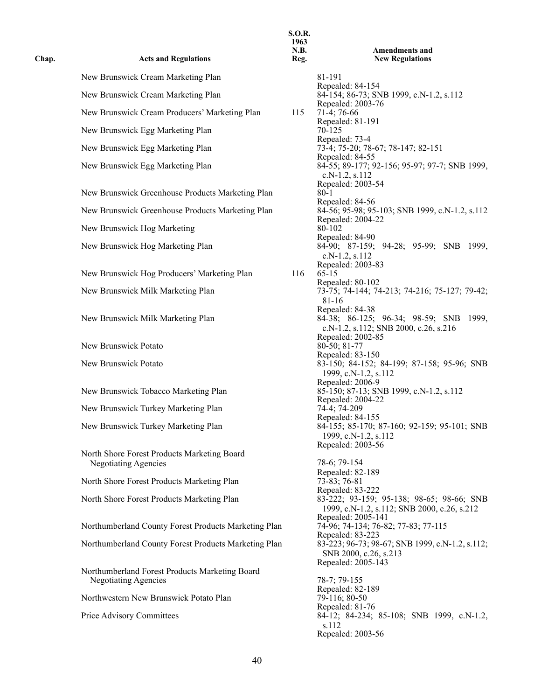| Chap. | <b>Acts and Regulations</b>                                                   | 1709<br>N.B.<br>Reg. |                                                     |
|-------|-------------------------------------------------------------------------------|----------------------|-----------------------------------------------------|
|       | New Brunswick Cream Marketing Plan                                            |                      | 81-191                                              |
|       | New Brunswick Cream Marketing Plan                                            |                      | Repeal<br>84-154                                    |
|       | New Brunswick Cream Producers' Marketing Plan                                 | 115                  | Repeal<br>$71-4;7$                                  |
|       | New Brunswick Egg Marketing Plan                                              |                      | Repeal<br>70-125                                    |
|       | New Brunswick Egg Marketing Plan                                              |                      | Repeal<br>$73-4;7$                                  |
|       | New Brunswick Egg Marketing Plan                                              |                      | Repeal<br>$84-55;$<br>$c.N-1$                       |
|       | New Brunswick Greenhouse Products Marketing Plan                              |                      | Repeal<br>$80 - 1$                                  |
|       | New Brunswick Greenhouse Products Marketing Plan                              |                      | Repeal<br>$84-56;$                                  |
|       | New Brunswick Hog Marketing                                                   |                      | Repeal<br>80-102                                    |
|       | New Brunswick Hog Marketing Plan                                              |                      | Repeal<br>$84-90;$<br>$c.N-1$                       |
|       | New Brunswick Hog Producers' Marketing Plan                                   | 116                  | Repeal<br>$65-15$                                   |
|       | New Brunswick Milk Marketing Plan                                             |                      | Repeal<br>$73-75;$<br>$81 - 16$                     |
|       | New Brunswick Milk Marketing Plan                                             |                      | Repeal<br>$84-38;$<br>$c.N-1$                       |
|       | New Brunswick Potato                                                          |                      | Repeal<br>$80-50;$                                  |
|       | New Brunswick Potato                                                          |                      | Repeal<br>83-150<br>1999,                           |
|       | New Brunswick Tobacco Marketing Plan                                          |                      | Repeal<br>85-150<br>Repeal                          |
|       | New Brunswick Turkey Marketing Plan                                           |                      | $74-4;7$<br>Repeal                                  |
|       | New Brunswick Turkey Marketing Plan                                           |                      | 84-155<br>1999.                                     |
|       | North Shore Forest Products Marketing Board<br>Negotiating Agencies           |                      | Repeal<br>$78-6;7$<br>Repeal                        |
|       | North Shore Forest Products Marketing Plan                                    |                      | $73 - 83;$<br>Repeal                                |
|       | North Shore Forest Products Marketing Plan                                    |                      | 83-222<br>1999,                                     |
|       | Northumberland County Forest Products Marketing Plan                          |                      | Repeal<br>$74-96;$                                  |
|       | Northumberland County Forest Products Marketing Plan                          |                      | Repeal<br>83-223<br><b>SNB</b>                      |
|       | Northumberland Forest Products Marketing Board<br><b>Negotiating Agencies</b> |                      | Repeal<br>$78-7;7$                                  |
|       | Northwestern New Brunswick Potato Plan                                        |                      | Repeal<br>79-116<br>Repeal                          |
|       | Price Advisory Committees                                                     |                      | $84-12;$<br>s.112<br>$D$ <sub>an</sub> <sup>1</sup> |

**S.O.R. 1963 N.B. Reg. Amendments and New Regulations** Repealed: 84-154 84-154; 86-73; SNB 1999, c.N-1.2, s.112 Repealed: 2003-76  $115$  71-4; 76-66 Repealed: 81-191<br>70-125 Repealed: 73-4 73-4; 75-20; 78-67; 78-147; 82-151 Repealed: 84-55 84-55; 89-177; 92-156; 95-97; 97-7; SNB 1999, c.N-1.2, s.112 Repealed: 2003-54 Repealed: 84-56 84-56; 95-98; 95-103; SNB 1999, c.N-1.2, s.112 Repealed: 2004-22<br>80-102 Repealed: 84-90 84-90; 87-159; 94-28; 95-99; SNB 1999, c.N-1.2, s.112 Repealed: 2003-83<br>65-15 Repealed: 80-102 73-75; 74-144; 74-213; 74-216; 75-127; 79-42; 81-16 Repealed: 84-38 84-38; 86-125; 96-34; 98-59; SNB 1999, c.N-1.2, s.112; SNB 2000, c.26, s.216 Repealed: 2002-85  $80-50; 81-77$ Repealed: 83-150 83-150; 84-152; 84-199; 87-158; 95-96; SNB 1999, c.N-1.2, s.112 Repealed: 2006-9 85-150; 87-13; SNB 1999, c.N-1.2, s.112 Repealed: 2004-22  $74-4$ ; 74-209 Repealed: 84-155 84-155; 85-170; 87-160; 92-159; 95-101; SNB 1999, c.N-1.2, s.112 Repealed: 2003-56 78-6; 79-154 Repealed: 82-189  $73-83; 76-81$ Repealed: 83-222 83-222; 93-159; 95-138; 98-65; 98-66; SNB 1999, c.N-1.2, s.112; SNB 2000, c.26, s.212 Repealed: 2005-141 74-96; 74-134; 76-82; 77-83; 77-115 Repealed: 83-223 83-223; 96-73; 98-67; SNB 1999, c.N-1.2, s.112; SNB 2000, c.26, s.213 Repealed: 2005-143 78-7; 79-155 Repealed: 82-189  $79-116$ ; 80-50 Repealed: 81-76 84-12; 84-234; 85-108; SNB 1999, c.N-1.2, s.112 Repealed: 2003-56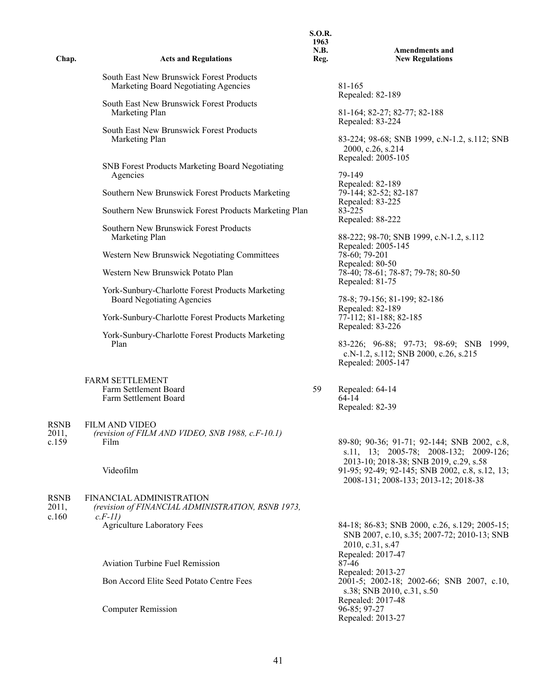| Chap.                         | <b>Acts and Regulations</b>                                                               | <b>S.O.R.</b><br>1963<br>N.B.<br>Reg. | <b>Amendments and</b><br><b>New Regulations</b>                                                                                       |
|-------------------------------|-------------------------------------------------------------------------------------------|---------------------------------------|---------------------------------------------------------------------------------------------------------------------------------------|
|                               | South East New Brunswick Forest Products<br>Marketing Board Negotiating Agencies          |                                       | 81-165<br>Repealed: 82-189                                                                                                            |
|                               | South East New Brunswick Forest Products<br>Marketing Plan                                |                                       | 81-164; 82-27; 82-77; 82-188<br>Repealed: 83-224                                                                                      |
|                               | South East New Brunswick Forest Products<br>Marketing Plan                                |                                       | 83-224; 98-68; SNB 1999, c.N-1.2, s.112; SNB<br>2000, c.26, s.214<br>Repealed: 2005-105                                               |
|                               | SNB Forest Products Marketing Board Negotiating<br>Agencies                               |                                       | 79-149<br>Repealed: 82-189                                                                                                            |
|                               | Southern New Brunswick Forest Products Marketing                                          |                                       | 79-144; 82-52; 82-187                                                                                                                 |
|                               | Southern New Brunswick Forest Products Marketing Plan                                     |                                       | Repealed: 83-225<br>83-225<br>Repealed: 88-222                                                                                        |
|                               | Southern New Brunswick Forest Products<br>Marketing Plan                                  |                                       | 88-222; 98-70; SNB 1999, c.N-1.2, s.112                                                                                               |
|                               | Western New Brunswick Negotiating Committees                                              |                                       | Repealed: 2005-145<br>78-60; 79-201<br>Repealed: 80-50                                                                                |
|                               | Western New Brunswick Potato Plan                                                         |                                       | 78-40; 78-61; 78-87; 79-78; 80-50<br>Repealed: 81-75                                                                                  |
|                               | York-Sunbury-Charlotte Forest Products Marketing<br><b>Board Negotiating Agencies</b>     |                                       | 78-8; 79-156; 81-199; 82-186<br>Repealed: 82-189                                                                                      |
|                               | York-Sunbury-Charlotte Forest Products Marketing                                          |                                       | 77-112; 81-188; 82-185<br>Repealed: 83-226                                                                                            |
|                               | York-Sunbury-Charlotte Forest Products Marketing<br>Plan                                  |                                       | 83-226; 96-88; 97-73; 98-69; SNB 1999,<br>c.N-1.2, s.112; SNB 2000, c.26, s.215<br>Repealed: 2005-147                                 |
|                               | <b>FARM SETTLEMENT</b><br>Farm Settlement Board<br>Farm Settlement Board                  | 59                                    | Repealed: 64-14<br>64-14<br>Repealed: 82-39                                                                                           |
| <b>RSNB</b><br>2011,<br>c.159 | <b>FILM AND VIDEO</b><br>(revision of FILM AND VIDEO, SNB 1988, c.F-10.1)<br>Film         |                                       | 89-80; 90-36; 91-71; 92-144; SNB 2002, c.8,<br>s.11, 13; 2005-78; 2008-132; 2009-126;<br>2013-10; 2018-38; SNB 2019, c.29, s.58       |
|                               | Videofilm                                                                                 |                                       | 91-95; 92-49; 92-145; SNB 2002, c.8, s.12, 13;<br>2008-131; 2008-133; 2013-12; 2018-38                                                |
| <b>RSNB</b><br>2011,<br>c.160 | FINANCIAL ADMINISTRATION<br>(revision of FINANCIAL ADMINISTRATION, RSNB 1973,<br>$c.F-11$ |                                       |                                                                                                                                       |
|                               | <b>Agriculture Laboratory Fees</b>                                                        |                                       | 84-18; 86-83; SNB 2000, c.26, s.129; 2005-15;<br>SNB 2007, c.10, s.35; 2007-72; 2010-13; SNB<br>2010, c.31, s.47<br>Repealed: 2017-47 |
|                               | <b>Aviation Turbine Fuel Remission</b>                                                    |                                       | 87-46<br>Repealed: 2013-27                                                                                                            |
|                               | Bon Accord Elite Seed Potato Centre Fees                                                  |                                       | 2001-5; 2002-18; 2002-66; SNB 2007, c.10,<br>s.38; SNB 2010, c.31, s.50<br>Repealed: 2017-48                                          |
|                               | <b>Computer Remission</b>                                                                 |                                       | $96 - 85; 97 - 27$<br>Repealed: 2013-27                                                                                               |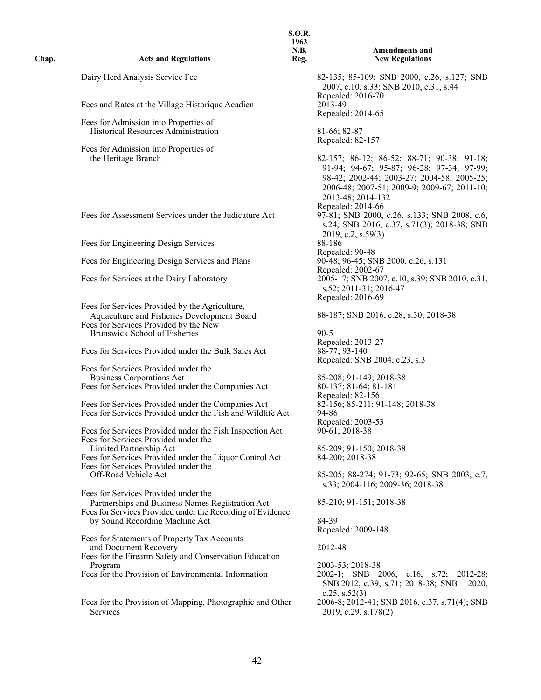| Chap. | <b>Acts and Regulations</b>                                                                                                                                                    | <b>S.O.R.</b><br>1963<br>N.B.<br>Reg. | <b>Amendments and</b><br><b>New Regulations</b>                                                                                                                                                           |
|-------|--------------------------------------------------------------------------------------------------------------------------------------------------------------------------------|---------------------------------------|-----------------------------------------------------------------------------------------------------------------------------------------------------------------------------------------------------------|
|       | Dairy Herd Analysis Service Fee                                                                                                                                                |                                       | 82-135; 85-109; SNB 2000, c.26, s.127; SNB<br>2007, c.10, s.33; SNB 2010, c.31, s.44                                                                                                                      |
|       | Fees and Rates at the Village Historique Acadien                                                                                                                               |                                       | Repealed: 2016-70<br>$20\overline{1}3-49$<br>Repealed: 2014-65                                                                                                                                            |
|       | Fees for Admission into Properties of<br>Historical Resources Administration                                                                                                   |                                       | 81-66; 82-87<br>Repealed: 82-157                                                                                                                                                                          |
|       | Fees for Admission into Properties of<br>the Heritage Branch                                                                                                                   |                                       | 82-157; 86-12; 86-52; 88-71; 90-38; 91-18;<br>91-94; 94-67; 95-87; 96-28; 97-34; 97-99;<br>98-42; 2002-44; 2003-27; 2004-58; 2005-25;<br>2006-48; 2007-51; 2009-9; 2009-67; 2011-10;<br>2013-48; 2014-132 |
|       | Fees for Assessment Services under the Judicature Act                                                                                                                          |                                       | Repealed: 2014-66<br>97-81; SNB 2000, c.26, s.133; SNB 2008, c.6,<br>s.24; SNB 2016, c.37, s.71(3); 2018-38; SNB<br>2019, c.2, s.59(3)                                                                    |
|       | Fees for Engineering Design Services                                                                                                                                           |                                       | 88-186                                                                                                                                                                                                    |
|       | Fees for Engineering Design Services and Plans                                                                                                                                 |                                       | Repealed: 90-48<br>90-48; 96-45; SNB 2000, c.26, s.131<br>Repealed: 2002-67                                                                                                                               |
|       | Fees for Services at the Dairy Laboratory                                                                                                                                      |                                       | 2005-17; SNB 2007, c.10, s.39; SNB 2010, c.31,<br>s.52; 2011-31; 2016-47<br>Repealed: 2016-69                                                                                                             |
|       | Fees for Services Provided by the Agriculture,<br>Aquaculture and Fisheries Development Board<br>Fees for Services Provided by the New<br><b>Brunswick School of Fisheries</b> |                                       | 88-187; SNB 2016, c.28, s.30; 2018-38<br>$90 - 5$                                                                                                                                                         |
|       | Fees for Services Provided under the Bulk Sales Act                                                                                                                            |                                       | Repealed: 2013-27<br>88-77; 93-140<br>Repealed: SNB 2004, c.23, s.3                                                                                                                                       |
|       | Fees for Services Provided under the                                                                                                                                           |                                       |                                                                                                                                                                                                           |
|       | <b>Business Corporations Act</b><br>Fees for Services Provided under the Companies Act                                                                                         |                                       | 85-208; 91-149; 2018-38<br>80-137; 81-64; 81-181                                                                                                                                                          |
|       | Fees for Services Provided under the Companies Act<br>Fees for Services Provided under the Fish and Wildlife Act                                                               |                                       | Repealed: 82-156<br>82-156; 85-211; 91-148; 2018-38<br>94-86                                                                                                                                              |
|       | Fees for Services Provided under the Fish Inspection Act<br>Fees for Services Provided under the                                                                               |                                       | Repealed: 2003-53<br>$90-61$ ; 2018-38                                                                                                                                                                    |
|       | Limited Partnership Act<br>Fees for Services Provided under the Liquor Control Act<br>Fees for Services Provided under the                                                     |                                       | 85-209; 91-150; 2018-38<br>84-200; 2018-38                                                                                                                                                                |
|       | Off-Road Vehicle Act<br>Fees for Services Provided under the                                                                                                                   |                                       | 85-205; 88-274; 91-73; 92-65; SNB 2003, c.7,<br>s.33; 2004-116; 2009-36; 2018-38                                                                                                                          |
|       | Partnerships and Business Names Registration Act<br>Fees for Services Provided under the Recording of Evidence                                                                 |                                       | 85-210; 91-151; 2018-38                                                                                                                                                                                   |
|       | by Sound Recording Machine Act                                                                                                                                                 |                                       | 84-39<br>Repealed: 2009-148                                                                                                                                                                               |
|       | Fees for Statements of Property Tax Accounts<br>and Document Recovery                                                                                                          |                                       | 2012-48                                                                                                                                                                                                   |
|       | Fees for the Firearm Safety and Conservation Education<br>Program<br>Fees for the Provision of Environmental Information                                                       |                                       | 2003-53; 2018-38<br>2002-1; SNB 2006, c.16, s.72; 2012-28;<br>SNB 2012, c.39, s.71; 2018-38; SNB<br>2020,<br>$c.25$ , $s.52(3)$                                                                           |
|       | Fees for the Provision of Mapping, Photographic and Other<br>Services                                                                                                          |                                       | 2006-8; 2012-41; SNB 2016, c.37, s.71(4); SNB<br>2019, c.29, s.178(2)                                                                                                                                     |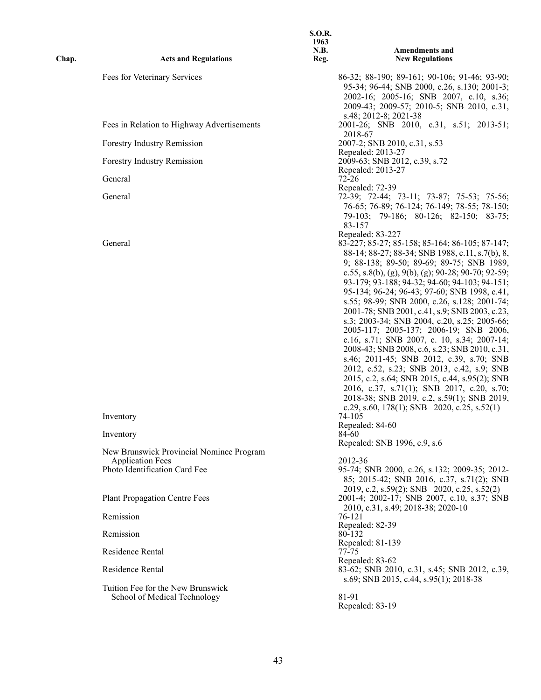| Chap. | <b>Acts and Regulations</b>                                       | <b>S.O.R.</b><br>1963<br><b>N.B.</b><br>Reg. | <b>Amendments and</b><br><b>New Regulations</b>                                                                                                                                                                                                                                                                                                                                                                                                                                                                                                                                                                                                                                                                |
|-------|-------------------------------------------------------------------|----------------------------------------------|----------------------------------------------------------------------------------------------------------------------------------------------------------------------------------------------------------------------------------------------------------------------------------------------------------------------------------------------------------------------------------------------------------------------------------------------------------------------------------------------------------------------------------------------------------------------------------------------------------------------------------------------------------------------------------------------------------------|
|       | Fees for Veterinary Services                                      |                                              | 86-32; 88-190; 89-161; 90-106; 91-46; 93-90;<br>95-34; 96-44; SNB 2000, c.26, s.130; 2001-3;<br>2002-16; 2005-16; SNB 2007, c.10, s.36;<br>2009-43; 2009-57; 2010-5; SNB 2010, c.31,                                                                                                                                                                                                                                                                                                                                                                                                                                                                                                                           |
|       | Fees in Relation to Highway Advertisements                        |                                              | s.48; 2012-8; 2021-38<br>2001-26; SNB 2010, c.31, s.51; 2013-51;<br>2018-67                                                                                                                                                                                                                                                                                                                                                                                                                                                                                                                                                                                                                                    |
|       | Forestry Industry Remission                                       |                                              | 2007-2; SNB 2010, c.31, s.53                                                                                                                                                                                                                                                                                                                                                                                                                                                                                                                                                                                                                                                                                   |
|       | Forestry Industry Remission                                       |                                              | Repealed: 2013-27<br>2009-63; SNB 2012, c.39, s.72<br>Repealed: 2013-27                                                                                                                                                                                                                                                                                                                                                                                                                                                                                                                                                                                                                                        |
|       | General                                                           |                                              | $72 - 26$                                                                                                                                                                                                                                                                                                                                                                                                                                                                                                                                                                                                                                                                                                      |
|       | General                                                           |                                              | Repealed: 72-39<br>72-39; 72-44; 73-11; 73-87; 75-53; 75-56;<br>76-65; 76-89; 76-124; 76-149; 78-55; 78-150;<br>79-103; 79-186; 80-126; 82-150; 83-75;<br>83-157                                                                                                                                                                                                                                                                                                                                                                                                                                                                                                                                               |
|       | General                                                           |                                              | Repealed: 83-227<br>83-227; 85-27; 85-158; 85-164; 86-105; 87-147;<br>88-14; 88-27; 88-34; SNB 1988, c.11, s.7(b), 8,<br>9; 88-138; 89-50; 89-69; 89-75; SNB 1989,<br>c.55, s.8(b), (g), 9(b), (g); 90-28; 90-70; 92-59;<br>93-179; 93-188; 94-32; 94-60; 94-103; 94-151;<br>95-134; 96-24; 96-43; 97-60; SNB 1998, c.41,<br>s.55; 98-99; SNB 2000, c.26, s.128; 2001-74;<br>2001-78; SNB 2001, c.41, s.9; SNB 2003, c.23,<br>s.3; 2003-34; SNB 2004, c.20, s.25; 2005-66;<br>2005-117; 2005-137; 2006-19; SNB 2006,<br>c.16, s.71; SNB 2007, c. 10, s.34; 2007-14;<br>2008-43; SNB 2008, c.6, s.23; SNB 2010, c.31,<br>s.46; 2011-45; SNB 2012, c.39, s.70; SNB<br>2012, c.52, s.23; SNB 2013, c.42, s.9; SNB |
|       | Inventory                                                         |                                              | 2015, c.2, s.64; SNB 2015, c.44, s.95(2); SNB<br>2016, c.37, s.71(1); SNB 2017, c.20, s.70;<br>2018-38; SNB 2019, c.2, s.59(1); SNB 2019,<br>c.29, s.60, 178(1); SNB 2020, c.25, s.52(1)<br>74-105<br>Repealed: 84-60                                                                                                                                                                                                                                                                                                                                                                                                                                                                                          |
|       | Inventory                                                         |                                              | 84-60<br>Repealed: SNB 1996, c.9, s.6                                                                                                                                                                                                                                                                                                                                                                                                                                                                                                                                                                                                                                                                          |
|       | New Brunswick Provincial Nominee Program                          |                                              |                                                                                                                                                                                                                                                                                                                                                                                                                                                                                                                                                                                                                                                                                                                |
|       | <b>Application Fees</b><br>Photo Identification Card Fee          |                                              | 2012-36<br>95-74; SNB 2000, c.26, s.132; 2009-35; 2012-<br>85; 2015-42; SNB 2016, c.37, s.71(2); SNB<br>2019, c.2, s.59(2); SNB 2020, c.25, s.52(2)                                                                                                                                                                                                                                                                                                                                                                                                                                                                                                                                                            |
|       | <b>Plant Propagation Centre Fees</b>                              |                                              | 2001-4; 2002-17; SNB 2007, c.10, s.37; SNB                                                                                                                                                                                                                                                                                                                                                                                                                                                                                                                                                                                                                                                                     |
|       | Remission                                                         |                                              | 2010, c.31, s.49; 2018-38; 2020-10<br>76-121                                                                                                                                                                                                                                                                                                                                                                                                                                                                                                                                                                                                                                                                   |
|       | Remission                                                         |                                              | Repealed: 82-39<br>80-132                                                                                                                                                                                                                                                                                                                                                                                                                                                                                                                                                                                                                                                                                      |
|       | Residence Rental                                                  |                                              | Repealed: 81-139<br>77-75                                                                                                                                                                                                                                                                                                                                                                                                                                                                                                                                                                                                                                                                                      |
|       | Residence Rental                                                  |                                              | Repealed: 83-62<br>83-62; SNB 2010, c.31, s.45; SNB 2012, c.39,<br>s.69; SNB 2015, c.44, s.95(1); 2018-38                                                                                                                                                                                                                                                                                                                                                                                                                                                                                                                                                                                                      |
|       | Tuition Fee for the New Brunswick<br>School of Medical Technology |                                              | 81-91<br>Repealed: 83-19                                                                                                                                                                                                                                                                                                                                                                                                                                                                                                                                                                                                                                                                                       |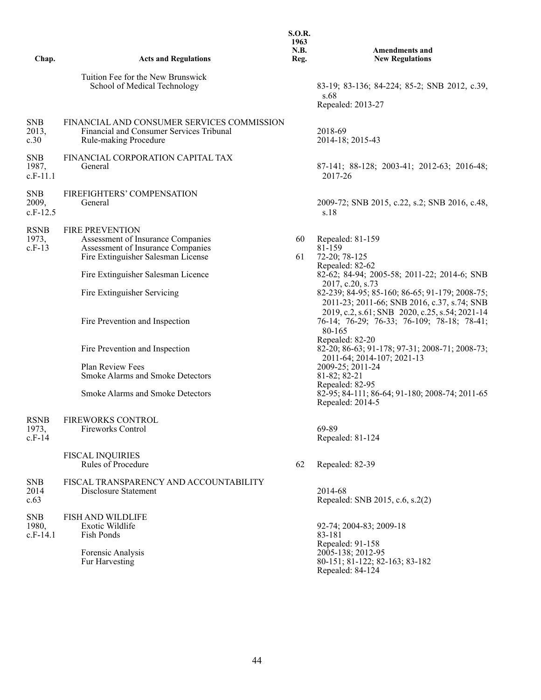| Chap.                             | <b>Acts and Regulations</b>                                                                                                            | <b>S.O.R.</b><br>1963<br><b>N.B.</b> | <b>Amendments and</b>                                                                                             |
|-----------------------------------|----------------------------------------------------------------------------------------------------------------------------------------|--------------------------------------|-------------------------------------------------------------------------------------------------------------------|
|                                   |                                                                                                                                        | Reg.                                 | <b>New Regulations</b>                                                                                            |
|                                   | Tuition Fee for the New Brunswick<br>School of Medical Technology                                                                      |                                      | 83-19; 83-136; 84-224; 85-2; SNB 2012, c.39,<br>s.68<br>Repealed: 2013-27                                         |
| <b>SNB</b><br>2013,<br>c.30       | FINANCIAL AND CONSUMER SERVICES COMMISSION<br>Financial and Consumer Services Tribunal<br>Rule-making Procedure                        |                                      | 2018-69<br>2014-18; 2015-43                                                                                       |
| <b>SNB</b><br>1987,<br>$c.F-11.1$ | FINANCIAL CORPORATION CAPITAL TAX<br>General                                                                                           |                                      | 87-141; 88-128; 2003-41; 2012-63; 2016-48;<br>2017-26                                                             |
| <b>SNB</b><br>2009,<br>$c.F-12.5$ | FIREFIGHTERS' COMPENSATION<br>General                                                                                                  |                                      | 2009-72; SNB 2015, c.22, s.2; SNB 2016, c.48,<br>s.18                                                             |
| <b>RSNB</b><br>1973,<br>$c.F-13$  | <b>FIRE PREVENTION</b><br>Assessment of Insurance Companies<br>Assessment of Insurance Companies<br>Fire Extinguisher Salesman License | 60<br>61                             | Repealed: 81-159<br>81-159<br>72-20; 78-125                                                                       |
|                                   | Fire Extinguisher Salesman Licence                                                                                                     |                                      | Repealed: 82-62<br>82-62; 84-94; 2005-58; 2011-22; 2014-6; SNB                                                    |
|                                   | Fire Extinguisher Servicing                                                                                                            |                                      | 2017, c.20, s.73<br>82-239; 84-95; 85-160; 86-65; 91-179; 2008-75;<br>2011-23; 2011-66; SNB 2016, c.37, s.74; SNB |
|                                   | Fire Prevention and Inspection                                                                                                         |                                      | 2019, c.2, s.61; SNB 2020, c.25, s.54; 2021-14<br>76-14; 76-29; 76-33; 76-109; 78-18; 78-41;<br>80-165            |
|                                   | Fire Prevention and Inspection                                                                                                         |                                      | Repealed: 82-20<br>82-20; 86-63; 91-178; 97-31; 2008-71; 2008-73;<br>2011-64; 2014-107; 2021-13                   |
|                                   | Plan Review Fees<br><b>Smoke Alarms and Smoke Detectors</b>                                                                            |                                      | 2009-25; 2011-24<br>81-82; 82-21                                                                                  |
|                                   | <b>Smoke Alarms and Smoke Detectors</b>                                                                                                |                                      | Repealed: 82-95<br>82-95; 84-111; 86-64; 91-180; 2008-74; 2011-65<br>Repealed: 2014-5                             |
| <b>RSNB</b><br>1973,<br>$c.F-14$  | <b>FIREWORKS CONTROL</b><br><b>Fireworks Control</b>                                                                                   |                                      | 69-89<br>Repealed: 81-124                                                                                         |
|                                   | <b>FISCAL INQUIRIES</b><br>Rules of Procedure                                                                                          | 62                                   | Repealed: 82-39                                                                                                   |
| <b>SNB</b><br>2014<br>c.63        | FISCAL TRANSPARENCY AND ACCOUNTABILITY<br>Disclosure Statement                                                                         |                                      | 2014-68<br>Repealed: SNB 2015, c.6, s.2(2)                                                                        |
| <b>SNB</b><br>1980,<br>$c.F-14.1$ | FISH AND WILDLIFE<br>Exotic Wildlife<br><b>Fish Ponds</b>                                                                              |                                      | 92-74; 2004-83; 2009-18<br>83-181<br>Repealed: 91-158                                                             |
|                                   | Forensic Analysis<br>Fur Harvesting                                                                                                    |                                      | 2005-138; 2012-95<br>80-151; 81-122; 82-163; 83-182<br>Repealed: 84-124                                           |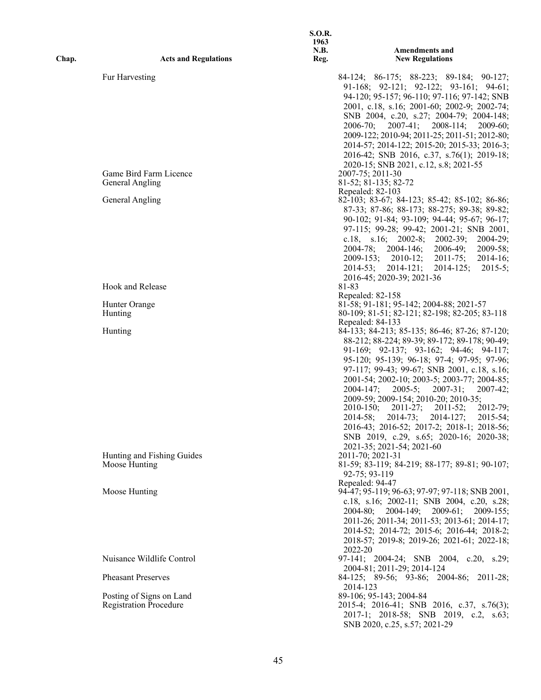|       |                               | 1963<br>N.B. | <b>Amendments and</b>                                                                                               |
|-------|-------------------------------|--------------|---------------------------------------------------------------------------------------------------------------------|
| Chap. | <b>Acts and Regulations</b>   | Reg.         | <b>New Regulations</b>                                                                                              |
|       | Fur Harvesting                |              | 84-124; 86-175; 88-223; 89-184; 90-127;<br>91-168; 92-121; 92-122; 93-161; 94-61;                                   |
|       |                               |              | 94-120; 95-157; 96-110; 97-116; 97-142; SNB                                                                         |
|       |                               |              | 2001, c.18, s.16; 2001-60; 2002-9; 2002-74;                                                                         |
|       |                               |              | SNB 2004, c.20, s.27; 2004-79; 2004-148;<br>$2007-41;$<br>$2008 - 114;$<br>$2006 - 70$ ;<br>$2009-60$ ;             |
|       |                               |              | 2009-122; 2010-94; 2011-25; 2011-51; 2012-80;                                                                       |
|       |                               |              | 2014-57; 2014-122; 2015-20; 2015-33; 2016-3;                                                                        |
|       |                               |              | 2016-42; SNB 2016, c.37, s.76(1); 2019-18;                                                                          |
|       |                               |              | 2020-15; SNB 2021, c.12, s.8; 2021-55                                                                               |
|       | Game Bird Farm Licence        |              | 2007-75; 2011-30                                                                                                    |
|       | General Angling               |              | 81-52; 81-135; 82-72<br>Repealed: 82-103                                                                            |
|       | <b>General Angling</b>        |              | 82-103; 83-67; 84-123; 85-42; 85-102; 86-86;                                                                        |
|       |                               |              | 87-33; 87-86; 88-173; 88-275; 89-38; 89-82;                                                                         |
|       |                               |              | 90-102; 91-84; 93-109; 94-44; 95-67; 96-17;                                                                         |
|       |                               |              | 97-115; 99-28; 99-42; 2001-21; SNB 2001,                                                                            |
|       |                               |              | c.18, s.16; $2002-8$ ; $2002-39$ ;<br>$2004 - 29$ :                                                                 |
|       |                               |              | $2004 - 78$ ; $2004 - 146$ ;<br>$2006-49;$<br>$2009 - 58;$                                                          |
|       |                               |              | 2009-153;<br>$2010 - 12;$<br>$2011 - 75$ ;<br>$2014-16;$<br>$2015-5;$<br>$2014-53$ ; $2014-121$ ;<br>$2014 - 125$ ; |
|       |                               |              | 2016-45; 2020-39; 2021-36                                                                                           |
|       | Hook and Release              |              | 81-83                                                                                                               |
|       |                               |              | Repealed: 82-158                                                                                                    |
|       | Hunter Orange                 |              | 81-58; 91-181; 95-142; 2004-88; 2021-57                                                                             |
|       | Hunting                       |              | 80-109; 81-51; 82-121; 82-198; 82-205; 83-118<br>Repealed: 84-133                                                   |
|       | Hunting                       |              | 84-133; 84-213; 85-135; 86-46; 87-26; 87-120;                                                                       |
|       |                               |              | 88-212; 88-224; 89-39; 89-172; 89-178; 90-49;                                                                       |
|       |                               |              | 91-169; 92-137; 93-162; 94-46; 94-117;                                                                              |
|       |                               |              | 95-120; 95-139; 96-18; 97-4; 97-95; 97-96;<br>97-117; 99-43; 99-67; SNB 2001, c.18, s.16;                           |
|       |                               |              | 2001-54; 2002-10; 2003-5; 2003-77; 2004-85;                                                                         |
|       |                               |              | $2007-42;$<br>$2004 - 147$ ;<br>$2005-5;$<br>$2007 - 31$ ;                                                          |
|       |                               |              | 2009-59; 2009-154; 2010-20; 2010-35;                                                                                |
|       |                               |              | $2011 - 27;$<br>$2010 - 150$ ;<br>2011-52;<br>$2012 - 79;$                                                          |
|       |                               |              | 2014-58;<br>2014-73;<br>2014-127;<br>$2015 - 54$ :                                                                  |
|       |                               |              | 2016-43; 2016-52; 2017-2; 2018-1; 2018-56;<br>SNB 2019, c.29, s.65; 2020-16; 2020-38;                               |
|       |                               |              | 2021-35; 2021-54; 2021-60                                                                                           |
|       | Hunting and Fishing Guides    |              | 2011-70; 2021-31                                                                                                    |
|       | Moose Hunting                 |              | 81-59; 83-119; 84-219; 88-177; 89-81; 90-107;                                                                       |
|       |                               |              | 92-75; 93-119<br>Repealed: 94-47                                                                                    |
|       | Moose Hunting                 |              | 94-47; 95-119; 96-63; 97-97; 97-118; SNB 2001,                                                                      |
|       |                               |              | c.18, s.16; 2002-11; SNB 2004, c.20, s.28;                                                                          |
|       |                               |              | 2004-149; 2009-61; 2009-155;<br>$2004 - 80$ ;                                                                       |
|       |                               |              | 2011-26; 2011-34; 2011-53; 2013-61; 2014-17;                                                                        |
|       |                               |              | 2014-52; 2014-72; 2015-6; 2016-44; 2018-2;<br>2018-57; 2019-8; 2019-26; 2021-61; 2022-18;                           |
|       |                               |              | 2022-20                                                                                                             |
|       | Nuisance Wildlife Control     |              | 97-141; 2004-24; SNB 2004, c.20, s.29;                                                                              |
|       |                               |              | 2004-81; 2011-29; 2014-124                                                                                          |
|       | <b>Pheasant Preserves</b>     |              | 84-125; 89-56; 93-86; 2004-86; 2011-28;                                                                             |
|       | Posting of Signs on Land      |              | 2014-123<br>89-106; 95-143; 2004-84                                                                                 |
|       | <b>Registration Procedure</b> |              | 2015-4; 2016-41; SNB 2016, c.37, s.76(3);                                                                           |
|       |                               |              | 2017-1; 2018-58; SNB 2019, c.2, s.63;                                                                               |
|       |                               |              | SNB 2020, c.25, s.57; 2021-29                                                                                       |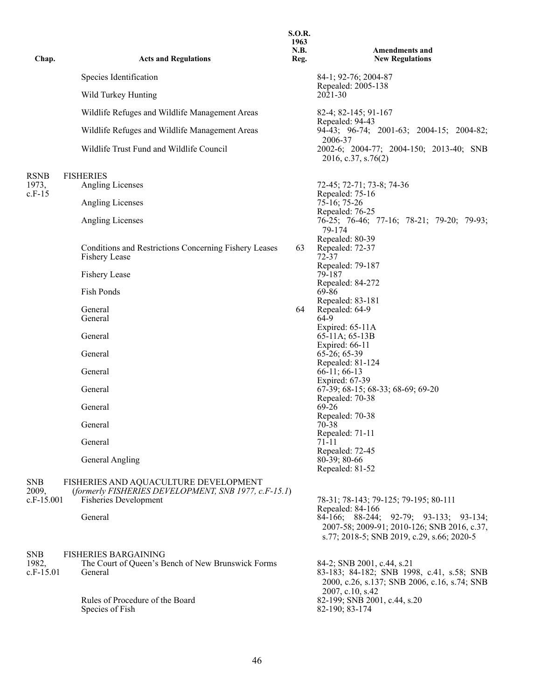| Chap.                               | <b>Acts and Regulations</b>                                                                                                   | 1963<br>N.B.<br>Reg. | <b>Amendments and</b><br><b>New Regulations</b>                                                                                                         |
|-------------------------------------|-------------------------------------------------------------------------------------------------------------------------------|----------------------|---------------------------------------------------------------------------------------------------------------------------------------------------------|
|                                     | Species Identification                                                                                                        |                      | 84-1; 92-76; 2004-87                                                                                                                                    |
|                                     | Wild Turkey Hunting                                                                                                           |                      | Repealed: 2005-138<br>2021-30                                                                                                                           |
|                                     | Wildlife Refuges and Wildlife Management Areas                                                                                |                      | 82-4; 82-145; 91-167<br>Repealed: 94-43                                                                                                                 |
|                                     | Wildlife Refuges and Wildlife Management Areas                                                                                |                      | 94-43; 96-74; 2001-63; 2004-15; 2004-82;<br>2006-37                                                                                                     |
|                                     | Wildlife Trust Fund and Wildlife Council                                                                                      |                      | 2002-6; 2004-77; 2004-150; 2013-40; SNB<br>2016, c.37, s.76(2)                                                                                          |
| <b>RSNB</b><br>1973,<br>$c.F-15$    | <b>FISHERIES</b><br>Angling Licenses                                                                                          |                      | 72-45; 72-71; 73-8; 74-36<br>Repealed: 75-16                                                                                                            |
|                                     | <b>Angling Licenses</b>                                                                                                       |                      | $75 - 16$ ; 75-26<br>Repealed: 76-25                                                                                                                    |
|                                     | Angling Licenses                                                                                                              |                      | 76-25; 76-46; 77-16; 78-21; 79-20; 79-93;<br>79-174                                                                                                     |
|                                     | Conditions and Restrictions Concerning Fishery Leases<br>Fishery Lease                                                        | 63                   | Repealed: 80-39<br>Repealed: 72-37<br>72-37                                                                                                             |
|                                     | <b>Fishery Lease</b>                                                                                                          |                      | Repealed: 79-187<br>79-187                                                                                                                              |
|                                     | Fish Ponds                                                                                                                    |                      | Repealed: 84-272<br>69-86                                                                                                                               |
|                                     | General<br>General                                                                                                            | 64                   | Repealed: 83-181<br>Repealed: 64-9<br>64-9                                                                                                              |
|                                     | General                                                                                                                       |                      | Expired: $65-11A$<br>65-11A; 65-13B                                                                                                                     |
|                                     | General                                                                                                                       |                      | Expired: 66-11<br>$65-26; 65-39$                                                                                                                        |
|                                     | General                                                                                                                       |                      | Repealed: 81-124<br>$66-11$ ; 66-13                                                                                                                     |
|                                     | General                                                                                                                       |                      | Expired: 67-39<br>67-39; 68-15; 68-33; 68-69; 69-20<br>Repealed: 70-38                                                                                  |
|                                     | General                                                                                                                       |                      | $69-26$<br>Repealed: 70-38                                                                                                                              |
|                                     | General                                                                                                                       |                      | 70-38<br>Repealed: 71-11                                                                                                                                |
|                                     | General                                                                                                                       |                      | 71-11<br>Repealed: 72-45                                                                                                                                |
|                                     | General Angling                                                                                                               |                      | $80-39; 80-66$<br>Repealed: 81-52                                                                                                                       |
| <b>SNB</b><br>2009,<br>$c.F-15.001$ | FISHERIES AND AQUACULTURE DEVELOPMENT<br>(formerly FISHERIES DEVELOPMENT, SNB 1977, c.F-15.1)<br><b>Fisheries Development</b> |                      | 78-31; 78-143; 79-125; 79-195; 80-111                                                                                                                   |
|                                     | General                                                                                                                       |                      | Repealed: 84-166<br>84-166; 88-244; 92-79; 93-133; 93-134;<br>2007-58; 2009-91; 2010-126; SNB 2016, c.37,<br>s.77; 2018-5; SNB 2019, c.29, s.66; 2020-5 |
| <b>SNB</b><br>1982,<br>$c.F-15.01$  | <b>FISHERIES BARGAINING</b><br>The Court of Queen's Bench of New Brunswick Forms<br>General                                   |                      | 84-2; SNB 2001, c.44, s.21<br>83-183; 84-182; SNB 1998, c.41, s.58; SNB<br>2000, c.26, s.137; SNB 2006, c.16, s.74; SNB                                 |
|                                     | Rules of Procedure of the Board<br>Species of Fish                                                                            |                      | 2007, c.10, s.42<br>82-199; SNB 2001, c.44, s.20<br>82-190; 83-174                                                                                      |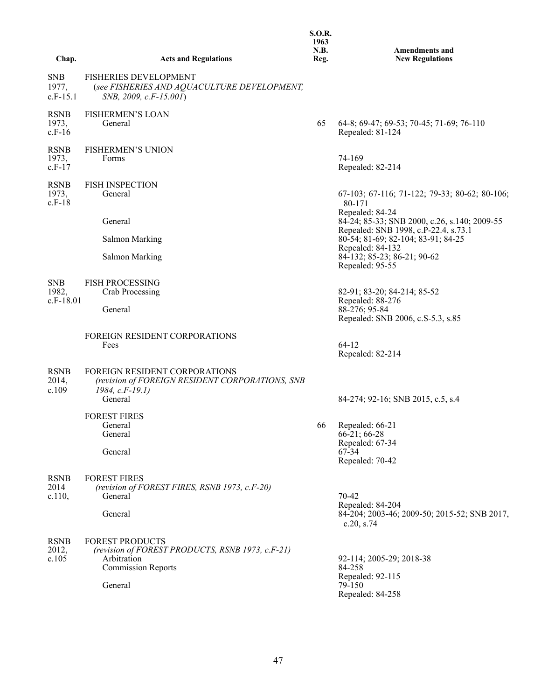**S.O.R. 1963 N.B. Reg.**

**Chap. Acts and Regulations**

**Amendments and New Regulations**

| <b>SNB</b><br>1977,<br>$c.F-15.1$ | <b>FISHERIES DEVELOPMENT</b><br>(see FISHERIES AND AQUACULTURE DEVELOPMENT,<br>SNB, 2009, c.F-15.001)                             |    |                                                                                                         |
|-----------------------------------|-----------------------------------------------------------------------------------------------------------------------------------|----|---------------------------------------------------------------------------------------------------------|
| <b>RSNB</b><br>1973,<br>$c.F-16$  | <b>FISHERMEN'S LOAN</b><br>General                                                                                                | 65 | 64-8; 69-47; 69-53; 70-45; 71-69; 76-110<br>Repealed: 81-124                                            |
| <b>RSNB</b><br>1973,<br>$c.F-17$  | <b>FISHERMEN'S UNION</b><br>Forms                                                                                                 |    | 74-169<br>Repealed: 82-214                                                                              |
| <b>RSNB</b><br>1973,<br>$c.F-18$  | <b>FISH INSPECTION</b><br>General                                                                                                 |    | $67-103$ ; $67-116$ ; $71-122$ ; $79-33$ ; $80-62$ ; $80-106$ ;<br>80-171                               |
|                                   | General                                                                                                                           |    | Repealed: 84-24<br>84-24; 85-33; SNB 2000, c.26, s.140; 2009-55<br>Repealed: SNB 1998, c.P-22.4, s.73.1 |
|                                   | <b>Salmon Marking</b>                                                                                                             |    | 80-54; 81-69; 82-104; 83-91; 84-25                                                                      |
|                                   | <b>Salmon Marking</b>                                                                                                             |    | Repealed: 84-132<br>84-132; 85-23; 86-21; 90-62<br>Repealed: 95-55                                      |
| <b>SNB</b>                        | <b>FISH PROCESSING</b>                                                                                                            |    |                                                                                                         |
| 1982,                             | Crab Processing                                                                                                                   |    | 82-91; 83-20; 84-214; 85-52<br>Repealed: 88-276                                                         |
| $c.F-18.01$                       | General                                                                                                                           |    | 88-276; 95-84<br>Repealed: SNB 2006, c.S-5.3, s.85                                                      |
|                                   | <b>FOREIGN RESIDENT CORPORATIONS</b>                                                                                              |    |                                                                                                         |
|                                   | Fees                                                                                                                              |    | $64-12$<br>Repealed: 82-214                                                                             |
| <b>RSNB</b><br>2014,<br>c.109     | <b>FOREIGN RESIDENT CORPORATIONS</b><br>(revision of FOREIGN RESIDENT CORPORATIONS, SNB<br>$1984, c.F-19.1)$<br>General           |    | 84-274; 92-16; SNB 2015, c.5, s.4                                                                       |
|                                   | <b>FOREST FIRES</b>                                                                                                               |    |                                                                                                         |
|                                   | General                                                                                                                           | 66 | Repealed: 66-21                                                                                         |
|                                   | General                                                                                                                           |    | 66-21; 66-28<br>Repealed: 67-34                                                                         |
|                                   | General                                                                                                                           |    | 67-34<br>Repealed: 70-42                                                                                |
| <b>RSNB</b><br>2014<br>c.110,     | <b>FOREST FIRES</b><br>(revision of FOREST FIRES, RSNB 1973, c.F-20)<br>General                                                   |    | 70-42<br>Repealed: 84-204                                                                               |
|                                   | General                                                                                                                           |    | 84-204; 2003-46; 2009-50; 2015-52; SNB 2017,<br>c.20, s.74                                              |
| <b>RSNB</b><br>2012,<br>c.105     | <b>FOREST PRODUCTS</b><br>(revision of FOREST PRODUCTS, RSNB 1973, c.F-21)<br>Arbitration<br><b>Commission Reports</b><br>General |    | 92-114; 2005-29; 2018-38<br>84-258<br>Repealed: 92-115<br>79-150                                        |
|                                   |                                                                                                                                   |    | Repealed: 84-258                                                                                        |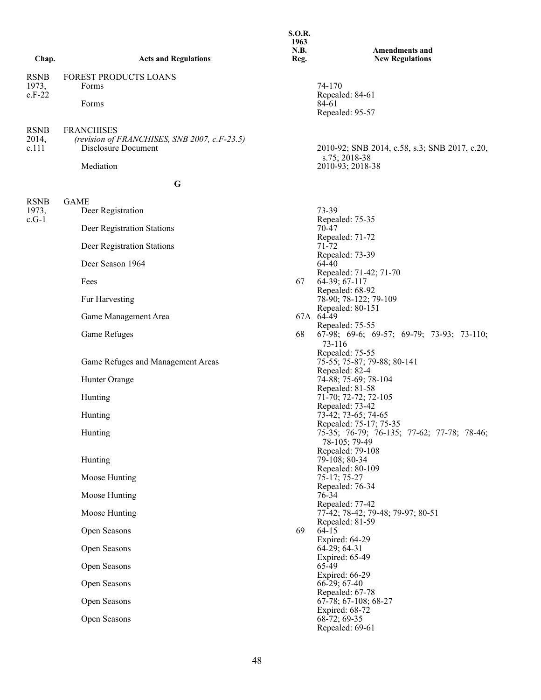| Chap.                            | <b>Acts and Regulations</b>                                                                           | 1963<br>N.B.<br>Reg. | <b>Amendments and</b><br><b>New Regulations</b>                                       |
|----------------------------------|-------------------------------------------------------------------------------------------------------|----------------------|---------------------------------------------------------------------------------------|
| <b>RSNB</b><br>1973,<br>$c.F-22$ | FOREST PRODUCTS LOANS<br>Forms<br>Forms                                                               |                      | 74-170<br>Repealed: 84-61<br>84-61<br>Repealed: 95-57                                 |
| <b>RSNB</b><br>2014,<br>c.111    | <b>FRANCHISES</b><br>(revision of FRANCHISES, SNB 2007, c.F-23.5)<br>Disclosure Document<br>Mediation |                      | 2010-92; SNB 2014, c.58, s.3; SNB 2017, c.20,<br>s.75; 2018-38<br>2010-93; 2018-38    |
|                                  | G                                                                                                     |                      |                                                                                       |
| <b>RSNB</b><br>1973,<br>$c.G-1$  | <b>GAME</b><br>Deer Registration<br>Deer Registration Stations                                        |                      | 73-39<br>Repealed: 75-35<br>70-47<br>Repealed: 71-72                                  |
|                                  | Deer Registration Stations                                                                            |                      | 71-72<br>Repealed: 73-39                                                              |
|                                  | Deer Season 1964                                                                                      |                      | 64-40<br>Repealed: 71-42; 71-70                                                       |
|                                  | Fees                                                                                                  | 67                   | 64-39; 67-117<br>Repealed: 68-92                                                      |
|                                  | Fur Harvesting                                                                                        |                      | 78-90; 78-122; 79-109<br>Repealed: 80-151                                             |
|                                  | Game Management Area                                                                                  |                      | 67A 64-49<br>Repealed: 75-55                                                          |
|                                  | Game Refuges                                                                                          | 68                   | 67-98; 69-6; 69-57; 69-79; 73-93; 73-110;<br>73-116                                   |
|                                  | Game Refuges and Management Areas                                                                     |                      | Repealed: 75-55<br>75-55; 75-87; 79-88; 80-141<br>Repealed: 82-4                      |
|                                  | Hunter Orange                                                                                         |                      | 74-88; 75-69; 78-104                                                                  |
|                                  | Hunting                                                                                               |                      | Repealed: 81-58<br>71-70; 72-72; 72-105<br>Repealed: 73-42                            |
|                                  | Hunting                                                                                               |                      | 73-42; 73-65; 74-65                                                                   |
|                                  | Hunting                                                                                               |                      | Repealed: 75-17; 75-35<br>75-35; 76-79; 76-135; 77-62; 77-78; 78-46;<br>78-105; 79-49 |
|                                  | Hunting                                                                                               |                      | Repealed: 79-108<br>79-108; 80-34                                                     |
|                                  | Moose Hunting                                                                                         |                      | Repealed: 80-109<br>$75-17; 75-27$                                                    |
|                                  | Moose Hunting                                                                                         |                      | Repealed: 76-34<br>76-34                                                              |
|                                  | Moose Hunting                                                                                         |                      | Repealed: 77-42<br>77-42; 78-42; 79-48; 79-97; 80-51                                  |
|                                  | Open Seasons                                                                                          | 69                   | Repealed: 81-59<br>$64-15$<br>Expired: 64-29                                          |
|                                  | Open Seasons                                                                                          |                      | 64-29; 64-31                                                                          |
|                                  | Open Seasons                                                                                          |                      | Expired: 65-49<br>65-49<br>Expired: 66-29                                             |
|                                  | Open Seasons                                                                                          |                      | $66-29; 67-40$                                                                        |
|                                  | Open Seasons                                                                                          |                      | Repealed: 67-78<br>67-78; 67-108; 68-27<br>Expired: 68-72                             |
|                                  | Open Seasons                                                                                          |                      | $68-72; 69-35$<br>Repealed: 69-61                                                     |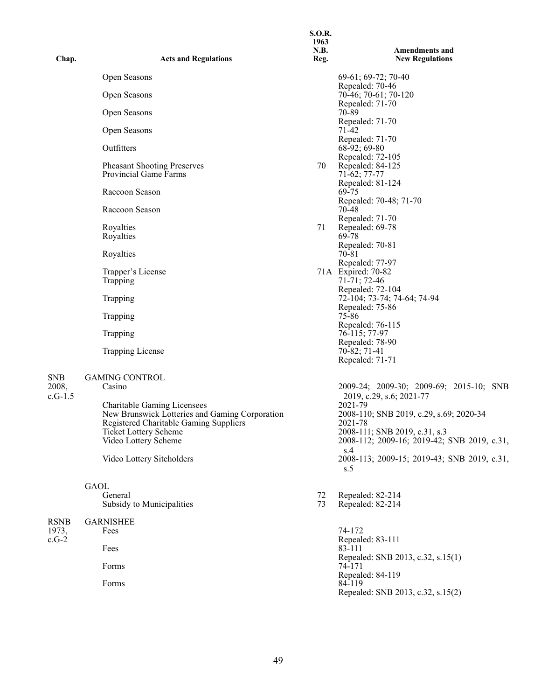| Chap.            | <b>Acts and Regulations</b>                                                              | <b>S.O.R.</b><br>1963<br>N.B.<br>Reg. | <b>Amendments and</b><br><b>New Regulations</b>                                |
|------------------|------------------------------------------------------------------------------------------|---------------------------------------|--------------------------------------------------------------------------------|
|                  | Open Seasons                                                                             |                                       | 69-61; 69-72; 70-40                                                            |
|                  | Open Seasons                                                                             |                                       | Repealed: 70-46<br>70-46; 70-61; 70-120                                        |
|                  | Open Seasons                                                                             |                                       | Repealed: 71-70<br>70-89                                                       |
|                  | Open Seasons                                                                             |                                       | Repealed: 71-70<br>71-42                                                       |
|                  | Outfitters                                                                               |                                       | Repealed: 71-70<br>$68-92; 69-80$                                              |
|                  | <b>Pheasant Shooting Preserves</b><br>Provincial Game Farms                              | 70                                    | Repealed: 72-105<br>Repealed: 84-125<br>71-62; 77-77                           |
|                  | Raccoon Season                                                                           |                                       | Repealed: 81-124<br>69-75                                                      |
|                  | Raccoon Season                                                                           |                                       | Repealed: 70-48; 71-70<br>70-48<br>Repealed: 71-70                             |
|                  | Royalties<br>Royalties                                                                   | 71                                    | Repealed: 69-78<br>69-78                                                       |
|                  | Royalties                                                                                |                                       | Repealed: 70-81<br>70-81<br>Repealed: 77-97                                    |
|                  | Trapper's License<br>Trapping                                                            |                                       | 71A Expired: 70-82<br>71-71; 72-46<br>Repealed: 72-104                         |
|                  | Trapping                                                                                 |                                       | 72-104; 73-74; 74-64; 74-94<br>Repealed: 75-86                                 |
|                  | Trapping                                                                                 |                                       | 75-86<br>Repealed: 76-115                                                      |
|                  | Trapping                                                                                 |                                       | 76-115; 77-97<br>Repealed: 78-90                                               |
|                  | <b>Trapping License</b>                                                                  |                                       | 70-82; 71-41<br>Repealed: 71-71                                                |
| ${\rm SNB}$      | <b>GAMING CONTROL</b>                                                                    |                                       |                                                                                |
| 2008,<br>c.G-1.5 | Casino<br><b>Charitable Gaming Licensees</b>                                             |                                       | 2009-24; 2009-30; 2009-69; 2015-10; SNB<br>2019, c.29, s.6; 2021-77<br>2021-79 |
|                  | New Brunswick Lotteries and Gaming Corporation<br>Registered Charitable Gaming Suppliers |                                       | 2008-110; SNB 2019, c.29, s.69; 2020-34<br>2021-78                             |
|                  | Ticket Lottery Scheme<br>Video Lottery Scheme                                            |                                       | 2008-111; SNB 2019, c.31, s.3<br>2008-112; 2009-16; 2019-42; SNB 2019, c.31,   |
|                  | Video Lottery Siteholders                                                                |                                       | s.4<br>2008-113; 2009-15; 2019-43; SNB 2019, c.31,<br>s.5                      |
|                  | GAOL<br>General                                                                          |                                       |                                                                                |
|                  | Subsidy to Municipalities                                                                | 72<br>73                              | Repealed: 82-214<br>Repealed: 82-214                                           |
| RSNB<br>1973,    | <b>GARNISHEE</b><br>Fees                                                                 |                                       | 74-172                                                                         |
| $c.G-2$          | Fees                                                                                     |                                       | Repealed: 83-111<br>83-111                                                     |
|                  | Forms                                                                                    |                                       | Repealed: SNB 2013, c.32, s.15(1)<br>74-171                                    |
|                  | Forms                                                                                    |                                       | Repealed: 84-119<br>84-119<br>Repealed: SNB 2013, c.32, s.15(2)                |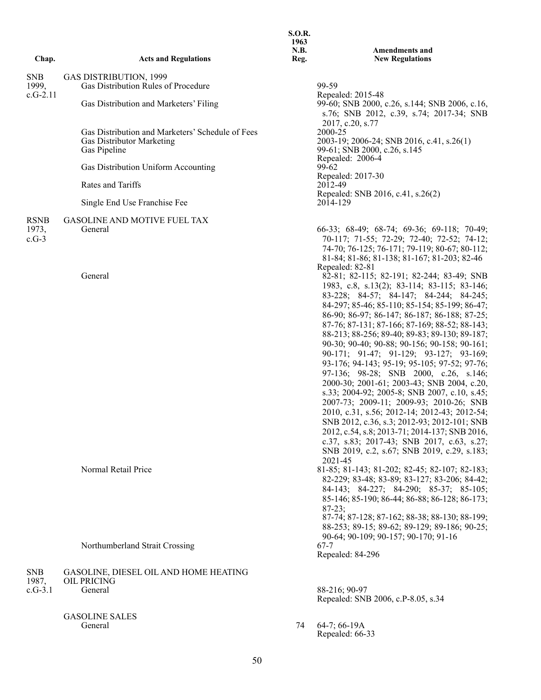| Chap.                           | <b>Acts and Regulations</b>                                                                          | <b>S.O.R.</b><br>1963<br>N.B.<br>Reg. | <b>Amendments and</b><br><b>New Regulations</b>                                                                                                                                                                                                                                                                                                                                                                                                                                                                                                                                                                                                                                                                                                                                                                                                                                                                                                                                                                                  |
|---------------------------------|------------------------------------------------------------------------------------------------------|---------------------------------------|----------------------------------------------------------------------------------------------------------------------------------------------------------------------------------------------------------------------------------------------------------------------------------------------------------------------------------------------------------------------------------------------------------------------------------------------------------------------------------------------------------------------------------------------------------------------------------------------------------------------------------------------------------------------------------------------------------------------------------------------------------------------------------------------------------------------------------------------------------------------------------------------------------------------------------------------------------------------------------------------------------------------------------|
| <b>SNB</b>                      | <b>GAS DISTRIBUTION, 1999</b>                                                                        |                                       |                                                                                                                                                                                                                                                                                                                                                                                                                                                                                                                                                                                                                                                                                                                                                                                                                                                                                                                                                                                                                                  |
| 1999,                           | Gas Distribution Rules of Procedure                                                                  |                                       | 99-59                                                                                                                                                                                                                                                                                                                                                                                                                                                                                                                                                                                                                                                                                                                                                                                                                                                                                                                                                                                                                            |
| $c.G-2.11$                      | Gas Distribution and Marketers' Filing                                                               |                                       | Repealed: 2015-48<br>99-60; SNB 2000, c.26, s.144; SNB 2006, c.16,<br>s.76; SNB 2012, c.39, s.74; 2017-34; SNB                                                                                                                                                                                                                                                                                                                                                                                                                                                                                                                                                                                                                                                                                                                                                                                                                                                                                                                   |
|                                 | Gas Distribution and Marketers' Schedule of Fees<br><b>Gas Distributor Marketing</b><br>Gas Pipeline |                                       | 2017, c.20, s.77<br>2000-25<br>2003-19; 2006-24; SNB 2016, c.41, s.26(1)<br>99-61; SNB 2000, c.26, s.145                                                                                                                                                                                                                                                                                                                                                                                                                                                                                                                                                                                                                                                                                                                                                                                                                                                                                                                         |
|                                 | Gas Distribution Uniform Accounting                                                                  |                                       | Repealed: 2006-4<br>$99 - 62$                                                                                                                                                                                                                                                                                                                                                                                                                                                                                                                                                                                                                                                                                                                                                                                                                                                                                                                                                                                                    |
|                                 | Rates and Tariffs                                                                                    |                                       | Repealed: 2017-30<br>2012-49                                                                                                                                                                                                                                                                                                                                                                                                                                                                                                                                                                                                                                                                                                                                                                                                                                                                                                                                                                                                     |
|                                 | Single End Use Franchise Fee                                                                         |                                       | Repealed: SNB 2016, c.41, s.26(2)<br>2014-129                                                                                                                                                                                                                                                                                                                                                                                                                                                                                                                                                                                                                                                                                                                                                                                                                                                                                                                                                                                    |
|                                 |                                                                                                      |                                       |                                                                                                                                                                                                                                                                                                                                                                                                                                                                                                                                                                                                                                                                                                                                                                                                                                                                                                                                                                                                                                  |
| <b>RSNB</b><br>1973,<br>$c.G-3$ | <b>GASOLINE AND MOTIVE FUEL TAX</b><br>General<br>General                                            |                                       | 66-33; 68-49; 68-74; 69-36; 69-118; 70-49;<br>70-117; 71-55; 72-29; 72-40; 72-52; 74-12;<br>74-70; 76-125; 76-171; 79-119; 80-67; 80-112;<br>81-84; 81-86; 81-138; 81-167; 81-203; 82-46<br>Repealed: 82-81<br>82-81; 82-115; 82-191; 82-244; 83-49; SNB<br>1983, c.8, s.13(2); 83-114; 83-115; 83-146;<br>83-228; 84-57; 84-147; 84-244; 84-245;<br>84-297; 85-46; 85-110; 85-154; 85-199; 86-47;<br>86-90; 86-97; 86-147; 86-187; 86-188; 87-25;<br>87-76; 87-131; 87-166; 87-169; 88-52; 88-143;<br>88-213; 88-256; 89-40; 89-83; 89-130; 89-187;<br>90-30; 90-40; 90-88; 90-156; 90-158; 90-161;<br>90-171; 91-47; 91-129; 93-127; 93-169;<br>93-176; 94-143; 95-19; 95-105; 97-52; 97-76;<br>97-136; 98-28; SNB 2000, c.26, s.146;<br>2000-30; 2001-61; 2003-43; SNB 2004, c.20,<br>s.33; 2004-92; 2005-8; SNB 2007, c.10, s.45;<br>2007-73; 2009-11; 2009-93; 2010-26; SNB<br>2010, c.31, s.56; 2012-14; 2012-43; 2012-54;<br>SNB 2012, c.36, s.3; 2012-93; 2012-101; SNB<br>2012, c.54, s.8; 2013-71; 2014-137; SNB 2016, |
|                                 |                                                                                                      |                                       | c.37, s.83; 2017-43; SNB 2017, c.63, s.27;<br>SNB 2019, c.2, s.67; SNB 2019, c.29, s.183;                                                                                                                                                                                                                                                                                                                                                                                                                                                                                                                                                                                                                                                                                                                                                                                                                                                                                                                                        |
|                                 | Normal Retail Price                                                                                  |                                       | 2021-45<br>81-85; 81-143; 81-202; 82-45; 82-107; 82-183;<br>82-229; 83-48; 83-89; 83-127; 83-206; 84-42;<br>84-143; 84-227; 84-290; 85-37; 85-105;<br>85-146; 85-190; 86-44; 86-88; 86-128; 86-173;<br>$87-23;$<br>87-74; 87-128; 87-162; 88-38; 88-130; 88-199;<br>88-253; 89-15; 89-62; 89-129; 89-186; 90-25;                                                                                                                                                                                                                                                                                                                                                                                                                                                                                                                                                                                                                                                                                                                 |
|                                 | Northumberland Strait Crossing                                                                       |                                       | 90-64; 90-109; 90-157; 90-170; 91-16<br>$67 - 7$<br>Repealed: 84-296                                                                                                                                                                                                                                                                                                                                                                                                                                                                                                                                                                                                                                                                                                                                                                                                                                                                                                                                                             |
| <b>SNB</b>                      | GASOLINE, DIESEL OIL AND HOME HEATING                                                                |                                       |                                                                                                                                                                                                                                                                                                                                                                                                                                                                                                                                                                                                                                                                                                                                                                                                                                                                                                                                                                                                                                  |
| 1987,<br>$c.G-3.1$              | OIL PRICING<br>General                                                                               |                                       | 88-216; 90-97<br>Repealed: SNB 2006, c.P-8.05, s.34                                                                                                                                                                                                                                                                                                                                                                                                                                                                                                                                                                                                                                                                                                                                                                                                                                                                                                                                                                              |

General 74 64-7; 66-19A Repealed: 66-33

GASOLINE SALES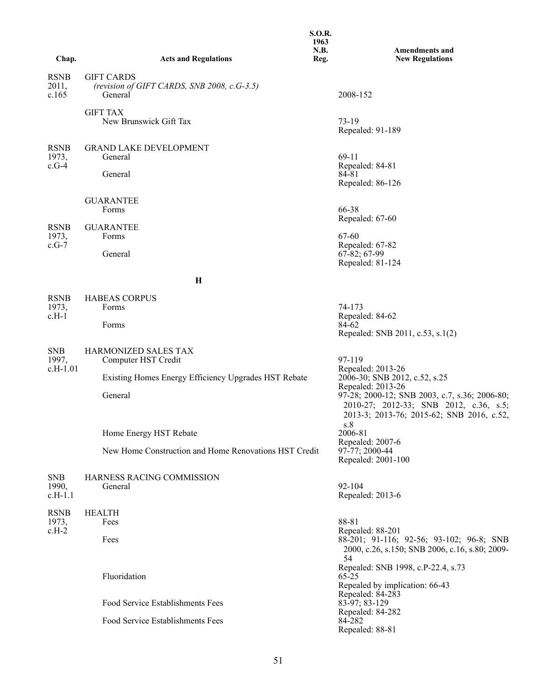| Chap.                            | <b>Acts and Regulations</b>                                                 | <b>S.O.R.</b><br>1963<br>N.B.<br>Reg. | <b>Amendments and</b><br><b>New Regulations</b>                                                                                             |
|----------------------------------|-----------------------------------------------------------------------------|---------------------------------------|---------------------------------------------------------------------------------------------------------------------------------------------|
| <b>RSNB</b><br>2011,<br>c.165    | <b>GIFT CARDS</b><br>(revision of GIFT CARDS, SNB 2008, c.G-3.5)<br>General |                                       | 2008-152                                                                                                                                    |
|                                  | <b>GIFT TAX</b><br>New Brunswick Gift Tax                                   |                                       | $73-19$<br>Repealed: 91-189                                                                                                                 |
| <b>RSNB</b><br>1973,<br>$c.G-4$  | <b>GRAND LAKE DEVELOPMENT</b><br>General<br>General                         |                                       | 69-11<br>Repealed: 84-81<br>84-81<br>Repealed: 86-126                                                                                       |
|                                  | <b>GUARANTEE</b><br>Forms                                                   |                                       | 66-38<br>Repealed: 67-60                                                                                                                    |
| <b>RSNB</b><br>1973,<br>$c.G-7$  | <b>GUARANTEE</b><br>Forms<br>General                                        |                                       | 67-60<br>Repealed: 67-82<br>$67-82; 67-99$<br>Repealed: 81-124                                                                              |
|                                  | $\mathbf H$                                                                 |                                       |                                                                                                                                             |
| <b>RSNB</b><br>1973,<br>$c.H-1$  | <b>HABEAS CORPUS</b><br>Forms                                               |                                       | 74-173                                                                                                                                      |
|                                  | Forms                                                                       |                                       | Repealed: 84-62<br>84-62<br>Repealed: SNB 2011, c.53, s.1(2)                                                                                |
| <b>SNB</b><br>1997,<br>c.H-1.01  | <b>HARMONIZED SALES TAX</b><br>Computer HST Credit                          |                                       | 97-119<br>Repealed: 2013-26                                                                                                                 |
|                                  | Existing Homes Energy Efficiency Upgrades HST Rebate                        |                                       | 2006-30; SNB 2012, c.52, s.25<br>Repealed: 2013-26                                                                                          |
|                                  | General                                                                     |                                       | 97-28; 2000-12; SNB 2003, c.7, s.36; 2006-80;<br>2010-27; 2012-33; SNB 2012, c.36, s.5;<br>2013-3; 2013-76; 2015-62; SNB 2016, c.52,<br>s.8 |
|                                  | Home Energy HST Rebate                                                      |                                       | 2006-81<br>Repealed: 2007-6                                                                                                                 |
|                                  | New Home Construction and Home Renovations HST Credit                       |                                       | $97-77$ ; 2000-44<br>Repealed: 2001-100                                                                                                     |
| <b>SNB</b><br>1990,<br>$c.H-1.1$ | HARNESS RACING COMMISSION<br>General                                        |                                       | $92 - 104$<br>Repealed: 2013-6                                                                                                              |
| <b>RSNB</b><br>1973,<br>$c.H-2$  | <b>HEALTH</b><br>Fees                                                       |                                       | 88-81<br>Repealed: 88-201                                                                                                                   |
|                                  | Fees                                                                        |                                       | 88-201; 91-116; 92-56; 93-102; 96-8; SNB<br>2000, c.26, s.150; SNB 2006, c.16, s.80; 2009-<br>54                                            |
|                                  | Fluoridation                                                                |                                       | Repealed: SNB 1998, c.P-22.4, s.73<br>$65 - 25$<br>Repealed by implication: 66-43                                                           |
|                                  | Food Service Establishments Fees                                            |                                       | Repealed: 84-283<br>83-97; 83-129                                                                                                           |
|                                  | Food Service Establishments Fees                                            |                                       | Repealed: 84-282<br>84-282<br>Repealed: 88-81                                                                                               |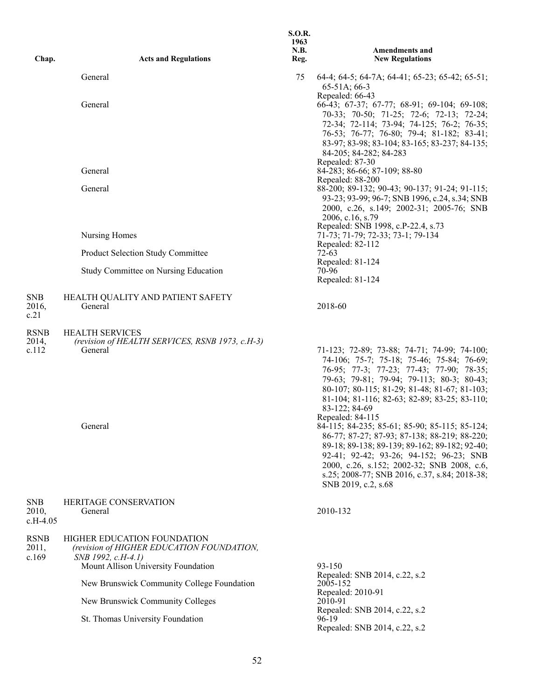| Chap.                    | <b>Acts and Regulations</b>                                                                                                           | <b>S.O.R.</b><br>1963<br>N.B.<br>Reg. | <b>Amendments and</b><br><b>New Regulations</b>                                                                                                                                                                                                                                                                                                                                                                                                                                                                                                                                                                                           |
|--------------------------|---------------------------------------------------------------------------------------------------------------------------------------|---------------------------------------|-------------------------------------------------------------------------------------------------------------------------------------------------------------------------------------------------------------------------------------------------------------------------------------------------------------------------------------------------------------------------------------------------------------------------------------------------------------------------------------------------------------------------------------------------------------------------------------------------------------------------------------------|
|                          | General                                                                                                                               | 75                                    | 64-4; 64-5; 64-7A; 64-41; 65-23; 65-42; 65-51;<br>$65-51A$ ; 66-3                                                                                                                                                                                                                                                                                                                                                                                                                                                                                                                                                                         |
|                          | General                                                                                                                               |                                       | Repealed: 66-43<br>66-43; 67-37; 67-77; 68-91; 69-104; 69-108;<br>70-33; 70-50; 71-25; 72-6; 72-13; 72-24;<br>72-34; 72-114; 73-94; 74-125; 76-2; 76-35;<br>76-53; 76-77; 76-80; 79-4; 81-182; 83-41;<br>83-97; 83-98; 83-104; 83-165; 83-237; 84-135;<br>84-205; 84-282; 84-283                                                                                                                                                                                                                                                                                                                                                          |
|                          | General                                                                                                                               |                                       | Repealed: 87-30<br>84-283; 86-66; 87-109; 88-80                                                                                                                                                                                                                                                                                                                                                                                                                                                                                                                                                                                           |
|                          | General                                                                                                                               |                                       | Repealed: 88-200<br>88-200; 89-132; 90-43; 90-137; 91-24; 91-115;<br>93-23; 93-99; 96-7; SNB 1996, c.24, s.34; SNB<br>2000, c.26, s.149; 2002-31; 2005-76; SNB<br>2006, c.16, s.79                                                                                                                                                                                                                                                                                                                                                                                                                                                        |
|                          | Nursing Homes                                                                                                                         |                                       | Repealed: SNB 1998, c.P-22.4, s.73<br>71-73; 71-79; 72-33; 73-1; 79-134                                                                                                                                                                                                                                                                                                                                                                                                                                                                                                                                                                   |
|                          | Product Selection Study Committee                                                                                                     |                                       | Repealed: 82-112<br>$72-63$                                                                                                                                                                                                                                                                                                                                                                                                                                                                                                                                                                                                               |
|                          | Study Committee on Nursing Education                                                                                                  |                                       | Repealed: 81-124<br>70-96<br>Repealed: 81-124                                                                                                                                                                                                                                                                                                                                                                                                                                                                                                                                                                                             |
| SNB<br>2016,<br>c.21     | HEALTH QUALITY AND PATIENT SAFETY<br>General                                                                                          |                                       | 2018-60                                                                                                                                                                                                                                                                                                                                                                                                                                                                                                                                                                                                                                   |
| RSNB<br>2014,<br>c.112   | <b>HEALTH SERVICES</b><br>(revision of HEALTH SERVICES, RSNB 1973, c.H-3)<br>General<br>General                                       |                                       | 71-123; 72-89; 73-88; 74-71; 74-99; 74-100;<br>74-106; 75-7; 75-18; 75-46; 75-84; 76-69;<br>76-95; 77-3; 77-23; 77-43; 77-90; 78-35;<br>79-63; 79-81; 79-94; 79-113; 80-3; 80-43;<br>80-107; 80-115; 81-29; 81-48; 81-67; 81-103;<br>81-104; 81-116; 82-63; 82-89; 83-25; 83-110;<br>83-122; 84-69<br>Repealed: 84-115<br>84-115; 84-235; 85-61; 85-90; 85-115; 85-124;<br>86-77; 87-27; 87-93; 87-138; 88-219; 88-220;<br>89-18; 89-138; 89-139; 89-162; 89-182; 92-40;<br>92-41; 92-42; 93-26; 94-152; 96-23; SNB<br>2000, c.26, s.152; 2002-32; SNB 2008, c.6,<br>s.25; 2008-77; SNB 2016, c.37, s.84; 2018-38;<br>SNB 2019, c.2, s.68 |
| SNB<br>2010,<br>c.H-4.05 | <b>HERITAGE CONSERVATION</b><br>General                                                                                               |                                       | 2010-132                                                                                                                                                                                                                                                                                                                                                                                                                                                                                                                                                                                                                                  |
| RSNB<br>2011,<br>c.169   | HIGHER EDUCATION FOUNDATION<br>(revision of HIGHER EDUCATION FOUNDATION,<br>SNB 1992, c.H-4.1)<br>Mount Allison University Foundation |                                       | 93-150                                                                                                                                                                                                                                                                                                                                                                                                                                                                                                                                                                                                                                    |
|                          | New Brunswick Community College Foundation                                                                                            |                                       | Repealed: SNB 2014, c.22, s.2<br>2005-152                                                                                                                                                                                                                                                                                                                                                                                                                                                                                                                                                                                                 |
|                          | New Brunswick Community Colleges                                                                                                      |                                       | Repealed: 2010-91<br>2010-91                                                                                                                                                                                                                                                                                                                                                                                                                                                                                                                                                                                                              |
|                          | St. Thomas University Foundation                                                                                                      |                                       | Repealed: SNB 2014, c.22, s.2<br>96-19<br>Repealed: SNB 2014, c.22, s.2                                                                                                                                                                                                                                                                                                                                                                                                                                                                                                                                                                   |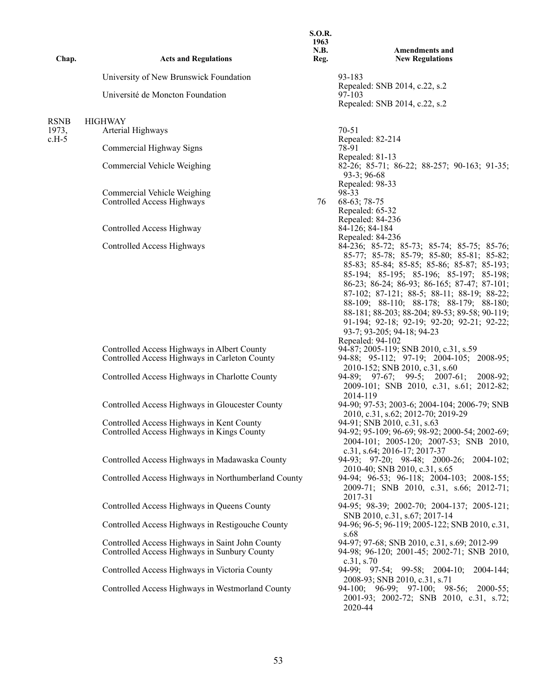| Chap.            | <b>Acts and Regulations</b>                                                                     | <b>S.O.R.</b><br>1963<br><b>N.B.</b><br>Reg. | <b>Amendments and</b><br><b>New Regulations</b>                                                                                                                                                                                                                                                                                                                                                                                                                                                                                        |
|------------------|-------------------------------------------------------------------------------------------------|----------------------------------------------|----------------------------------------------------------------------------------------------------------------------------------------------------------------------------------------------------------------------------------------------------------------------------------------------------------------------------------------------------------------------------------------------------------------------------------------------------------------------------------------------------------------------------------------|
|                  | University of New Brunswick Foundation                                                          |                                              | 93-183                                                                                                                                                                                                                                                                                                                                                                                                                                                                                                                                 |
|                  | Université de Moncton Foundation                                                                |                                              | Repealed: SNB 2014, c.22, s.2<br>97-103<br>Repealed: SNB 2014, c.22, s.2                                                                                                                                                                                                                                                                                                                                                                                                                                                               |
| <b>RSNB</b>      | <b>HIGHWAY</b>                                                                                  |                                              |                                                                                                                                                                                                                                                                                                                                                                                                                                                                                                                                        |
| 1973,<br>$c.H-5$ | Arterial Highways                                                                               |                                              | $70 - 51$<br>Repealed: 82-214                                                                                                                                                                                                                                                                                                                                                                                                                                                                                                          |
|                  | Commercial Highway Signs                                                                        |                                              | 78-91                                                                                                                                                                                                                                                                                                                                                                                                                                                                                                                                  |
|                  | Commercial Vehicle Weighing                                                                     |                                              | Repealed: 81-13<br>82-26; 85-71; 86-22; 88-257; 90-163; 91-35;<br>$93-3; 96-68$                                                                                                                                                                                                                                                                                                                                                                                                                                                        |
|                  | Commercial Vehicle Weighing<br>Controlled Access Highways                                       | 76                                           | Repealed: 98-33<br>98-33<br>68-63; 78-75<br>Repealed: 65-32                                                                                                                                                                                                                                                                                                                                                                                                                                                                            |
|                  | Controlled Access Highway                                                                       |                                              | Repealed: 84-236<br>84-126; 84-184                                                                                                                                                                                                                                                                                                                                                                                                                                                                                                     |
|                  | Controlled Access Highways<br>Controlled Access Highways in Albert County                       |                                              | Repealed: 84-236<br>84-236; 85-72; 85-73; 85-74; 85-75; 85-76;<br>85-77; 85-78; 85-79; 85-80; 85-81; 85-82;<br>85-83; 85-84; 85-85; 85-86; 85-87; 85-193;<br>85-194; 85-195; 85-196; 85-197; 85-198;<br>86-23; 86-24; 86-93; 86-165; 87-47; 87-101;<br>87-102; 87-121; 88-5; 88-11; 88-19; 88-22;<br>88-109; 88-110; 88-178; 88-179; 88-180;<br>88-181; 88-203; 88-204; 89-53; 89-58; 90-119;<br>91-194; 92-18; 92-19; 92-20; 92-21; 92-22;<br>93-7; 93-205; 94-18; 94-23<br>Repealed: 94-102<br>94-87; 2005-119; SNB 2010, c.31, s.59 |
|                  | Controlled Access Highways in Carleton County<br>Controlled Access Highways in Charlotte County |                                              | 94-88; 95-112; 97-19; 2004-105; 2008-95;<br>2010-152; SNB 2010, c.31, s.60<br>94-89; 97-67; 99-5; 2007-61;<br>2008-92;                                                                                                                                                                                                                                                                                                                                                                                                                 |
|                  |                                                                                                 |                                              | 2009-101; SNB 2010, c.31, s.61; 2012-82;<br>2014-119                                                                                                                                                                                                                                                                                                                                                                                                                                                                                   |
|                  | Controlled Access Highways in Gloucester County                                                 |                                              | 94-90; 97-53; 2003-6; 2004-104; 2006-79; SNB<br>2010, c.31, s.62; 2012-70; 2019-29                                                                                                                                                                                                                                                                                                                                                                                                                                                     |
|                  | Controlled Access Highways in Kent County<br>Controlled Access Highways in Kings County         |                                              | 94-91; SNB 2010, c.31, s.63<br>94-92; 95-109; 96-69; 98-92; 2000-54; 2002-69;<br>2004-101; 2005-120; 2007-53; SNB 2010,<br>c.31, s.64; 2016-17; 2017-37                                                                                                                                                                                                                                                                                                                                                                                |
|                  | Controlled Access Highways in Madawaska County                                                  |                                              | 94-93; 97-20; 98-48; 2000-26; 2004-102;<br>2010-40; SNB 2010, c.31, s.65                                                                                                                                                                                                                                                                                                                                                                                                                                                               |
|                  | Controlled Access Highways in Northumberland County                                             |                                              | 94-94; 96-53; 96-118; 2004-103; 2008-155;<br>2009-71; SNB 2010, c.31, s.66; 2012-71;<br>2017-31                                                                                                                                                                                                                                                                                                                                                                                                                                        |
|                  | Controlled Access Highways in Queens County                                                     |                                              | 94-95; 98-39; 2002-70; 2004-137; 2005-121;<br>SNB 2010, c.31, s.67; 2017-14                                                                                                                                                                                                                                                                                                                                                                                                                                                            |
|                  | Controlled Access Highways in Restigouche County                                                |                                              | 94-96; 96-5; 96-119; 2005-122; SNB 2010, c.31,<br>s.68                                                                                                                                                                                                                                                                                                                                                                                                                                                                                 |
|                  | Controlled Access Highways in Saint John County<br>Controlled Access Highways in Sunbury County |                                              | 94-97; 97-68; SNB 2010, c.31, s.69; 2012-99<br>94-98; 96-120; 2001-45; 2002-71; SNB 2010,<br>c.31, s.70                                                                                                                                                                                                                                                                                                                                                                                                                                |
|                  | Controlled Access Highways in Victoria County                                                   |                                              | 94-99; 97-54; 99-58; 2004-10; 2004-144;<br>2008-93; SNB 2010, c.31, s.71                                                                                                                                                                                                                                                                                                                                                                                                                                                               |
|                  | Controlled Access Highways in Westmorland County                                                |                                              | 94-100; 96-99; 97-100; 98-56; 2000-55;<br>2001-93; 2002-72; SNB 2010, c.31, s.72;<br>2020-44                                                                                                                                                                                                                                                                                                                                                                                                                                           |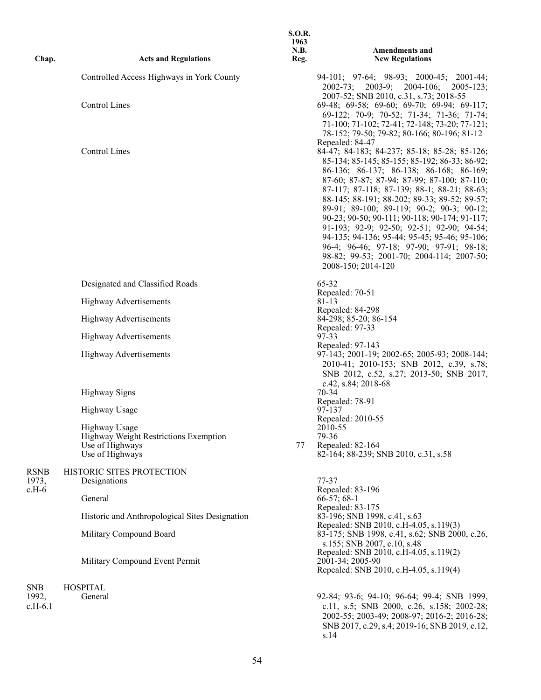| Chap.              | <b>Acts and Regulations</b>                                                 | 1963<br>N.B.<br>Reg. | <b>Amendments and</b><br><b>New Regulations</b>                                                                                                                                                                                                                                                                                                                                                                                                                                                                                                                                                                     |
|--------------------|-----------------------------------------------------------------------------|----------------------|---------------------------------------------------------------------------------------------------------------------------------------------------------------------------------------------------------------------------------------------------------------------------------------------------------------------------------------------------------------------------------------------------------------------------------------------------------------------------------------------------------------------------------------------------------------------------------------------------------------------|
|                    | Controlled Access Highways in York County                                   |                      | $94-101$ ; $97-64$ ; $98-93$ ; $2000-45$ ; $2001-44$ ;<br>2002-73; 2003-9; 2004-106;<br>$2005 - 123$ ;                                                                                                                                                                                                                                                                                                                                                                                                                                                                                                              |
|                    | <b>Control Lines</b>                                                        |                      | 2007-52; SNB 2010, c.31, s.73; 2018-55<br>69-48; 69-58; 69-60; 69-70; 69-94; 69-117;<br>69-122; 70-9; 70-52; 71-34; 71-36; 71-74;<br>71-100; 71-102; 72-41; 72-148; 73-20; 77-121;<br>78-152; 79-50; 79-82; 80-166; 80-196; 81-12                                                                                                                                                                                                                                                                                                                                                                                   |
|                    | <b>Control Lines</b>                                                        |                      | Repealed: 84-47<br>84-47; 84-183; 84-237; 85-18; 85-28; 85-126;<br>85-134; 85-145; 85-155; 85-192; 86-33; 86-92;<br>86-136; 86-137; 86-138; 86-168; 86-169;<br>87-60; 87-87; 87-94; 87-99; 87-100; 87-110;<br>87-117; 87-118; 87-139; 88-1; 88-21; 88-63;<br>88-145; 88-191; 88-202; 89-33; 89-52; 89-57;<br>89-91; 89-100; 89-119; 90-2; 90-3; 90-12;<br>90-23; 90-50; 90-111; 90-118; 90-174; 91-117;<br>91-193; 92-9; 92-50; 92-51; 92-90; 94-54;<br>94-135; 94-136; 95-44; 95-45; 95-46; 95-106;<br>96-4; 96-46; 97-18; 97-90; 97-91; 98-18;<br>98-82; 99-53; 2001-70; 2004-114; 2007-50;<br>2008-150; 2014-120 |
|                    | Designated and Classified Roads                                             |                      | $65 - 32$<br>Repealed: 70-51                                                                                                                                                                                                                                                                                                                                                                                                                                                                                                                                                                                        |
|                    | <b>Highway Advertisements</b>                                               |                      | 81-13                                                                                                                                                                                                                                                                                                                                                                                                                                                                                                                                                                                                               |
|                    | <b>Highway Advertisements</b>                                               |                      | Repealed: 84-298<br>84-298; 85-20; 86-154                                                                                                                                                                                                                                                                                                                                                                                                                                                                                                                                                                           |
|                    | <b>Highway Advertisements</b>                                               |                      | Repealed: 97-33<br>97-33                                                                                                                                                                                                                                                                                                                                                                                                                                                                                                                                                                                            |
|                    | <b>Highway Advertisements</b>                                               |                      | Repealed: 97-143<br>97-143; 2001-19; 2002-65; 2005-93; 2008-144;<br>2010-41; 2010-153; SNB 2012, c.39, s.78;<br>SNB 2012, c.52, s.27; 2013-50; SNB 2017,                                                                                                                                                                                                                                                                                                                                                                                                                                                            |
|                    | <b>Highway Signs</b>                                                        |                      | c.42, s.84; 2018-68<br>$70-34$                                                                                                                                                                                                                                                                                                                                                                                                                                                                                                                                                                                      |
|                    | Highway Usage                                                               |                      | Repealed: 78-91<br>97-137                                                                                                                                                                                                                                                                                                                                                                                                                                                                                                                                                                                           |
|                    | Highway Usage                                                               |                      | Repealed: 2010-55<br>2010-55                                                                                                                                                                                                                                                                                                                                                                                                                                                                                                                                                                                        |
|                    | Highway Weight Restrictions Exemption<br>Use of Highways<br>Use of Highways | 77                   | 79-36<br>Repealed: 82-164<br>82-164; 88-239; SNB 2010, c.31, s.58                                                                                                                                                                                                                                                                                                                                                                                                                                                                                                                                                   |
| <b>RSNB</b>        | HISTORIC SITES PROTECTION                                                   |                      |                                                                                                                                                                                                                                                                                                                                                                                                                                                                                                                                                                                                                     |
| 1973,<br>$c.H-6$   | Designations                                                                |                      | 77-37<br>Repealed: 83-196                                                                                                                                                                                                                                                                                                                                                                                                                                                                                                                                                                                           |
|                    | General                                                                     |                      | $66-57; 68-1$<br>Repealed: 83-175                                                                                                                                                                                                                                                                                                                                                                                                                                                                                                                                                                                   |
|                    | Historic and Anthropological Sites Designation                              |                      | 83-196; SNB 1998, c.41, s.63<br>Repealed: SNB 2010, c.H-4.05, s.119(3)                                                                                                                                                                                                                                                                                                                                                                                                                                                                                                                                              |
|                    | Military Compound Board                                                     |                      | 83-175; SNB 1998, c.41, s.62; SNB 2000, c.26,<br>s.155; SNB 2007, c.10, s.48                                                                                                                                                                                                                                                                                                                                                                                                                                                                                                                                        |
|                    | Military Compound Event Permit                                              |                      | Repealed: SNB 2010, c.H-4.05, s.119(2)<br>2001-34; 2005-90<br>Repealed: SNB 2010, c.H-4.05, s.119(4)                                                                                                                                                                                                                                                                                                                                                                                                                                                                                                                |
| <b>SNB</b>         | <b>HOSPITAL</b>                                                             |                      |                                                                                                                                                                                                                                                                                                                                                                                                                                                                                                                                                                                                                     |
| 1992,<br>$c.H-6.1$ | General                                                                     |                      | 92-84; 93-6; 94-10; 96-64; 99-4; SNB 1999,<br>c.11, s.5; SNB 2000, c.26, s.158; 2002-28;<br>2002-55; 2003-49; 2008-97; 2016-2; 2016-28;                                                                                                                                                                                                                                                                                                                                                                                                                                                                             |

SNB 2017, c.29, s.4; 2019-16; SNB 2019, c.12,

s.14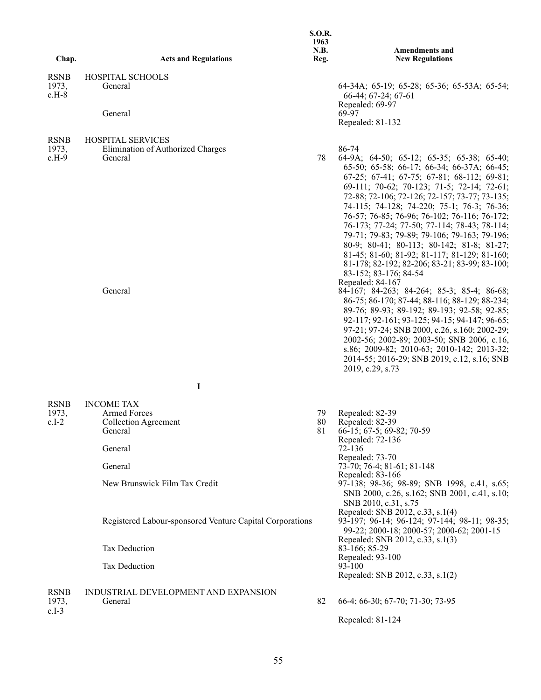| Chap.                           | <b>Acts and Regulations</b>                                                                                                                                               | <b>S.O.R.</b><br>1963<br>N.B.<br>Reg. | <b>Amendments and</b><br><b>New Regulations</b>                                                                                                                                                                                                                                                                                                                                                                                                                                                                                                                                                                                                                                                                                                                                                                                                                                                                                                                                                                                                                         |
|---------------------------------|---------------------------------------------------------------------------------------------------------------------------------------------------------------------------|---------------------------------------|-------------------------------------------------------------------------------------------------------------------------------------------------------------------------------------------------------------------------------------------------------------------------------------------------------------------------------------------------------------------------------------------------------------------------------------------------------------------------------------------------------------------------------------------------------------------------------------------------------------------------------------------------------------------------------------------------------------------------------------------------------------------------------------------------------------------------------------------------------------------------------------------------------------------------------------------------------------------------------------------------------------------------------------------------------------------------|
|                                 |                                                                                                                                                                           |                                       |                                                                                                                                                                                                                                                                                                                                                                                                                                                                                                                                                                                                                                                                                                                                                                                                                                                                                                                                                                                                                                                                         |
| <b>RSNB</b><br>1973,<br>$c.H-8$ | HOSPITAL SCHOOLS<br>General<br>General                                                                                                                                    |                                       | 64-34A; 65-19; 65-28; 65-36; 65-53A; 65-54;<br>66-44; 67-24; 67-61<br>Repealed: 69-97<br>69-97<br>Repealed: 81-132                                                                                                                                                                                                                                                                                                                                                                                                                                                                                                                                                                                                                                                                                                                                                                                                                                                                                                                                                      |
|                                 |                                                                                                                                                                           |                                       |                                                                                                                                                                                                                                                                                                                                                                                                                                                                                                                                                                                                                                                                                                                                                                                                                                                                                                                                                                                                                                                                         |
| <b>RSNB</b><br>1973,<br>$c.H-9$ | <b>HOSPITAL SERVICES</b><br>Elimination of Authorized Charges<br>General<br>General                                                                                       | 78                                    | 86-74<br>64-9A; 64-50; 65-12; 65-35; 65-38; 65-40;<br>65-50; 65-58; 66-17; 66-34; 66-37A; 66-45;<br>$67-25$ ; $67-41$ ; $67-75$ ; $67-81$ ; $68-112$ ; $69-81$ ;<br>69-111; 70-62; 70-123; 71-5; 72-14; 72-61;<br>72-88; 72-106; 72-126; 72-157; 73-77; 73-135;<br>74-115; 74-128; 74-220; 75-1; 76-3; 76-36;<br>76-57; 76-85; 76-96; 76-102; 76-116; 76-172;<br>76-173; 77-24; 77-50; 77-114; 78-43; 78-114;<br>79-71; 79-83; 79-89; 79-106; 79-163; 79-196;<br>80-9; 80-41; 80-113; 80-142; 81-8; 81-27;<br>81-45; 81-60; 81-92; 81-117; 81-129; 81-160;<br>81-178; 82-192; 82-206; 83-21; 83-99; 83-100;<br>83-152; 83-176; 84-54<br>Repealed: 84-167<br>84-167; 84-263; 84-264; 85-3; 85-4; 86-68;<br>86-75; 86-170; 87-44; 88-116; 88-129; 88-234;<br>89-76; 89-93; 89-192; 89-193; 92-58; 92-85;<br>92-117; 92-161; 93-125; 94-15; 94-147; 96-65;<br>97-21; 97-24; SNB 2000, c.26, s.160; 2002-29;<br>2002-56; 2002-89; 2003-50; SNB 2006, c.16,<br>s.86; 2009-82; 2010-63; 2010-142; 2013-32;<br>2014-55; 2016-29; SNB 2019, c.12, s.16; SNB<br>2019, c.29, s.73 |
|                                 | I                                                                                                                                                                         |                                       |                                                                                                                                                                                                                                                                                                                                                                                                                                                                                                                                                                                                                                                                                                                                                                                                                                                                                                                                                                                                                                                                         |
| <b>RSNB</b>                     | <b>INCOME TAX</b>                                                                                                                                                         |                                       |                                                                                                                                                                                                                                                                                                                                                                                                                                                                                                                                                                                                                                                                                                                                                                                                                                                                                                                                                                                                                                                                         |
| 1973,<br>$c.I-2$                | <b>Armed Forces</b><br>Collection Agreement<br>General<br>General<br>General<br>New Brunswick Film Tax Credit<br>Registered Labour-sponsored Venture Capital Corporations | 79<br>80<br>81                        | Repealed: 82-39<br>Repealed: 82-39<br>66-15; 67-5; 69-82; 70-59<br>Repealed: 72-136<br>72-136<br>Repealed: 73-70<br>73-70; 76-4; 81-61; 81-148<br>Repealed: 83-166<br>97-138; 98-36; 98-89; SNB 1998, c.41, s.65;<br>SNB 2000, c.26, s.162; SNB 2001, c.41, s.10;<br>SNB 2010, c.31, s.75<br>Repealed: SNB 2012, c.33, s.1(4)<br>93-197; 96-14; 96-124; 97-144; 98-11; 98-35;<br>99-22; 2000-18; 2000-57; 2000-62; 2001-15                                                                                                                                                                                                                                                                                                                                                                                                                                                                                                                                                                                                                                              |
|                                 |                                                                                                                                                                           |                                       | Repealed: SNB 2012, c.33, s.1(3)                                                                                                                                                                                                                                                                                                                                                                                                                                                                                                                                                                                                                                                                                                                                                                                                                                                                                                                                                                                                                                        |
|                                 | Tax Deduction<br>Tax Deduction                                                                                                                                            |                                       | 83-166; 85-29<br>Repealed: 93-100<br>93-100<br>Repealed: SNB 2012, c.33, s.1(2)                                                                                                                                                                                                                                                                                                                                                                                                                                                                                                                                                                                                                                                                                                                                                                                                                                                                                                                                                                                         |
| <b>RSNB</b><br>1973,<br>$c.I-3$ | INDUSTRIAL DEVELOPMENT AND EXPANSION<br>General                                                                                                                           | 82                                    | 66-4; 66-30; 67-70; 71-30; 73-95<br>Repealed: 81-124                                                                                                                                                                                                                                                                                                                                                                                                                                                                                                                                                                                                                                                                                                                                                                                                                                                                                                                                                                                                                    |
|                                 |                                                                                                                                                                           |                                       |                                                                                                                                                                                                                                                                                                                                                                                                                                                                                                                                                                                                                                                                                                                                                                                                                                                                                                                                                                                                                                                                         |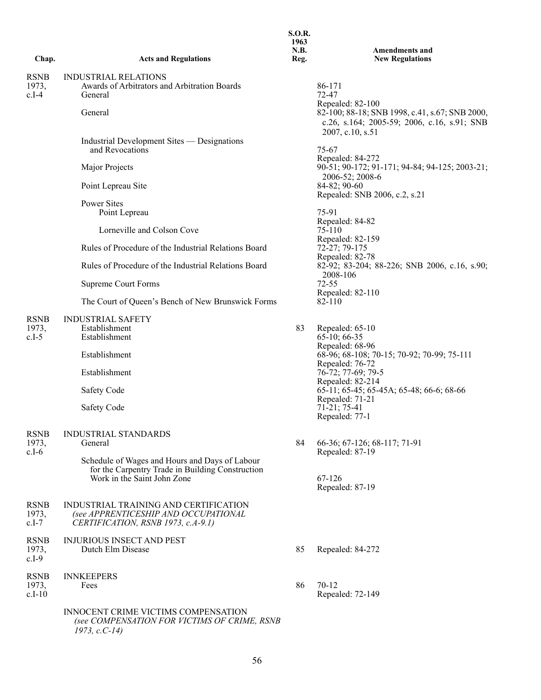| Chap.                           | <b>Acts and Regulations</b>                                                                                                       | 1963<br>N.B.<br>Reg. | <b>Amendments and</b><br><b>New Regulations</b>                                                                                                                                           |
|---------------------------------|-----------------------------------------------------------------------------------------------------------------------------------|----------------------|-------------------------------------------------------------------------------------------------------------------------------------------------------------------------------------------|
| <b>RSNB</b><br>1973,<br>$c.I-4$ | <b>INDUSTRIAL RELATIONS</b><br>Awards of Arbitrators and Arbitration Boards<br>General                                            |                      | 86-171<br>72-47<br>Repealed: 82-100<br>82-100; 88-18; SNB 1998, c.41, s.67; SNB 2000,<br>c.26, s.164; 2005-59; 2006, c.16, s.91; SNB<br>2007, c.10, s.51<br>$75 - 67$<br>Repealed: 84-272 |
|                                 | General                                                                                                                           |                      |                                                                                                                                                                                           |
|                                 | Industrial Development Sites — Designations<br>and Revocations                                                                    |                      |                                                                                                                                                                                           |
|                                 | Major Projects                                                                                                                    |                      | 90-51; 90-172; 91-171; 94-84; 94-125; 2003-21;                                                                                                                                            |
|                                 | Point Lepreau Site                                                                                                                |                      | 2006-52; 2008-6<br>84-82; 90-60<br>Repealed: SNB 2006, c.2, s.21                                                                                                                          |
|                                 | Power Sites<br>Point Lepreau                                                                                                      |                      | 75-91                                                                                                                                                                                     |
|                                 | Lorneville and Colson Cove                                                                                                        |                      | Repealed: 84-82<br>75-110                                                                                                                                                                 |
|                                 | Rules of Procedure of the Industrial Relations Board                                                                              |                      | Repealed: 82-159<br>$72 - 27$ ; 79-175                                                                                                                                                    |
|                                 | Rules of Procedure of the Industrial Relations Board                                                                              |                      | Repealed: 82-78<br>82-92; 83-204; 88-226; SNB 2006, c.16, s.90;                                                                                                                           |
|                                 | <b>Supreme Court Forms</b>                                                                                                        |                      | 2008-106<br>$72 - 55$                                                                                                                                                                     |
|                                 | The Court of Queen's Bench of New Brunswick Forms                                                                                 |                      | Repealed: 82-110<br>82-110                                                                                                                                                                |
| <b>RSNB</b><br>1973,<br>$c.I-5$ | <b>INDUSTRIAL SAFETY</b><br>Establishment<br>Establishment                                                                        | 83                   | Repealed: 65-10<br>$65-10; 66-35$                                                                                                                                                         |
|                                 | Establishment                                                                                                                     |                      | Repealed: 68-96<br>68-96; 68-108; 70-15; 70-92; 70-99; 75-111                                                                                                                             |
|                                 | Establishment                                                                                                                     |                      | Repealed: 76-72<br>76-72; 77-69; 79-5                                                                                                                                                     |
|                                 | <b>Safety Code</b>                                                                                                                |                      | Repealed: 82-214<br>65-11; 65-45; 65-45A; 65-48; 66-6; 68-66<br>Repealed: 71-21                                                                                                           |
|                                 | Safety Code                                                                                                                       |                      | 71-21; 75-41<br>Repealed: 77-1                                                                                                                                                            |
| <b>RSNB</b>                     | <b>INDUSTRIAL STANDARDS</b>                                                                                                       |                      |                                                                                                                                                                                           |
| 1973,<br>$c.I-6$                | General                                                                                                                           | 84                   | 66-36; 67-126; 68-117; 71-91<br>Repealed: 87-19                                                                                                                                           |
|                                 | Schedule of Wages and Hours and Days of Labour<br>for the Carpentry Trade in Building Construction<br>Work in the Saint John Zone |                      | 67-126                                                                                                                                                                                    |
|                                 |                                                                                                                                   |                      | Repealed: 87-19                                                                                                                                                                           |
| <b>RSNB</b><br>1973,<br>$c.I-7$ | INDUSTRIAL TRAINING AND CERTIFICATION<br>(see APPRENTICESHIP AND OCCUPATIONAL<br>CERTIFICATION, RSNB 1973, c.A-9.1)               |                      |                                                                                                                                                                                           |
| <b>RSNB</b><br>1973,<br>$c.I-9$ | <b>INJURIOUS INSECT AND PEST</b><br>Dutch Elm Disease                                                                             | 85                   | Repealed: 84-272                                                                                                                                                                          |
| <b>RSNB</b>                     | <b>INNKEEPERS</b>                                                                                                                 |                      |                                                                                                                                                                                           |
| 1973,<br>$c.I-10$               | Fees                                                                                                                              | 86                   | $70 - 12$<br>Repealed: 72-149                                                                                                                                                             |
|                                 | INNOCENT CRIME VICTIMS COMPENSATION<br>(see COMPENSATION FOR VICTIMS OF CRIME, RSNB<br>$1973, c.C-14$                             |                      |                                                                                                                                                                                           |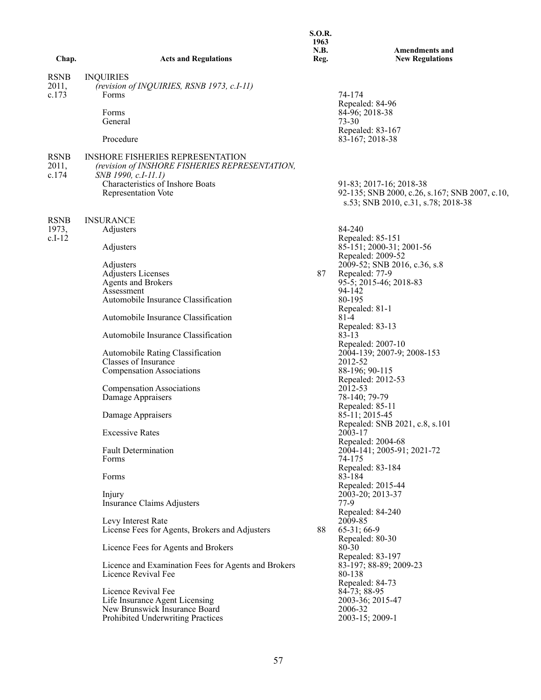|             |                                                                            | 1963<br>N.B. |                                                 |
|-------------|----------------------------------------------------------------------------|--------------|-------------------------------------------------|
| Chap.       | <b>Acts and Regulations</b>                                                | Reg.         | <b>Amendments and</b><br><b>New Regulations</b> |
| <b>RSNB</b> | <b>INQUIRIES</b>                                                           |              |                                                 |
| 2011,       | (revision of INQUIRIES, RSNB 1973, c.I-11)                                 |              |                                                 |
| c.173       | Forms                                                                      |              | 74-174<br>Repealed: 84-96                       |
|             | Forms                                                                      |              | 84-96; 2018-38                                  |
|             | General                                                                    |              | $73 - 30$                                       |
|             |                                                                            |              | Repealed: 83-167                                |
|             | Procedure                                                                  |              | 83-167; 2018-38                                 |
| <b>RSNB</b> | <b>INSHORE FISHERIES REPRESENTATION</b>                                    |              |                                                 |
| 2011,       | (revision of INSHORE FISHERIES REPRESENTATION,                             |              |                                                 |
| c.174       | SNB 1990, c.I-11.1)                                                        |              |                                                 |
|             | Characteristics of Inshore Boats                                           |              | 91-83; 2017-16; 2018-38                         |
|             | <b>Representation Vote</b>                                                 |              | 92-135; SNB 2000, c.26, s.167; SNB 2007, c.10,  |
|             |                                                                            |              | s.53; SNB 2010, c.31, s.78; 2018-38             |
| <b>RSNB</b> | <b>INSURANCE</b>                                                           |              |                                                 |
| 1973,       | Adjusters                                                                  |              | 84-240                                          |
| $c.I-12$    |                                                                            |              | Repealed: 85-151                                |
|             | Adjusters                                                                  |              | 85-151; 2000-31; 2001-56                        |
|             |                                                                            |              | Repealed: 2009-52                               |
|             | Adjusters<br><b>Adjusters Licenses</b>                                     | 87           | 2009-52; SNB 2016, c.36, s.8<br>Repealed: 77-9  |
|             | <b>Agents and Brokers</b>                                                  |              | 95-5; 2015-46; 2018-83                          |
|             | Assessment                                                                 |              | 94-142                                          |
|             | Automobile Insurance Classification                                        |              | 80-195                                          |
|             |                                                                            |              | Repealed: 81-1                                  |
|             | Automobile Insurance Classification                                        |              | $81-4$                                          |
|             | Automobile Insurance Classification                                        |              | Repealed: 83-13<br>$83 - 13$                    |
|             |                                                                            |              | Repealed: 2007-10                               |
|             | Automobile Rating Classification                                           |              | 2004-139; 2007-9; 2008-153                      |
|             | Classes of Insurance                                                       |              | 2012-52                                         |
|             | <b>Compensation Associations</b>                                           |              | 88-196; 90-115                                  |
|             | <b>Compensation Associations</b>                                           |              | Repealed: 2012-53<br>2012-53                    |
|             | Damage Appraisers                                                          |              | 78-140; 79-79                                   |
|             |                                                                            |              | Repealed: 85-11                                 |
|             | Damage Appraisers                                                          |              | 85-11; 2015-45                                  |
|             |                                                                            |              | Repealed: SNB 2021, c.8, s.101                  |
|             | <b>Excessive Rates</b>                                                     |              | 2003-17                                         |
|             | <b>Fault Determination</b>                                                 |              | Repealed: 2004-68<br>2004-141; 2005-91; 2021-72 |
|             | Forms                                                                      |              | 74-175                                          |
|             |                                                                            |              | Repealed: 83-184                                |
|             | Forms                                                                      |              | 83-184                                          |
|             |                                                                            |              | Repealed: 2015-44                               |
|             | Injury                                                                     |              | 2003-20; 2013-37                                |
|             | Insurance Claims Adjusters                                                 |              | $77-9$<br>Repealed: 84-240                      |
|             | Levy Interest Rate                                                         |              | 2009-85                                         |
|             | License Fees for Agents, Brokers and Adjusters                             | 88           | 65-31; 66-9                                     |
|             |                                                                            |              | Repealed: 80-30                                 |
|             | Licence Fees for Agents and Brokers                                        |              | 80-30                                           |
|             |                                                                            |              | Repealed: 83-197                                |
|             | Licence and Examination Fees for Agents and Brokers<br>Licence Revival Fee |              | 83-197; 88-89; 2009-23<br>80-138                |
|             |                                                                            |              | Repealed: 84-73                                 |
|             | Licence Revival Fee                                                        |              | 84-73; 88-95                                    |
|             | Life Insurance Agent Licensing                                             |              | 2003-36; 2015-47                                |
|             | New Brunswick Insurance Board                                              |              | 2006-32                                         |
|             | Prohibited Underwriting Practices                                          |              | 2003-15; 2009-1                                 |
|             |                                                                            |              |                                                 |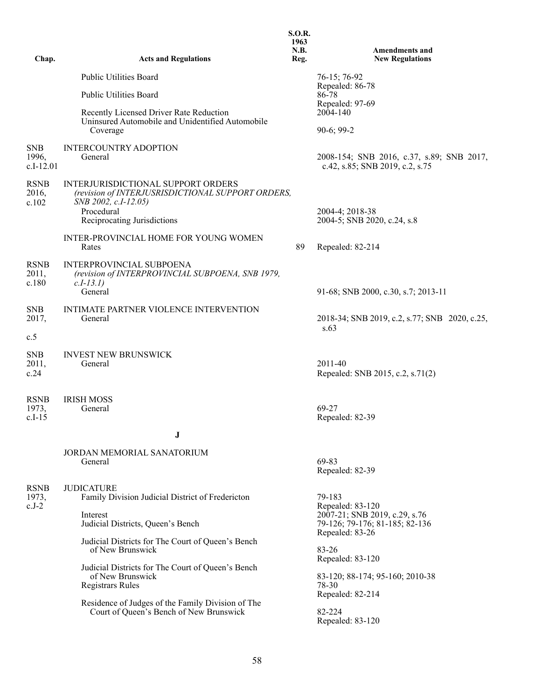| Chap.                              | <b>Acts and Regulations</b>                                                                                                                                                                                  | <b>S.O.R.</b><br>1963<br>N.B.<br>Reg. | <b>Amendments and</b><br><b>New Regulations</b>                                    |
|------------------------------------|--------------------------------------------------------------------------------------------------------------------------------------------------------------------------------------------------------------|---------------------------------------|------------------------------------------------------------------------------------|
|                                    | <b>Public Utilities Board</b>                                                                                                                                                                                |                                       | 76-15; 76-92<br>Repealed: 86-78                                                    |
|                                    | <b>Public Utilities Board</b>                                                                                                                                                                                |                                       | 86-78<br>Repealed: 97-69                                                           |
|                                    | Recently Licensed Driver Rate Reduction<br>Uninsured Automobile and Unidentified Automobile<br>Coverage                                                                                                      |                                       | 2004-140<br>$90-6; 99-2$                                                           |
| <b>SNB</b><br>1996,<br>$c.I-12.01$ | <b>INTERCOUNTRY ADOPTION</b><br>General                                                                                                                                                                      |                                       | 2008-154; SNB 2016, c.37, s.89; SNB 2017,<br>c.42, s.85; SNB 2019, c.2, s.75       |
| <b>RSNB</b><br>2016,<br>c.102      | INTERJURISDICTIONAL SUPPORT ORDERS<br>(revision of INTERJUSRISDICTIONAL SUPPORT ORDERS,<br>SNB 2002, c.I-12.05)<br>Procedural<br>Reciprocating Jurisdictions<br><b>INTER-PROVINCIAL HOME FOR YOUNG WOMEN</b> |                                       | 2004-4; 2018-38<br>2004-5; SNB 2020, c.24, s.8                                     |
|                                    | Rates                                                                                                                                                                                                        | 89                                    | Repealed: 82-214                                                                   |
| <b>RSNB</b><br>2011,<br>c.180      | <b>INTERPROVINCIAL SUBPOENA</b><br>(revision of INTERPROVINCIAL SUBPOENA, SNB 1979,<br>$c.I-13.I)$<br>General                                                                                                |                                       | 91-68; SNB 2000, c.30, s.7; 2013-11                                                |
| <b>SNB</b><br>2017,                | INTIMATE PARTNER VIOLENCE INTERVENTION<br>General                                                                                                                                                            |                                       | 2018-34; SNB 2019, c.2, s.77; SNB 2020, c.25,<br>s.63                              |
| c.5                                |                                                                                                                                                                                                              |                                       |                                                                                    |
| <b>SNB</b><br>2011,<br>c.24        | <b>INVEST NEW BRUNSWICK</b><br>General                                                                                                                                                                       |                                       | 2011-40<br>Repealed: SNB 2015, c.2, s.71(2)                                        |
| <b>RSNB</b><br>1973,<br>$c.I-15$   | <b>IRISH MOSS</b><br>General                                                                                                                                                                                 |                                       | 69-27<br>Repealed: 82-39                                                           |
|                                    | J                                                                                                                                                                                                            |                                       |                                                                                    |
|                                    | JORDAN MEMORIAL SANATORIUM<br>General                                                                                                                                                                        |                                       | 69-83<br>Repealed: 82-39                                                           |
| <b>RSNB</b><br>1973,<br>$c.J-2$    | <b>JUDICATURE</b><br>Family Division Judicial District of Fredericton                                                                                                                                        |                                       | 79-183<br>Repealed: 83-120                                                         |
|                                    | Interest<br>Judicial Districts, Queen's Bench                                                                                                                                                                |                                       | 2007-21; SNB 2019, c.29, s.76<br>79-126; 79-176; 81-185; 82-136<br>Repealed: 83-26 |
|                                    | Judicial Districts for The Court of Queen's Bench<br>of New Brunswick                                                                                                                                        |                                       | 83-26<br>Repealed: 83-120                                                          |
|                                    | Judicial Districts for The Court of Queen's Bench<br>of New Brunswick<br><b>Registrars Rules</b>                                                                                                             |                                       | 83-120; 88-174; 95-160; 2010-38<br>78-30<br>Repealed: 82-214                       |
|                                    | Residence of Judges of the Family Division of The<br>Court of Queen's Bench of New Brunswick                                                                                                                 |                                       | 82-224<br>Repealed: 83-120                                                         |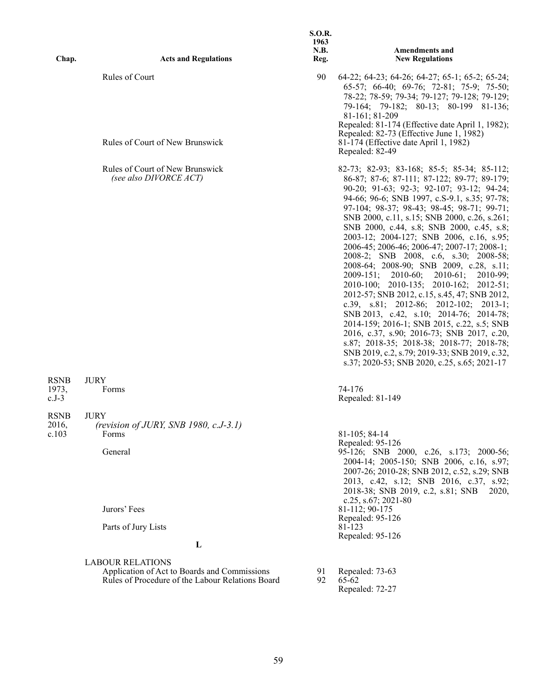| Chap.                           | <b>Acts and Regulations</b>                                                                                                 | <b>S.O.R.</b><br>1963<br><b>N.B.</b><br>Reg. | <b>Amendments and</b><br><b>New Regulations</b>                                                                                                                                                                                                                                                                                                                                                                                                                                                                                                                                                                                                                                                                                                                                                                                                                                                                                                                                                 |
|---------------------------------|-----------------------------------------------------------------------------------------------------------------------------|----------------------------------------------|-------------------------------------------------------------------------------------------------------------------------------------------------------------------------------------------------------------------------------------------------------------------------------------------------------------------------------------------------------------------------------------------------------------------------------------------------------------------------------------------------------------------------------------------------------------------------------------------------------------------------------------------------------------------------------------------------------------------------------------------------------------------------------------------------------------------------------------------------------------------------------------------------------------------------------------------------------------------------------------------------|
|                                 | Rules of Court<br>Rules of Court of New Brunswick                                                                           | 90                                           | $64-22$ ; $64-23$ ; $64-26$ ; $64-27$ ; $65-1$ ; $65-2$ ; $65-24$ ;<br>65-57; 66-40; 69-76; 72-81; 75-9; 75-50;<br>78-22; 78-59; 79-34; 79-127; 79-128; 79-129;<br>79-164; 79-182; 80-13; 80-199 81-136;<br>81-161; 81-209<br>Repealed: 81-174 (Effective date April 1, 1982);<br>Repealed: 82-73 (Effective June 1, 1982)<br>81-174 (Effective date April 1, 1982)<br>Repealed: 82-49                                                                                                                                                                                                                                                                                                                                                                                                                                                                                                                                                                                                          |
|                                 | Rules of Court of New Brunswick<br>(see also DIVORCE ACT)                                                                   |                                              | 82-73; 82-93; 83-168; 85-5; 85-34; 85-112;<br>86-87; 87-6; 87-111; 87-122; 89-77; 89-179;<br>90-20; 91-63; 92-3; 92-107; 93-12; 94-24;<br>94-66; 96-6; SNB 1997, c.S-9.1, s.35; 97-78;<br>97-104; 98-37; 98-43; 98-45; 98-71; 99-71;<br>SNB 2000, c.11, s.15; SNB 2000, c.26, s.261;<br>SNB 2000, c.44, s.8; SNB 2000, c.45, s.8;<br>2003-12; 2004-127; SNB 2006, c.16, s.95;<br>2006-45; 2006-46; 2006-47; 2007-17; 2008-1;<br>2008-2; SNB 2008, c.6, s.30; 2008-58;<br>2008-64; 2008-90; SNB 2009, c.28, s.11;<br>$2009-151$ ; $2010-60$ ;<br>$2010-61;$<br>2010-99;<br>2010-100; 2010-135; 2010-162; 2012-51;<br>2012-57; SNB 2012, c.15, s.45, 47; SNB 2012,<br>c.39, s.81; 2012-86; 2012-102; 2013-1;<br>SNB 2013, c.42, s.10; 2014-76; 2014-78;<br>2014-159; 2016-1; SNB 2015, c.22, s.5; SNB<br>2016, c.37, s.90; 2016-73; SNB 2017, c.20,<br>s.87; 2018-35; 2018-38; 2018-77; 2018-78;<br>SNB 2019, c.2, s.79; 2019-33; SNB 2019, c.32,<br>s.37; 2020-53; SNB 2020, c.25, s.65; 2021-17 |
| <b>RSNB</b><br>1973,<br>$c.J-3$ | <b>JURY</b><br>Forms                                                                                                        |                                              | 74-176<br>Repealed: 81-149                                                                                                                                                                                                                                                                                                                                                                                                                                                                                                                                                                                                                                                                                                                                                                                                                                                                                                                                                                      |
| <b>RSNB</b><br>2016,<br>c.103   | <b>JURY</b><br>(revision of JURY, SNB 1980, c.J-3.1)<br>Forms<br>General<br>Jurors' Fees<br>Parts of Jury Lists             |                                              | 81-105; 84-14<br>Repealed: 95-126<br>95-126; SNB 2000, c.26, s.173; 2000-56;<br>2004-14; 2005-150; SNB 2006, c.16, s.97;<br>2007-26; 2010-28; SNB 2012, c.52, s.29; SNB<br>2013, c.42, s.12; SNB 2016, c.37, s.92;<br>2018-38; SNB 2019, c.2, s.81; SNB<br>2020,<br>c.25, s.67; 2021-80<br>81-112; 90-175<br>Repealed: 95-126<br>81-123<br>Repealed: 95-126                                                                                                                                                                                                                                                                                                                                                                                                                                                                                                                                                                                                                                     |
|                                 | L                                                                                                                           |                                              |                                                                                                                                                                                                                                                                                                                                                                                                                                                                                                                                                                                                                                                                                                                                                                                                                                                                                                                                                                                                 |
|                                 | <b>LABOUR RELATIONS</b><br>Application of Act to Boards and Commissions<br>Rules of Procedure of the Labour Relations Board | 91<br>92                                     | Repealed: 73-63<br>65-62<br>Repealed: 72-27                                                                                                                                                                                                                                                                                                                                                                                                                                                                                                                                                                                                                                                                                                                                                                                                                                                                                                                                                     |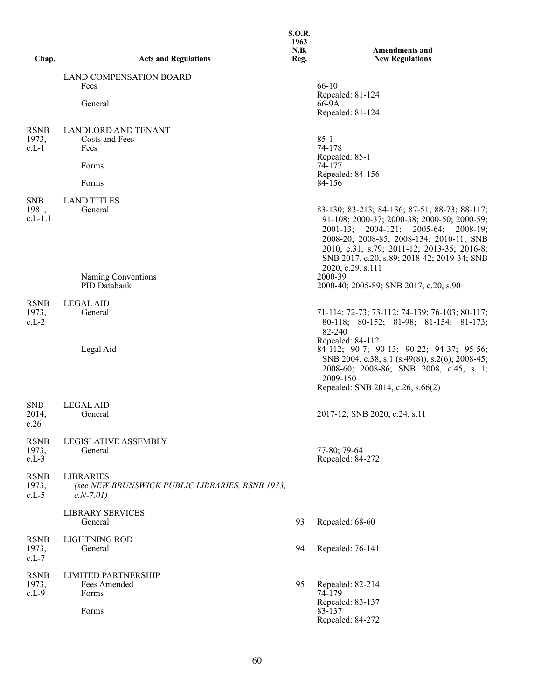| Chap.                            | <b>Acts and Regulations</b>                                                       | <b>S.O.R.</b><br>1963<br>N.B.<br>Reg. | <b>Amendments and</b><br><b>New Regulations</b>                                                                                                                                                                                                                                     |
|----------------------------------|-----------------------------------------------------------------------------------|---------------------------------------|-------------------------------------------------------------------------------------------------------------------------------------------------------------------------------------------------------------------------------------------------------------------------------------|
|                                  | <b>LAND COMPENSATION BOARD</b>                                                    |                                       |                                                                                                                                                                                                                                                                                     |
|                                  | Fees<br>General                                                                   |                                       | 66-10<br>Repealed: 81-124<br>66-9A<br>Repealed: 81-124                                                                                                                                                                                                                              |
| <b>RSNB</b><br>1973,<br>$c.L-1$  | <b>LANDLORD AND TENANT</b><br>Costs and Fees<br>Fees                              |                                       | $85 - 1$<br>74-178                                                                                                                                                                                                                                                                  |
|                                  | Forms                                                                             |                                       | Repealed: 85-1<br>74-177                                                                                                                                                                                                                                                            |
|                                  | Forms                                                                             |                                       | Repealed: 84-156<br>84-156                                                                                                                                                                                                                                                          |
| <b>SNB</b><br>1981,<br>$c.L-1.1$ | <b>LAND TITLES</b><br>General                                                     |                                       | 83-130; 83-213; 84-136; 87-51; 88-73; 88-117;<br>91-108; 2000-37; 2000-38; 2000-50; 2000-59;<br>$2001-13;$<br>2004-121; 2005-64; 2008-19;<br>2008-20; 2008-85; 2008-134; 2010-11; SNB<br>2010, c.31, s.79; 2011-12; 2013-35; 2016-8;<br>SNB 2017, c.20, s.89; 2018-42; 2019-34; SNB |
|                                  | Naming Conventions<br>PID Databank                                                |                                       | 2020, c.29, s.111<br>2000-39<br>2000-40; 2005-89; SNB 2017, c.20, s.90                                                                                                                                                                                                              |
| <b>RSNB</b><br>1973,<br>$c.L-2$  | <b>LEGAL AID</b><br>General                                                       |                                       | 71-114; 72-73; 73-112; 74-139; 76-103; 80-117;<br>80-118; 80-152; 81-98; 81-154; 81-173;<br>82-240                                                                                                                                                                                  |
|                                  | Legal Aid                                                                         |                                       | Repealed: 84-112<br>84-112; 90-7; 90-13; 90-22; 94-37; 95-56;<br>SNB 2004, c.38, s.1 (s.49(8)), s.2(6); 2008-45;<br>2008-60; 2008-86; SNB 2008, c.45, s.11;<br>2009-150<br>Repealed: SNB 2014, c.26, s.66(2)                                                                        |
| <b>SNB</b><br>2014,<br>c.26      | <b>LEGAL AID</b><br>General                                                       |                                       | 2017-12; SNB 2020, c.24, s.11                                                                                                                                                                                                                                                       |
| <b>RSNB</b><br>1973,<br>$c.L-3$  | LEGISLATIVE ASSEMBLY<br>General                                                   |                                       | 77-80; 79-64<br>Repealed: 84-272                                                                                                                                                                                                                                                    |
| <b>RSNB</b><br>1973,<br>$c.L-5$  | <b>LIBRARIES</b><br>(see NEW BRUNSWICK PUBLIC LIBRARIES, RSNB 1973,<br>$c.N-7.01$ |                                       |                                                                                                                                                                                                                                                                                     |
|                                  | <b>LIBRARY SERVICES</b><br>General                                                | 93                                    | Repealed: 68-60                                                                                                                                                                                                                                                                     |
| <b>RSNB</b><br>1973,<br>$c.L-7$  | LIGHTNING ROD<br>General                                                          | 94                                    | Repealed: 76-141                                                                                                                                                                                                                                                                    |
| <b>RSNB</b><br>1973,<br>$c.L-9$  | <b>LIMITED PARTNERSHIP</b><br>Fees Amended<br>Forms<br>Forms                      | 95                                    | Repealed: 82-214<br>74-179<br>Repealed: 83-137<br>83-137                                                                                                                                                                                                                            |
|                                  |                                                                                   |                                       | Repealed: 84-272                                                                                                                                                                                                                                                                    |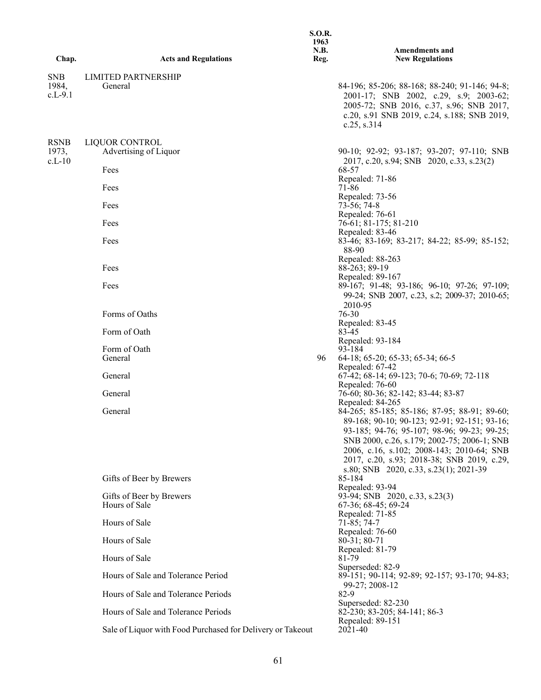| Chap.                            | <b>Acts and Regulations</b>                                     | <b>S.O.R.</b><br>1963<br>N.B.<br>Reg. | <b>Amendments and</b><br><b>New Regulations</b>                                                                                                                                                                                                                                                                                 |
|----------------------------------|-----------------------------------------------------------------|---------------------------------------|---------------------------------------------------------------------------------------------------------------------------------------------------------------------------------------------------------------------------------------------------------------------------------------------------------------------------------|
|                                  |                                                                 |                                       |                                                                                                                                                                                                                                                                                                                                 |
| <b>SNB</b><br>1984,<br>$c.L-9.1$ | <b>LIMITED PARTNERSHIP</b><br>General                           |                                       | 84-196; 85-206; 88-168; 88-240; 91-146; 94-8;<br>2001-17; SNB 2002, c.29, s.9; 2003-62;<br>2005-72; SNB 2016, c.37, s.96; SNB 2017,<br>c.20, s.91 SNB 2019, c.24, s.188; SNB 2019,<br>c.25, s.314                                                                                                                               |
| <b>RSNB</b><br>1973,<br>$c.L-10$ | LIQUOR CONTROL<br>Advertising of Liquor<br>Fees<br>Fees<br>Fees |                                       | 90-10; 92-92; 93-187; 93-207; 97-110; SNB<br>2017, c.20, s.94; SNB 2020, c.33, s.23(2)<br>68-57<br>Repealed: 71-86<br>71-86<br>Repealed: 73-56<br>$73-56$ ; 74-8                                                                                                                                                                |
|                                  |                                                                 |                                       | Repealed: 76-61                                                                                                                                                                                                                                                                                                                 |
|                                  | Fees<br>Fees                                                    |                                       | 76-61; 81-175; 81-210<br>Repealed: 83-46<br>83-46; 83-169; 83-217; 84-22; 85-99; 85-152;<br>88-90                                                                                                                                                                                                                               |
|                                  | Fees                                                            |                                       | Repealed: 88-263<br>88-263; 89-19<br>Repealed: 89-167                                                                                                                                                                                                                                                                           |
|                                  | Fees                                                            |                                       | 89-167; 91-48; 93-186; 96-10; 97-26; 97-109;<br>99-24; SNB 2007, c.23, s.2; 2009-37; 2010-65;<br>2010-95                                                                                                                                                                                                                        |
|                                  | Forms of Oaths                                                  |                                       | 76-30                                                                                                                                                                                                                                                                                                                           |
|                                  | Form of Oath                                                    |                                       | Repealed: 83-45<br>83-45                                                                                                                                                                                                                                                                                                        |
|                                  | Form of Oath                                                    |                                       | Repealed: 93-184<br>93-184                                                                                                                                                                                                                                                                                                      |
|                                  | General                                                         | 96                                    | 64-18; 65-20; 65-33; 65-34; 66-5                                                                                                                                                                                                                                                                                                |
|                                  | General                                                         |                                       | Repealed: 67-42<br>67-42; 68-14; 69-123; 70-6; 70-69; 72-118                                                                                                                                                                                                                                                                    |
|                                  | General                                                         |                                       | Repealed: 76-60<br>76-60; 80-36; 82-142; 83-44; 83-87                                                                                                                                                                                                                                                                           |
|                                  |                                                                 |                                       | Repealed: 84-265                                                                                                                                                                                                                                                                                                                |
|                                  | General                                                         |                                       | 84-265; 85-185; 85-186; 87-95; 88-91; 89-60;<br>89-168; 90-10; 90-123; 92-91; 92-151; 93-16;<br>93-185; 94-76; 95-107; 98-96; 99-23; 99-25;<br>SNB 2000, c.26, s.179; 2002-75; 2006-1; SNB<br>2006, c.16, s.102; 2008-143; 2010-64; SNB<br>2017, c.20, s.93; 2018-38; SNB 2019, c.29,<br>s.80; SNB 2020, c.33, s.23(1); 2021-39 |
|                                  | Gifts of Beer by Brewers                                        |                                       | 85-184<br>Repealed: 93-94                                                                                                                                                                                                                                                                                                       |
|                                  | Gifts of Beer by Brewers<br>Hours of Sale                       |                                       | 93-94; SNB 2020, c.33, s.23(3)<br>67-36; 68-45; 69-24                                                                                                                                                                                                                                                                           |
|                                  | Hours of Sale                                                   |                                       | Repealed: 71-85<br>71-85; 74-7<br>Repealed: 76-60                                                                                                                                                                                                                                                                               |
|                                  | Hours of Sale                                                   |                                       | $80-31$ ; $80-71$<br>Repealed: 81-79                                                                                                                                                                                                                                                                                            |
|                                  | Hours of Sale                                                   |                                       | 81-79<br>Superseded: 82-9                                                                                                                                                                                                                                                                                                       |
|                                  | Hours of Sale and Tolerance Period                              |                                       | 89-151; 90-114; 92-89; 92-157; 93-170; 94-83;                                                                                                                                                                                                                                                                                   |
|                                  | Hours of Sale and Tolerance Periods                             |                                       | 99-27; 2008-12<br>82-9                                                                                                                                                                                                                                                                                                          |
|                                  | Hours of Sale and Tolerance Periods                             |                                       | Superseded: 82-230<br>82-230; 83-205; 84-141; 86-3                                                                                                                                                                                                                                                                              |
|                                  | Sale of Liquor with Food Purchased for Delivery or Takeout      |                                       | Repealed: 89-151<br>2021-40                                                                                                                                                                                                                                                                                                     |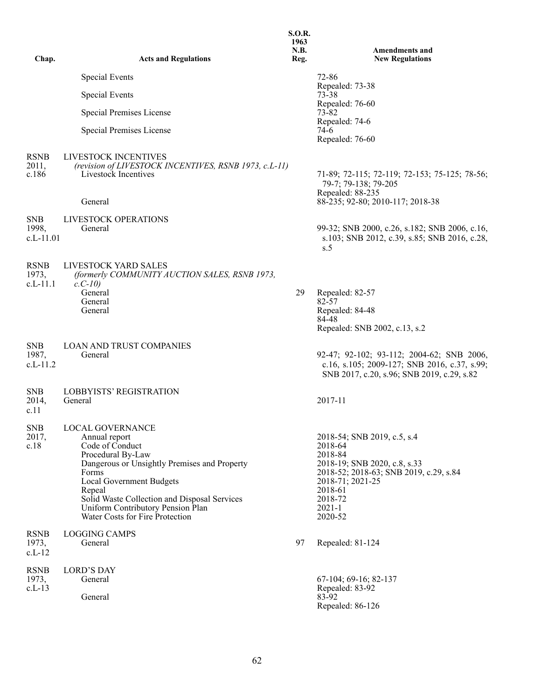|                                    |                                                                                                                                                                                                                                                                                                         | <b>S.O.R.</b><br>1963 |                                                                                                                                                                                                |
|------------------------------------|---------------------------------------------------------------------------------------------------------------------------------------------------------------------------------------------------------------------------------------------------------------------------------------------------------|-----------------------|------------------------------------------------------------------------------------------------------------------------------------------------------------------------------------------------|
| Chap.                              | <b>Acts and Regulations</b>                                                                                                                                                                                                                                                                             | N.B.<br>Reg.          | <b>Amendments and</b><br><b>New Regulations</b>                                                                                                                                                |
|                                    | <b>Special Events</b>                                                                                                                                                                                                                                                                                   |                       | $72 - 86$                                                                                                                                                                                      |
|                                    | <b>Special Events</b>                                                                                                                                                                                                                                                                                   |                       | Repealed: 73-38<br>73-38                                                                                                                                                                       |
|                                    | Special Premises License                                                                                                                                                                                                                                                                                |                       | Repealed: 76-60<br>73-82                                                                                                                                                                       |
|                                    | Special Premises License                                                                                                                                                                                                                                                                                |                       | Repealed: 74-6<br>74-6<br>Repealed: 76-60                                                                                                                                                      |
| <b>RSNB</b><br>2011,<br>c.186      | LIVESTOCK INCENTIVES<br>(revision of LIVESTOCK INCENTIVES, RSNB 1973, c.L-11)<br>Livestock Incentives                                                                                                                                                                                                   |                       | 71-89; 72-115; 72-119; 72-153; 75-125; 78-56;<br>79-7; 79-138; 79-205<br>Repealed: 88-235                                                                                                      |
|                                    | General                                                                                                                                                                                                                                                                                                 |                       | 88-235; 92-80; 2010-117; 2018-38                                                                                                                                                               |
| <b>SNB</b><br>1998,<br>$c.L-11.01$ | LIVESTOCK OPERATIONS<br>General                                                                                                                                                                                                                                                                         |                       | 99-32; SNB 2000, c.26, s.182; SNB 2006, c.16,<br>s.103; SNB 2012, c.39, s.85; SNB 2016, c.28,<br>s.5                                                                                           |
| <b>RSNB</b><br>1973,<br>c.L-11.1   | LIVESTOCK YARD SALES<br>(formerly COMMUNITY AUCTION SALES, RSNB 1973,<br>$c. C-10$                                                                                                                                                                                                                      |                       |                                                                                                                                                                                                |
|                                    | General<br>General                                                                                                                                                                                                                                                                                      | 29                    | Repealed: 82-57<br>82-57                                                                                                                                                                       |
|                                    | General                                                                                                                                                                                                                                                                                                 |                       | Repealed: 84-48<br>84-48                                                                                                                                                                       |
|                                    |                                                                                                                                                                                                                                                                                                         |                       | Repealed: SNB 2002, c.13, s.2                                                                                                                                                                  |
| <b>SNB</b><br>1987,<br>$c.L-11.2$  | <b>LOAN AND TRUST COMPANIES</b><br>General                                                                                                                                                                                                                                                              |                       | 92-47; 92-102; 93-112; 2004-62; SNB 2006,<br>c.16, s.105; 2009-127; SNB 2016, c.37, s.99;<br>SNB 2017, c.20, s.96; SNB 2019, c.29, s.82                                                        |
| <b>SNB</b><br>2014,<br>c.11        | <b>LOBBYISTS' REGISTRATION</b><br>General                                                                                                                                                                                                                                                               |                       | 2017-11                                                                                                                                                                                        |
| <b>SNB</b><br>2017,<br>c.18        | LOCAL GOVERNANCE<br>Annual report<br>Code of Conduct<br>Procedural By-Law<br>Dangerous or Unsightly Premises and Property<br>Forms<br><b>Local Government Budgets</b><br>Repeal<br>Solid Waste Collection and Disposal Services<br>Uniform Contributory Pension Plan<br>Water Costs for Fire Protection |                       | 2018-54; SNB 2019, c.5, s.4<br>2018-64<br>2018-84<br>2018-19; SNB 2020, c.8, s.33<br>2018-52; 2018-63; SNB 2019, c.29, s.84<br>2018-71; 2021-25<br>2018-61<br>2018-72<br>$2021 - 1$<br>2020-52 |
| <b>RSNB</b><br>1973,<br>$c.L-12$   | <b>LOGGING CAMPS</b><br>General                                                                                                                                                                                                                                                                         | 97                    | Repealed: 81-124                                                                                                                                                                               |
| <b>RSNB</b><br>1973,               | <b>LORD'S DAY</b><br>General                                                                                                                                                                                                                                                                            |                       | 67-104; 69-16; 82-137                                                                                                                                                                          |
| $c.L-13$                           | General                                                                                                                                                                                                                                                                                                 |                       | Repealed: 83-92<br>83-92<br>Repealed: 86-126                                                                                                                                                   |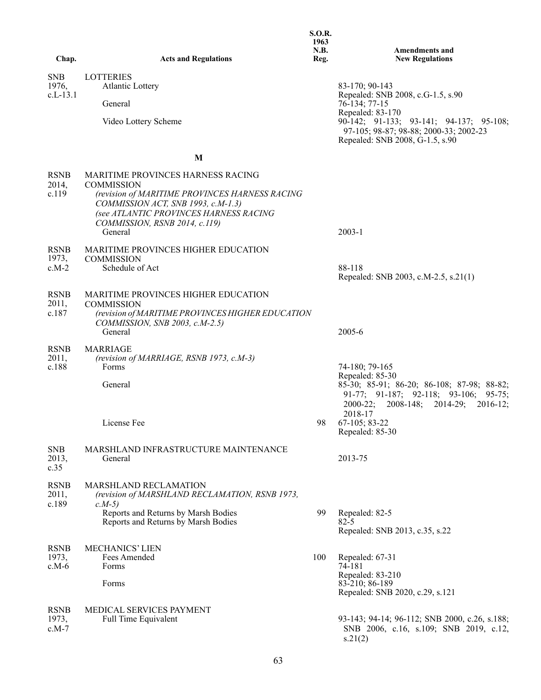|                                   |                                                                                                                                                                                                                                             | <b>S.O.R.</b><br>1963<br>N.B. | <b>Amendments and</b>                                                                                                                                                                                            |
|-----------------------------------|---------------------------------------------------------------------------------------------------------------------------------------------------------------------------------------------------------------------------------------------|-------------------------------|------------------------------------------------------------------------------------------------------------------------------------------------------------------------------------------------------------------|
| Chap.                             | <b>Acts and Regulations</b>                                                                                                                                                                                                                 | Reg.                          | <b>New Regulations</b>                                                                                                                                                                                           |
| <b>SNB</b><br>1976,<br>$c.L-13.1$ | <b>LOTTERIES</b><br><b>Atlantic Lottery</b><br>General                                                                                                                                                                                      |                               | 83-170; 90-143<br>Repealed: SNB 2008, c.G-1.5, s.90<br>76-134; 77-15                                                                                                                                             |
|                                   |                                                                                                                                                                                                                                             |                               | Repealed: 83-170                                                                                                                                                                                                 |
|                                   | Video Lottery Scheme                                                                                                                                                                                                                        |                               | 90-142; 91-133; 93-141; 94-137; 95-108;<br>97-105; 98-87; 98-88; 2000-33; 2002-23<br>Repealed: SNB 2008, G-1.5, s.90                                                                                             |
|                                   | M                                                                                                                                                                                                                                           |                               |                                                                                                                                                                                                                  |
| <b>RSNB</b><br>2014,<br>c.119     | <b>MARITIME PROVINCES HARNESS RACING</b><br><b>COMMISSION</b><br>(revision of MARITIME PROVINCES HARNESS RACING<br>COMMISSION ACT, SNB 1993, c.M-1.3)<br>(see ATLANTIC PROVINCES HARNESS RACING<br>COMMISSION, RSNB 2014, c.119)<br>General |                               | $2003 - 1$                                                                                                                                                                                                       |
| <b>RSNB</b>                       | MARITIME PROVINCES HIGHER EDUCATION                                                                                                                                                                                                         |                               |                                                                                                                                                                                                                  |
| 1973,<br>$c.M-2$                  | <b>COMMISSION</b><br>Schedule of Act                                                                                                                                                                                                        |                               | 88-118<br>Repealed: SNB 2003, c.M-2.5, s.21(1)                                                                                                                                                                   |
| <b>RSNB</b><br>2011,<br>c.187     | <b>MARITIME PROVINCES HIGHER EDUCATION</b><br><b>COMMISSION</b><br>(revision of MARITIME PROVINCES HIGHER EDUCATION<br>COMMISSION, SNB 2003, c.M-2.5)<br>General                                                                            |                               | 2005-6                                                                                                                                                                                                           |
| <b>RSNB</b><br>2011,<br>c.188     | <b>MARRIAGE</b><br>(revision of MARRIAGE, RSNB 1973, c.M-3)<br>Forms<br>General<br>License Fee                                                                                                                                              |                               | 74-180; 79-165<br>Repealed: 85-30<br>85-30; 85-91; 86-20; 86-108; 87-98; 88-82;<br>91-77; 91-187; 92-118; 93-106; 95-75;<br>$2000-22$ ; $2008-148$ ; $2014-29$ ;<br>$2016 - 12$ ;<br>2018-17<br>98 67-105; 83-22 |
|                                   |                                                                                                                                                                                                                                             |                               | Repealed: 85-30                                                                                                                                                                                                  |
| <b>SNB</b><br>2013,<br>c.35       | MARSHLAND INFRASTRUCTURE MAINTENANCE<br>General                                                                                                                                                                                             |                               | 2013-75                                                                                                                                                                                                          |
| <b>RSNB</b><br>2011,<br>c.189     | <b>MARSHLAND RECLAMATION</b><br>(revision of MARSHLAND RECLAMATION, RSNB 1973,<br>$c.M-5$                                                                                                                                                   |                               |                                                                                                                                                                                                                  |
|                                   | Reports and Returns by Marsh Bodies<br>Reports and Returns by Marsh Bodies                                                                                                                                                                  | 99                            | Repealed: 82-5<br>$82 - 5$<br>Repealed: SNB 2013, c.35, s.22                                                                                                                                                     |
| <b>RSNB</b><br>1973,<br>$c.M-6$   | <b>MECHANICS' LIEN</b><br>Fees Amended<br>Forms<br>Forms                                                                                                                                                                                    | 100                           | Repealed: 67-31<br>74-181<br>Repealed: 83-210<br>83-210; 86-189<br>Repealed: SNB 2020, c.29, s.121                                                                                                               |
| <b>RSNB</b><br>1973,<br>$c.M-7$   | MEDICAL SERVICES PAYMENT<br>Full Time Equivalent                                                                                                                                                                                            |                               | 93-143; 94-14; 96-112; SNB 2000, c.26, s.188;<br>SNB 2006, c.16, s.109; SNB 2019, c.12,<br>s.21(2)                                                                                                               |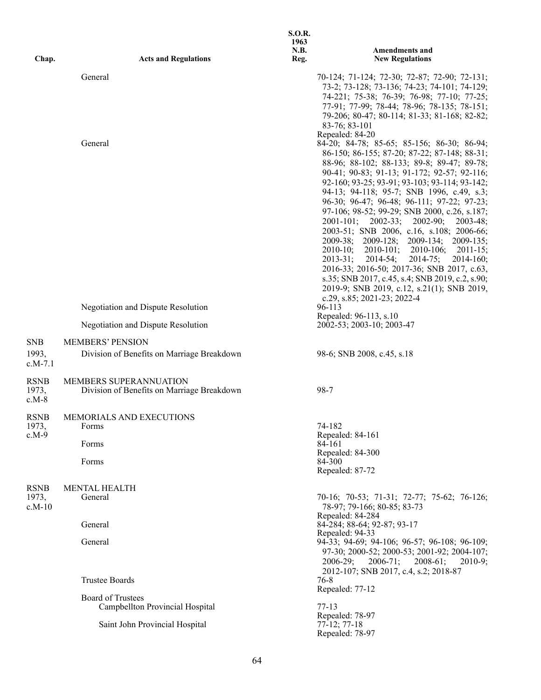| Chap.                            | <b>Acts and Regulations</b>                                           | <b>S.O.R.</b><br>1963<br><b>N.B.</b><br>Reg. | <b>Amendments and</b><br><b>New Regulations</b>                                                                                                                                                                                                                                                                                                                                                                                                                                                                                                                                                                                                                                                                                                                                                                                         |
|----------------------------------|-----------------------------------------------------------------------|----------------------------------------------|-----------------------------------------------------------------------------------------------------------------------------------------------------------------------------------------------------------------------------------------------------------------------------------------------------------------------------------------------------------------------------------------------------------------------------------------------------------------------------------------------------------------------------------------------------------------------------------------------------------------------------------------------------------------------------------------------------------------------------------------------------------------------------------------------------------------------------------------|
|                                  | General                                                               |                                              | 70-124; 71-124; 72-30; 72-87; 72-90; 72-131;<br>73-2; 73-128; 73-136; 74-23; 74-101; 74-129;<br>74-221; 75-38; 76-39; 76-98; 77-10; 77-25;<br>77-91; 77-99; 78-44; 78-96; 78-135; 78-151;<br>79-206; 80-47; 80-114; 81-33; 81-168; 82-82;<br>83-76; 83-101                                                                                                                                                                                                                                                                                                                                                                                                                                                                                                                                                                              |
|                                  | General                                                               |                                              | Repealed: 84-20<br>84-20; 84-78; 85-65; 85-156; 86-30; 86-94;<br>86-150; 86-155; 87-20; 87-22; 87-148; 88-31;<br>88-96; 88-102; 88-133; 89-8; 89-47; 89-78;<br>90-41; 90-83; 91-13; 91-172; 92-57; 92-116;<br>92-160; 93-25; 93-91; 93-103; 93-114; 93-142;<br>94-13; 94-118; 95-7; SNB 1996, c.49, s.3;<br>96-30; 96-47; 96-48; 96-111; 97-22; 97-23;<br>97-106; 98-52; 99-29; SNB 2000, c.26, s.187;<br>$2001-101$ ; $2002-33$ ; $2002-90$ ;<br>$2003-48;$<br>2003-51; SNB 2006, c.16, s.108; 2006-66;<br>2009-38; 2009-128; 2009-134; 2009-135;<br>2010-10; 2010-101; 2010-106; 2011-15;<br>$2013 - 31$ ;<br>2014-54;<br>$2014 - 75;$<br>$2014 - 160;$<br>2016-33; 2016-50; 2017-36; SNB 2017, c.63,<br>s.35; SNB 2017, c.45, s.4; SNB 2019, c.2, s.90;<br>2019-9; SNB 2019, c.12, s.21(1); SNB 2019,<br>c.29, s.85; 2021-23; 2022-4 |
|                                  | <b>Negotiation and Dispute Resolution</b>                             |                                              | 96-113<br>Repealed: 96-113, s.10                                                                                                                                                                                                                                                                                                                                                                                                                                                                                                                                                                                                                                                                                                                                                                                                        |
|                                  | Negotiation and Dispute Resolution                                    |                                              | 2002-53; 2003-10; 2003-47                                                                                                                                                                                                                                                                                                                                                                                                                                                                                                                                                                                                                                                                                                                                                                                                               |
| <b>SNB</b><br>1993,<br>$c.M-7.1$ | <b>MEMBERS' PENSION</b><br>Division of Benefits on Marriage Breakdown |                                              | 98-6; SNB 2008, c.45, s.18                                                                                                                                                                                                                                                                                                                                                                                                                                                                                                                                                                                                                                                                                                                                                                                                              |
| <b>RSNB</b><br>1973,<br>$c.M-8$  | MEMBERS SUPERANNUATION<br>Division of Benefits on Marriage Breakdown  |                                              | 98-7                                                                                                                                                                                                                                                                                                                                                                                                                                                                                                                                                                                                                                                                                                                                                                                                                                    |
| <b>RSNB</b><br>1973,<br>c.M-9    | MEMORIALS AND EXECUTIONS<br><b>F</b> orms<br>Forms<br>Forms           |                                              | 74-182<br>Repealed: 84-161<br>84-161<br>Repealed: 84-300<br>84-300<br>Repealed: 87-72                                                                                                                                                                                                                                                                                                                                                                                                                                                                                                                                                                                                                                                                                                                                                   |
| <b>RSNB</b><br>1973,<br>$c.M-10$ | <b>MENTAL HEALTH</b><br>General                                       |                                              | 70-16; 70-53; 71-31; 72-77; 75-62; 76-126;<br>78-97; 79-166; 80-85; 83-73<br>Repealed: 84-284                                                                                                                                                                                                                                                                                                                                                                                                                                                                                                                                                                                                                                                                                                                                           |
|                                  | General                                                               |                                              | 84-284; 88-64; 92-87; 93-17                                                                                                                                                                                                                                                                                                                                                                                                                                                                                                                                                                                                                                                                                                                                                                                                             |
|                                  | General                                                               |                                              | Repealed: 94-33<br>94-33; 94-69; 94-106; 96-57; 96-108; 96-109;<br>97-30; 2000-52; 2000-53; 2001-92; 2004-107;<br>$2006 - 29;$<br>$2006 - 71;$<br>$2008-61;$<br>$2010-9;$<br>2012-107; SNB 2017, c.4, s.2; 2018-87                                                                                                                                                                                                                                                                                                                                                                                                                                                                                                                                                                                                                      |
|                                  | <b>Trustee Boards</b>                                                 |                                              | 76-8<br>Repealed: 77-12                                                                                                                                                                                                                                                                                                                                                                                                                                                                                                                                                                                                                                                                                                                                                                                                                 |
|                                  | <b>Board of Trustees</b><br>Campbellton Provincial Hospital           |                                              | $77-13$<br>Repealed: 78-97                                                                                                                                                                                                                                                                                                                                                                                                                                                                                                                                                                                                                                                                                                                                                                                                              |
|                                  | Saint John Provincial Hospital                                        |                                              | $77-12; 77-18$<br>Repealed: 78-97                                                                                                                                                                                                                                                                                                                                                                                                                                                                                                                                                                                                                                                                                                                                                                                                       |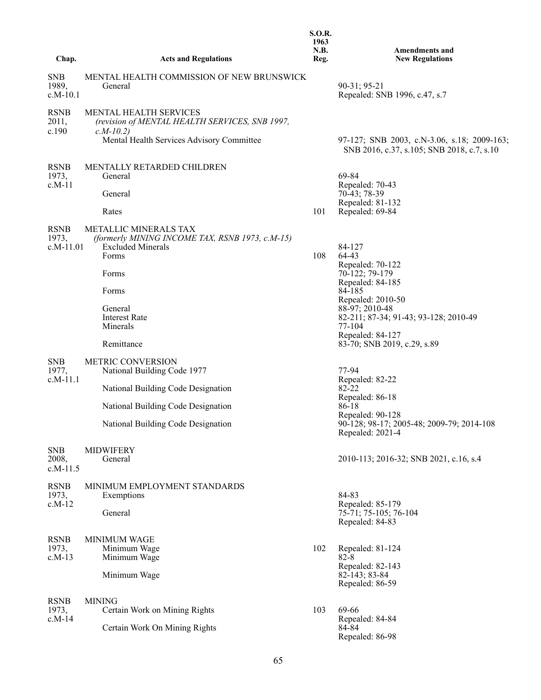| Chap.                               | <b>Acts and Regulations</b>                                                                                          | <b>S.O.R.</b><br>1963<br>N.B.<br>Reg. | <b>Amendments and</b><br><b>New Regulations</b>                                           |
|-------------------------------------|----------------------------------------------------------------------------------------------------------------------|---------------------------------------|-------------------------------------------------------------------------------------------|
|                                     |                                                                                                                      |                                       |                                                                                           |
| <b>SNB</b><br>1989,<br>$c.M-10.1$   | MENTAL HEALTH COMMISSION OF NEW BRUNSWICK<br>General                                                                 |                                       | 90-31; 95-21<br>Repealed: SNB 1996, c.47, s.7                                             |
| <b>RSNB</b><br>2011,<br>c.190       | MENTAL HEALTH SERVICES<br>(revision of MENTAL HEALTH SERVICES, SNB 1997,<br>$c.M-10.2$                               |                                       |                                                                                           |
|                                     | Mental Health Services Advisory Committee                                                                            |                                       | 97-127; SNB 2003, c.N-3.06, s.18; 2009-163;<br>SNB 2016, c.37, s.105; SNB 2018, c.7, s.10 |
| <b>RSNB</b><br>1973,<br>$c.M-11$    | MENTALLY RETARDED CHILDREN<br>General                                                                                |                                       | 69-84<br>Repealed: 70-43                                                                  |
|                                     | General                                                                                                              |                                       | 70-43; 78-39<br>Repealed: 81-132                                                          |
|                                     | Rates                                                                                                                | 101                                   | Repealed: 69-84                                                                           |
| <b>RSNB</b><br>1973,<br>$c.M-11.01$ | <b>METALLIC MINERALS TAX</b><br>(formerly MINING INCOME TAX, RSNB 1973, c.M-15)<br><b>Excluded Minerals</b><br>Forms | 108                                   | 84-127<br>64-43                                                                           |
|                                     | Forms                                                                                                                |                                       | Repealed: 70-122<br>70-122; 79-179<br>Repealed: 84-185                                    |
|                                     | Forms                                                                                                                |                                       | 84-185<br>Repealed: 2010-50                                                               |
|                                     | General<br><b>Interest Rate</b><br>Minerals                                                                          |                                       | 88-97; 2010-48<br>82-211; 87-34; 91-43; 93-128; 2010-49<br>77-104                         |
|                                     | Remittance                                                                                                           |                                       | Repealed: 84-127<br>83-70; SNB 2019, c.29, s.89                                           |
| <b>SNB</b><br>1977,<br>$c.M-11.1$   | <b>METRIC CONVERSION</b><br>National Building Code 1977                                                              |                                       | 77-94<br>Repealed: 82-22                                                                  |
|                                     | National Building Code Designation                                                                                   |                                       | 82-22<br>Repealed: 86-18                                                                  |
|                                     | National Building Code Designation                                                                                   |                                       | 86-18<br>Repealed: 90-128                                                                 |
|                                     | National Building Code Designation                                                                                   |                                       | 90-128; 98-17; 2005-48; 2009-79; 2014-108<br>Repealed: 2021-4                             |
| <b>SNB</b><br>2008,<br>$c.M-11.5$   | <b>MIDWIFERY</b><br>General                                                                                          |                                       | 2010-113; 2016-32; SNB 2021, c.16, s.4                                                    |
| <b>RSNB</b>                         | MINIMUM EMPLOYMENT STANDARDS                                                                                         |                                       | 84-83                                                                                     |
| 1973,<br>$c.M-12$                   | Exemptions<br>General                                                                                                |                                       | Repealed: 85-179<br>75-71; 75-105; 76-104<br>Repealed: 84-83                              |
| <b>RSNB</b><br>1973,<br>$c.M-13$    | <b>MINIMUM WAGE</b><br>Minimum Wage<br>Minimum Wage                                                                  | 102                                   | Repealed: 81-124<br>$82 - 8$                                                              |
|                                     | Minimum Wage                                                                                                         |                                       | Repealed: 82-143<br>82-143; 83-84<br>Repealed: 86-59                                      |
| <b>RSNB</b>                         | <b>MINING</b>                                                                                                        |                                       |                                                                                           |
| 1973,<br>$c.M-14$                   | Certain Work on Mining Rights                                                                                        | 103                                   | 69-66<br>Repealed: 84-84                                                                  |
|                                     | Certain Work On Mining Rights                                                                                        |                                       | 84-84<br>Repealed: 86-98                                                                  |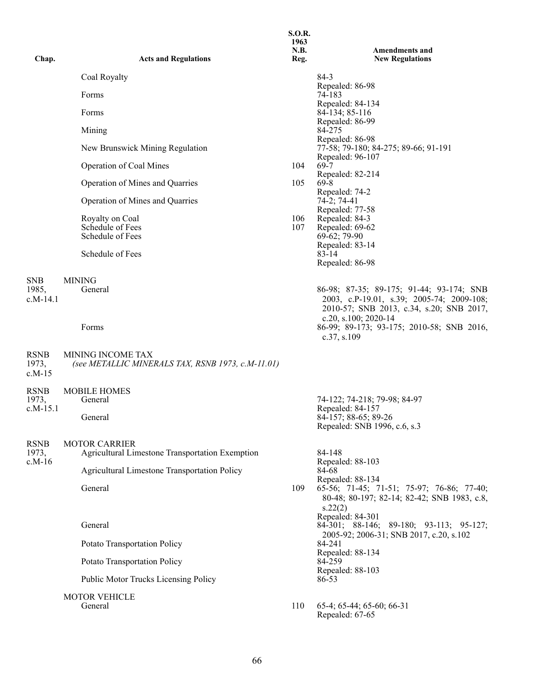| Chap.                             | <b>Acts and Regulations</b>                                                   | <b>S.O.R.</b><br>1963<br>N.B.<br>Reg. | <b>Amendments and</b><br><b>New Regulations</b>                                                                                                           |
|-----------------------------------|-------------------------------------------------------------------------------|---------------------------------------|-----------------------------------------------------------------------------------------------------------------------------------------------------------|
|                                   | Coal Royalty                                                                  |                                       | $84-3$                                                                                                                                                    |
|                                   | Forms                                                                         |                                       | Repealed: 86-98<br>74-183                                                                                                                                 |
|                                   | Forms                                                                         |                                       | Repealed: 84-134<br>84-134; 85-116                                                                                                                        |
|                                   | Mining                                                                        |                                       | Repealed: 86-99<br>84-275                                                                                                                                 |
|                                   | New Brunswick Mining Regulation                                               |                                       | Repealed: 86-98<br>77-58; 79-180; 84-275; 89-66; 91-191                                                                                                   |
|                                   | Operation of Coal Mines                                                       | 104                                   | Repealed: 96-107<br>69-7                                                                                                                                  |
|                                   | Operation of Mines and Quarries                                               | 105                                   | Repealed: 82-214<br>$69 - 8$                                                                                                                              |
|                                   | Operation of Mines and Quarries                                               |                                       | Repealed: 74-2<br>74-2; 74-41                                                                                                                             |
|                                   | Royalty on Coal<br>Schedule of Fees<br>Schedule of Fees<br>Schedule of Fees   | 106<br>107                            | Repealed: 77-58<br>Repealed: 84-3<br>Repealed: 69-62<br>69-62; 79-90<br>Repealed: 83-14<br>$83 - 14$<br>Repealed: 86-98                                   |
| <b>SNB</b><br>1985,<br>$c.M-14.1$ | <b>MINING</b><br>General                                                      |                                       | 86-98; 87-35; 89-175; 91-44; 93-174; SNB<br>2003, c.P-19.01, s.39; 2005-74; 2009-108;<br>2010-57; SNB 2013, c.34, s.20; SNB 2017,<br>c.20, s.100; 2020-14 |
|                                   | Forms                                                                         |                                       | 86-99; 89-173; 93-175; 2010-58; SNB 2016,<br>c.37, s.109                                                                                                  |
| <b>RSNB</b><br>1973,<br>$c.M-15$  | <b>MINING INCOME TAX</b><br>(see METALLIC MINERALS TAX, RSNB 1973, c.M-11.01) |                                       |                                                                                                                                                           |
| <b>RSNB</b><br>1973,              | <b>MOBILE HOMES</b><br>General                                                |                                       |                                                                                                                                                           |
| $c.M-15.1$                        | General                                                                       |                                       | 74-122; 74-218; 79-98; 84-97<br>Repealed: 84-157<br>84-157; 88-65; 89-26<br>Repealed: SNB 1996, c.6, s.3                                                  |
| <b>RSNB</b>                       | <b>MOTOR CARRIER</b>                                                          |                                       |                                                                                                                                                           |
| 1973,<br>$c.M-16$                 | Agricultural Limestone Transportation Exemption                               |                                       | 84-148<br>Repealed: 88-103                                                                                                                                |
|                                   | Agricultural Limestone Transportation Policy                                  |                                       | 84-68<br>Repealed: 88-134                                                                                                                                 |
|                                   | General                                                                       | 109                                   | 65-56; 71-45; 71-51; 75-97; 76-86; 77-40;<br>80-48; 80-197; 82-14; 82-42; SNB 1983, c.8,<br>s.22(2)                                                       |
|                                   | General                                                                       |                                       | Repealed: 84-301<br>84-301; 88-146; 89-180; 93-113; 95-127;                                                                                               |
|                                   | Potato Transportation Policy                                                  |                                       | 2005-92; 2006-31; SNB 2017, c.20, s.102<br>84-241<br>Repealed: 88-134<br>84-259                                                                           |
|                                   | Potato Transportation Policy                                                  |                                       |                                                                                                                                                           |
|                                   | Public Motor Trucks Licensing Policy                                          |                                       | Repealed: 88-103<br>86-53                                                                                                                                 |
|                                   | <b>MOTOR VEHICLE</b><br>General                                               | 110                                   | 65-4; 65-44; 65-60; 66-31<br>Repealed: 67-65                                                                                                              |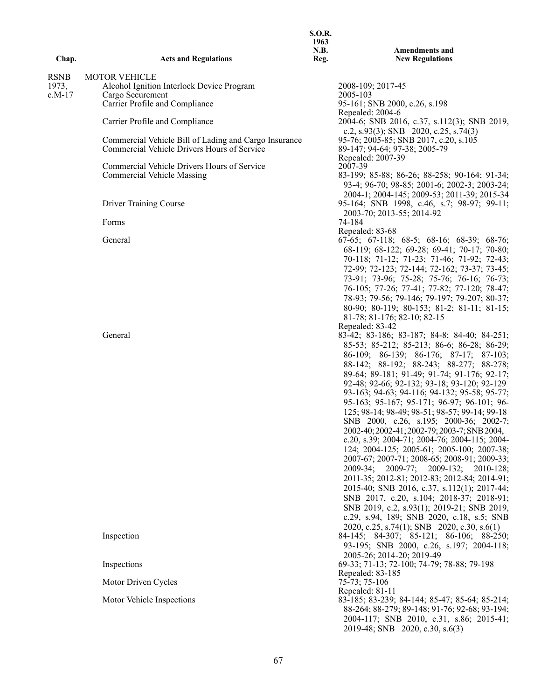|             |                                                       | 1963                |                                                                                                |
|-------------|-------------------------------------------------------|---------------------|------------------------------------------------------------------------------------------------|
| Chap.       | <b>Acts and Regulations</b>                           | <b>N.B.</b><br>Reg. | <b>Amendments and</b><br><b>New Regulations</b>                                                |
| <b>RSNB</b> | <b>MOTOR VEHICLE</b>                                  |                     |                                                                                                |
| 1973,       | Alcohol Ignition Interlock Device Program             |                     | 2008-109; 2017-45                                                                              |
| $c.M-17$    | Cargo Securement<br>Carrier Profile and Compliance    |                     | 2005-103<br>95-161; SNB 2000, c.26, s.198                                                      |
|             |                                                       |                     | Repealed: 2004-6                                                                               |
|             | Carrier Profile and Compliance                        |                     | 2004-6; SNB 2016, c.37, s.112(3); SNB 2019,<br>c.2, s.93(3); SNB 2020, c.25, s.74(3)           |
|             | Commercial Vehicle Bill of Lading and Cargo Insurance |                     | 95-76; 2005-85; SNB 2017, c.20, s.105                                                          |
|             | Commercial Vehicle Drivers Hours of Service           |                     | 89-147; 94-64; 97-38; 2005-79<br>Repealed: 2007-39                                             |
|             | Commercial Vehicle Drivers Hours of Service           |                     | 2007-39                                                                                        |
|             | <b>Commercial Vehicle Massing</b>                     |                     | 83-199; 85-88; 86-26; 88-258; 90-164; 91-34;                                                   |
|             |                                                       |                     | 93-4; 96-70; 98-85; 2001-6; 2002-3; 2003-24;                                                   |
|             | <b>Driver Training Course</b>                         |                     | 2004-1; 2004-145; 2009-53; 2011-39; 2015-34<br>95-164; SNB 1998, c.46, s.7; 98-97; 99-11;      |
|             |                                                       |                     | 2003-70; 2013-55; 2014-92                                                                      |
|             | Forms                                                 |                     | 74-184                                                                                         |
|             |                                                       |                     | Repealed: 83-68                                                                                |
|             | General                                               |                     | $67-65$ ; $67-118$ ; $68-5$ ; $68-16$ ; $68-39$ ; $68-76$ ;                                    |
|             |                                                       |                     | 68-119; 68-122; 69-28; 69-41; 70-17; 70-80;<br>70-118; 71-12; 71-23; 71-46; 71-92; 72-43;      |
|             |                                                       |                     | 72-99; 72-123; 72-144; 72-162; 73-37; 73-45;                                                   |
|             |                                                       |                     | 73-91; 73-96; 75-28; 75-76; 76-16; 76-73;                                                      |
|             |                                                       |                     | 76-105; 77-26; 77-41; 77-82; 77-120; 78-47;                                                    |
|             |                                                       |                     | 78-93; 79-56; 79-146; 79-197; 79-207; 80-37;                                                   |
|             |                                                       |                     | 80-90; 80-119; 80-153; 81-2; 81-11; 81-15;                                                     |
|             |                                                       |                     | 81-78; 81-176; 82-10; 82-15                                                                    |
|             | General                                               |                     | Repealed: 83-42<br>83-42; 83-186; 83-187; 84-8; 84-40; 84-251;                                 |
|             |                                                       |                     | 85-53; 85-212; 85-213; 86-6; 86-28; 86-29;                                                     |
|             |                                                       |                     | 86-109; 86-139; 86-176; 87-17; 87-103;                                                         |
|             |                                                       |                     | 88-142; 88-192; 88-243; 88-277; 88-278;                                                        |
|             |                                                       |                     | 89-64; 89-181; 91-49; 91-74; 91-176; 92-17;                                                    |
|             |                                                       |                     | 92-48; 92-66; 92-132; 93-18; 93-120; 92-129<br>93-163; 94-63; 94-116; 94-132; 95-58; 95-77;    |
|             |                                                       |                     | 95-163; 95-167; 95-171; 96-97; 96-101; 96-                                                     |
|             |                                                       |                     | 125; 98-14; 98-49; 98-51; 98-57; 99-14; 99-18                                                  |
|             |                                                       |                     | SNB 2000, c.26, s.195; 2000-36; 2002-7;                                                        |
|             |                                                       |                     | 2002-40; 2002-41; 2002-79; 2003-7; SNB 2004,<br>c.20, s.39; 2004-71; 2004-76; 2004-115; 2004-  |
|             |                                                       |                     | 124; 2004-125; 2005-61; 2005-100; 2007-38;                                                     |
|             |                                                       |                     | 2007-67; 2007-71; 2008-65; 2008-91; 2009-33;                                                   |
|             |                                                       |                     | 2009-34; 2009-77; 2009-132; 2010-128;                                                          |
|             |                                                       |                     | 2011-35; 2012-81; 2012-83; 2012-84; 2014-91;                                                   |
|             |                                                       |                     | 2015-40; SNB 2016, c.37, s.112(1); 2017-44;                                                    |
|             |                                                       |                     | SNB 2017, c.20, s.104; 2018-37; 2018-91;<br>SNB 2019, c.2, s.93(1); 2019-21; SNB 2019,         |
|             |                                                       |                     | c.29, s.94, 189; SNB 2020, c.18, s.5; SNB                                                      |
|             |                                                       |                     | 2020, c.25, s.74(1); SNB 2020, c.30, s.6(1)                                                    |
|             | Inspection                                            |                     | 84-145; 84-307; 85-121; 86-106; 88-250;                                                        |
|             |                                                       |                     | 93-195; SNB 2000, c.26, s.197; 2004-118;                                                       |
|             | Inspections                                           |                     | 2005-26; 2014-20; 2019-49<br>69-33; 71-13; 72-100; 74-79; 78-88; 79-198                        |
|             |                                                       |                     | Repealed: 83-185                                                                               |
|             | Motor Driven Cycles                                   |                     | 75-73; 75-106                                                                                  |
|             |                                                       |                     | Repealed: 81-11                                                                                |
|             | Motor Vehicle Inspections                             |                     | 83-185; 83-239; 84-144; 85-47; 85-64; 85-214;<br>88-264; 88-279; 89-148; 91-76; 92-68; 93-194; |
|             |                                                       |                     | 2004-117; SNB 2010, c.31, s.86; 2015-41;                                                       |
|             |                                                       |                     | 2019-48; SNB 2020, c.30, s.6(3)                                                                |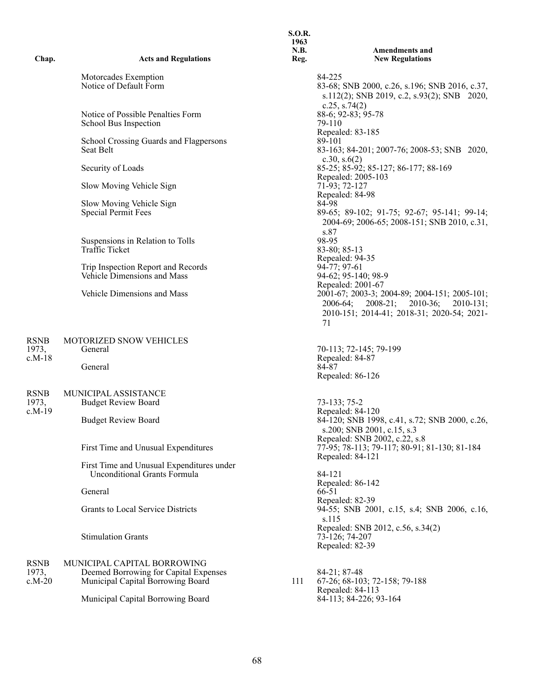| Chap.                            | <b>Acts and Regulations</b>                                                                               | 1963<br>N.B.<br>Reg. | <b>Amendments and</b><br><b>New Regulations</b>                                                                                           |
|----------------------------------|-----------------------------------------------------------------------------------------------------------|----------------------|-------------------------------------------------------------------------------------------------------------------------------------------|
|                                  | Motorcades Exemption<br>Notice of Default Form                                                            |                      | 84-225<br>83-68; SNB 2000, c.26, s.196; SNB 2016, c.37,<br>s.112(2); SNB 2019, c.2, s.93(2); SNB 2020,                                    |
|                                  | Notice of Possible Penalties Form<br>School Bus Inspection                                                |                      | c.25, s.74 $(2)$<br>88-6; 92-83; 95-78<br>79-110                                                                                          |
|                                  | School Crossing Guards and Flagpersons<br>Seat Belt                                                       |                      | Repealed: 83-185<br>89-101<br>83-163; 84-201; 2007-76; 2008-53; SNB 2020,<br>c.30, s. $6(2)$                                              |
|                                  | Security of Loads                                                                                         |                      | 85-25; 85-92; 85-127; 86-177; 88-169<br>Repealed: 2005-103                                                                                |
|                                  | Slow Moving Vehicle Sign                                                                                  |                      | 71-93; 72-127<br>Repealed: 84-98                                                                                                          |
|                                  | Slow Moving Vehicle Sign<br><b>Special Permit Fees</b>                                                    |                      | 84-98<br>89-65; 89-102; 91-75; 92-67; 95-141; 99-14;<br>2004-69; 2006-65; 2008-151; SNB 2010, c.31,<br>s.87                               |
|                                  | Suspensions in Relation to Tolls<br><b>Traffic Ticket</b>                                                 |                      | 98-95<br>83-80; 85-13<br>Repealed: 94-35                                                                                                  |
|                                  | Trip Inspection Report and Records<br>Vehicle Dimensions and Mass                                         |                      | 94-77; 97-61<br>94-62; 95-140; 98-9<br>Repealed: 2001-67                                                                                  |
|                                  | Vehicle Dimensions and Mass                                                                               |                      | 2001-67; 2003-3; 2004-89; 2004-151; 2005-101;<br>2006-64; 2008-21; 2010-36; 2010-131;<br>2010-151; 2014-41; 2018-31; 2020-54; 2021-<br>71 |
| <b>RSNB</b>                      | MOTORIZED SNOW VEHICLES                                                                                   |                      |                                                                                                                                           |
| 1973,<br>$c.M-18$                | General<br>General                                                                                        |                      | 70-113; 72-145; 79-199<br>Repealed: 84-87<br>84-87<br>Repealed: 86-126                                                                    |
| <b>RSNB</b>                      | MUNICIPAL ASSISTANCE                                                                                      |                      |                                                                                                                                           |
| 1973,<br>$c.M-19$                | <b>Budget Review Board</b>                                                                                |                      | 73-133; 75-2<br>Repealed: 84-120<br>84-120; SNB 1998, c.41, s.72; SNB 2000, c.26,                                                         |
|                                  | <b>Budget Review Board</b>                                                                                |                      | s.200; SNB 2001, c.15, s.3<br>Repealed: SNB 2002, c.22, s.8                                                                               |
|                                  | First Time and Unusual Expenditures                                                                       |                      | 77-95; 78-113; 79-117; 80-91; 81-130; 81-184<br>Repealed: 84-121                                                                          |
|                                  | First Time and Unusual Expenditures under<br><b>Unconditional Grants Formula</b>                          |                      | 84-121<br>Repealed: 86-142                                                                                                                |
|                                  | General                                                                                                   |                      | 66-51<br>Repealed: 82-39                                                                                                                  |
|                                  | Grants to Local Service Districts                                                                         |                      | 94-55; SNB 2001, c.15, s.4; SNB 2006, c.16,<br>s.115                                                                                      |
|                                  | <b>Stimulation Grants</b>                                                                                 |                      | Repealed: SNB 2012, c.56, s.34(2)<br>73-126; 74-207<br>Repealed: 82-39                                                                    |
| <b>RSNB</b><br>1973,<br>$c.M-20$ | MUNICIPAL CAPITAL BORROWING<br>Deemed Borrowing for Capital Expenses<br>Municipal Capital Borrowing Board | 111                  | 84-21; 87-48<br>67-26; 68-103; 72-158; 79-188                                                                                             |
|                                  | Municipal Capital Borrowing Board                                                                         |                      | Repealed: 84-113<br>84-113; 84-226; 93-164                                                                                                |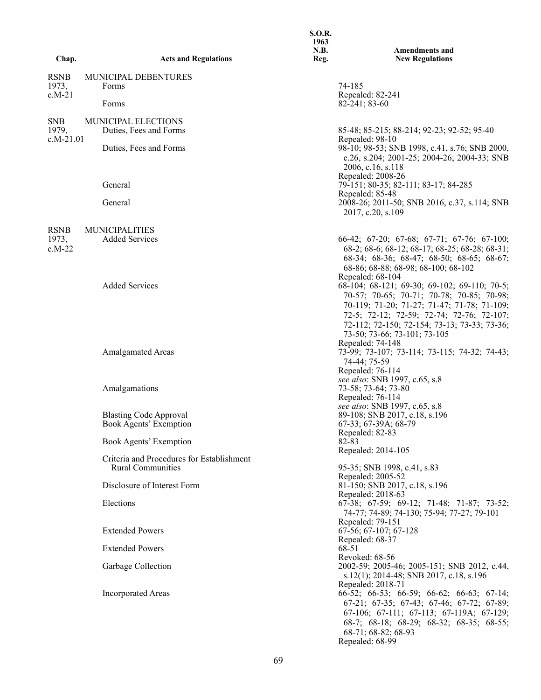| Chap.                            | <b>Acts and Regulations</b>                             | <b>S.O.R.</b><br>1963<br>N.B.<br>Reg. | <b>Amendments and</b><br><b>New Regulations</b>                                                                                                                                                                                                                                           |
|----------------------------------|---------------------------------------------------------|---------------------------------------|-------------------------------------------------------------------------------------------------------------------------------------------------------------------------------------------------------------------------------------------------------------------------------------------|
|                                  |                                                         |                                       |                                                                                                                                                                                                                                                                                           |
| <b>RSNB</b><br>1973,<br>$c.M-21$ | MUNICIPAL DEBENTURES<br>Forms<br>Forms                  |                                       | 74-185<br>Repealed: 82-241<br>82-241; 83-60                                                                                                                                                                                                                                               |
| <b>SNB</b><br>1979,              | <b>MUNICIPAL ELECTIONS</b><br>Duties, Fees and Forms    |                                       | 85-48; 85-215; 88-214; 92-23; 92-52; 95-40                                                                                                                                                                                                                                                |
| $c.M-21.01$                      | Duties, Fees and Forms                                  |                                       | Repealed: 98-10<br>98-10; 98-53; SNB 1998, c.41, s.76; SNB 2000,<br>c.26, s.204; 2001-25; 2004-26; 2004-33; SNB<br>2006, c.16, s.118                                                                                                                                                      |
|                                  | General                                                 |                                       | Repealed: 2008-26<br>79-151; 80-35; 82-111; 83-17; 84-285<br>Repealed: 85-48                                                                                                                                                                                                              |
|                                  | General                                                 |                                       | 2008-26; 2011-50; SNB 2016, c.37, s.114; SNB<br>2017, c.20, s.109                                                                                                                                                                                                                         |
| <b>RSNB</b>                      | <b>MUNICIPALITIES</b>                                   |                                       |                                                                                                                                                                                                                                                                                           |
| 1973,<br>$c.M-22$                | <b>Added Services</b>                                   |                                       | 66-42; 67-20; 67-68; 67-71; 67-76; 67-100;<br>68-2; 68-6; 68-12; 68-17; 68-25; 68-28; 68-31;<br>68-34; 68-36; 68-47; 68-50; 68-65; 68-67;<br>68-86; 68-88; 68-98; 68-100; 68-102<br>Repealed: 68-104                                                                                      |
|                                  | <b>Added Services</b>                                   |                                       | 68-104; 68-121; 69-30; 69-102; 69-110; 70-5;<br>70-57; 70-65; 70-71; 70-78; 70-85; 70-98;<br>70-119; 71-20; 71-27; 71-47; 71-78; 71-109;<br>72-5; 72-12; 72-59; 72-74; 72-76; 72-107;<br>72-112; 72-150; 72-154; 73-13; 73-33; 73-36;<br>73-50; 73-66; 73-101; 73-105<br>Repealed: 74-148 |
|                                  | <b>Amalgamated Areas</b>                                |                                       | 73-99; 73-107; 73-114; 73-115; 74-32; 74-43;<br>74-44; 75-59<br>Repealed: 76-114                                                                                                                                                                                                          |
|                                  | Amalgamations                                           |                                       | see also: SNB 1997, c.65, s.8<br>73-58; 73-64; 73-80<br>Repealed: 76-114<br>see also: SNB 1997, c.65, s.8                                                                                                                                                                                 |
|                                  | <b>Blasting Code Approval</b><br>Book Agents' Exemption |                                       | 89-108; SNB 2017, c.18, s.196<br>67-33; 67-39A; 68-79<br>Repealed: 82-83                                                                                                                                                                                                                  |
|                                  | Book Agents' Exemption                                  |                                       | 82-83<br>Repealed: 2014-105                                                                                                                                                                                                                                                               |
|                                  | Criteria and Procedures for Establishment               |                                       |                                                                                                                                                                                                                                                                                           |
|                                  | <b>Rural Communities</b><br>Disclosure of Interest Form |                                       | 95-35; SNB 1998, c.41, s.83<br>Repealed: 2005-52<br>81-150; SNB 2017, c.18, s.196                                                                                                                                                                                                         |
|                                  | Elections                                               |                                       | Repealed: 2018-63<br>67-38; 67-59; 69-12; 71-48; 71-87; 73-52;<br>74-77; 74-89; 74-130; 75-94; 77-27; 79-101                                                                                                                                                                              |
|                                  | <b>Extended Powers</b>                                  |                                       | Repealed: 79-151<br>67-56; 67-107; 67-128<br>Repealed: 68-37                                                                                                                                                                                                                              |
|                                  | <b>Extended Powers</b>                                  |                                       | 68-51                                                                                                                                                                                                                                                                                     |
|                                  | Garbage Collection                                      |                                       | Revoked: 68-56<br>2002-59; 2005-46; 2005-151; SNB 2012, c.44,<br>s.12(1); 2014-48; SNB 2017, c.18, s.196                                                                                                                                                                                  |
|                                  | <b>Incorporated Areas</b>                               |                                       | Repealed: 2018-71<br>66-52; 66-53; 66-59; 66-62; 66-63; 67-14;<br>67-21; 67-35; 67-43; 67-46; 67-72; 67-89;<br>67-106; 67-111; 67-113; 67-119A; 67-129;<br>68-7; 68-18; 68-29; 68-32; 68-35; 68-55;<br>68-71; 68-82; 68-93                                                                |

Repealed: 68-99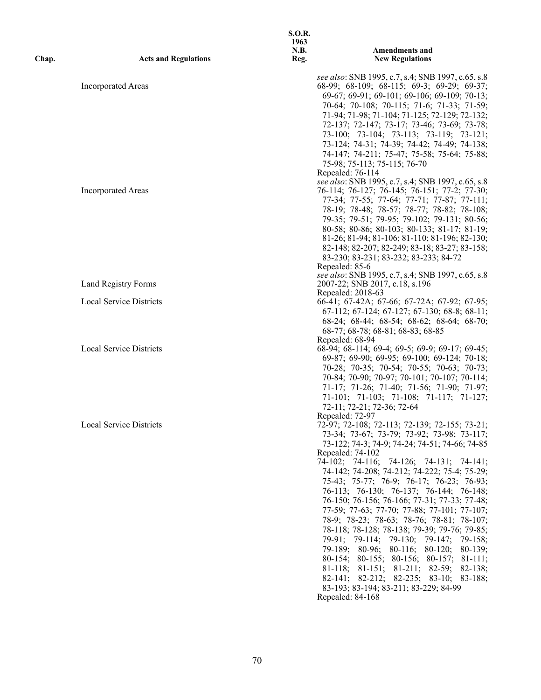| Chap. | <b>Acts and Regulations</b>    | <b>S.O.R.</b><br>1963<br>N.B.<br>Reg. | <b>Amendments and</b><br><b>New Regulations</b>                                                                                                 |
|-------|--------------------------------|---------------------------------------|-------------------------------------------------------------------------------------------------------------------------------------------------|
|       | <b>Incorporated Areas</b>      |                                       | see also: SNB 1995, c.7, s.4; SNB 1997, c.65, s.8<br>68-99; 68-109; 68-115; 69-3; 69-29; 69-37;<br>69-67; 69-91; 69-101; 69-106; 69-109; 70-13; |
|       |                                |                                       | 70-64; 70-108; 70-115; 71-6; 71-33; 71-59;                                                                                                      |
|       |                                |                                       | 71-94; 71-98; 71-104; 71-125; 72-129; 72-132;<br>72-137; 72-147; 73-17; 73-46; 73-69; 73-78;                                                    |
|       |                                |                                       | 73-100; 73-104; 73-113; 73-119; 73-121;                                                                                                         |
|       |                                |                                       | 73-124; 74-31; 74-39; 74-42; 74-49; 74-138;                                                                                                     |
|       |                                |                                       | 74-147; 74-211; 75-47; 75-58; 75-64; 75-88;<br>75-98; 75-113; 75-115; 76-70                                                                     |
|       |                                |                                       | Repealed: 76-114                                                                                                                                |
|       | <b>Incorporated Areas</b>      |                                       | see also: SNB 1995, c.7, s.4; SNB 1997, c.65, s.8<br>76-114; 76-127; 76-145; 76-151; 77-2; 77-30;                                               |
|       |                                |                                       | 77-34; 77-55; 77-64; 77-71; 77-87; 77-111;                                                                                                      |
|       |                                |                                       | 78-19; 78-48; 78-57; 78-77; 78-82; 78-108;                                                                                                      |
|       |                                |                                       | 79-35; 79-51; 79-95; 79-102; 79-131; 80-56;<br>80-58; 80-86; 80-103; 80-133; 81-17; 81-19;                                                      |
|       |                                |                                       | 81-26; 81-94; 81-106; 81-110; 81-196; 82-130;                                                                                                   |
|       |                                |                                       | 82-148; 82-207; 82-249; 83-18; 83-27; 83-158;                                                                                                   |
|       |                                |                                       | 83-230; 83-231; 83-232; 83-233; 84-72<br>Repealed: 85-6                                                                                         |
|       |                                |                                       | see also: SNB 1995, c.7, s.4; SNB 1997, c.65, s.8                                                                                               |
|       | Land Registry Forms            |                                       | 2007-22; SNB 2017, c.18, s.196<br>Repealed: 2018-63                                                                                             |
|       | <b>Local Service Districts</b> |                                       | 66-41; 67-42A; 67-66; 67-72A; 67-92; 67-95;                                                                                                     |
|       |                                |                                       | 67-112; 67-124; 67-127; 67-130; 68-8; 68-11;                                                                                                    |
|       |                                |                                       | 68-24; 68-44; 68-54; 68-62; 68-64; 68-70;<br>68-77; 68-78; 68-81; 68-83; 68-85                                                                  |
|       |                                |                                       | Repealed: 68-94                                                                                                                                 |
|       | <b>Local Service Districts</b> |                                       | 68-94; 68-114; 69-4; 69-5; 69-9; 69-17; 69-45;<br>69-87; 69-90; 69-95; 69-100; 69-124; 70-18;                                                   |
|       |                                |                                       | 70-28; 70-35; 70-54; 70-55; 70-63; 70-73;                                                                                                       |
|       |                                |                                       | 70-84; 70-90; 70-97; 70-101; 70-107; 70-114;                                                                                                    |
|       |                                |                                       | 71-17; 71-26; 71-40; 71-56; 71-90; 71-97;<br>71-101; 71-103; 71-108; 71-117; 71-127;                                                            |
|       |                                |                                       | 72-11; 72-21; 72-36; 72-64                                                                                                                      |
|       | Local Service Districts        |                                       | Repealed: 72-97<br>72-97; 72-108; 72-113; 72-139; 72-155; 73-21;                                                                                |
|       |                                |                                       | 73-34; 73-67; 73-79; 73-92; 73-98; 73-117;                                                                                                      |
|       |                                |                                       | 73-122; 74-3; 74-9; 74-24; 74-51; 74-66; 74-85<br>Repealed: 74-102                                                                              |
|       |                                |                                       | 74-102; 74-116; 74-126; 74-131; 74-141;                                                                                                         |
|       |                                |                                       | 74-142; 74-208; 74-212; 74-222; 75-4; 75-29;                                                                                                    |
|       |                                |                                       | 75-43; 75-77; 76-9; 76-17; 76-23; 76-93;<br>76-113; 76-130; 76-137; 76-144; 76-148;                                                             |
|       |                                |                                       | 76-150; 76-156; 76-166; 77-31; 77-33; 77-48;                                                                                                    |
|       |                                |                                       | 77-59; 77-63; 77-70; 77-88; 77-101; 77-107;<br>78-9; 78-23; 78-63; 78-76; 78-81; 78-107;                                                        |
|       |                                |                                       | 78-118; 78-128; 78-138; 79-39; 79-76; 79-85;                                                                                                    |
|       |                                |                                       | 79-91; 79-114; 79-130; 79-147; 79-158;                                                                                                          |
|       |                                |                                       | 79-189; 80-96; 80-116; 80-120;<br>$80 - 139$ ;<br>80-154; 80-155; 80-156; 80-157; 81-111;                                                       |
|       |                                |                                       | 81-118; 81-151; 81-211; 82-59; 82-138;                                                                                                          |
|       |                                |                                       | 82-141; 82-212; 82-235; 83-10; 83-188;                                                                                                          |
|       |                                |                                       | 83-193; 83-194; 83-211; 83-229; 84-99<br>Repealed: 84-168                                                                                       |
|       |                                |                                       |                                                                                                                                                 |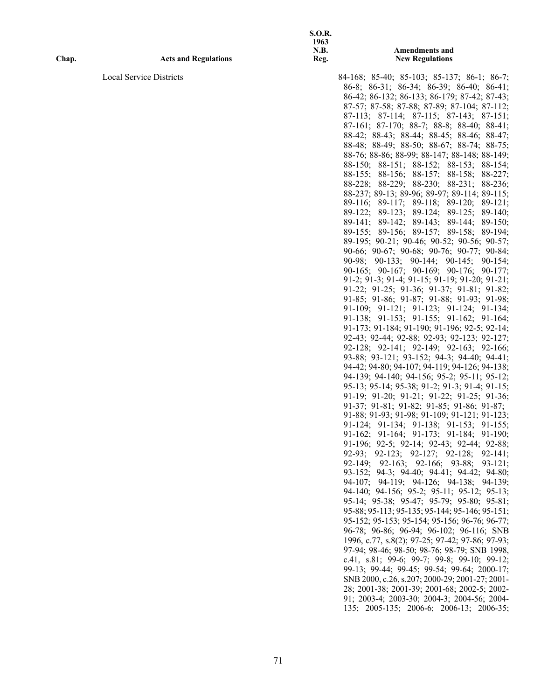**Amendments and New Regulations**

Local Service Districts 84-168; 85-40; 85-103; 85-137; 86-1; 86-7; 86-7; 86-8; 86-31; 86-34; 86-39; 86-40; 86-41; 86-42; 86-132; 86-133; 86-179; 87-42; 87-43; 87-57; 87-58; 87-88; 87-89; 87-104; 87-112; 87-113; 87-114; 87-115; 87-143; 87-151; 87-161; 87-170; 88-7; 88-8; 88-40; 88-41; 88-42; 88-43; 88-44; 88-45; 88-46; 88-47; 88-48; 88-49; 88-50; 88-67; 88-74; 88-75; 88-76; 88-86; 88-99; 88-147; 88-148; 88-149; 88-150; 88-151; 88-152; 88-153; 88-154; 88-155; 88-156; 88-157; 88-158; 88-227; 88-228; 88-229; 88-230; 88-231; 88-236; 88-237; 89-13; 89-96; 89-97; 89-114; 89-115; 89-116; 89-117; 89-118; 89-120; 89-121; 89-122; 89-123; 89-124; 89-125; 89-140; 89-141; 89-142; 89-143; 89-144; 89-150; 89-155; 89-156; 89-157; 89-158; 89-194; 89-195; 90-21; 90-46; 90-52; 90-56; 90-57; 90-66; 90-67; 90-68; 90-76; 90-77; 90-84; 90-98; 90-133; 90-144; 90-145; 90-154; 90-165; 90-167; 90-169; 90-176; 90-177; 91-2; 91-3; 91-4; 91-15; 91-19; 91-20; 91-21; 91-22; 91-25; 91-36; 91-37; 91-81; 91-82; 91-85; 91-86; 91-87; 91-88; 91-93; 91-98; 91-109; 91-121; 91-123; 91-124; 91-134; 91-138; 91-153; 91-155; 91-162; 91-164; 91-173; 91-184; 91-190; 91-196; 92-5; 92-14; 92-43; 92-44; 92-88; 92-93; 92-123; 92-127; 92-128; 92-141; 92-149; 92-163; 92-166; 93-88; 93-121; 93-152; 94-3; 94-40; 94-41; 94-42; 94-80; 94-107; 94-119; 94-126; 94-138; 94-139; 94-140; 94-156; 95-2; 95-11; 95-12; 95-13; 95-14; 95-38; 91-2; 91-3; 91-4; 91-15; 91-19; 91-20; 91-21; 91-22; 91-25; 91-36; 91-37; 91-81; 91-82; 91-85; 91-86; 91-87; 91-88; 91-93; 91-98; 91-109; 91-121; 91-123; 91-124; 91-134; 91-138; 91-153; 91-155; 91-162; 91-164; 91-173; 91-184; 91-190; 91-196; 92-5; 92-14; 92-43; 92-44; 92-88; 92-93; 92-123; 92-127; 92-128; 92-141; 92-149; 92-163; 92-166; 93-88; 93-121; 93-152; 94-3; 94-40; 94-41; 94-42; 94-80; 94-107; 94-119; 94-126; 94-138; 94-139; 94-140; 94-156; 95-2; 95-11; 95-12; 95-13; 95-14; 95-38; 95-47; 95-79; 95-80; 95-81; 95-88; 95-113; 95-135; 95-144; 95-146; 95-151; 95-152; 95-153; 95-154; 95-156; 96-76; 96-77; 96-78; 96-86; 96-94; 96-102; 96-116; SNB 1996, c.77, s.8(2); 97-25; 97-42; 97-86; 97-93; 97-94; 98-46; 98-50; 98-76; 98-79; SNB 1998, c.41, s.81; 99-6; 99-7; 99-8; 99-10; 99-12; 99-13; 99-44; 99-45; 99-54; 99-64; 2000-17; SNB 2000, c.26, s.207; 2000-29; 2001-27; 2001- 28; 2001-38; 2001-39; 2001-68; 2002-5; 2002- 91; 2003-4; 2003-30; 2004-3; 2004-56; 2004- 135; 2005-135; 2006-6; 2006-13; 2006-35;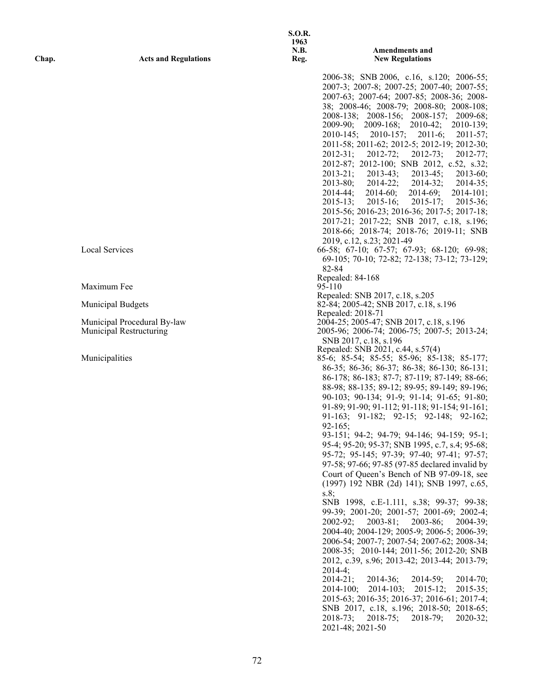|       |                                                        | 1963<br><b>N.B.</b> | <b>Amendments and</b>                                                                                                   |
|-------|--------------------------------------------------------|---------------------|-------------------------------------------------------------------------------------------------------------------------|
| Chap. | <b>Acts and Regulations</b>                            | Reg.                | <b>New Regulations</b>                                                                                                  |
|       |                                                        |                     | 2006-38; SNB 2006, c.16, s.120; 2006-55;                                                                                |
|       |                                                        |                     | 2007-3; 2007-8; 2007-25; 2007-40; 2007-55;                                                                              |
|       |                                                        |                     | 2007-63; 2007-64; 2007-85; 2008-36; 2008-                                                                               |
|       |                                                        |                     | 38; 2008-46; 2008-79; 2008-80; 2008-108;                                                                                |
|       |                                                        |                     | 2008-138; 2008-156; 2008-157; 2009-68;<br>$2009-90;$<br>2009-168;<br>2010-42;<br>$2010-139;$                            |
|       |                                                        |                     | $2011-6;$<br>$2010 - 145$ ;<br>2010-157;<br>$2011 - 57$ ;                                                               |
|       |                                                        |                     | 2011-58; 2011-62; 2012-5; 2012-19; 2012-30;                                                                             |
|       |                                                        |                     | $2012 - 72;$<br>$2012 - 73;$<br>$2012 - 31;$<br>$2012 - 77$ ;                                                           |
|       |                                                        |                     | 2012-87; 2012-100; SNB 2012, c.52, s.32;<br>$2013-43;$<br>$2013 - 21$ ;<br>$2013 - 45$ ;<br>$2013-60;$                  |
|       |                                                        |                     | $2013 - 80;$<br>$2014 - 22;$<br>$2014 - 32;$<br>$2014 - 35$ ;                                                           |
|       |                                                        |                     | $2014 - 44$ ;<br>$2014-60;$<br>$2014-69;$<br>$2014 - 101;$                                                              |
|       |                                                        |                     | $2015 - 16;$<br>$2015 - 13;$<br>$2015 - 17$ ;<br>$2015 - 36;$                                                           |
|       |                                                        |                     | 2015-56; 2016-23; 2016-36; 2017-5; 2017-18;<br>2017-21; 2017-22; SNB 2017, c.18, s.196;                                 |
|       |                                                        |                     | 2018-66; 2018-74; 2018-76; 2019-11; SNB                                                                                 |
|       |                                                        |                     | 2019, c.12, s.23; 2021-49                                                                                               |
|       | Local Services                                         |                     | 66-58; 67-10; 67-57; 67-93; 68-120; 69-98;                                                                              |
|       |                                                        |                     | 69-105; 70-10; 72-82; 72-138; 73-12; 73-129;<br>82-84                                                                   |
|       |                                                        |                     | Repealed: 84-168                                                                                                        |
|       | Maximum Fee                                            |                     | 95-110<br>Repealed: SNB 2017, c.18, s.205                                                                               |
|       | <b>Municipal Budgets</b>                               |                     | 82-84; 2005-42; SNB 2017, c.18, s.196                                                                                   |
|       |                                                        |                     | Repealed: 2018-71                                                                                                       |
|       | Municipal Procedural By-law<br>Municipal Restructuring |                     | 2004-25; 2005-47; SNB 2017, c.18, s.196<br>2005-96; 2006-74; 2006-75; 2007-5; 2013-24;                                  |
|       |                                                        |                     | SNB 2017, c.18, s.196                                                                                                   |
|       |                                                        |                     | Repealed: SNB 2021, c.44, s.57(4)                                                                                       |
|       | Municipalities                                         |                     | 85-6; 85-54; 85-55; 85-96; 85-138; 85-177;<br>86-35; 86-36; 86-37; 86-38; 86-130; 86-131;                               |
|       |                                                        |                     | 86-178; 86-183; 87-7; 87-119; 87-149; 88-66;                                                                            |
|       |                                                        |                     | 88-98; 88-135; 89-12; 89-95; 89-149; 89-196;                                                                            |
|       |                                                        |                     | 90-103; 90-134; 91-9; 91-14; 91-65; 91-80;                                                                              |
|       |                                                        |                     | 91-89; 91-90; 91-112; 91-118; 91-154; 91-161;<br>91-163; 91-182; 92-15; 92-148; 92-162;                                 |
|       |                                                        |                     | $92 - 165$ ;                                                                                                            |
|       |                                                        |                     | 93-151; 94-2; 94-79; 94-146; 94-159; 95-1;                                                                              |
|       |                                                        |                     | 95-4; 95-20; 95-37; SNB 1995, c.7, s.4; 95-68;<br>95-72; 95-145; 97-39; 97-40; 97-41; 97-57;                            |
|       |                                                        |                     | 97-58; 97-66; 97-85 (97-85 declared invalid by                                                                          |
|       |                                                        |                     | Court of Queen's Bench of NB 97-09-18, see                                                                              |
|       |                                                        |                     | (1997) 192 NBR (2d) 141); SNB 1997, c.65,                                                                               |
|       |                                                        |                     | s.8;<br>SNB 1998, c.E-1.111, s.38; 99-37; 99-38;                                                                        |
|       |                                                        |                     | 99-39; 2001-20; 2001-57; 2001-69; 2002-4;                                                                               |
|       |                                                        |                     | $2003 - 81;$<br>$2003 - 86;$<br>$2004 - 39$ ;<br>$2002 - 92;$                                                           |
|       |                                                        |                     | 2004-40; 2004-129; 2005-9; 2006-5; 2006-39;                                                                             |
|       |                                                        |                     | 2006-54; 2007-7; 2007-54; 2007-62; 2008-34;<br>2008-35; 2010-144; 2011-56; 2012-20; SNB                                 |
|       |                                                        |                     | 2012, c.39, s.96; 2013-42; 2013-44; 2013-79;                                                                            |
|       |                                                        |                     | $2014-4$ ;                                                                                                              |
|       |                                                        |                     | $2014 - 21;$<br>$2014-36;$<br>$2014-59;$<br>$2014 - 70$ ;<br>$2014-103$ ; $2015-12$ ;<br>$2015 - 35$ ;<br>$2014 - 100;$ |
|       |                                                        |                     | 2015-63; 2016-35; 2016-37; 2016-61; 2017-4;                                                                             |
|       |                                                        |                     | SNB 2017, c.18, s.196; 2018-50; 2018-65;                                                                                |
|       |                                                        |                     | $2018 - 73$ ;<br>$2018 - 75$ ;<br>$2018 - 79$ ;<br>$2020-32;$                                                           |
|       |                                                        |                     | 2021-48; 2021-50                                                                                                        |
|       |                                                        |                     |                                                                                                                         |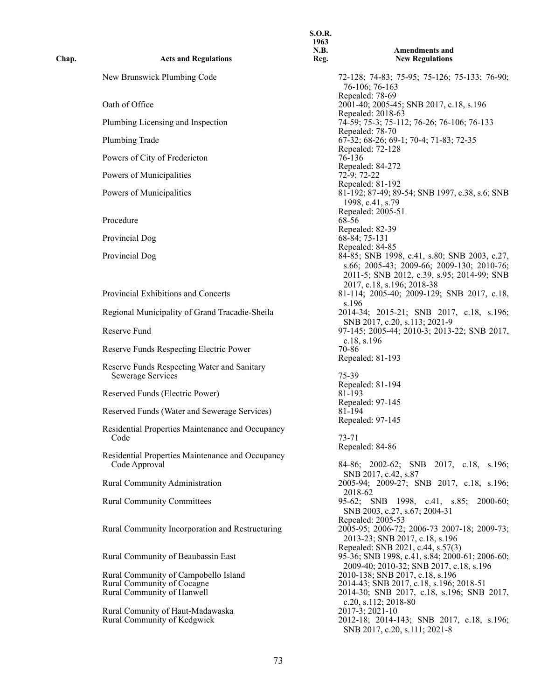| Chap. | <b>Acts and Regulations</b>                                       | <b>S.O.R.</b><br>1963<br>N.B.<br>Reg. | <b>Amendments and</b><br><b>New Regulations</b>                                                                                                                                           |
|-------|-------------------------------------------------------------------|---------------------------------------|-------------------------------------------------------------------------------------------------------------------------------------------------------------------------------------------|
|       | New Brunswick Plumbing Code                                       |                                       | 72-128; 74-83; 75-95; 75-126; 75-133; 76-90;<br>76-106; 76-163                                                                                                                            |
|       | Oath of Office                                                    |                                       | Repealed: 78-69<br>2001-40; 2005-45; SNB 2017, c.18, s.196                                                                                                                                |
|       | Plumbing Licensing and Inspection                                 |                                       | Repealed: 2018-63<br>74-59; 75-3; 75-112; 76-26; 76-106; 76-133<br>Repealed: 78-70                                                                                                        |
|       | Plumbing Trade                                                    |                                       | 67-32; 68-26; 69-1; 70-4; 71-83; 72-35<br>Repealed: 72-128                                                                                                                                |
|       | Powers of City of Fredericton                                     |                                       | 76-136<br>Repealed: 84-272                                                                                                                                                                |
|       | Powers of Municipalities                                          |                                       | 72-9; 72-22                                                                                                                                                                               |
|       | Powers of Municipalities                                          |                                       | Repealed: 81-192<br>81-192; 87-49; 89-54; SNB 1997, c.38, s.6; SNB<br>1998, c.41, s.79                                                                                                    |
|       | Procedure                                                         |                                       | Repealed: 2005-51<br>68-56<br>Repealed: 82-39                                                                                                                                             |
|       | Provincial Dog                                                    |                                       | 68-84; 75-131                                                                                                                                                                             |
|       | Provincial Dog                                                    |                                       | Repealed: 84-85<br>84-85; SNB 1998, c.41, s.80; SNB 2003, c.27,<br>s.66; 2005-43; 2009-66; 2009-130; 2010-76;<br>2011-5; SNB 2012, c.39, s.95; 2014-99; SNB<br>2017, c.18, s.196; 2018-38 |
|       | Provincial Exhibitions and Concerts                               |                                       | 81-114; 2005-40; 2009-129; SNB 2017, c.18,<br>s.196                                                                                                                                       |
|       | Regional Municipality of Grand Tracadie-Sheila                    |                                       | 2014-34; 2015-21; SNB 2017, c.18, s.196;<br>SNB 2017, c.20, s.113; 2021-9                                                                                                                 |
|       | Reserve Fund                                                      |                                       | 97-145; 2005-44; 2010-3; 2013-22; SNB 2017,<br>c.18, s.196                                                                                                                                |
|       | Reserve Funds Respecting Electric Power                           |                                       | 70-86<br>Repealed: 81-193                                                                                                                                                                 |
|       | Reserve Funds Respecting Water and Sanitary<br>Sewerage Services  |                                       | 75-39<br>Repealed: 81-194                                                                                                                                                                 |
|       | Reserved Funds (Electric Power)                                   |                                       | 81-193                                                                                                                                                                                    |
|       | Reserved Funds (Water and Sewerage Services)                      |                                       | Repealed: 97-145<br>81-194                                                                                                                                                                |
|       | Residential Properties Maintenance and Occupancy<br>Code          |                                       | Repealed: 97-145<br>73-71                                                                                                                                                                 |
|       | Residential Properties Maintenance and Occupancy<br>Code Approval |                                       | Repealed: 84-86<br>84-86; 2002-62; SNB 2017, c.18, s.196;                                                                                                                                 |
|       | Rural Community Administration                                    |                                       | SNB 2017, c.42, s.87<br>2005-94; 2009-27; SNB 2017, c.18, s.196;                                                                                                                          |
|       | <b>Rural Community Committees</b>                                 |                                       | 2018-62<br>95-62; SNB 1998, c.41, s.85; 2000-60;<br>SNB 2003, c.27, s.67; 2004-31                                                                                                         |
|       | Rural Community Incorporation and Restructuring                   |                                       | Repealed: 2005-53<br>2005-95; 2006-72; 2006-73 2007-18; 2009-73;<br>2013-23; SNB 2017, c.18, s.196                                                                                        |
|       | Rural Community of Beaubassin East                                |                                       | Repealed: SNB 2021, c.44, s.57(3)<br>95-36; SNB 1998, c.41, s.84; 2000-61; 2006-60;<br>2009-40; 2010-32; SNB 2017, c.18, s.196                                                            |
|       | Rural Community of Campobello Island                              |                                       | 2010-138; SNB 2017, c.18, s.196                                                                                                                                                           |
|       | Rural Community of Cocagne<br>Rural Community of Hanwell          |                                       | 2014-43; SNB 2017, c.18, s.196; 2018-51<br>2014-30; SNB 2017, c.18, s.196; SNB 2017,                                                                                                      |
|       | Rural Comunity of Haut-Madawaska<br>Rural Community of Kedgwick   |                                       | c.20, s.112; $2018-80$<br>2017-3; 2021-10<br>2012-18; 2014-143; SNB 2017, c.18, s.196;<br>SNB 2017, c.20, s.111; 2021-8                                                                   |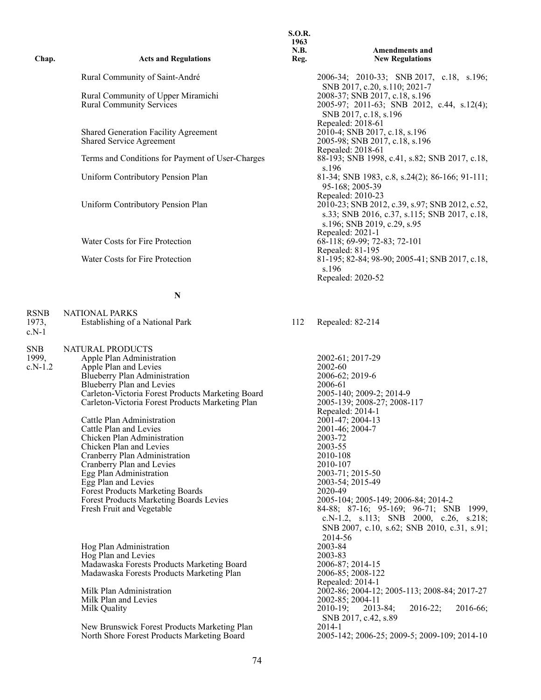| Chap.                            | <b>Acts and Regulations</b>                                                                                                                                                                                                                                                                                                                                                                                                                                                                                                                                                                        | <b>S.O.R.</b><br>1963<br>N.B.<br>Reg. | <b>Amendments and</b><br><b>New Regulations</b>                                                                                                                                                                                                                                                                                                                                                             |
|----------------------------------|----------------------------------------------------------------------------------------------------------------------------------------------------------------------------------------------------------------------------------------------------------------------------------------------------------------------------------------------------------------------------------------------------------------------------------------------------------------------------------------------------------------------------------------------------------------------------------------------------|---------------------------------------|-------------------------------------------------------------------------------------------------------------------------------------------------------------------------------------------------------------------------------------------------------------------------------------------------------------------------------------------------------------------------------------------------------------|
|                                  | Rural Community of Saint-André                                                                                                                                                                                                                                                                                                                                                                                                                                                                                                                                                                     |                                       | 2006-34; 2010-33; SNB 2017, c.18, s.196;                                                                                                                                                                                                                                                                                                                                                                    |
|                                  | Rural Community of Upper Miramichi<br><b>Rural Community Services</b>                                                                                                                                                                                                                                                                                                                                                                                                                                                                                                                              |                                       | SNB 2017, c.20, s.110; 2021-7<br>2008-37; SNB 2017, c.18, s.196<br>2005-97; 2011-63; SNB 2012, c.44, s.12(4);<br>SNB 2017, c.18, s.196                                                                                                                                                                                                                                                                      |
|                                  | Shared Generation Facility Agreement<br>Shared Service Agreement                                                                                                                                                                                                                                                                                                                                                                                                                                                                                                                                   |                                       | Repealed: 2018-61<br>2010-4; SNB 2017, c.18, s.196<br>2005-98; SNB 2017, c.18, s.196<br>Repealed: 2018-61                                                                                                                                                                                                                                                                                                   |
|                                  | Terms and Conditions for Payment of User-Charges                                                                                                                                                                                                                                                                                                                                                                                                                                                                                                                                                   |                                       | 88-193; SNB 1998, c.41, s.82; SNB 2017, c.18,<br>s.196                                                                                                                                                                                                                                                                                                                                                      |
|                                  | Uniform Contributory Pension Plan                                                                                                                                                                                                                                                                                                                                                                                                                                                                                                                                                                  |                                       | 81-34; SNB 1983, c.8, s.24(2); 86-166; 91-111;<br>95-168; 2005-39<br>Repealed: 2010-23                                                                                                                                                                                                                                                                                                                      |
|                                  | Uniform Contributory Pension Plan                                                                                                                                                                                                                                                                                                                                                                                                                                                                                                                                                                  |                                       | 2010-23; SNB 2012, c.39, s.97; SNB 2012, c.52,<br>s.33; SNB 2016, c.37, s.115; SNB 2017, c.18,<br>s.196; SNB 2019, c.29, s.95<br>Repealed: 2021-1                                                                                                                                                                                                                                                           |
|                                  | Water Costs for Fire Protection                                                                                                                                                                                                                                                                                                                                                                                                                                                                                                                                                                    |                                       | 68-118; 69-99; 72-83; 72-101<br>Repealed: 81-195                                                                                                                                                                                                                                                                                                                                                            |
|                                  | Water Costs for Fire Protection                                                                                                                                                                                                                                                                                                                                                                                                                                                                                                                                                                    |                                       | 81-195; 82-84; 98-90; 2005-41; SNB 2017, c.18,<br>s.196<br>Repealed: 2020-52                                                                                                                                                                                                                                                                                                                                |
|                                  | N                                                                                                                                                                                                                                                                                                                                                                                                                                                                                                                                                                                                  |                                       |                                                                                                                                                                                                                                                                                                                                                                                                             |
| <b>RSNB</b><br>1973,<br>$c.N-1$  | <b>NATIONAL PARKS</b><br>Establishing of a National Park                                                                                                                                                                                                                                                                                                                                                                                                                                                                                                                                           | 112                                   | Repealed: 82-214                                                                                                                                                                                                                                                                                                                                                                                            |
| <b>SNB</b><br>1999,<br>$c.N-1.2$ | NATURAL PRODUCTS<br>Apple Plan Administration<br>Apple Plan and Levies<br>Blueberry Plan Administration<br>Blueberry Plan and Levies<br>Carleton-Victoria Forest Products Marketing Board<br>Carleton-Victoria Forest Products Marketing Plan<br>Cattle Plan Administration<br>Cattle Plan and Levies<br>Chicken Plan Administration<br>Chicken Plan and Levies<br>Cranberry Plan Administration<br>Cranberry Plan and Levies<br>Egg Plan Administration<br>Egg Plan and Levies<br><b>Forest Products Marketing Boards</b><br>Forest Products Marketing Boards Levies<br>Fresh Fruit and Vegetable |                                       | 2002-61; 2017-29<br>2002-60<br>2006-62; 2019-6<br>2006-61<br>2005-140; 2009-2; 2014-9<br>2005-139; 2008-27; 2008-117<br>Repealed: 2014-1<br>2001-47; 2004-13<br>2001-46; 2004-7<br>2003-72<br>2003-55<br>2010-108<br>2010-107<br>2003-71; 2015-50<br>2003-54; 2015-49<br>2020-49<br>2005-104; 2005-149; 2006-84; 2014-2<br>84-88; 87-16; 95-169; 96-71; SNB 1999,<br>c.N-1.2, s.113; SNB 2000, c.26, s.218; |

Hog Plan Administration 2003-84<br>
Hog Plan and Levies 2003-83 Hog Plan and Levies 2003-83 Madawaska Forests Products Marketing Board 2006-87; 2014-15 Madawaska Forests Products Marketing Plan 2006-85; 2008-122

Milk Plan Administration 2002-86; 2004-12; 2005-113; 2008-84; 2017-27<br>Milk Plan and Levies 2002-85; 2004-11 Milk Plan and Levies 2002-85; 2004-11<br>Milk Quality 2010-19; 2013-84; Milk Quality 2010-19; 2010-19; 2013-84; 2016-22; 2016-66;

New Brunswick Forest Products Marketing Plan<br>North Shore Forest Products Marketing Board

SNB 2007, c.10, s.62; SNB 2010, c.31, s.91;

2005-142; 2006-25; 2009-5; 2009-109; 2014-10

2014-56<br>2003-84

2006-87; 2014-15<br>2006-85; 2008-122<br>Repealed: 2014-1

SNB 2017, c.42, s.89<br>2014-1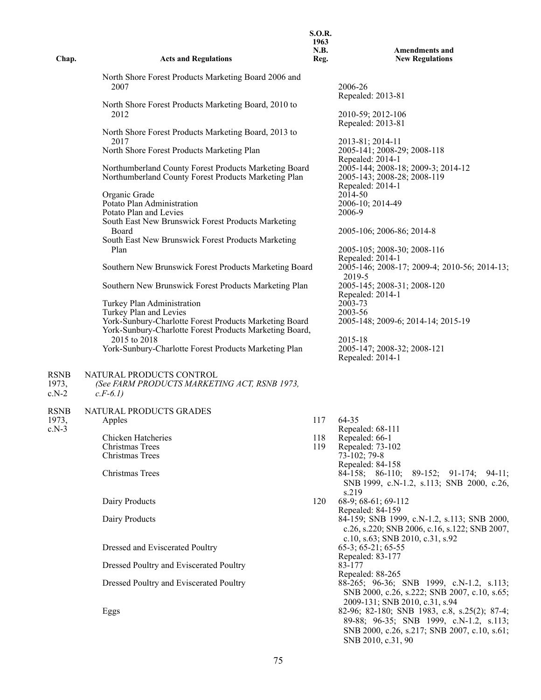| Chap.                           | <b>Acts and Regulations</b>                                                                                                                                                                                                                                                                                                                                                                                                                                                                                                                                                                                                                                                                                                                                                                                                                                                                                                                                            | <b>S.O.R.</b><br>1963<br>N.B.<br>Reg. | <b>Amendments and</b><br><b>New Regulations</b>                                                                                                                                                                                                                                                                                                                                                                                                                                                                                                                                                                                                                                                                                                                              |
|---------------------------------|------------------------------------------------------------------------------------------------------------------------------------------------------------------------------------------------------------------------------------------------------------------------------------------------------------------------------------------------------------------------------------------------------------------------------------------------------------------------------------------------------------------------------------------------------------------------------------------------------------------------------------------------------------------------------------------------------------------------------------------------------------------------------------------------------------------------------------------------------------------------------------------------------------------------------------------------------------------------|---------------------------------------|------------------------------------------------------------------------------------------------------------------------------------------------------------------------------------------------------------------------------------------------------------------------------------------------------------------------------------------------------------------------------------------------------------------------------------------------------------------------------------------------------------------------------------------------------------------------------------------------------------------------------------------------------------------------------------------------------------------------------------------------------------------------------|
| <b>RSNB</b>                     | North Shore Forest Products Marketing Board 2006 and<br>2007<br>North Shore Forest Products Marketing Board, 2010 to<br>2012<br>North Shore Forest Products Marketing Board, 2013 to<br>2017<br>North Shore Forest Products Marketing Plan<br>Northumberland County Forest Products Marketing Board<br>Northumberland County Forest Products Marketing Plan<br>Organic Grade<br>Potato Plan Administration<br>Potato Plan and Levies<br>South East New Brunswick Forest Products Marketing<br>Board<br>South East New Brunswick Forest Products Marketing<br>Plan<br>Southern New Brunswick Forest Products Marketing Board<br>Southern New Brunswick Forest Products Marketing Plan<br>Turkey Plan Administration<br>Turkey Plan and Levies<br>York-Sunbury-Charlotte Forest Products Marketing Board<br>York-Sunbury-Charlotte Forest Products Marketing Board,<br>2015 to 2018<br>York-Sunbury-Charlotte Forest Products Marketing Plan<br>NATURAL PRODUCTS CONTROL |                                       | 2006-26<br>Repealed: 2013-81<br>2010-59; 2012-106<br>Repealed: 2013-81<br>2013-81; 2014-11<br>2005-141; 2008-29; 2008-118<br>Repealed: 2014-1<br>2005-144; 2008-18; 2009-3; 2014-12<br>2005-143; 2008-28; 2008-119<br>Repealed: 2014-1<br>2014-50<br>2006-10; 2014-49<br>2006-9<br>2005-106; 2006-86; 2014-8<br>2005-105; 2008-30; 2008-116<br>Repealed: 2014-1<br>2005-146; 2008-17; 2009-4; 2010-56; 2014-13;<br>2019-5<br>2005-145; 2008-31; 2008-120<br>Repealed: 2014-1<br>2003-73<br>2003-56<br>2005-148; 2009-6; 2014-14; 2015-19<br>2015-18<br>2005-147; 2008-32; 2008-121<br>Repealed: 2014-1                                                                                                                                                                       |
| 1973,<br>$c.N-2$                | (See FARM PRODUCTS MARKETING ACT, RSNB 1973,<br>$c.F-6.1$                                                                                                                                                                                                                                                                                                                                                                                                                                                                                                                                                                                                                                                                                                                                                                                                                                                                                                              |                                       |                                                                                                                                                                                                                                                                                                                                                                                                                                                                                                                                                                                                                                                                                                                                                                              |
| <b>RSNB</b><br>1973,<br>$c.N-3$ | NATURAL PRODUCTS GRADES<br>Apples<br>Chicken Hatcheries<br>Christmas Trees<br>Christmas Trees<br>Christmas Trees<br>Dairy Products<br>Dairy Products<br>Dressed and Eviscerated Poultry<br>Dressed Poultry and Eviscerated Poultry<br>Dressed Poultry and Eviscerated Poultry<br>Eggs                                                                                                                                                                                                                                                                                                                                                                                                                                                                                                                                                                                                                                                                                  | 117<br>118<br>119<br>120              | 64-35<br>Repealed: 68-111<br>Repealed: 66-1<br>Repealed: 73-102<br>$73-102; 79-8$<br>Repealed: 84-158<br>89-152; 91-174; 94-11;<br>$84-158$ ; $86-110$ ;<br>SNB 1999, c.N-1.2, s.113; SNB 2000, c.26,<br>s.219<br>68-9; 68-61; 69-112<br>Repealed: 84-159<br>84-159; SNB 1999, c.N-1.2, s.113; SNB 2000,<br>c.26, s.220; SNB 2006, c.16, s.122; SNB 2007,<br>c.10, s.63; SNB 2010, c.31, s.92<br>$65-3$ ; $65-21$ ; $65-55$<br>Repealed: 83-177<br>83-177<br>Repealed: 88-265<br>88-265; 96-36; SNB 1999, c.N-1.2, s.113;<br>SNB 2000, c.26, s.222; SNB 2007, c.10, s.65;<br>2009-131; SNB 2010, c.31, s.94<br>82-96; 82-180; SNB 1983, c.8, s.25(2); 87-4;<br>89-88; 96-35; SNB 1999, c.N-1.2, s.113;<br>SNB 2000, c.26, s.217; SNB 2007, c.10, s.61;<br>SNB 2010, c.31, 90 |
|                                 | 75                                                                                                                                                                                                                                                                                                                                                                                                                                                                                                                                                                                                                                                                                                                                                                                                                                                                                                                                                                     |                                       |                                                                                                                                                                                                                                                                                                                                                                                                                                                                                                                                                                                                                                                                                                                                                                              |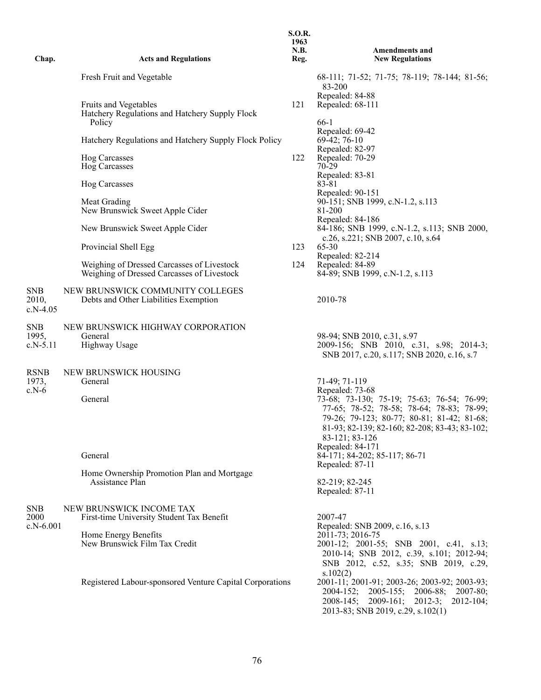| Chap.                             | <b>Acts and Regulations</b>                                                              | <b>S.O.R.</b><br>1963<br>N.B.<br>Reg. | <b>Amendments and</b><br><b>New Regulations</b>                                                                                                                                                                                                                                                                      |
|-----------------------------------|------------------------------------------------------------------------------------------|---------------------------------------|----------------------------------------------------------------------------------------------------------------------------------------------------------------------------------------------------------------------------------------------------------------------------------------------------------------------|
|                                   | Fresh Fruit and Vegetable                                                                |                                       | 68-111; 71-52; 71-75; 78-119; 78-144; 81-56;                                                                                                                                                                                                                                                                         |
|                                   |                                                                                          |                                       | 83-200<br>Repealed: 84-88                                                                                                                                                                                                                                                                                            |
|                                   | Fruits and Vegetables<br>Hatchery Regulations and Hatchery Supply Flock<br>Policy        | 121                                   | Repealed: 68-111<br>66-1                                                                                                                                                                                                                                                                                             |
|                                   | Hatchery Regulations and Hatchery Supply Flock Policy                                    |                                       | Repealed: 69-42<br>$69-42; 76-10$                                                                                                                                                                                                                                                                                    |
|                                   | Hog Carcasses<br><b>Hog Carcasses</b>                                                    | 122                                   | Repealed: 82-97<br>Repealed: 70-29<br>70-29                                                                                                                                                                                                                                                                          |
|                                   | Hog Carcasses                                                                            |                                       | Repealed: 83-81<br>83-81<br>Repealed: 90-151                                                                                                                                                                                                                                                                         |
|                                   | Meat Grading<br>New Brunswick Sweet Apple Cider                                          |                                       | 90-151; SNB 1999, c.N-1.2, s.113<br>81-200<br>Repealed: 84-186                                                                                                                                                                                                                                                       |
|                                   | New Brunswick Sweet Apple Cider                                                          |                                       | 84-186; SNB 1999, c.N-1.2, s.113; SNB 2000,<br>c.26, s.221; SNB 2007, c.10, s.64                                                                                                                                                                                                                                     |
|                                   | Provincial Shell Egg                                                                     | 123                                   | 65-30<br>Repealed: 82-214                                                                                                                                                                                                                                                                                            |
|                                   | Weighing of Dressed Carcasses of Livestock<br>Weighing of Dressed Carcasses of Livestock | 124                                   | Repealed: 84-89<br>84-89; SNB 1999, c.N-1.2, s.113                                                                                                                                                                                                                                                                   |
| <b>SNB</b><br>2010,<br>$c.N-4.05$ | NEW BRUNSWICK COMMUNITY COLLEGES<br>Debts and Other Liabilities Exemption                |                                       | 2010-78                                                                                                                                                                                                                                                                                                              |
| <b>SNB</b><br>1995,<br>$c.N-5.11$ | NEW BRUNSWICK HIGHWAY CORPORATION<br>General<br>Highway Usage                            |                                       | 98-94; SNB 2010, c.31, s.97<br>2009-156; SNB 2010, c.31, s.98; 2014-3;<br>SNB 2017, c.20, s.117; SNB 2020, c.16, s.7                                                                                                                                                                                                 |
| <b>RSNB</b><br>1973,<br>$c.N-6$   | NEW BRUNSWICK HOUSING<br>General<br>General<br>General                                   |                                       | 71-49; 71-119<br>Repealed: 73-68<br>73-68; 73-130; 75-19; 75-63; 76-54; 76-99;<br>77-65; 78-52; 78-58; 78-64; 78-83; 78-99;<br>79-26; 79-123; 80-77; 80-81; 81-42; 81-68;<br>81-93; 82-139; 82-160; 82-208; 83-43; 83-102;<br>83-121; 83-126<br>Repealed: 84-171<br>84-171; 84-202; 85-117; 86-71<br>Repealed: 87-11 |
|                                   | Home Ownership Promotion Plan and Mortgage<br>Assistance Plan                            |                                       | 82-219; 82-245<br>Repealed: 87-11                                                                                                                                                                                                                                                                                    |
| <b>SNB</b><br>2000<br>$c.N-6.001$ | NEW BRUNSWICK INCOME TAX<br>First-time University Student Tax Benefit                    |                                       | 2007-47<br>Repealed: SNB 2009, c.16, s.13                                                                                                                                                                                                                                                                            |
|                                   | Home Energy Benefits<br>New Brunswick Film Tax Credit                                    |                                       | 2011-73; 2016-75<br>2001-12; 2001-55; SNB 2001, c.41, s.13;<br>2010-14; SNB 2012, c.39, s.101; 2012-94;<br>SNB 2012, c.52, s.35; SNB 2019, c.29,                                                                                                                                                                     |
|                                   | Registered Labour-sponsored Venture Capital Corporations                                 |                                       | s.102(2)<br>2001-11; 2001-91; 2003-26; 2003-92; 2003-93;<br>2004-152; 2005-155; 2006-88;<br>$2007 - 80;$<br>$2008-145$ ; $2009-161$ ; $2012-3$ ;<br>$2012 - 104;$<br>2013-83; SNB 2019, c.29, s.102(1)                                                                                                               |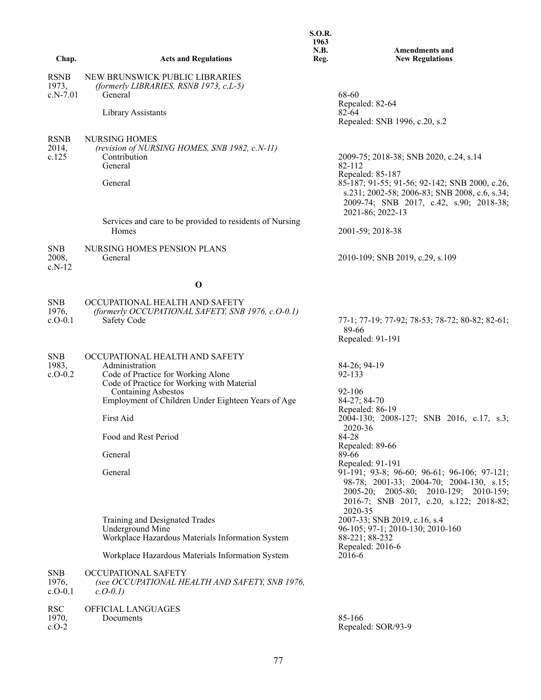| Chap.                                            | <b>Acts and Regulations</b>                                                                                                                                                                                                                                                                                                                                                                                                                                              | S.O.R.<br>1963<br>N.B.<br>Reg. | <b>Amendments and</b><br><b>New Regulations</b>                                                                                                                                                                                                                                                                                                                                                                                                                                                   |
|--------------------------------------------------|--------------------------------------------------------------------------------------------------------------------------------------------------------------------------------------------------------------------------------------------------------------------------------------------------------------------------------------------------------------------------------------------------------------------------------------------------------------------------|--------------------------------|---------------------------------------------------------------------------------------------------------------------------------------------------------------------------------------------------------------------------------------------------------------------------------------------------------------------------------------------------------------------------------------------------------------------------------------------------------------------------------------------------|
| <b>RSNB</b><br>1973,<br>c.N-7.01                 | NEW BRUNSWICK PUBLIC LIBRARIES<br>(formerly LIBRARIES, RSNB 1973, c.L-5)<br>General                                                                                                                                                                                                                                                                                                                                                                                      |                                | 68-60                                                                                                                                                                                                                                                                                                                                                                                                                                                                                             |
|                                                  | Library Assistants                                                                                                                                                                                                                                                                                                                                                                                                                                                       |                                | Repealed: 82-64<br>$82 - 64$<br>Repealed: SNB 1996, c.20, s.2                                                                                                                                                                                                                                                                                                                                                                                                                                     |
| <b>RSNB</b><br>2014,<br>c.125                    | <b>NURSING HOMES</b><br>(revision of NURSING HOMES, SNB 1982, c.N-11)<br>Contribution<br>General<br>General                                                                                                                                                                                                                                                                                                                                                              |                                | 2009-75; 2018-38; SNB 2020, c.24, s.14<br>82-112<br>Repealed: 85-187<br>85-187; 91-55; 91-56; 92-142; SNB 2000, c.26,<br>s.231; 2002-58; 2006-83; SNB 2008, c.6, s.34;<br>2009-74; SNB 2017, c.42, s.90; 2018-38;                                                                                                                                                                                                                                                                                 |
|                                                  | Services and care to be provided to residents of Nursing<br>Homes                                                                                                                                                                                                                                                                                                                                                                                                        |                                | 2021-86; 2022-13<br>2001-59; 2018-38                                                                                                                                                                                                                                                                                                                                                                                                                                                              |
| <b>SNB</b><br>2008,<br>$c.N-12$                  | NURSING HOMES PENSION PLANS<br>General                                                                                                                                                                                                                                                                                                                                                                                                                                   |                                | 2010-109; SNB 2019, c.29, s.109                                                                                                                                                                                                                                                                                                                                                                                                                                                                   |
|                                                  | $\mathbf 0$                                                                                                                                                                                                                                                                                                                                                                                                                                                              |                                |                                                                                                                                                                                                                                                                                                                                                                                                                                                                                                   |
| <b>SNB</b><br>1976,<br>$c.O-0.1$                 | OCCUPATIONAL HEALTH AND SAFETY<br>(formerly OCCUPATIONAL SAFETY, SNB 1976, c.O-0.1)<br>Safety Code                                                                                                                                                                                                                                                                                                                                                                       |                                | 77-1; 77-19; 77-92; 78-53; 78-72; 80-82; 82-61;<br>89-66<br>Repealed: 91-191                                                                                                                                                                                                                                                                                                                                                                                                                      |
| <b>SNB</b><br>1983,<br>$c.0 - 0.2$<br><b>SNB</b> | OCCUPATIONAL HEALTH AND SAFETY<br>Administration<br>Code of Practice for Working Alone<br>Code of Practice for Working with Material<br><b>Containing Asbestos</b><br>Employment of Children Under Eighteen Years of Age<br>First Aid<br>Food and Rest Period<br>General<br>General<br>Training and Designated Trades<br>Underground Mine<br>Workplace Hazardous Materials Information System<br>Workplace Hazardous Materials Information System<br>OCCUPATIONAL SAFETY |                                | 84-26; 94-19<br>92-133<br>92-106<br>84-27; 84-70<br>Repealed: 86-19<br>2004-130; 2008-127; SNB 2016, c.17, s.3;<br>2020-36<br>84-28<br>Repealed: 89-66<br>89-66<br>Repealed: 91-191<br>91-191; 93-8; 96-60; 96-61; 96-106; 97-121;<br>98-78; 2001-33; 2004-70; 2004-130, s.15;<br>2005-20; 2005-80; 2010-129; 2010-159;<br>2016-7; SNB 2017, c.20, s.122; 2018-82;<br>2020-35<br>2007-33; SNB 2019, c.16, s.4<br>96-105; 97-1; 2010-130; 2010-160<br>88-221; 88-232<br>Repealed: 2016-6<br>2016-6 |
| 1976,<br>$c.O-0.1$                               | (see OCCUPATIONAL HEALTH AND SAFETY, SNB 1976,<br>$c. O-0.1$ )                                                                                                                                                                                                                                                                                                                                                                                                           |                                |                                                                                                                                                                                                                                                                                                                                                                                                                                                                                                   |
| <b>RSC</b><br>1970,<br>$c.O-2$                   | OFFICIAL LANGUAGES<br>Documents                                                                                                                                                                                                                                                                                                                                                                                                                                          |                                | 85-166<br>Repealed: SOR/93-9                                                                                                                                                                                                                                                                                                                                                                                                                                                                      |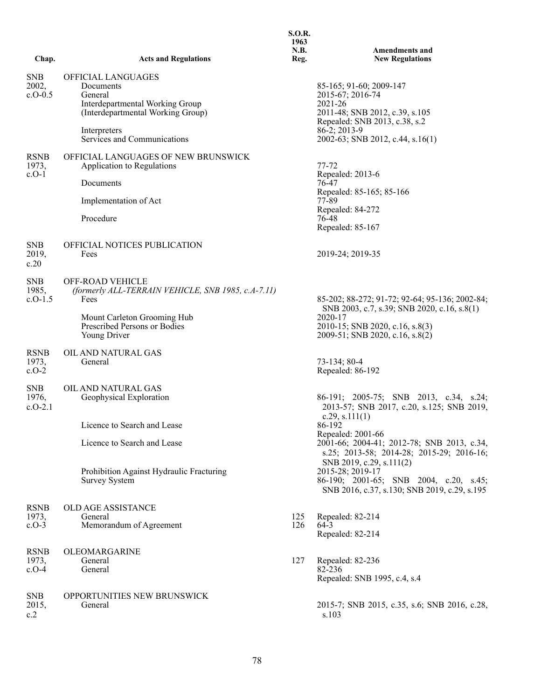|                                  |                                                                                                                                    | 1963<br><b>N.B.</b> | <b>Amendments and</b>                                                                                                                     |
|----------------------------------|------------------------------------------------------------------------------------------------------------------------------------|---------------------|-------------------------------------------------------------------------------------------------------------------------------------------|
| Chap.                            | <b>Acts and Regulations</b>                                                                                                        | Reg.                | <b>New Regulations</b>                                                                                                                    |
| <b>SNB</b><br>2002,<br>$c.O-0.5$ | OFFICIAL LANGUAGES<br>Documents<br>General<br>Interdepartmental Working Group<br>(Interdepartmental Working Group)<br>Interpreters |                     | 85-165; 91-60; 2009-147<br>2015-67; 2016-74<br>2021-26<br>2011-48; SNB 2012, c.39, s.105<br>Repealed: SNB 2013, c.38, s.2<br>86-2; 2013-9 |
|                                  | Services and Communications                                                                                                        |                     | 2002-63; SNB 2012, c.44, s.16(1)                                                                                                          |
| <b>RSNB</b><br>1973,<br>$c.O-1$  | OFFICIAL LANGUAGES OF NEW BRUNSWICK<br>Application to Regulations                                                                  |                     | $77 - 72$<br>Repealed: 2013-6                                                                                                             |
|                                  | Documents                                                                                                                          |                     | 76-47<br>Repealed: 85-165; 85-166                                                                                                         |
|                                  | Implementation of Act                                                                                                              |                     | 77-89<br>Repealed: 84-272                                                                                                                 |
|                                  | Procedure                                                                                                                          |                     | 76-48<br>Repealed: 85-167                                                                                                                 |
| <b>SNB</b><br>2019,<br>c.20      | OFFICIAL NOTICES PUBLICATION<br>Fees                                                                                               |                     | 2019-24; 2019-35                                                                                                                          |
| <b>SNB</b><br>1985,<br>$c.O-1.5$ | <b>OFF-ROAD VEHICLE</b><br>(formerly ALL-TERRAIN VEHICLE, SNB 1985, c.A-7.11)<br>Fees                                              |                     | 85-202; 88-272; 91-72; 92-64; 95-136; 2002-84;<br>SNB 2003, c.7, s.39; SNB 2020, c.16, s.8(1)                                             |
|                                  | Mount Carleton Grooming Hub<br>Prescribed Persons or Bodies<br>Young Driver                                                        |                     | 2020-17<br>2010-15; SNB 2020, c.16, s.8(3)<br>2009-51; SNB 2020, c.16, s.8(2)                                                             |
| <b>RSNB</b><br>1973,<br>$c.O-2$  | OIL AND NATURAL GAS<br>General                                                                                                     |                     | 73-134; 80-4<br>Repealed: 86-192                                                                                                          |
| <b>SNB</b><br>1976,<br>$c.0-2.1$ | OIL AND NATURAL GAS<br>Geophysical Exploration                                                                                     |                     | 86-191; 2005-75; SNB 2013, c.34, s.24;<br>2013-57; SNB 2017, c.20, s.125; SNB 2019,<br>c.29, s.111(1)                                     |
|                                  | Licence to Search and Lease                                                                                                        |                     | 86-192<br>Repealed: 2001-66                                                                                                               |
|                                  | Licence to Search and Lease                                                                                                        |                     | 2001-66; 2004-41; 2012-78; SNB 2013, c.34,<br>s.25; 2013-58; 2014-28; 2015-29; 2016-16;                                                   |
|                                  | Prohibition Against Hydraulic Fracturing<br><b>Survey System</b>                                                                   |                     | SNB 2019, c.29, s.111(2)<br>2015-28; 2019-17<br>86-190; 2001-65; SNB 2004, c.20, s.45;<br>SNB 2016, c.37, s.130; SNB 2019, c.29, s.195    |
| <b>RSNB</b><br>1973,<br>$c.O-3$  | OLD AGE ASSISTANCE<br>General<br>Memorandum of Agreement                                                                           | 125<br>126          | Repealed: 82-214<br>$64-3$<br>Repealed: 82-214                                                                                            |
| <b>RSNB</b><br>1973,<br>$c.O-4$  | OLEOMARGARINE<br>General<br>General                                                                                                | 127                 | Repealed: 82-236<br>82-236<br>Repealed: SNB 1995, c.4, s.4                                                                                |
| <b>SNB</b><br>2015,<br>c.2       | OPPORTUNITIES NEW BRUNSWICK<br>General                                                                                             |                     | 2015-7; SNB 2015, c.35, s.6; SNB 2016, c.28,<br>s.103                                                                                     |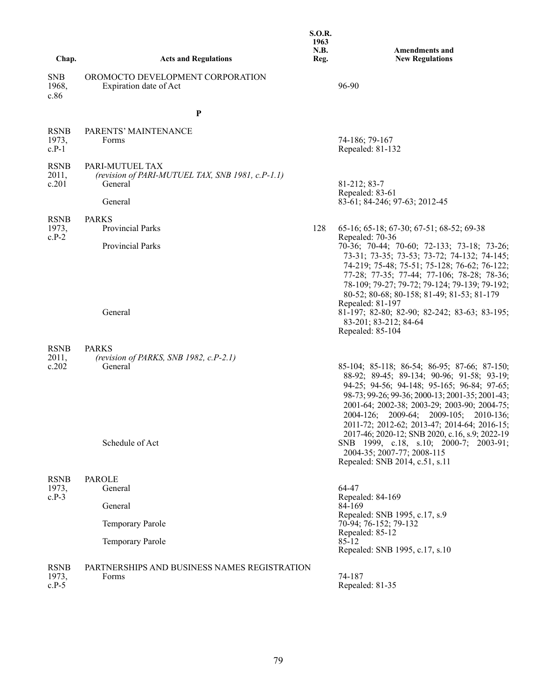|                                 |                                                                                | <b>S.O.R.</b><br>1963<br>N.B. | <b>Amendments and</b>                                                                                                                                                                                                                                                                                      |
|---------------------------------|--------------------------------------------------------------------------------|-------------------------------|------------------------------------------------------------------------------------------------------------------------------------------------------------------------------------------------------------------------------------------------------------------------------------------------------------|
| Chap.                           | <b>Acts and Regulations</b>                                                    | Reg.                          | <b>New Regulations</b>                                                                                                                                                                                                                                                                                     |
| <b>SNB</b><br>1968,<br>c.86     | OROMOCTO DEVELOPMENT CORPORATION<br>Expiration date of Act                     |                               | 96-90                                                                                                                                                                                                                                                                                                      |
|                                 | $\mathbf{P}$                                                                   |                               |                                                                                                                                                                                                                                                                                                            |
| <b>RSNB</b><br>1973,<br>$c.P-1$ | PARENTS' MAINTENANCE<br>Forms                                                  |                               | 74-186; 79-167<br>Repealed: 81-132                                                                                                                                                                                                                                                                         |
| <b>RSNB</b><br>2011,<br>c.201   | PARI-MUTUEL TAX<br>(revision of PARI-MUTUEL TAX, SNB 1981, c.P-1.1)<br>General |                               | 81-212; 83-7<br>Repealed: 83-61                                                                                                                                                                                                                                                                            |
|                                 | General                                                                        |                               | 83-61; 84-246; 97-63; 2012-45                                                                                                                                                                                                                                                                              |
| <b>RSNB</b><br>1973,<br>$c.P-2$ | <b>PARKS</b><br><b>Provincial Parks</b>                                        | 128                           | 65-16; 65-18; 67-30; 67-51; 68-52; 69-38<br>Repealed: 70-36                                                                                                                                                                                                                                                |
|                                 | Provincial Parks                                                               |                               | 70-36; 70-44; 70-60; 72-133; 73-18; 73-26;<br>73-31; 73-35; 73-53; 73-72; 74-132; 74-145;<br>74-219; 75-48; 75-51; 75-128; 76-62; 76-122;<br>77-28; 77-35; 77-44; 77-106; 78-28; 78-36;<br>78-109; 79-27; 79-72; 79-124; 79-139; 79-192;<br>80-52; 80-68; 80-158; 81-49; 81-53; 81-179<br>Repealed: 81-197 |
|                                 | General                                                                        |                               | 81-197; 82-80; 82-90; 82-242; 83-63; 83-195;<br>83-201; 83-212; 84-64<br>Repealed: 85-104                                                                                                                                                                                                                  |
| <b>RSNB</b><br>2011,<br>c.202   | <b>PARKS</b><br>(revision of PARKS, SNB 1982, c.P-2.1)<br>General              |                               | 85-104; 85-118; 86-54; 86-95; 87-66; 87-150;<br>88-92; 89-45; 89-134; 90-96; 91-58; 93-19;<br>94-25; 94-56; 94-148; 95-165; 96-84; 97-65;<br>98-73; 99-26; 99-36; 2000-13; 2001-35; 2001-43;<br>2001-64; 2002-38; 2003-29; 2003-90; 2004-75;<br>2004-126; 2009-64; 2009-105; 2010-136;                     |
|                                 | Schedule of Act                                                                |                               | 2011-72; 2012-62; 2013-47; 2014-64; 2016-15;<br>2017-46; 2020-12; SNB 2020, c.16, s.9; 2022-19<br>SNB 1999, c.18, s.10; 2000-7; 2003-91;<br>2004-35; 2007-77; 2008-115<br>Repealed: SNB 2014, c.51, s.11                                                                                                   |
| <b>RSNB</b><br>1973,            | <b>PAROLE</b><br>General                                                       |                               | 64-47                                                                                                                                                                                                                                                                                                      |
| $c.P-3$                         | General                                                                        |                               | Repealed: 84-169<br>84-169                                                                                                                                                                                                                                                                                 |
|                                 | Temporary Parole                                                               |                               | Repealed: SNB 1995, c.17, s.9<br>70-94; 76-152; 79-132<br>Repealed: 85-12                                                                                                                                                                                                                                  |
|                                 | Temporary Parole                                                               |                               | 85-12<br>Repealed: SNB 1995, c.17, s.10                                                                                                                                                                                                                                                                    |
| <b>RSNB</b><br>1973,<br>$c.P-5$ | PARTNERSHIPS AND BUSINESS NAMES REGISTRATION<br>Forms                          |                               | 74-187<br>Repealed: 81-35                                                                                                                                                                                                                                                                                  |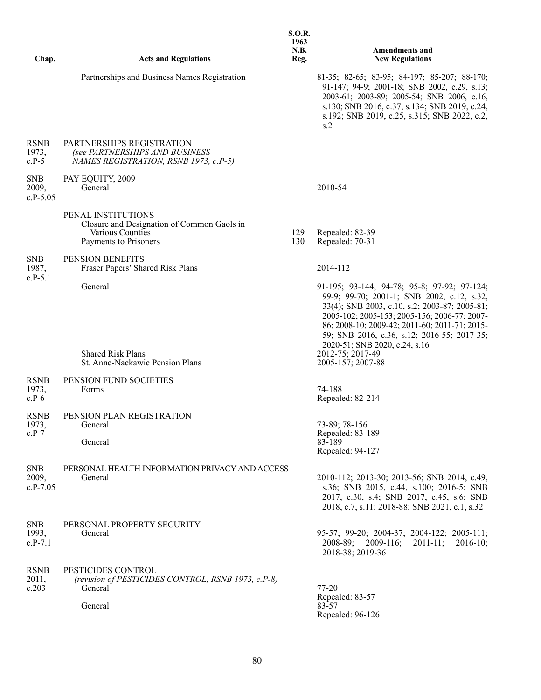| Chap.                             | <b>Acts and Regulations</b>                                                                                   | <b>S.O.R.</b><br>1963<br>N.B.<br>Reg. | <b>Amendments and</b><br><b>New Regulations</b>                                                                                                                                                                                                                                                                             |
|-----------------------------------|---------------------------------------------------------------------------------------------------------------|---------------------------------------|-----------------------------------------------------------------------------------------------------------------------------------------------------------------------------------------------------------------------------------------------------------------------------------------------------------------------------|
|                                   | Partnerships and Business Names Registration                                                                  |                                       | 81-35; 82-65; 83-95; 84-197; 85-207; 88-170;<br>91-147; 94-9; 2001-18; SNB 2002, c.29, s.13;<br>2003-61; 2003-89; 2005-54; SNB 2006, c.16,<br>s.130; SNB 2016, c.37, s.134; SNB 2019, c.24,<br>s.192; SNB 2019, c.25, s.315; SNB 2022, c.2,<br>s.2                                                                          |
| <b>RSNB</b><br>1973,<br>$c.P-5$   | PARTNERSHIPS REGISTRATION<br>(see PARTNERSHIPS AND BUSINESS<br>NAMES REGISTRATION, RSNB 1973, c.P-5)          |                                       |                                                                                                                                                                                                                                                                                                                             |
| <b>SNB</b><br>2009,<br>$c.P-5.05$ | PAY EQUITY, 2009<br>General                                                                                   |                                       | 2010-54                                                                                                                                                                                                                                                                                                                     |
|                                   | PENAL INSTITUTIONS<br>Closure and Designation of Common Gaols in<br>Various Counties<br>Payments to Prisoners | 129<br>130                            | Repealed: 82-39<br>Repealed: 70-31                                                                                                                                                                                                                                                                                          |
| <b>SNB</b><br>1987,<br>$c.P-5.1$  | PENSION BENEFITS<br>Fraser Papers' Shared Risk Plans                                                          |                                       | 2014-112                                                                                                                                                                                                                                                                                                                    |
|                                   | General                                                                                                       |                                       | 91-195; 93-144; 94-78; 95-8; 97-92; 97-124;<br>99-9; 99-70; 2001-1; SNB 2002, c.12, s.32,<br>33(4); SNB 2003, c.10, s.2; 2003-87; 2005-81;<br>2005-102; 2005-153; 2005-156; 2006-77; 2007-<br>86; 2008-10; 2009-42; 2011-60; 2011-71; 2015-<br>59; SNB 2016, c.36, s.12; 2016-55; 2017-35;<br>2020-51; SNB 2020, c.24, s.16 |
|                                   | <b>Shared Risk Plans</b><br>St. Anne-Nackawic Pension Plans                                                   |                                       | 2012-75; 2017-49<br>2005-157; 2007-88                                                                                                                                                                                                                                                                                       |
| <b>RSNB</b><br>1973,<br>$c.P-6$   | PENSION FUND SOCIETIES<br>Forms                                                                               |                                       | 74-188<br>Repealed: 82-214                                                                                                                                                                                                                                                                                                  |
| <b>RSNB</b><br>1973,              | PENSION PLAN REGISTRATION<br>General                                                                          |                                       | 73-89; 78-156                                                                                                                                                                                                                                                                                                               |
| $c.P-7$                           | General                                                                                                       |                                       | Repealed: 83-189<br>83-189<br>Repealed: 94-127                                                                                                                                                                                                                                                                              |
| <b>SNB</b><br>2009,<br>$c.P-7.05$ | PERSONAL HEALTH INFORMATION PRIVACY AND ACCESS<br>General                                                     |                                       | 2010-112; 2013-30; 2013-56; SNB 2014, c.49,<br>s.36; SNB 2015, c.44, s.100; 2016-5; SNB<br>2017, c.30, s.4; SNB 2017, c.45, s.6; SNB<br>2018, c.7, s.11; 2018-88; SNB 2021, c.1, s.32                                                                                                                                       |
| <b>SNB</b><br>1993,<br>$c.P-7.1$  | PERSONAL PROPERTY SECURITY<br>General                                                                         |                                       | 95-57; 99-20; 2004-37; 2004-122; 2005-111;<br>2008-89; 2009-116;<br>$2011 - 11$ ;<br>$2016-10;$<br>2018-38; 2019-36                                                                                                                                                                                                         |
| <b>RSNB</b><br>2011,<br>c.203     | PESTICIDES CONTROL<br>(revision of PESTICIDES CONTROL, RSNB 1973, c.P-8)<br>General                           |                                       | $77 - 20$                                                                                                                                                                                                                                                                                                                   |
|                                   | General                                                                                                       |                                       | Repealed: 83-57<br>83-57<br>Repealed: 96-126                                                                                                                                                                                                                                                                                |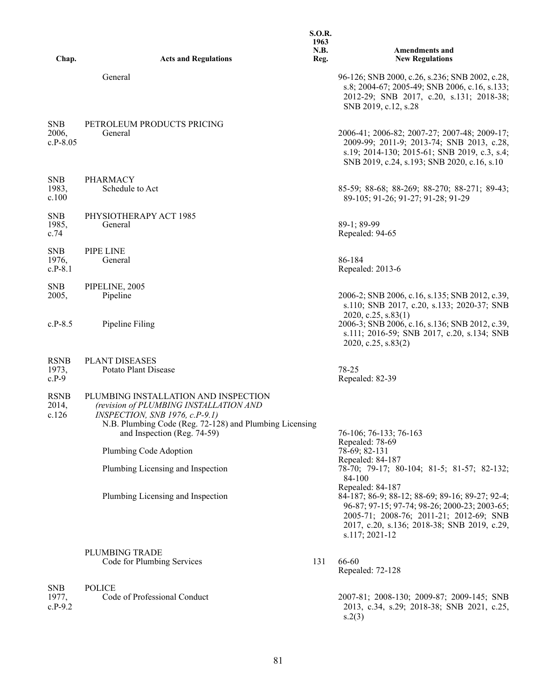| Chap.                             | <b>Acts and Regulations</b>                                                                                                                                                                                | <b>S.O.R.</b><br>1963<br>N.B.<br>Reg. | <b>Amendments and</b><br><b>New Regulations</b>                                                                                                                                                                                  |
|-----------------------------------|------------------------------------------------------------------------------------------------------------------------------------------------------------------------------------------------------------|---------------------------------------|----------------------------------------------------------------------------------------------------------------------------------------------------------------------------------------------------------------------------------|
|                                   | General                                                                                                                                                                                                    |                                       | 96-126; SNB 2000, c.26, s.236; SNB 2002, c.28,<br>s.8; 2004-67; 2005-49; SNB 2006, c.16, s.133;<br>2012-29; SNB 2017, c.20, s.131; 2018-38;<br>SNB 2019, c.12, s.28                                                              |
| <b>SNB</b><br>2006,<br>$c.P-8.05$ | PETROLEUM PRODUCTS PRICING<br>General                                                                                                                                                                      |                                       | 2006-41; 2006-82; 2007-27; 2007-48; 2009-17;<br>2009-99; 2011-9; 2013-74; SNB 2013, c.28,<br>s.19; 2014-130; 2015-61; SNB 2019, c.3, s.4;<br>SNB 2019, c.24, s.193; SNB 2020, c.16, s.10                                         |
| <b>SNB</b><br>1983,<br>c.100      | <b>PHARMACY</b><br>Schedule to Act                                                                                                                                                                         |                                       | 85-59; 88-68; 88-269; 88-270; 88-271; 89-43;<br>89-105; 91-26; 91-27; 91-28; 91-29                                                                                                                                               |
| <b>SNB</b><br>1985,<br>c.74       | PHYSIOTHERAPY ACT 1985<br>General                                                                                                                                                                          |                                       | 89-1; 89-99<br>Repealed: 94-65                                                                                                                                                                                                   |
| <b>SNB</b><br>1976,<br>$c.P-8.1$  | PIPE LINE<br>General                                                                                                                                                                                       |                                       | 86-184<br>Repealed: 2013-6                                                                                                                                                                                                       |
| <b>SNB</b><br>2005,               | PIPELINE, 2005<br>Pipeline                                                                                                                                                                                 |                                       | 2006-2; SNB 2006, c.16, s.135; SNB 2012, c.39,<br>s.110; SNB 2017, c.20, s.133; 2020-37; SNB                                                                                                                                     |
| $c.P-8.5$                         | Pipeline Filing                                                                                                                                                                                            |                                       | 2020, c.25, s.83(1)<br>2006-3; SNB 2006, c.16, s.136; SNB 2012, c.39,<br>s.111; 2016-59; SNB 2017, c.20, s.134; SNB<br>2020, c.25, s.83(2)                                                                                       |
| <b>RSNB</b><br>1973,<br>$c.P-9$   | <b>PLANT DISEASES</b><br>Potato Plant Disease                                                                                                                                                              |                                       | 78-25<br>Repealed: 82-39                                                                                                                                                                                                         |
| <b>RSNB</b><br>2014,<br>c.126     | PLUMBING INSTALLATION AND INSPECTION<br>(revision of PLUMBING INSTALLATION AND<br>INSPECTION, SNB 1976, c.P-9.1)<br>N.B. Plumbing Code (Reg. 72-128) and Plumbing Licensing<br>and Inspection (Reg. 74-59) |                                       | 76-106; 76-133; 76-163                                                                                                                                                                                                           |
|                                   | Plumbing Code Adoption                                                                                                                                                                                     |                                       | Repealed: 78-69<br>78-69; 82-131                                                                                                                                                                                                 |
|                                   | Plumbing Licensing and Inspection                                                                                                                                                                          |                                       | Repealed: 84-187<br>78-70; 79-17; 80-104; 81-5; 81-57; 82-132;<br>84-100                                                                                                                                                         |
|                                   | Plumbing Licensing and Inspection                                                                                                                                                                          |                                       | Repealed: 84-187<br>84-187; 86-9; 88-12; 88-69; 89-16; 89-27; 92-4;<br>96-87; 97-15; 97-74; 98-26; 2000-23; 2003-65;<br>2005-71; 2008-76; 2011-21; 2012-69; SNB<br>2017, c.20, s.136; 2018-38; SNB 2019, c.29,<br>s.117; 2021-12 |
|                                   | PLUMBING TRADE<br>Code for Plumbing Services                                                                                                                                                               | 131                                   | 66-60<br>Repealed: 72-128                                                                                                                                                                                                        |
| <b>SNB</b><br>1977,<br>$c.P-9.2$  | <b>POLICE</b><br>Code of Professional Conduct                                                                                                                                                              |                                       | 2007-81; 2008-130; 2009-87; 2009-145; SNB<br>2013, c.34, s.29; 2018-38; SNB 2021, c.25,<br>s.2(3)                                                                                                                                |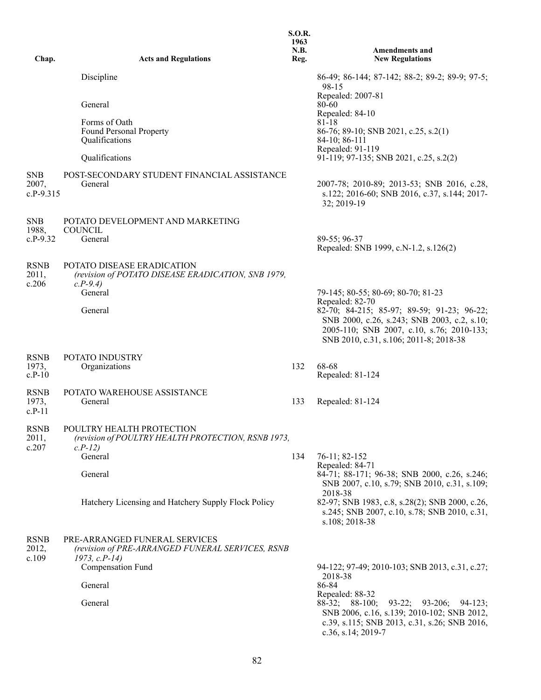|                                    |                                                                                                     | <b>S.O.R.</b><br>1963<br>N.B. | <b>Amendments and</b>                                                                                                                                                               |
|------------------------------------|-----------------------------------------------------------------------------------------------------|-------------------------------|-------------------------------------------------------------------------------------------------------------------------------------------------------------------------------------|
| Chap.                              | <b>Acts and Regulations</b>                                                                         | Reg.                          | <b>New Regulations</b>                                                                                                                                                              |
|                                    | Discipline                                                                                          |                               | 86-49; 86-144; 87-142; 88-2; 89-2; 89-9; 97-5;<br>98-15                                                                                                                             |
|                                    | General                                                                                             |                               | Repealed: 2007-81<br>$80 - 60$<br>Repealed: 84-10                                                                                                                                   |
|                                    | Forms of Oath<br>Found Personal Property<br>Qualifications                                          |                               | 81-18<br>86-76; 89-10; SNB 2021, c.25, s.2(1)<br>84-10; 86-111<br>Repealed: 91-119                                                                                                  |
|                                    | Qualifications                                                                                      |                               | 91-119; 97-135; SNB 2021, c.25, s.2(2)                                                                                                                                              |
| <b>SNB</b><br>2007,<br>$c.P-9.315$ | POST-SECONDARY STUDENT FINANCIAL ASSISTANCE<br>General                                              |                               | 2007-78; 2010-89; 2013-53; SNB 2016, c.28,<br>s.122; 2016-60; SNB 2016, c.37, s.144; 2017-<br>32; 2019-19                                                                           |
| <b>SNB</b><br>1988,                | POTATO DEVELOPMENT AND MARKETING<br><b>COUNCIL</b>                                                  |                               |                                                                                                                                                                                     |
| $c.P-9.32$                         | General                                                                                             |                               | 89-55; 96-37<br>Repealed: SNB 1999, c.N-1.2, s.126(2)                                                                                                                               |
| <b>RSNB</b><br>2011,<br>c.206      | POTATO DISEASE ERADICATION<br>(revision of POTATO DISEASE ERADICATION, SNB 1979,<br>$c.P-9.4$       |                               |                                                                                                                                                                                     |
|                                    | General                                                                                             |                               | 79-145; 80-55; 80-69; 80-70; 81-23<br>Repealed: 82-70                                                                                                                               |
|                                    | General                                                                                             |                               | 82-70; 84-215; 85-97; 89-59; 91-23; 96-22;<br>SNB 2000, c.26, s.243; SNB 2003, c.2, s.10;<br>2005-110; SNB 2007, c.10, s.76; 2010-133;<br>SNB 2010, c.31, s.106; 2011-8; 2018-38    |
| <b>RSNB</b>                        | POTATO INDUSTRY                                                                                     |                               |                                                                                                                                                                                     |
| 1973,<br>$c.P-10$                  | Organizations                                                                                       | 132                           | 68-68<br>Repealed: 81-124                                                                                                                                                           |
| <b>RSNB</b><br>1973,<br>$c.P-11$   | POTATO WAREHOUSE ASSISTANCE<br>General                                                              | 133                           | Repealed: 81-124                                                                                                                                                                    |
| <b>RSNB</b><br>2011,               | POULTRY HEALTH PROTECTION<br>(revision of POULTRY HEALTH PROTECTION, RSNB 1973,                     |                               |                                                                                                                                                                                     |
| c.207                              | $c.P-12$<br>General                                                                                 | 134                           | 76-11; 82-152                                                                                                                                                                       |
|                                    | General                                                                                             |                               | Repealed: 84-71<br>84-71; 88-171; 96-38; SNB 2000, c.26, s.246;<br>SNB 2007, c.10, s.79; SNB 2010, c.31, s.109;                                                                     |
|                                    | Hatchery Licensing and Hatchery Supply Flock Policy                                                 |                               | 2018-38<br>82-97; SNB 1983, c.8, s.28(2); SNB 2000, c.26,<br>s.245; SNB 2007, c.10, s.78; SNB 2010, c.31,<br>s.108; 2018-38                                                         |
| <b>RSNB</b><br>2012,<br>c.109      | PRE-ARRANGED FUNERAL SERVICES<br>(revision of PRE-ARRANGED FUNERAL SERVICES, RSNB<br>$1973, c.P-14$ |                               |                                                                                                                                                                                     |
|                                    | Compensation Fund                                                                                   |                               | 94-122; 97-49; 2010-103; SNB 2013, c.31, c.27;<br>2018-38                                                                                                                           |
|                                    | General                                                                                             |                               | 86-84<br>Repealed: 88-32                                                                                                                                                            |
|                                    | General                                                                                             |                               | $88-32$ ; $88-100$ ;<br>$93-22;$<br>$93 - 206;$<br>$94 - 123$ ;<br>SNB 2006, c.16, s.139; 2010-102; SNB 2012,<br>c.39, s.115; SNB 2013, c.31, s.26; SNB 2016,<br>c.36, s.14; 2019-7 |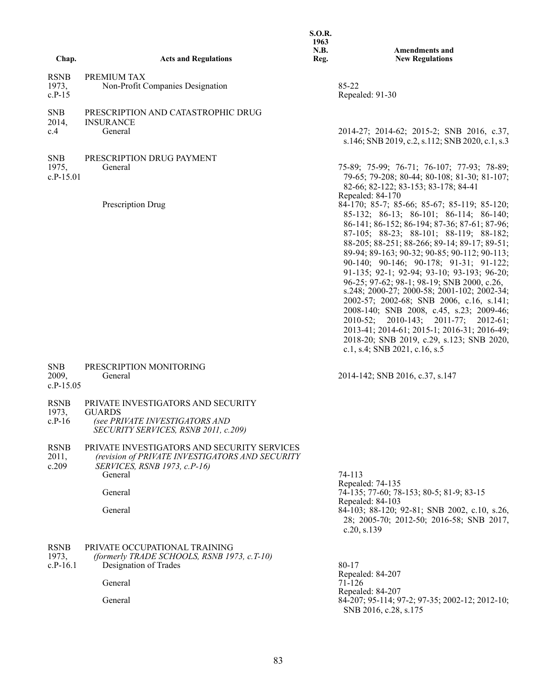|                                    |                                                                                                                                           | <b>S.O.R.</b><br>1963<br>N.B. | <b>Amendments and</b>                                                                                                                                                                                                                                                                                                                                                                                                                                                                                                                                                                                                                                                              |
|------------------------------------|-------------------------------------------------------------------------------------------------------------------------------------------|-------------------------------|------------------------------------------------------------------------------------------------------------------------------------------------------------------------------------------------------------------------------------------------------------------------------------------------------------------------------------------------------------------------------------------------------------------------------------------------------------------------------------------------------------------------------------------------------------------------------------------------------------------------------------------------------------------------------------|
| Chap.                              | <b>Acts and Regulations</b>                                                                                                               | Reg.                          | <b>New Regulations</b>                                                                                                                                                                                                                                                                                                                                                                                                                                                                                                                                                                                                                                                             |
| <b>RSNB</b><br>1973,<br>$c.P-15$   | PREMIUM TAX<br>Non-Profit Companies Designation                                                                                           |                               | 85-22<br>Repealed: 91-30                                                                                                                                                                                                                                                                                                                                                                                                                                                                                                                                                                                                                                                           |
| <b>SNB</b><br>2014,<br>c.4         | PRESCRIPTION AND CATASTROPHIC DRUG<br><b>INSURANCE</b><br>General                                                                         |                               | 2014-27; 2014-62; 2015-2; SNB 2016, c.37,<br>s.146; SNB 2019, c.2, s.112; SNB 2020, c.1, s.3                                                                                                                                                                                                                                                                                                                                                                                                                                                                                                                                                                                       |
| <b>SNB</b><br>1975,<br>$c.P-15.01$ | PRESCRIPTION DRUG PAYMENT<br>General<br>Prescription Drug                                                                                 |                               | 75-89; 75-99; 76-71; 76-107; 77-93; 78-89;<br>79-65; 79-208; 80-44; 80-108; 81-30; 81-107;<br>82-66; 82-122; 83-153; 83-178; 84-41<br>Repealed: 84-170<br>84-170; 85-7; 85-66; 85-67; 85-119; 85-120;                                                                                                                                                                                                                                                                                                                                                                                                                                                                              |
|                                    |                                                                                                                                           |                               | 85-132; 86-13; 86-101; 86-114; 86-140;<br>86-141; 86-152; 86-194; 87-36; 87-61; 87-96;<br>87-105; 88-23; 88-101; 88-119; 88-182;<br>88-205; 88-251; 88-266; 89-14; 89-17; 89-51;<br>89-94; 89-163; 90-32; 90-85; 90-112; 90-113;<br>90-140; 90-146; 90-178; 91-31; 91-122;<br>91-135; 92-1; 92-94; 93-10; 93-193; 96-20;<br>96-25; 97-62; 98-1; 98-19; SNB 2000, c.26,<br>s.248; 2000-27; 2000-58; 2001-102; 2002-34;<br>2002-57; 2002-68; SNB 2006, c.16, s.141;<br>2008-140; SNB 2008, c.45, s.23; 2009-46;<br>2010-52; 2010-143; 2011-77; 2012-61;<br>2013-41; 2014-61; 2015-1; 2016-31; 2016-49;<br>2018-20; SNB 2019, c.29, s.123; SNB 2020,<br>c.1, s.4; SNB 2021, c.16, s.5 |
| <b>SNB</b><br>2009,<br>$c.P-15.05$ | PRESCRIPTION MONITORING<br>General                                                                                                        |                               | 2014-142; SNB 2016, c.37, s.147                                                                                                                                                                                                                                                                                                                                                                                                                                                                                                                                                                                                                                                    |
| <b>RSNB</b><br>1973,<br>$c.P-16$   | PRIVATE INVESTIGATORS AND SECURITY<br><b>GUARDS</b><br>(see PRIVATE INVESTIGATORS AND<br>SECURITY SERVICES, RSNB 2011, c.209)             |                               |                                                                                                                                                                                                                                                                                                                                                                                                                                                                                                                                                                                                                                                                                    |
| <b>RSNB</b><br>2011,<br>c.209      | PRIVATE INVESTIGATORS AND SECURITY SERVICES<br>(revision of PRIVATE INVESTIGATORS AND SECURITY<br>SERVICES, RSNB 1973, c.P-16)<br>General |                               | 74-113<br>Repealed: 74-135                                                                                                                                                                                                                                                                                                                                                                                                                                                                                                                                                                                                                                                         |
|                                    | General                                                                                                                                   |                               | 74-135; 77-60; 78-153; 80-5; 81-9; 83-15                                                                                                                                                                                                                                                                                                                                                                                                                                                                                                                                                                                                                                           |
|                                    | General                                                                                                                                   |                               | Repealed: 84-103<br>84-103; 88-120; 92-81; SNB 2002, c.10, s.26,<br>28; 2005-70; 2012-50; 2016-58; SNB 2017,<br>c.20, s.139                                                                                                                                                                                                                                                                                                                                                                                                                                                                                                                                                        |
| <b>RSNB</b><br>1973,<br>$c.P-16.1$ | PRIVATE OCCUPATIONAL TRAINING<br>(formerly TRADE SCHOOLS, RSNB 1973, c.T-10)<br>Designation of Trades                                     |                               | 80-17<br>Repealed: 84-207                                                                                                                                                                                                                                                                                                                                                                                                                                                                                                                                                                                                                                                          |
|                                    | General                                                                                                                                   |                               | 71-126                                                                                                                                                                                                                                                                                                                                                                                                                                                                                                                                                                                                                                                                             |
|                                    | General                                                                                                                                   |                               | Repealed: 84-207<br>84-207; 95-114; 97-2; 97-35; 2002-12; 2012-10;<br>SNB 2016, c.28, s.175                                                                                                                                                                                                                                                                                                                                                                                                                                                                                                                                                                                        |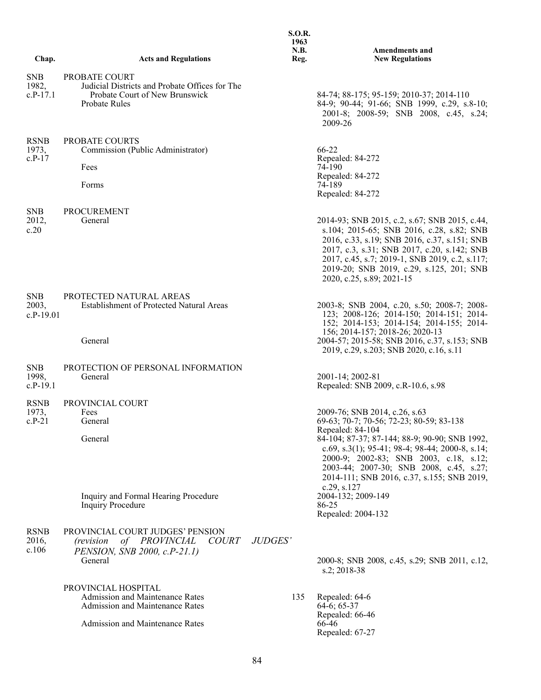|                                    |                                                                                                                           | <b>S.O.R.</b><br>1963<br>N.B. | <b>Amendments and</b>                                                                                                                                                                                                                                                                                                                |
|------------------------------------|---------------------------------------------------------------------------------------------------------------------------|-------------------------------|--------------------------------------------------------------------------------------------------------------------------------------------------------------------------------------------------------------------------------------------------------------------------------------------------------------------------------------|
| Chap.                              | <b>Acts and Regulations</b>                                                                                               | Reg.                          | <b>New Regulations</b>                                                                                                                                                                                                                                                                                                               |
| <b>SNB</b><br>1982,<br>c.P-17.1    | PROBATE COURT<br>Judicial Districts and Probate Offices for The<br>Probate Court of New Brunswick<br><b>Probate Rules</b> |                               | 84-74; 88-175; 95-159; 2010-37; 2014-110<br>84-9; 90-44; 91-66; SNB 1999, c.29, s.8-10;<br>2001-8; 2008-59; SNB 2008, c.45, s.24;<br>2009-26                                                                                                                                                                                         |
| <b>RSNB</b><br>1973,<br>$c.P-17$   | PROBATE COURTS<br>Commission (Public Administrator)<br>Fees<br>Forms                                                      |                               | 66-22<br>Repealed: 84-272<br>74-190<br>Repealed: 84-272<br>74-189<br>Repealed: 84-272                                                                                                                                                                                                                                                |
| <b>SNB</b><br>2012,<br>c.20        | PROCUREMENT<br>General                                                                                                    |                               | 2014-93; SNB 2015, c.2, s.67; SNB 2015, c.44,<br>s.104; 2015-65; SNB 2016, c.28, s.82; SNB<br>2016, c.33, s.19; SNB 2016, c.37, s.151; SNB<br>2017, c.3, s.31; SNB 2017, c.20, s.142; SNB<br>2017, c.45, s.7; 2019-1, SNB 2019, c.2, s.117;<br>2019-20; SNB 2019, c.29, s.125, 201; SNB<br>2020, c.25, s.89; 2021-15                 |
| <b>SNB</b><br>2003,<br>$c.P-19.01$ | PROTECTED NATURAL AREAS<br><b>Establishment of Protected Natural Areas</b><br>General                                     |                               | 2003-8; SNB 2004, c.20, s.50; 2008-7; 2008-<br>123; 2008-126; 2014-150; 2014-151; 2014-<br>152; 2014-153; 2014-154; 2014-155; 2014-<br>156; 2014-157; 2018-26; 2020-13<br>2004-57; 2015-58; SNB 2016, c.37, s.153; SNB                                                                                                               |
|                                    |                                                                                                                           |                               | 2019, c.29, s.203; SNB 2020, c.16, s.11                                                                                                                                                                                                                                                                                              |
| <b>SNB</b><br>1998,<br>$c.P-19.1$  | PROTECTION OF PERSONAL INFORMATION<br>General                                                                             |                               | 2001-14; 2002-81<br>Repealed: SNB 2009, c.R-10.6, s.98                                                                                                                                                                                                                                                                               |
| <b>RSNB</b>                        | PROVINCIAL COURT                                                                                                          |                               |                                                                                                                                                                                                                                                                                                                                      |
| 1973,<br>$c.P-21$                  | Fees<br>General<br>General                                                                                                |                               | 2009-76; SNB 2014, c.26, s.63<br>69-63; 70-7; 70-56; 72-23; 80-59; 83-138<br>Repealed: 84-104<br>84-104; 87-37; 87-144; 88-9; 90-90; SNB 1992,<br>c.69, s.3(1); 95-41; 98-4; 98-44; 2000-8, s.14;<br>2000-9; 2002-83; SNB 2003, c.18, s.12;<br>2003-44; 2007-30; SNB 2008, c.45, s.27;<br>2014-111; SNB 2016, c.37, s.155; SNB 2019, |
|                                    | Inquiry and Formal Hearing Procedure<br><b>Inquiry Procedure</b>                                                          |                               | c.29, s.127<br>2004-132; 2009-149<br>86-25<br>Repealed: 2004-132                                                                                                                                                                                                                                                                     |
| <b>RSNB</b><br>2016,<br>c.106      | PROVINCIAL COURT JUDGES' PENSION<br>(revision of PROVINCIAL<br><i>COURT</i><br>PENSION, SNB 2000, c.P-21.1)<br>General    | JUDGES'                       | 2000-8; SNB 2008, c.45, s.29; SNB 2011, c.12,<br>s.2; 2018-38                                                                                                                                                                                                                                                                        |
|                                    | PROVINCIAL HOSPITAL<br>Admission and Maintenance Rates<br><b>Admission and Maintenance Rates</b>                          | 135                           | Repealed: 64-6<br>$64-6$ ; 65-37<br>Repealed: 66-46                                                                                                                                                                                                                                                                                  |
|                                    | <b>Admission and Maintenance Rates</b>                                                                                    |                               | 66-46<br>Repealed: 67-27                                                                                                                                                                                                                                                                                                             |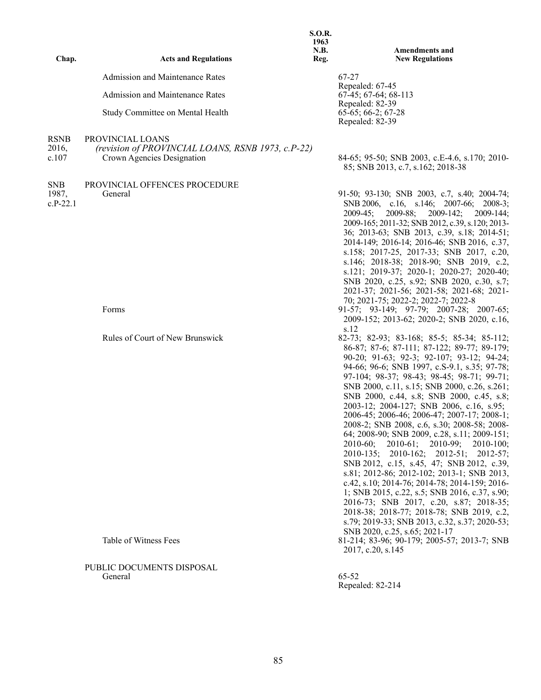| Chap.                    | <b>Acts and Regulations</b>                                                                         | <b>S.O.R.</b><br>1963<br><b>N.B.</b><br>Reg. | Amendments and<br><b>New Regulations</b>                                                                                                                                                                                                                                                                                                                                                                                                                                                                                                                                                                                                                                                                                                                                                                                                                                                                                                                                            |
|--------------------------|-----------------------------------------------------------------------------------------------------|----------------------------------------------|-------------------------------------------------------------------------------------------------------------------------------------------------------------------------------------------------------------------------------------------------------------------------------------------------------------------------------------------------------------------------------------------------------------------------------------------------------------------------------------------------------------------------------------------------------------------------------------------------------------------------------------------------------------------------------------------------------------------------------------------------------------------------------------------------------------------------------------------------------------------------------------------------------------------------------------------------------------------------------------|
|                          | Admission and Maintenance Rates                                                                     |                                              | 67-27                                                                                                                                                                                                                                                                                                                                                                                                                                                                                                                                                                                                                                                                                                                                                                                                                                                                                                                                                                               |
|                          | Admission and Maintenance Rates                                                                     |                                              | Repealed: 67-45<br>$67-45$ ; $67-64$ ; $68-113$                                                                                                                                                                                                                                                                                                                                                                                                                                                                                                                                                                                                                                                                                                                                                                                                                                                                                                                                     |
|                          | Study Committee on Mental Health                                                                    |                                              | Repealed: 82-39<br>$65-65$ ; 66-2; 67-28<br>Repealed: 82-39                                                                                                                                                                                                                                                                                                                                                                                                                                                                                                                                                                                                                                                                                                                                                                                                                                                                                                                         |
| RSNB<br>2016,<br>c.107   | PROVINCIAL LOANS<br>(revision of PROVINCIAL LOANS, RSNB 1973, c.P-22)<br>Crown Agencies Designation |                                              | 84-65; 95-50; SNB 2003, c.E-4.6, s.170; 2010-<br>85; SNB 2013, c.7, s.162; 2018-38                                                                                                                                                                                                                                                                                                                                                                                                                                                                                                                                                                                                                                                                                                                                                                                                                                                                                                  |
| SNB<br>1987,<br>c.P-22.1 | PROVINCIAL OFFENCES PROCEDURE<br>General                                                            |                                              | 91-50; 93-130; SNB 2003, c.7, s.40; 2004-74;<br>SNB 2006, c.16, s.146; 2007-66; 2008-3;<br>$2009-45;$<br>2009-88;<br>$2009 - 142;$<br>$2009 - 144$ ;<br>2009-165; 2011-32; SNB 2012, c.39, s.120; 2013-<br>36; 2013-63; SNB 2013, c.39, s.18; 2014-51;<br>2014-149; 2016-14; 2016-46; SNB 2016, c.37,<br>s.158; 2017-25, 2017-33; SNB 2017, c.20,<br>s.146; 2018-38; 2018-90; SNB 2019, c.2,<br>s.121; 2019-37; 2020-1; 2020-27; 2020-40;<br>SNB 2020, c.25, s.92; SNB 2020, c.30, s.7;<br>2021-37; 2021-56; 2021-58; 2021-68; 2021-<br>70; 2021-75; 2022-2; 2022-7; 2022-8                                                                                                                                                                                                                                                                                                                                                                                                         |
|                          | Forms                                                                                               |                                              | $91-57$ ; $93-149$ ; $97-79$ ; $2007-28$ ; $2007-65$ ;<br>2009-152; 2013-62; 2020-2; SNB 2020, c.16,<br>s.12                                                                                                                                                                                                                                                                                                                                                                                                                                                                                                                                                                                                                                                                                                                                                                                                                                                                        |
|                          | Rules of Court of New Brunswick                                                                     |                                              | 82-73; 82-93; 83-168; 85-5; 85-34; 85-112;<br>86-87; 87-6; 87-111; 87-122; 89-77; 89-179;<br>90-20; 91-63; 92-3; 92-107; 93-12; 94-24;<br>94-66; 96-6; SNB 1997, c.S-9.1, s.35; 97-78;<br>97-104; 98-37; 98-43; 98-45; 98-71; 99-71;<br>SNB 2000, c.11, s.15; SNB 2000, c.26, s.261;<br>SNB 2000, c.44, s.8; SNB 2000, c.45, s.8;<br>2003-12; 2004-127; SNB 2006, c.16, s.95;<br>2006-45; 2006-46; 2006-47; 2007-17; 2008-1;<br>2008-2; SNB 2008, c.6, s.30; 2008-58; 2008-<br>64; 2008-90; SNB 2009, c.28, s.11; 2009-151;<br>2010-60; 2010-61; 2010-99; 2010-100;<br>2010-135; 2010-162; 2012-51; 2012-57;<br>SNB 2012, c.15, s.45, 47; SNB 2012, c.39,<br>s.81; 2012-86; 2012-102; 2013-1; SNB 2013,<br>c.42, s.10; 2014-76; 2014-78; 2014-159; 2016-<br>1; SNB 2015, c.22, s.5; SNB 2016, c.37, s.90;<br>2016-73; SNB 2017, c.20, s.87; 2018-35;<br>2018-38; 2018-77; 2018-78; SNB 2019, c.2,<br>s.79; 2019-33; SNB 2013, c.32, s.37; 2020-53;<br>SNB 2020, c.25, s.65; 2021-17 |
|                          | Table of Witness Fees                                                                               |                                              | 81-214; 83-96; 90-179; 2005-57; 2013-7; SNB<br>2017, c.20, s.145                                                                                                                                                                                                                                                                                                                                                                                                                                                                                                                                                                                                                                                                                                                                                                                                                                                                                                                    |
|                          | PUBLIC DOCUMENTS DISPOSAL<br>General                                                                |                                              | 65-52<br>Repealed: 82-214                                                                                                                                                                                                                                                                                                                                                                                                                                                                                                                                                                                                                                                                                                                                                                                                                                                                                                                                                           |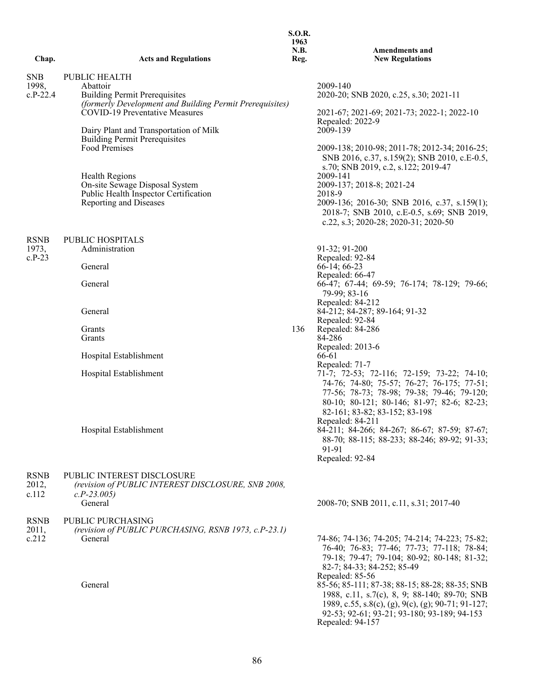|                                   |                                                                                                                                                                                                                                                                 | <b>S.O.R.</b><br>1963<br>N.B. | <b>Amendments and</b>                                                                                                                                                                                                                                                                                                         |
|-----------------------------------|-----------------------------------------------------------------------------------------------------------------------------------------------------------------------------------------------------------------------------------------------------------------|-------------------------------|-------------------------------------------------------------------------------------------------------------------------------------------------------------------------------------------------------------------------------------------------------------------------------------------------------------------------------|
| Chap.                             | <b>Acts and Regulations</b>                                                                                                                                                                                                                                     | Reg.                          | <b>New Regulations</b>                                                                                                                                                                                                                                                                                                        |
| <b>SNB</b><br>1998,<br>$c.P-22.4$ | <b>PUBLIC HEALTH</b><br>Abattoir<br><b>Building Permit Prerequisites</b><br>(formerly Development and Building Permit Prerequisites)<br><b>COVID-19 Preventative Measures</b><br>Dairy Plant and Transportation of Milk<br><b>Building Permit Prerequisites</b> |                               | 2009-140<br>2020-20; SNB 2020, c.25, s.30; 2021-11<br>2021-67; 2021-69; 2021-73; 2022-1; 2022-10<br>Repealed: 2022-9<br>2009-139                                                                                                                                                                                              |
|                                   | Food Premises<br><b>Health Regions</b><br>On-site Sewage Disposal System<br>Public Health Inspector Certification<br>Reporting and Diseases                                                                                                                     |                               | 2009-138; 2010-98; 2011-78; 2012-34; 2016-25;<br>SNB 2016, c.37, s.159(2); SNB 2010, c.E-0.5,<br>s.70; SNB 2019, c.2, s.122; 2019-47<br>2009-141<br>2009-137; 2018-8; 2021-24<br>2018-9<br>2009-136; 2016-30; SNB 2016, c.37, s.159(1);<br>2018-7; SNB 2010, c.E-0.5, s.69; SNB 2019,<br>c.22, s.3; 2020-28; 2020-31; 2020-50 |
| <b>RSNB</b><br>1973,<br>$c.P-23$  | PUBLIC HOSPITALS<br>Administration<br>General<br>General                                                                                                                                                                                                        |                               | 91-32; 91-200<br>Repealed: 92-84<br>$66-14$ ; 66-23<br>Repealed: 66-47<br>66-47; 67-44; 69-59; 76-174; 78-129; 79-66;<br>79-99; 83-16                                                                                                                                                                                         |
|                                   | General                                                                                                                                                                                                                                                         |                               | Repealed: 84-212<br>84-212; 84-287; 89-164; 91-32                                                                                                                                                                                                                                                                             |
|                                   | Grants<br>Grants                                                                                                                                                                                                                                                | 136                           | Repealed: 92-84<br>Repealed: 84-286<br>84-286                                                                                                                                                                                                                                                                                 |
|                                   | Hospital Establishment                                                                                                                                                                                                                                          |                               | Repealed: 2013-6<br>66-61                                                                                                                                                                                                                                                                                                     |
|                                   | Hospital Establishment                                                                                                                                                                                                                                          |                               | Repealed: 71-7<br>71-7; 72-53; 72-116; 72-159; 73-22; 74-10;<br>74-76; 74-80; 75-57; 76-27; 76-175; 77-51;<br>77-56; 78-73; 78-98; 79-38; 79-46; 79-120;<br>80-10; 80-121; 80-146; 81-97; 82-6; 82-23;<br>82-161; 83-82; 83-152; 83-198<br>Repealed: 84-211                                                                   |
|                                   | Hospital Establishment                                                                                                                                                                                                                                          |                               | 84-211; 84-266; 84-267; 86-67; 87-59; 87-67;<br>88-70; 88-115; 88-233; 88-246; 89-92; 91-33;<br>91-91<br>Repealed: 92-84                                                                                                                                                                                                      |
| <b>RSNB</b><br>2012,<br>c.112     | PUBLIC INTEREST DISCLOSURE<br>(revision of PUBLIC INTEREST DISCLOSURE, SNB 2008,<br>$c.P-23.005$<br>General                                                                                                                                                     |                               | 2008-70; SNB 2011, c.11, s.31; 2017-40                                                                                                                                                                                                                                                                                        |
| <b>RSNB</b><br>2011,<br>c.212     | PUBLIC PURCHASING<br>(revision of PUBLIC PURCHASING, RSNB 1973, c.P-23.1)<br>General                                                                                                                                                                            |                               | 74-86; 74-136; 74-205; 74-214; 74-223; 75-82;<br>76-40; 76-83; 77-46; 77-73; 77-118; 78-84;<br>79-18; 79-47; 79-104; 80-92; 80-148; 81-32;<br>82-7; 84-33; 84-252; 85-49<br>Repealed: 85-56                                                                                                                                   |
|                                   | General                                                                                                                                                                                                                                                         |                               | 85-56; 85-111; 87-38; 88-15; 88-28; 88-35; SNB<br>1988, c.11, s.7(c), 8, 9; 88-140; 89-70; SNB<br>1989, c.55, s.8(c), (g), 9(c), (g); 90-71; 91-127;<br>92-53; 92-61; 93-21; 93-180; 93-189; 94-153<br>Repealed: 94-157                                                                                                       |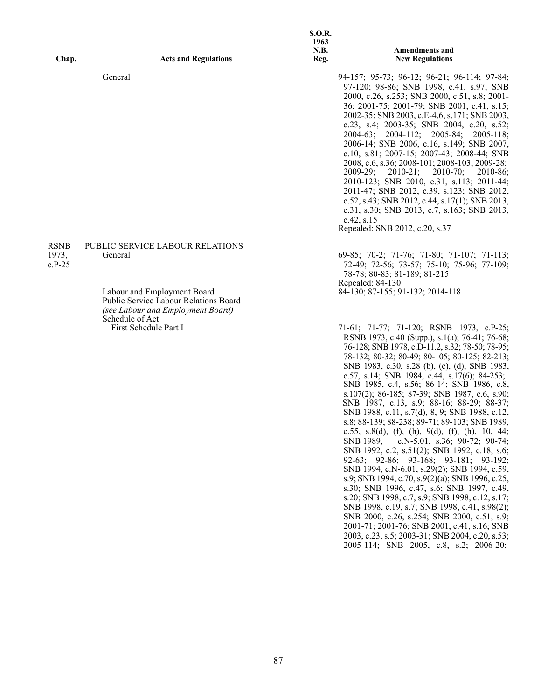| Chap.                            | <b>Acts and Regulations</b>                                                                                                                                    | <b>S.O.R.</b><br>1963<br>N.B.<br>Reg. | <b>Amendments and</b><br><b>New Regulations</b>                                                                                                                                                                                                                                                                                                                                                                                                                                                                                                                                                                                                                                                                                                                                 |
|----------------------------------|----------------------------------------------------------------------------------------------------------------------------------------------------------------|---------------------------------------|---------------------------------------------------------------------------------------------------------------------------------------------------------------------------------------------------------------------------------------------------------------------------------------------------------------------------------------------------------------------------------------------------------------------------------------------------------------------------------------------------------------------------------------------------------------------------------------------------------------------------------------------------------------------------------------------------------------------------------------------------------------------------------|
|                                  | General                                                                                                                                                        |                                       | 94-157; 95-73; 96-12; 96-21; 96-114; 97-84;<br>97-120; 98-86; SNB 1998, c.41, s.97; SNB<br>2000, c.26, s.253; SNB 2000, c.51, s.8; 2001-<br>36; 2001-75; 2001-79; SNB 2001, c.41, s.15;<br>2002-35; SNB 2003, c.E-4.6, s.171; SNB 2003,<br>c.23, s.4; 2003-35; SNB 2004, c.20, s.52;<br>2004-63; 2004-112; 2005-84; 2005-118;<br>2006-14; SNB 2006, c.16, s.149; SNB 2007,<br>c.10, s.81; 2007-15; 2007-43; 2008-44; SNB<br>2008, c.6, s.36; 2008-101; 2008-103; 2009-28;<br>$2010-70;$<br>$2009 - 29:$<br>$2010-21;$<br>$2010-86$ ;<br>2010-123; SNB 2010, c.31, s.113; 2011-44;<br>2011-47; SNB 2012, c.39, s.123; SNB 2012,<br>c.52, s.43; SNB 2012, c.44, s.17(1); SNB 2013,<br>c.31, s.30; SNB 2013, c.7, s.163; SNB 2013,<br>c.42, s.15<br>Repealed: SNB 2012, c.20, s.37 |
| <b>RSNB</b><br>1973,<br>$c.P-25$ | <b>PUBLIC SERVICE LABOUR RELATIONS</b><br>General<br>Labour and Employment Board<br>Public Service Labour Relations Board<br>(see Labour and Employment Board) |                                       | 69-85; 70-2; 71-76; 71-80; 71-107; 71-113;<br>72-49; 72-56; 73-57; 75-10; 75-96; 77-109;<br>78-78; 80-83; 81-189; 81-215<br>Repealed: 84-130<br>84-130; 87-155; 91-132; 2014-118                                                                                                                                                                                                                                                                                                                                                                                                                                                                                                                                                                                                |
|                                  | Schedule of Act<br>First Schedule Part I                                                                                                                       |                                       | 71-61; 71-77; 71-120; RSNB 1973, c.P-25;<br>RSNB 1973, c.40 (Supp.), s.1(a); 76-41; 76-68;<br>76-128; SNB 1978, c.D-11.2, s.32; 78-50; 78-95;<br>78-132; 80-32; 80-49; 80-105; 80-125; 82-213;<br>SNB 1983, c.30, s.28 (b), (c), (d); SNB 1983,<br>c.57, s.14; SNB 1984, c.44, s.17(6); 84-253;<br>SNB 1985, c.4, s.56; 86-14; SNB 1986, c.8,<br>s.107(2); 86-185; 87-39; SNB 1987, c.6, s.90;<br>SNB 1987, c.13, s.9; 88-16; 88-29; 88-37;<br>SNB 1988, c.11, s.7(d), 8, 9; SNB 1988, c.12,<br>s.8; 88-139; 88-238; 89-71; 89-103; SNB 1989,<br>c.55, s.8(d), (f), (h), 9(d), (f), (h), 10, 44;                                                                                                                                                                                |

SNB 1989, c.N-5.01, s.36; 90-72; 90-74; SNB 1992, c.2, s.51(2); SNB 1992, c.18, s.6; 92-63; 92-86; 93-168; 93-181; 93-192; SNB 1994, c.N-6.01, s.29(2); SNB 1994, c.59, s.9; SNB 1994, c.70, s.9(2)(a); SNB 1996, c.25, s.30; SNB 1996, c.47, s.6; SNB 1997, c.49, s.20; SNB 1998, c.7, s.9; SNB 1998, c.12, s.17; SNB 1998, c.19, s.7; SNB 1998, c.41, s.98(2); SNB 2000, c.26, s.254; SNB 2000, c.51, s.9; 2001-71; 2001-76; SNB 2001, c.41, s.16; SNB 2003, c.23, s.5; 2003-31; SNB 2004, c.20, s.53; 2005-114; SNB 2005, c.8, s.2; 2006-20;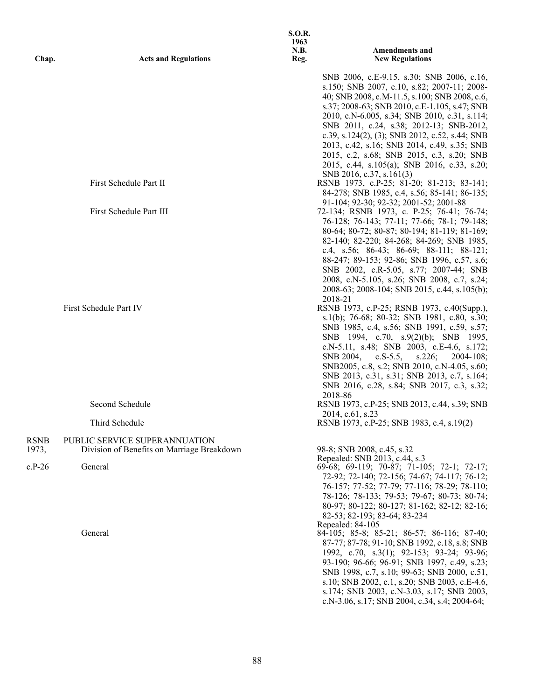| Chap.             | <b>Acts and Regulations</b>                                 | <b>S.O.R.</b><br>1963<br><b>N.B.</b><br>Reg. | <b>Amendments and</b><br><b>New Regulations</b>                                                                                                                                                                                                                                                                                                                                                                                                                                                                                                                                                                                                                                                                                                                                                                                                                                                          |
|-------------------|-------------------------------------------------------------|----------------------------------------------|----------------------------------------------------------------------------------------------------------------------------------------------------------------------------------------------------------------------------------------------------------------------------------------------------------------------------------------------------------------------------------------------------------------------------------------------------------------------------------------------------------------------------------------------------------------------------------------------------------------------------------------------------------------------------------------------------------------------------------------------------------------------------------------------------------------------------------------------------------------------------------------------------------|
|                   |                                                             |                                              | SNB 2006, c.E-9.15, s.30; SNB 2006, c.16,<br>s.150; SNB 2007, c.10, s.82; 2007-11; 2008-<br>40; SNB 2008, c.M-11.5, s.100; SNB 2008, c.6,<br>s.37; 2008-63; SNB 2010, c.E-1.105, s.47; SNB<br>2010, c.N-6.005, s.34; SNB 2010, c.31, s.114;<br>SNB 2011, c.24, s.38; 2012-13; SNB-2012,<br>c.39, s.124(2), (3); SNB 2012, c.52, s.44; SNB<br>2013, c.42, s.16; SNB 2014, c.49, s.35; SNB<br>2015, c.2, s.68; SNB 2015, c.3, s.20; SNB<br>2015, c.44, s.105(a); SNB 2016, c.33, s.20;                                                                                                                                                                                                                                                                                                                                                                                                                     |
|                   | First Schedule Part II                                      |                                              | SNB 2016, c.37, s.161(3)<br>RSNB 1973, c.P-25; 81-20; 81-213; 83-141;<br>84-278; SNB 1985, c.4, s.56; 85-141; 86-135;                                                                                                                                                                                                                                                                                                                                                                                                                                                                                                                                                                                                                                                                                                                                                                                    |
|                   | First Schedule Part III                                     |                                              | 91-104; 92-30; 92-32; 2001-52; 2001-88<br>72-134; RSNB 1973, c. P-25; 76-41; 76-74;<br>76-128; 76-143; 77-11; 77-66; 78-1; 79-148;                                                                                                                                                                                                                                                                                                                                                                                                                                                                                                                                                                                                                                                                                                                                                                       |
|                   | First Schedule Part IV<br>Second Schedule<br>Third Schedule |                                              | 80-64; 80-72; 80-87; 80-194; 81-119; 81-169;<br>82-140; 82-220; 84-268; 84-269; SNB 1985,<br>c.4, s.56; 86-43; 86-69; 88-111; 88-121;<br>88-247; 89-153; 92-86; SNB 1996, c.57, s.6;<br>SNB 2002, c.R-5.05, s.77; 2007-44; SNB<br>2008, c.N-5.105, s.26; SNB 2008, c.7, s.24;<br>2008-63; 2008-104; SNB 2015, c.44, s.105(b);<br>2018-21<br>RSNB 1973, c.P-25; RSNB 1973, c.40(Supp.),<br>s.1(b); 76-68; 80-32; SNB 1981, c.80, s.30;<br>SNB 1985, c.4, s.56; SNB 1991, c.59, s.57;<br>SNB 1994, c.70, s.9(2)(b); SNB 1995,<br>c.N-5.11, s.48; SNB 2003, c.E-4.6, s.172;<br>SNB 2004,<br>$c.S-5.5,$<br>s.226;<br>$2004 - 108$ ;<br>SNB2005, c.8, s.2; SNB 2010, c.N-4.05, s.60;<br>SNB 2013, c.31, s.31; SNB 2013, c.7, s.164;<br>SNB 2016, c.28, s.84; SNB 2017, c.3, s.32;<br>2018-86<br>RSNB 1973, c.P-25; SNB 2013, c.44, s.39; SNB<br>2014, c.61, s.23<br>RSNB 1973, c.P-25; SNB 1983, c.4, s.19(2) |
| <b>RSNB</b>       | PUBLIC SERVICE SUPERANNUATION                               |                                              |                                                                                                                                                                                                                                                                                                                                                                                                                                                                                                                                                                                                                                                                                                                                                                                                                                                                                                          |
| 1973,<br>$c.P-26$ | Division of Benefits on Marriage Breakdown<br>General       |                                              | 98-8; SNB 2008, c.45, s.32<br>Repealed: SNB 2013, c.44, s.3<br>69-68; 69-119; 70-87; 71-105; 72-1; 72-17;<br>72-92; 72-140; 72-156; 74-67; 74-117; 76-12;<br>76-157; 77-52; 77-79; 77-116; 78-29; 78-110;<br>78-126; 78-133; 79-53; 79-67; 80-73; 80-74;<br>80-97; 80-122; 80-127; 81-162; 82-12; 82-16;<br>82-53; 82-193; 83-64; 83-234                                                                                                                                                                                                                                                                                                                                                                                                                                                                                                                                                                 |
|                   | General                                                     |                                              | Repealed: 84-105<br>84-105; 85-8; 85-21; 86-57; 86-116; 87-40;<br>87-77; 87-78; 91-10; SNB 1992, c.18, s.8; SNB<br>1992, c.70, s.3(1); 92-153; 93-24; 93-96;<br>93-190; 96-66; 96-91; SNB 1997, c.49, s.23;<br>SNB 1998, c.7, s.10; 99-63; SNB 2000, c.51,<br>s.10; SNB 2002, c.1, s.20; SNB 2003, c.E-4.6,<br>s.174; SNB 2003, c.N-3.03, s.17; SNB 2003,<br>c.N-3.06, s.17; SNB 2004, c.34, s.4; 2004-64;                                                                                                                                                                                                                                                                                                                                                                                                                                                                                               |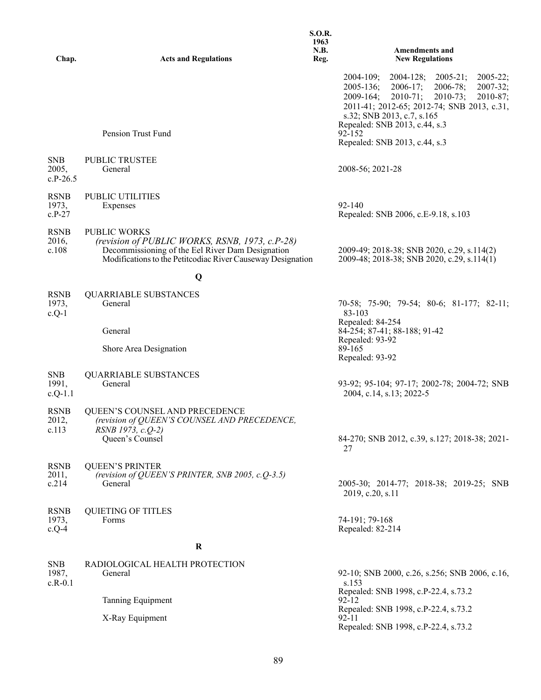| Chap.                             | <b>Acts and Regulations</b>                                                                                                                                                              | <b>S.O.R.</b><br>1963<br>N.B.<br>Reg. | <b>Amendments and</b><br><b>New Regulations</b>                                                                                                                                                                                                                                                          |
|-----------------------------------|------------------------------------------------------------------------------------------------------------------------------------------------------------------------------------------|---------------------------------------|----------------------------------------------------------------------------------------------------------------------------------------------------------------------------------------------------------------------------------------------------------------------------------------------------------|
|                                   |                                                                                                                                                                                          |                                       | $2005 - 21;$<br>$2005 - 22;$<br>$2004 - 109;$<br>$2004 - 128$ ;<br>$2005 - 136;$<br>$2006 - 17;$<br>$2006 - 78;$<br>$2007 - 32;$<br>$2009 - 164;$<br>$2010-71;$<br>$2010-73;$<br>$2010-87;$<br>2011-41; 2012-65; 2012-74; SNB 2013, c.31,<br>s.32; SNB 2013, c.7, s.165<br>Repealed: SNB 2013, c.44, s.3 |
|                                   | Pension Trust Fund                                                                                                                                                                       |                                       | $92 - 152$<br>Repealed: SNB 2013, c.44, s.3                                                                                                                                                                                                                                                              |
| <b>SNB</b><br>2005,<br>$c.P-26.5$ | PUBLIC TRUSTEE<br>General                                                                                                                                                                |                                       | 2008-56; 2021-28                                                                                                                                                                                                                                                                                         |
| <b>RSNB</b><br>1973,<br>$c.P-27$  | PUBLIC UTILITIES<br>Expenses                                                                                                                                                             |                                       | $92 - 140$<br>Repealed: SNB 2006, c.E-9.18, s.103                                                                                                                                                                                                                                                        |
| <b>RSNB</b><br>2016,<br>c.108     | <b>PUBLIC WORKS</b><br>(revision of PUBLIC WORKS, RSNB, 1973, c.P-28)<br>Decommissioning of the Eel River Dam Designation<br>Modifications to the Petitcodiac River Causeway Designation |                                       | 2009-49; 2018-38; SNB 2020, c.29, s.114(2)<br>2009-48; 2018-38; SNB 2020, c.29, s.114(1)                                                                                                                                                                                                                 |
|                                   | Q                                                                                                                                                                                        |                                       |                                                                                                                                                                                                                                                                                                          |
| <b>RSNB</b><br>1973,<br>$c.Q-1$   | <b>QUARRIABLE SUBSTANCES</b><br>General                                                                                                                                                  |                                       | 70-58; 75-90; 79-54; 80-6; 81-177; 82-11;<br>83-103                                                                                                                                                                                                                                                      |
|                                   | General                                                                                                                                                                                  |                                       | Repealed: 84-254<br>84-254; 87-41; 88-188; 91-42<br>Repealed: 93-92                                                                                                                                                                                                                                      |
|                                   | Shore Area Designation                                                                                                                                                                   |                                       | 89-165<br>Repealed: 93-92                                                                                                                                                                                                                                                                                |
| <b>SNB</b><br>1991,<br>$c.Q-1.1$  | <b>QUARRIABLE SUBSTANCES</b><br>General                                                                                                                                                  |                                       | 93-92; 95-104; 97-17; 2002-78; 2004-72; SNB<br>2004, c.14, s.13; 2022-5                                                                                                                                                                                                                                  |
| <b>RSNB</b><br>2012,<br>c.113     | QUEEN'S COUNSEL AND PRECEDENCE<br>(revision of QUEEN'S COUNSEL AND PRECEDENCE,<br>RSNB 1973, c.Q-2)<br>Queen's Counsel                                                                   |                                       | 84-270; SNB 2012, c.39, s.127; 2018-38; 2021-<br>27                                                                                                                                                                                                                                                      |
| <b>RSNB</b><br>2011,<br>c.214     | <b>QUEEN'S PRINTER</b><br>(revision of QUEEN'S PRINTER, SNB 2005, c.Q-3.5)<br>General                                                                                                    |                                       | 2005-30; 2014-77; 2018-38; 2019-25; SNB<br>2019, c.20, s.11                                                                                                                                                                                                                                              |
| <b>RSNB</b><br>1973,<br>$c.Q-4$   | <b>QUIETING OF TITLES</b><br>Forms                                                                                                                                                       |                                       | 74-191; 79-168<br>Repealed: 82-214                                                                                                                                                                                                                                                                       |
|                                   | $\bf R$                                                                                                                                                                                  |                                       |                                                                                                                                                                                                                                                                                                          |
| <b>SNB</b><br>1987,<br>$c.R-0.1$  | RADIOLOGICAL HEALTH PROTECTION<br>General                                                                                                                                                |                                       | 92-10; SNB 2000, c.26, s.256; SNB 2006, c.16,<br>s.153                                                                                                                                                                                                                                                   |
|                                   | Tanning Equipment                                                                                                                                                                        |                                       | Repealed: SNB 1998, c.P-22.4, s.73.2<br>92-12<br>Repealed: SNB 1998, c.P-22.4, s.73.2                                                                                                                                                                                                                    |
|                                   | X-Ray Equipment                                                                                                                                                                          |                                       | 92-11<br>Repealed: SNB 1998, c.P-22.4, s.73.2                                                                                                                                                                                                                                                            |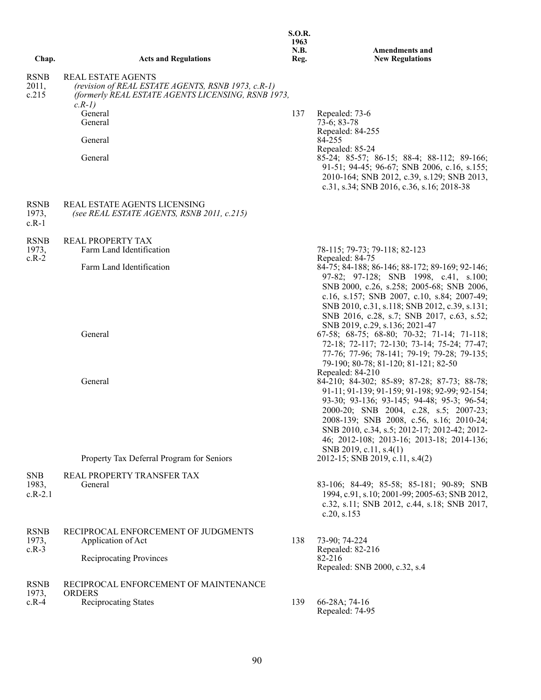|                                  |                                                                                                                                                   | 1963<br>N.B. | <b>Amendments and</b>                                                                                                                                                                                                                                                                                                                                   |
|----------------------------------|---------------------------------------------------------------------------------------------------------------------------------------------------|--------------|---------------------------------------------------------------------------------------------------------------------------------------------------------------------------------------------------------------------------------------------------------------------------------------------------------------------------------------------------------|
| Chap.                            | <b>Acts and Regulations</b>                                                                                                                       | Reg.         | <b>New Regulations</b>                                                                                                                                                                                                                                                                                                                                  |
| <b>RSNB</b><br>2011,<br>c.215    | <b>REAL ESTATE AGENTS</b><br>(revision of REAL ESTATE AGENTS, RSNB 1973, c.R-1)<br>(formerly REAL ESTATE AGENTS LICENSING, RSNB 1973,<br>$c.R-1)$ |              |                                                                                                                                                                                                                                                                                                                                                         |
|                                  | General<br>General                                                                                                                                | 137          | Repealed: 73-6<br>73-6; 83-78<br>Repealed: 84-255                                                                                                                                                                                                                                                                                                       |
|                                  | General                                                                                                                                           |              | 84-255                                                                                                                                                                                                                                                                                                                                                  |
|                                  | General                                                                                                                                           |              | Repealed: 85-24<br>85-24; 85-57; 86-15; 88-4; 88-112; 89-166;<br>91-51; 94-45; 96-67; SNB 2006, c.16, s.155;<br>2010-164; SNB 2012, c.39, s.129; SNB 2013,<br>c.31, s.34; SNB 2016, c.36, s.16; 2018-38                                                                                                                                                 |
| <b>RSNB</b><br>1973,<br>$c.R-1$  | REAL ESTATE AGENTS LICENSING<br>(see REAL ESTATE AGENTS, RSNB 2011, c.215)                                                                        |              |                                                                                                                                                                                                                                                                                                                                                         |
| <b>RSNB</b><br>1973,             | REAL PROPERTY TAX<br>Farm Land Identification                                                                                                     |              | 78-115; 79-73; 79-118; 82-123                                                                                                                                                                                                                                                                                                                           |
| $c.R-2$                          | Farm Land Identification                                                                                                                          |              | Repealed: 84-75<br>84-75; 84-188; 86-146; 88-172; 89-169; 92-146;<br>97-82; 97-128; SNB 1998, c.41, s.100;<br>SNB 2000, c.26, s.258; 2005-68; SNB 2006,<br>c.16, s.157; SNB 2007, c.10, s.84; 2007-49;<br>SNB 2010, c.31, s.118; SNB 2012, c.39, s.131;<br>SNB 2016, c.28, s.7; SNB 2017, c.63, s.52;                                                   |
|                                  | General                                                                                                                                           |              | SNB 2019, c.29, s.136; 2021-47<br>67-58; 68-75; 68-80; 70-32; 71-14; 71-118;<br>72-18; 72-117; 72-130; 73-14; 75-24; 77-47;<br>77-76; 77-96; 78-141; 79-19; 79-28; 79-135;<br>79-190; 80-78; 81-120; 81-121; 82-50<br>Repealed: 84-210                                                                                                                  |
|                                  | General                                                                                                                                           |              | 84-210; 84-302; 85-89; 87-28; 87-73; 88-78;<br>91-11; 91-139; 91-159; 91-198; 92-99; 92-154;<br>93-30; 93-136; 93-145; 94-48; 95-3; 96-54;<br>2000-20; SNB 2004, c.28, s.5; 2007-23;<br>2008-139; SNB 2008, c.56, s.16; 2010-24;<br>SNB 2010, c.34, s.5; 2012-17; 2012-42; 2012-<br>46; 2012-108; 2013-16; 2013-18; 2014-136;<br>SNB 2019, c.11, s.4(1) |
|                                  | Property Tax Deferral Program for Seniors                                                                                                         |              | 2012-15; SNB 2019, c.11, s.4(2)                                                                                                                                                                                                                                                                                                                         |
| <b>SNB</b><br>1983,<br>$c.R-2.1$ | REAL PROPERTY TRANSFER TAX<br>General                                                                                                             |              | 83-106; 84-49; 85-58; 85-181; 90-89; SNB<br>1994, c.91, s.10; 2001-99; 2005-63; SNB 2012,<br>c.32, s.11; SNB 2012, c.44, s.18; SNB 2017,<br>c.20, s.153                                                                                                                                                                                                 |
| <b>RSNB</b><br>1973,             | RECIPROCAL ENFORCEMENT OF JUDGMENTS<br>Application of Act                                                                                         | 138          | 73-90; 74-224                                                                                                                                                                                                                                                                                                                                           |
| $c.R-3$                          | <b>Reciprocating Provinces</b>                                                                                                                    |              | Repealed: 82-216<br>82-216<br>Repealed: SNB 2000, c.32, s.4                                                                                                                                                                                                                                                                                             |
| <b>RSNB</b><br>1973,             | RECIPROCAL ENFORCEMENT OF MAINTENANCE<br><b>ORDERS</b>                                                                                            |              |                                                                                                                                                                                                                                                                                                                                                         |
| $c.R-4$                          | Reciprocating States                                                                                                                              | 139          | 66-28A; 74-16<br>Repealed: 74-95                                                                                                                                                                                                                                                                                                                        |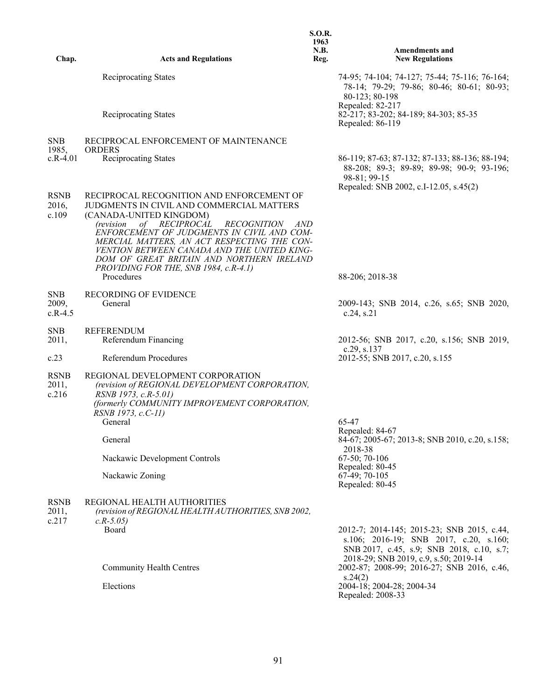| Chap.                            | <b>Acts and Regulations</b>                                                                                                                                                                                                                                                                                                                                                                                             | <b>S.O.R.</b><br>1963<br>N.B.<br>Reg. | <b>Amendments and</b><br><b>New Regulations</b>                                                                                                                                               |
|----------------------------------|-------------------------------------------------------------------------------------------------------------------------------------------------------------------------------------------------------------------------------------------------------------------------------------------------------------------------------------------------------------------------------------------------------------------------|---------------------------------------|-----------------------------------------------------------------------------------------------------------------------------------------------------------------------------------------------|
|                                  |                                                                                                                                                                                                                                                                                                                                                                                                                         |                                       |                                                                                                                                                                                               |
|                                  | <b>Reciprocating States</b><br><b>Reciprocating States</b>                                                                                                                                                                                                                                                                                                                                                              |                                       | 74-95; 74-104; 74-127; 75-44; 75-116; 76-164;<br>78-14; 79-29; 79-86; 80-46; 80-61; 80-93;<br>80-123; 80-198<br>Repealed: 82-217<br>82-217; 83-202; 84-189; 84-303; 85-35<br>Repealed: 86-119 |
|                                  |                                                                                                                                                                                                                                                                                                                                                                                                                         |                                       |                                                                                                                                                                                               |
| <b>SNB</b><br>1985,              | RECIPROCAL ENFORCEMENT OF MAINTENANCE<br><b>ORDERS</b>                                                                                                                                                                                                                                                                                                                                                                  |                                       |                                                                                                                                                                                               |
| $c.R-4.01$                       | <b>Reciprocating States</b>                                                                                                                                                                                                                                                                                                                                                                                             |                                       | 86-119; 87-63; 87-132; 87-133; 88-136; 88-194;<br>88-208; 89-3; 89-89; 89-98; 90-9; 93-196;<br>98-81; 99-15<br>Repealed: SNB 2002, c.I-12.05, s.45(2)                                         |
| <b>RSNB</b><br>2016,<br>c.109    | RECIPROCAL RECOGNITION AND ENFORCEMENT OF<br>JUDGMENTS IN CIVIL AND COMMERCIAL MATTERS<br>(CANADA-UNITED KINGDOM)<br>of RECIPROCAL<br><i>(revision</i> )<br><i>RECOGNITION</i><br>AND<br>ENFORCEMENT OF JUDGMENTS IN CIVIL AND COM-<br>MERCIAL MATTERS, AN ACT RESPECTING THE CON-<br>VENTION BETWEEN CANADA AND THE UNITED KING-<br>DOM OF GREAT BRITAIN AND NORTHERN IRELAND<br>PROVIDING FOR THE, SNB 1984, c.R-4.1) |                                       |                                                                                                                                                                                               |
|                                  | Procedures                                                                                                                                                                                                                                                                                                                                                                                                              |                                       | 88-206; 2018-38                                                                                                                                                                               |
| <b>SNB</b><br>2009,<br>$c.R-4.5$ | <b>RECORDING OF EVIDENCE</b><br>General                                                                                                                                                                                                                                                                                                                                                                                 |                                       | 2009-143; SNB 2014, c.26, s.65; SNB 2020,<br>c.24, s.21                                                                                                                                       |
| <b>SNB</b><br>2011,              | <b>REFERENDUM</b><br>Referendum Financing                                                                                                                                                                                                                                                                                                                                                                               |                                       | 2012-56; SNB 2017, c.20, s.156; SNB 2019,<br>c.29, s.137                                                                                                                                      |
| c.23                             | Referendum Procedures                                                                                                                                                                                                                                                                                                                                                                                                   |                                       | 2012-55; SNB 2017, c.20, s.155                                                                                                                                                                |
| <b>RSNB</b><br>2011,<br>c.216    | REGIONAL DEVELOPMENT CORPORATION<br>(revision of REGIONAL DEVELOPMENT CORPORATION,<br>RSNB 1973, c.R-5.01)<br>(formerly COMMUNITY IMPROVEMENT CORPORATION,<br>RSNB 1973, c.C-11)<br>General                                                                                                                                                                                                                             |                                       | 65-47                                                                                                                                                                                         |
|                                  | General                                                                                                                                                                                                                                                                                                                                                                                                                 |                                       | Repealed: 84-67<br>84-67; 2005-67; 2013-8; SNB 2010, c.20, s.158;<br>2018-38                                                                                                                  |
|                                  | Nackawic Development Controls                                                                                                                                                                                                                                                                                                                                                                                           |                                       | 67-50; 70-106                                                                                                                                                                                 |
|                                  | Nackawic Zoning                                                                                                                                                                                                                                                                                                                                                                                                         |                                       | Repealed: 80-45<br>67-49; 70-105<br>Repealed: 80-45                                                                                                                                           |
| <b>RSNB</b><br>2011,<br>c.217    | REGIONAL HEALTH AUTHORITIES<br>(revision of REGIONAL HEALTH AUTHORITIES, SNB 2002,<br>$c.R-5.05$<br>Board                                                                                                                                                                                                                                                                                                               |                                       | 2012-7; 2014-145; 2015-23; SNB 2015, c.44,<br>s.106; 2016-19; SNB 2017, c.20, s.160;                                                                                                          |
|                                  | <b>Community Health Centres</b><br>Elections                                                                                                                                                                                                                                                                                                                                                                            |                                       | SNB 2017, c.45, s.9; SNB 2018, c.10, s.7;<br>2018-29; SNB 2019, c.9, s.50; 2019-14<br>2002-87; 2008-99; 2016-27; SNB 2016, c.46,<br>s.24(2)<br>2004-18; 2004-28; 2004-34<br>Repealed: 2008-33 |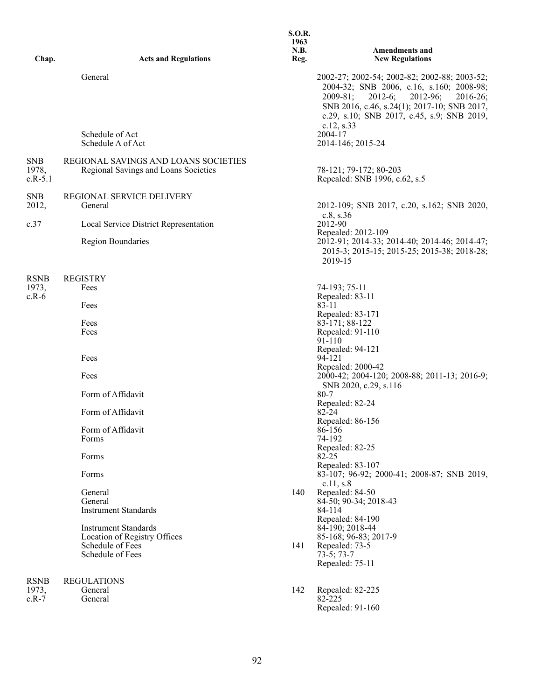| Chap.                            | <b>Acts and Regulations</b>                                                  | <b>S.O.R.</b><br>1963<br>N.B.<br>Reg. | <b>Amendments and</b><br><b>New Regulations</b>                                                                                                                                                                                                                |
|----------------------------------|------------------------------------------------------------------------------|---------------------------------------|----------------------------------------------------------------------------------------------------------------------------------------------------------------------------------------------------------------------------------------------------------------|
|                                  | General                                                                      |                                       | 2002-27; 2002-54; 2002-82; 2002-88; 2003-52;<br>2004-32; SNB 2006, c.16, s.160; 2008-98;<br>2012-96;<br>$2009 - 81$ ;<br>$2012-6;$<br>$2016 - 26$ ;<br>SNB 2016, c.46, s.24(1); 2017-10; SNB 2017,<br>c.29, s.10; SNB 2017, c.45, s.9; SNB 2019,<br>c.12, s.33 |
|                                  | Schedule of Act<br>Schedule A of Act                                         |                                       | 2004-17<br>2014-146; 2015-24                                                                                                                                                                                                                                   |
| <b>SNB</b><br>1978,<br>$c.R-5.1$ | REGIONAL SAVINGS AND LOANS SOCIETIES<br>Regional Savings and Loans Societies |                                       | 78-121; 79-172; 80-203<br>Repealed: SNB 1996, c.62, s.5                                                                                                                                                                                                        |
| <b>SNB</b><br>2012,              | REGIONAL SERVICE DELIVERY<br>General                                         |                                       | 2012-109; SNB 2017, c.20, s.162; SNB 2020,                                                                                                                                                                                                                     |
| c.37                             | Local Service District Representation                                        |                                       | c.8, s.36<br>2012-90<br>Repealed: 2012-109                                                                                                                                                                                                                     |
|                                  | Region Boundaries                                                            |                                       | 2012-91; 2014-33; 2014-40; 2014-46; 2014-47;<br>2015-3; 2015-15; 2015-25; 2015-38; 2018-28;<br>2019-15                                                                                                                                                         |
| <b>RSNB</b>                      | <b>REGISTRY</b>                                                              |                                       |                                                                                                                                                                                                                                                                |
| 1973,<br>$c.R-6$                 | Fees<br>Fees                                                                 |                                       | 74-193; 75-11<br>Repealed: 83-11<br>83-11                                                                                                                                                                                                                      |
|                                  | Fees                                                                         |                                       | Repealed: 83-171<br>83-171; 88-122                                                                                                                                                                                                                             |
|                                  | Fees                                                                         |                                       | Repealed: 91-110<br>$91 - 110$                                                                                                                                                                                                                                 |
|                                  | Fees                                                                         |                                       | Repealed: 94-121<br>94-121<br>Repealed: 2000-42                                                                                                                                                                                                                |
|                                  | Fees                                                                         |                                       | 2000-42; 2004-120; 2008-88; 2011-13; 2016-9;<br>SNB 2020, c.29, s.116                                                                                                                                                                                          |
|                                  | Form of Affidavit                                                            |                                       | $80 - 7$<br>Repealed: 82-24                                                                                                                                                                                                                                    |
|                                  | Form of Affidavit                                                            |                                       | $82 - 24$<br>Repealed: 86-156                                                                                                                                                                                                                                  |
|                                  | Form of Affidavit<br>Forms                                                   |                                       | 86-156<br>74-192                                                                                                                                                                                                                                               |
|                                  | Forms                                                                        |                                       | Repealed: 82-25<br>$82 - 25$                                                                                                                                                                                                                                   |
|                                  | Forms                                                                        |                                       | Repealed: 83-107<br>83-107; 96-92; 2000-41; 2008-87; SNB 2019,<br>c.11, s.8                                                                                                                                                                                    |
|                                  | General                                                                      | 140                                   | Repealed: 84-50                                                                                                                                                                                                                                                |
|                                  | General<br><b>Instrument Standards</b>                                       |                                       | 84-50; 90-34; 2018-43<br>84-114                                                                                                                                                                                                                                |
|                                  | <b>Instrument Standards</b>                                                  |                                       | Repealed: 84-190<br>84-190; 2018-44                                                                                                                                                                                                                            |
|                                  | Location of Registry Offices<br>Schedule of Fees                             | 141                                   | 85-168; 96-83; 2017-9<br>Repealed: 73-5                                                                                                                                                                                                                        |
|                                  | Schedule of Fees                                                             |                                       | $73-5; 73-7$<br>Repealed: 75-11                                                                                                                                                                                                                                |
| <b>RSNB</b>                      | <b>REGULATIONS</b>                                                           |                                       |                                                                                                                                                                                                                                                                |
| 1973,<br>$c.R-7$                 | General<br>General                                                           | 142                                   | Repealed: 82-225<br>82-225<br>Repealed: 91-160                                                                                                                                                                                                                 |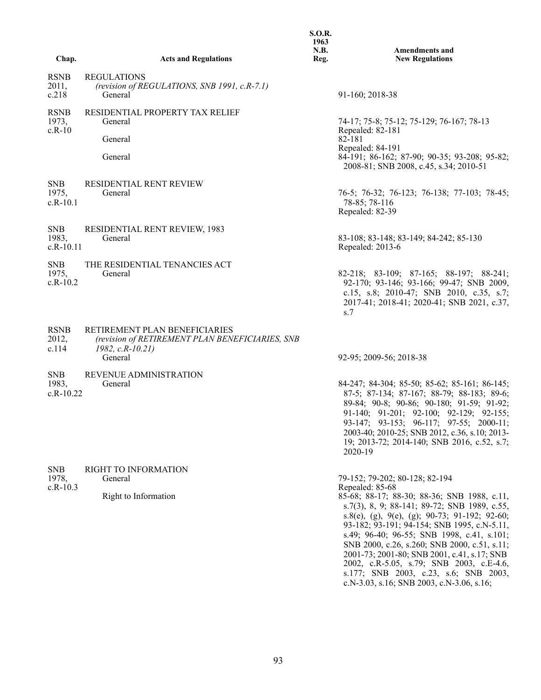|                                    |                                                                                                                  | <b>S.O.R.</b><br>1963<br>N.B. | <b>Amendments and</b>                                                                                                                                                                                                                                                                                                                                                                                                                                                                                                           |
|------------------------------------|------------------------------------------------------------------------------------------------------------------|-------------------------------|---------------------------------------------------------------------------------------------------------------------------------------------------------------------------------------------------------------------------------------------------------------------------------------------------------------------------------------------------------------------------------------------------------------------------------------------------------------------------------------------------------------------------------|
| Chap.                              | <b>Acts and Regulations</b>                                                                                      | Reg.                          | <b>New Regulations</b>                                                                                                                                                                                                                                                                                                                                                                                                                                                                                                          |
| <b>RSNB</b><br>2011,<br>c.218      | <b>REGULATIONS</b><br>(revision of REGULATIONS, SNB 1991, c.R-7.1)<br>General                                    |                               | 91-160; 2018-38                                                                                                                                                                                                                                                                                                                                                                                                                                                                                                                 |
| <b>RSNB</b><br>1973,               | RESIDENTIAL PROPERTY TAX RELIEF<br>General                                                                       |                               | 74-17; 75-8; 75-12; 75-129; 76-167; 78-13                                                                                                                                                                                                                                                                                                                                                                                                                                                                                       |
| $c.R-10$                           | General                                                                                                          |                               | Repealed: 82-181<br>82-181                                                                                                                                                                                                                                                                                                                                                                                                                                                                                                      |
|                                    | General                                                                                                          |                               | Repealed: 84-191<br>84-191; 86-162; 87-90; 90-35; 93-208; 95-82;<br>2008-81; SNB 2008, c.45, s.34; 2010-51                                                                                                                                                                                                                                                                                                                                                                                                                      |
| <b>SNB</b><br>1975,<br>$c.R-10.1$  | RESIDENTIAL RENT REVIEW<br>General                                                                               |                               | 76-5; 76-32; 76-123; 76-138; 77-103; 78-45;<br>78-85; 78-116<br>Repealed: 82-39                                                                                                                                                                                                                                                                                                                                                                                                                                                 |
| <b>SNB</b><br>1983,<br>$c.R-10.11$ | RESIDENTIAL RENT REVIEW, 1983<br>General                                                                         |                               | 83-108; 83-148; 83-149; 84-242; 85-130<br>Repealed: 2013-6                                                                                                                                                                                                                                                                                                                                                                                                                                                                      |
| <b>SNB</b><br>1975,<br>$c.R-10.2$  | THE RESIDENTIAL TENANCIES ACT<br>General                                                                         |                               | 82-218; 83-109; 87-165; 88-197; 88-241;<br>92-170; 93-146; 93-166; 99-47; SNB 2009,<br>c.15, s.8; 2010-47; SNB 2010, c.35, s.7;<br>2017-41; 2018-41; 2020-41; SNB 2021, c.37,<br>s.7                                                                                                                                                                                                                                                                                                                                            |
| <b>RSNB</b><br>2012,<br>c.114      | RETIREMENT PLAN BENEFICIARIES<br>(revision of RETIREMENT PLAN BENEFICIARIES, SNB<br>$1982, c.R-10.21$<br>General |                               | 92-95; 2009-56; 2018-38                                                                                                                                                                                                                                                                                                                                                                                                                                                                                                         |
| <b>SNB</b><br>1983,<br>$c.R-10.22$ | <b>REVENUE ADMINISTRATION</b><br>General                                                                         |                               | 84-247; 84-304; 85-50; 85-62; 85-161; 86-145;<br>87-5; 87-134; 87-167; 88-79; 88-183; 89-6;<br>89-84; 90-8; 90-86; 90-180; 91-59; 91-92;<br>91-140; 91-201; 92-100; 92-129; 92-155;<br>93-147; 93-153; 96-117; 97-55; 2000-11;<br>2003-40; 2010-25; SNB 2012, c.36, s.10; 2013-<br>19; 2013-72; 2014-140; SNB 2016, c.52, s.7;<br>2020-19                                                                                                                                                                                       |
| <b>SNB</b><br>1978,<br>$c.R-10.3$  | RIGHT TO INFORMATION<br>General<br>Right to Information                                                          |                               | 79-152; 79-202; 80-128; 82-194<br>Repealed: 85-68<br>85-68; 88-17; 88-30; 88-36; SNB 1988, c.11,<br>s.7(3), 8, 9; 88-141; 89-72; SNB 1989, c.55,<br>s.8(e), (g), 9(e), (g); 90-73; 91-192; 92-60;<br>93-182; 93-191; 94-154; SNB 1995, c.N-5.11,<br>s.49; 96-40; 96-55; SNB 1998, c.41, s.101;<br>SNB 2000, c.26, s.260; SNB 2000, c.51, s.11;<br>2001-73; 2001-80; SNB 2001, c.41, s.17; SNB<br>2002, c.R-5.05, s.79; SNB 2003, c.E-4.6,<br>s.177; SNB 2003, c.23, s.6; SNB 2003,<br>c.N-3.03, s.16; SNB 2003, c.N-3.06, s.16; |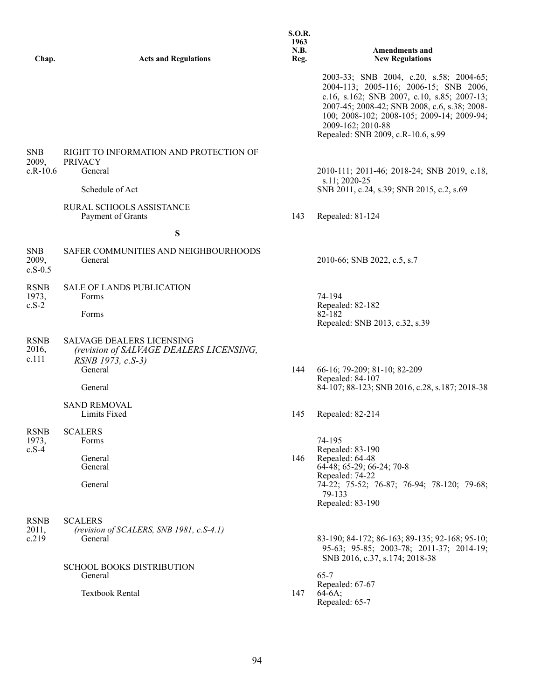| Chap.                             | <b>Acts and Regulations</b>                                                                                 | 1963<br>N.B.<br>Reg. | <b>Amendments and</b><br><b>New Regulations</b>                                                                                                                                                                                                                                           |
|-----------------------------------|-------------------------------------------------------------------------------------------------------------|----------------------|-------------------------------------------------------------------------------------------------------------------------------------------------------------------------------------------------------------------------------------------------------------------------------------------|
|                                   |                                                                                                             |                      | 2003-33; SNB 2004, c.20, s.58; 2004-65;<br>2004-113; 2005-116; 2006-15; SNB 2006,<br>c.16, s.162; SNB 2007, c.10, s.85; 2007-13;<br>2007-45; 2008-42; SNB 2008, c.6, s.38; 2008-<br>100; 2008-102; 2008-105; 2009-14; 2009-94;<br>2009-162; 2010-88<br>Repealed: SNB 2009, c.R-10.6, s.99 |
| <b>SNB</b><br>2009,<br>$c.R-10.6$ | RIGHT TO INFORMATION AND PROTECTION OF<br><b>PRIVACY</b><br>General                                         |                      | 2010-111; 2011-46; 2018-24; SNB 2019, c.18,<br>s.11; 2020-25                                                                                                                                                                                                                              |
|                                   | Schedule of Act<br>RURAL SCHOOLS ASSISTANCE<br>Payment of Grants                                            | 143                  | SNB 2011, c.24, s.39; SNB 2015, c.2, s.69<br>Repealed: 81-124                                                                                                                                                                                                                             |
|                                   | ${\bf S}$                                                                                                   |                      |                                                                                                                                                                                                                                                                                           |
| <b>SNB</b><br>2009,<br>$c.S-0.5$  | SAFER COMMUNITIES AND NEIGHBOURHOODS<br>General                                                             |                      | 2010-66; SNB 2022, c.5, s.7                                                                                                                                                                                                                                                               |
| <b>RSNB</b><br>1973,<br>$c.S-2$   | <b>SALE OF LANDS PUBLICATION</b><br>Forms<br>Forms                                                          |                      | 74-194<br>Repealed: 82-182<br>82-182<br>Repealed: SNB 2013, c.32, s.39                                                                                                                                                                                                                    |
| <b>RSNB</b><br>2016,<br>c.111     | <b>SALVAGE DEALERS LICENSING</b><br>(revision of SALVAGE DEALERS LICENSING,<br>RSNB 1973, c.S-3)<br>General | 144                  | 66-16; 79-209; 81-10; 82-209<br>Repealed: 84-107                                                                                                                                                                                                                                          |
|                                   | General                                                                                                     |                      | 84-107; 88-123; SNB 2016, c.28, s.187; 2018-38                                                                                                                                                                                                                                            |
|                                   | <b>SAND REMOVAL</b><br>Limits Fixed                                                                         | 145                  | Repealed: 82-214                                                                                                                                                                                                                                                                          |
| <b>RSNB</b><br>1973,<br>$c.S-4$   | <b>SCALERS</b><br>Forms<br>General<br>General                                                               | 146                  | 74-195<br>Repealed: 83-190<br>Repealed: 64-48<br>64-48; 65-29; 66-24; 70-8<br>Repealed: 74-22                                                                                                                                                                                             |
|                                   | General                                                                                                     |                      | 74-22; 75-52; 76-87; 76-94; 78-120; 79-68;<br>79-133<br>Repealed: 83-190                                                                                                                                                                                                                  |
| <b>RSNB</b><br>2011,<br>c.219     | <b>SCALERS</b><br>(revision of SCALERS, SNB 1981, c.S-4.1)<br>General                                       |                      | 83-190; 84-172; 86-163; 89-135; 92-168; 95-10;<br>95-63; 95-85; 2003-78; 2011-37; 2014-19;<br>SNB 2016, c.37, s.174; 2018-38                                                                                                                                                              |
|                                   | <b>SCHOOL BOOKS DISTRIBUTION</b><br>General                                                                 |                      | $65 - 7$<br>Repealed: 67-67                                                                                                                                                                                                                                                               |

Textbook Rental 147

Repealed: 65-7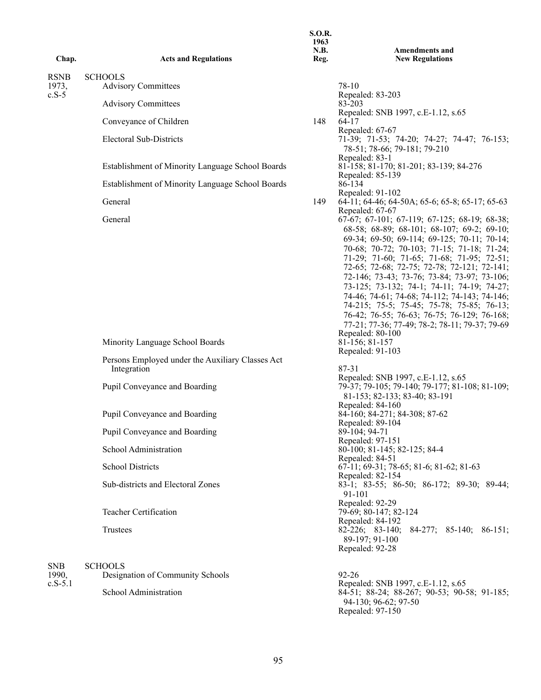|                                 |                                                                 | <b>S.O.R.</b><br>1963                                                                                                                                                                                                                                                                                                                                      |                                                                                                                                                                                                                                                                                                           |
|---------------------------------|-----------------------------------------------------------------|------------------------------------------------------------------------------------------------------------------------------------------------------------------------------------------------------------------------------------------------------------------------------------------------------------------------------------------------------------|-----------------------------------------------------------------------------------------------------------------------------------------------------------------------------------------------------------------------------------------------------------------------------------------------------------|
| Chap.                           | <b>Acts and Regulations</b>                                     | N.B.<br>Reg.                                                                                                                                                                                                                                                                                                                                               | <b>Amendments and</b><br><b>New Regulations</b>                                                                                                                                                                                                                                                           |
|                                 |                                                                 |                                                                                                                                                                                                                                                                                                                                                            |                                                                                                                                                                                                                                                                                                           |
| <b>RSNB</b><br>1973,<br>$c.S-5$ | <b>SCHOOLS</b><br><b>Advisory Committees</b>                    |                                                                                                                                                                                                                                                                                                                                                            | 78-10                                                                                                                                                                                                                                                                                                     |
|                                 | <b>Advisory Committees</b>                                      |                                                                                                                                                                                                                                                                                                                                                            | Repealed: 83-203<br>83-203                                                                                                                                                                                                                                                                                |
|                                 | Conveyance of Children                                          | 148                                                                                                                                                                                                                                                                                                                                                        | Repealed: SNB 1997, c.E-1.12, s.65<br>$64-17$<br>Repealed: 67-67                                                                                                                                                                                                                                          |
|                                 | <b>Electoral Sub-Districts</b>                                  |                                                                                                                                                                                                                                                                                                                                                            | 71-39; 71-53; 74-20; 74-27; 74-47; 76-153;<br>78-51; 78-66; 79-181; 79-210<br>Repealed: 83-1                                                                                                                                                                                                              |
|                                 | Establishment of Minority Language School Boards                |                                                                                                                                                                                                                                                                                                                                                            | 81-158; 81-170; 81-201; 83-139; 84-276<br>Repealed: 85-139                                                                                                                                                                                                                                                |
|                                 | Establishment of Minority Language School Boards                |                                                                                                                                                                                                                                                                                                                                                            | 86-134<br>Repealed: 91-102                                                                                                                                                                                                                                                                                |
|                                 | General<br>General                                              | 149                                                                                                                                                                                                                                                                                                                                                        | 64-11; 64-46; 64-50A; 65-6; 65-8; 65-17; 65-63<br>Repealed: 67-67<br>67-67; 67-101; 67-119; 67-125; 68-19; 68-38;<br>68-58; 68-89; 68-101; 68-107; 69-2; 69-10;<br>69-34; 69-50; 69-114; 69-125; 70-11; 70-14;<br>70-68; 70-72; 70-103; 71-15; 71-18; 71-24;<br>71-29; 71-60; 71-65; 71-68; 71-95; 72-51; |
|                                 |                                                                 | 72-65; 72-68; 72-75; 72-78; 72-121; 72-141;<br>72-146; 73-43; 73-76; 73-84; 73-97; 73-106;<br>73-125; 73-132; 74-1; 74-11; 74-19; 74-27;<br>74-46; 74-61; 74-68; 74-112; 74-143; 74-146;<br>74-215; 75-5; 75-45; 75-78; 75-85; 76-13;<br>76-42; 76-55; 76-63; 76-75; 76-129; 76-168;<br>77-21; 77-36; 77-49; 78-2; 78-11; 79-37; 79-69<br>Repealed: 80-100 |                                                                                                                                                                                                                                                                                                           |
|                                 | Minority Language School Boards                                 |                                                                                                                                                                                                                                                                                                                                                            | 81-156; 81-157<br>Repealed: 91-103                                                                                                                                                                                                                                                                        |
|                                 | Persons Employed under the Auxiliary Classes Act<br>Integration |                                                                                                                                                                                                                                                                                                                                                            | 87-31                                                                                                                                                                                                                                                                                                     |
|                                 | Pupil Conveyance and Boarding                                   |                                                                                                                                                                                                                                                                                                                                                            | Repealed: SNB 1997, c.E-1.12, s.65<br>79-37; 79-105; 79-140; 79-177; 81-108; 81-109;<br>81-153; 82-133; 83-40; 83-191<br>Repealed: 84-160                                                                                                                                                                 |
|                                 | Pupil Conveyance and Boarding                                   |                                                                                                                                                                                                                                                                                                                                                            | 84-160; 84-271; 84-308; 87-62<br>Repealed: 89-104                                                                                                                                                                                                                                                         |
|                                 | Pupil Conveyance and Boarding                                   |                                                                                                                                                                                                                                                                                                                                                            | 89-104; 94-71<br>Repealed: 97-151                                                                                                                                                                                                                                                                         |
|                                 | School Administration                                           |                                                                                                                                                                                                                                                                                                                                                            | 80-100; 81-145; 82-125; 84-4<br>Repealed: 84-51                                                                                                                                                                                                                                                           |
|                                 | <b>School Districts</b>                                         |                                                                                                                                                                                                                                                                                                                                                            | 67-11; 69-31; 78-65; 81-6; 81-62; 81-63<br>Repealed: 82-154                                                                                                                                                                                                                                               |
|                                 | Sub-districts and Electoral Zones                               |                                                                                                                                                                                                                                                                                                                                                            | 83-1; 83-55; 86-50; 86-172; 89-30; 89-44;<br>91-101<br>Repealed: 92-29                                                                                                                                                                                                                                    |
|                                 | <b>Teacher Certification</b>                                    |                                                                                                                                                                                                                                                                                                                                                            | 79-69; 80-147; 82-124<br>Repealed: 84-192                                                                                                                                                                                                                                                                 |
|                                 | Trustees                                                        |                                                                                                                                                                                                                                                                                                                                                            | 82-226; 83-140;<br>$84-277$ ; $85-140$ ; $86-151$ ;<br>89-197; 91-100<br>Repealed: 92-28                                                                                                                                                                                                                  |
| <b>SNB</b><br>1990,             | <b>SCHOOLS</b><br>Designation of Community Schools              |                                                                                                                                                                                                                                                                                                                                                            | $92 - 26$                                                                                                                                                                                                                                                                                                 |
| $c.S-5.1$                       | School Administration                                           |                                                                                                                                                                                                                                                                                                                                                            | Repealed: SNB 1997, c.E-1.12, s.65<br>84-51; 88-24; 88-267; 90-53; 90-58; 91-185;<br>94-130; 96-62; 97-50<br>Repealed: 97-150                                                                                                                                                                             |
|                                 |                                                                 |                                                                                                                                                                                                                                                                                                                                                            |                                                                                                                                                                                                                                                                                                           |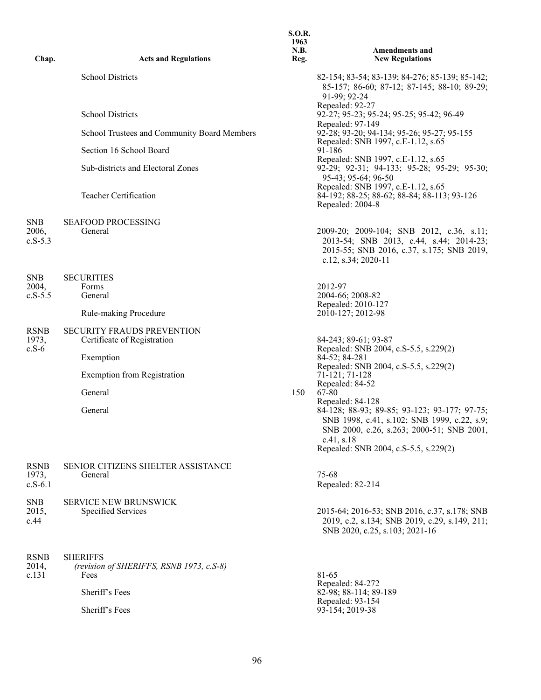| Chap.                           | <b>Acts and Regulations</b>                                      | 1963<br>N.B.<br>Reg. | <b>Amendments and</b><br><b>New Regulations</b>                                                                                                         |
|---------------------------------|------------------------------------------------------------------|----------------------|---------------------------------------------------------------------------------------------------------------------------------------------------------|
|                                 | <b>School Districts</b>                                          |                      | 82-154; 83-54; 83-139; 84-276; 85-139; 85-142;<br>85-157; 86-60; 87-12; 87-145; 88-10; 89-29;<br>91-99; 92-24                                           |
|                                 | <b>School Districts</b>                                          |                      | Repealed: 92-27<br>92-27; 95-23; 95-24; 95-25; 95-42; 96-49                                                                                             |
|                                 | School Trustees and Community Board Members                      |                      | Repealed: 97-149<br>92-28; 93-20; 94-134; 95-26; 95-27; 95-155                                                                                          |
|                                 | Section 16 School Board                                          |                      | Repealed: SNB 1997, c.E-1.12, s.65<br>91-186                                                                                                            |
|                                 | Sub-districts and Electoral Zones                                |                      | Repealed: SNB 1997, c.E-1.12, s.65<br>92-29; 92-31; 94-133; 95-28; 95-29; 95-30;<br>95-43; 95-64; 96-50                                                 |
|                                 | Teacher Certification                                            |                      | Repealed: SNB 1997, c.E-1.12, s.65<br>84-192; 88-25; 88-62; 88-84; 88-113; 93-126<br>Repealed: 2004-8                                                   |
| <b>SNB</b>                      | SEAFOOD PROCESSING                                               |                      |                                                                                                                                                         |
| 2006,<br>$c.S-5.3$              | General                                                          |                      | 2009-20; 2009-104; SNB 2012, c.36, s.11;<br>2013-54; SNB 2013, c.44, s.44; 2014-23;<br>2015-55; SNB 2016, c.37, s.175; SNB 2019,<br>c.12, s.34; 2020-11 |
| <b>SNB</b>                      | <b>SECURITIES</b>                                                |                      |                                                                                                                                                         |
| 2004,<br>$c.S-5.5$              | Forms<br>General                                                 |                      | 2012-97<br>2004-66; 2008-82                                                                                                                             |
|                                 | Rule-making Procedure                                            |                      | Repealed: 2010-127<br>2010-127; 2012-98                                                                                                                 |
| <b>RSNB</b><br>1973,<br>$c.S-6$ | <b>SECURITY FRAUDS PREVENTION</b><br>Certificate of Registration |                      | 84-243; 89-61; 93-87<br>Repealed: SNB 2004, c.S-5.5, s.229(2)                                                                                           |
|                                 | Exemption                                                        |                      | 84-52; 84-281                                                                                                                                           |
|                                 | <b>Exemption from Registration</b>                               |                      | Repealed: SNB 2004, c.S-5.5, s.229(2)<br>71-121; 71-128<br>Repealed: 84-52                                                                              |
|                                 | General                                                          | 150                  | 67-80<br>Repealed: 84-128                                                                                                                               |
|                                 | General                                                          |                      | 84-128; 88-93; 89-85; 93-123; 93-177; 97-75;<br>SNB 1998, c.41, s.102; SNB 1999, c.22, s.9;<br>SNB 2000, c.26, s.263; 2000-51; SNB 2001,<br>c.41, s.18  |
|                                 |                                                                  |                      | Repealed: SNB 2004, c.S-5.5, s.229(2)                                                                                                                   |
| <b>RSNB</b>                     | SENIOR CITIZENS SHELTER ASSISTANCE                               |                      |                                                                                                                                                         |
| 1973,<br>$c.S-6.1$              | General                                                          |                      | 75-68<br>Repealed: 82-214                                                                                                                               |
| <b>SNB</b>                      | <b>SERVICE NEW BRUNSWICK</b>                                     |                      |                                                                                                                                                         |
| 2015,<br>c.44                   | Specified Services                                               |                      | 2015-64; 2016-53; SNB 2016, c.37, s.178; SNB<br>2019, c.2, s.134; SNB 2019, c.29, s.149, 211;<br>SNB 2020, c.25, s.103; 2021-16                         |
| <b>RSNB</b><br>2014,            | <b>SHERIFFS</b><br>(revision of SHERIFFS, RSNB 1973, c.S-8)      |                      |                                                                                                                                                         |
| c.131                           | Fees                                                             |                      | 81-65                                                                                                                                                   |
|                                 | Sheriff's Fees                                                   |                      | Repealed: 84-272<br>82-98; 88-114; 89-189<br>Repealed: 93-154                                                                                           |
|                                 | Sheriff's Fees                                                   |                      | 93-154; 2019-38                                                                                                                                         |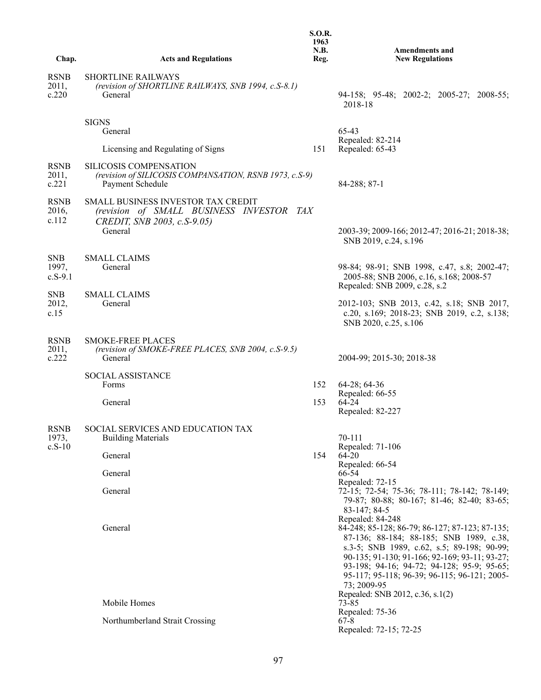|                                  |                                                                                                                      | <b>S.O.R.</b><br>1963<br>N.B. | <b>Amendments and</b>                                                                                                                                                                                                                                                                                                                                         |
|----------------------------------|----------------------------------------------------------------------------------------------------------------------|-------------------------------|---------------------------------------------------------------------------------------------------------------------------------------------------------------------------------------------------------------------------------------------------------------------------------------------------------------------------------------------------------------|
| Chap.                            | <b>Acts and Regulations</b>                                                                                          | Reg.                          | <b>New Regulations</b>                                                                                                                                                                                                                                                                                                                                        |
| <b>RSNB</b><br>2011,<br>c.220    | <b>SHORTLINE RAILWAYS</b><br>(revision of SHORTLINE RAILWAYS, SNB 1994, c.S-8.1)<br>General                          |                               | 94-158; 95-48; 2002-2; 2005-27; 2008-55;<br>2018-18                                                                                                                                                                                                                                                                                                           |
|                                  | <b>SIGNS</b><br>General                                                                                              |                               | 65-43                                                                                                                                                                                                                                                                                                                                                         |
|                                  | Licensing and Regulating of Signs                                                                                    | 151                           | Repealed: 82-214<br>Repealed: 65-43                                                                                                                                                                                                                                                                                                                           |
| <b>RSNB</b><br>2011,<br>c.221    | SILICOSIS COMPENSATION<br>(revision of SILICOSIS COMPANSATION, RSNB 1973, c.S-9)<br>Payment Schedule                 |                               | 84-288; 87-1                                                                                                                                                                                                                                                                                                                                                  |
| <b>RSNB</b><br>2016,<br>c.112    | <b>SMALL BUSINESS INVESTOR TAX CREDIT</b><br>(revision of SMALL BUSINESS INVESTOR TAX<br>CREDIT, SNB 2003, c.S-9.05) |                               |                                                                                                                                                                                                                                                                                                                                                               |
|                                  | General                                                                                                              |                               | 2003-39; 2009-166; 2012-47; 2016-21; 2018-38;<br>SNB 2019, c.24, s.196                                                                                                                                                                                                                                                                                        |
| <b>SNB</b><br>1997,<br>$c.S-9.1$ | <b>SMALL CLAIMS</b><br>General                                                                                       |                               | 98-84; 98-91; SNB 1998, c.47, s.8; 2002-47;<br>2005-88; SNB 2006, c.16, s.168; 2008-57<br>Repealed: SNB 2009, c.28, s.2                                                                                                                                                                                                                                       |
| <b>SNB</b><br>2012,<br>c.15      | <b>SMALL CLAIMS</b><br>General                                                                                       |                               | 2012-103; SNB 2013, c.42, s.18; SNB 2017,<br>c.20, s.169; 2018-23; SNB 2019, c.2, s.138;<br>SNB 2020, c.25, s.106                                                                                                                                                                                                                                             |
| <b>RSNB</b><br>2011,<br>c.222    | <b>SMOKE-FREE PLACES</b><br>(revision of SMOKE-FREE PLACES, SNB 2004, c.S-9.5)<br>General                            |                               | 2004-99; 2015-30; 2018-38                                                                                                                                                                                                                                                                                                                                     |
|                                  | SOCIAL ASSISTANCE                                                                                                    |                               |                                                                                                                                                                                                                                                                                                                                                               |
|                                  | Forms                                                                                                                | 152                           | 64-28; 64-36                                                                                                                                                                                                                                                                                                                                                  |
|                                  | General                                                                                                              | 153                           | Repealed: 66-55<br>64-24<br>Repealed: 82-227                                                                                                                                                                                                                                                                                                                  |
| <b>RSNB</b>                      | SOCIAL SERVICES AND EDUCATION TAX                                                                                    |                               |                                                                                                                                                                                                                                                                                                                                                               |
| 1973,<br>$c.S-10$                | <b>Building Materials</b>                                                                                            |                               | 70-111                                                                                                                                                                                                                                                                                                                                                        |
|                                  | General                                                                                                              | 154                           | Repealed: 71-106<br>$64 - 20$                                                                                                                                                                                                                                                                                                                                 |
|                                  | General                                                                                                              |                               | Repealed: 66-54<br>66-54<br>Repealed: 72-15                                                                                                                                                                                                                                                                                                                   |
|                                  | General                                                                                                              |                               | 72-15; 72-54; 75-36; 78-111; 78-142; 78-149;<br>79-87; 80-88; 80-167; 81-46; 82-40; 83-65;<br>83-147; 84-5                                                                                                                                                                                                                                                    |
|                                  | General                                                                                                              |                               | Repealed: 84-248<br>84-248; 85-128; 86-79; 86-127; 87-123; 87-135;<br>87-136; 88-184; 88-185; SNB 1989, c.38,<br>s.3-5; SNB 1989, c.62, s.5; 89-198; 90-99;<br>90-135; 91-130; 91-166; 92-169; 93-11; 93-27;<br>93-198; 94-16; 94-72; 94-128; 95-9; 95-65;<br>95-117; 95-118; 96-39; 96-115; 96-121; 2005-<br>73; 2009-95<br>Repealed: SNB 2012, c.36, s.1(2) |
|                                  | Mobile Homes                                                                                                         |                               | 73-85                                                                                                                                                                                                                                                                                                                                                         |
|                                  | Northumberland Strait Crossing                                                                                       |                               | Repealed: 75-36<br>67-8<br>Repealed: 72-15; 72-25                                                                                                                                                                                                                                                                                                             |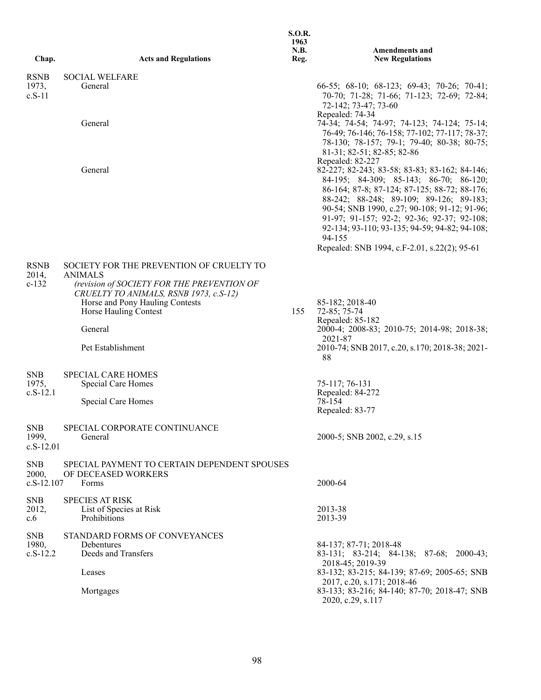| Chap.                               | <b>Acts and Regulations</b>                                                                                                               | <b>S.O.R.</b><br>1963<br>N.B.<br>Reg. | <b>Amendments and</b><br><b>New Regulations</b>                                                                                                                                                                                                                                                                                                                                             |
|-------------------------------------|-------------------------------------------------------------------------------------------------------------------------------------------|---------------------------------------|---------------------------------------------------------------------------------------------------------------------------------------------------------------------------------------------------------------------------------------------------------------------------------------------------------------------------------------------------------------------------------------------|
|                                     |                                                                                                                                           |                                       |                                                                                                                                                                                                                                                                                                                                                                                             |
| <b>RSNB</b><br>1973,<br>$c.S-11$    | <b>SOCIAL WELFARE</b><br>General                                                                                                          |                                       | 66-55; 68-10; 68-123; 69-43; 70-26; 70-41;<br>70-70; 71-28; 71-66; 71-123; 72-69; 72-84;<br>72-142; 73-47; 73-60                                                                                                                                                                                                                                                                            |
|                                     | General                                                                                                                                   |                                       | Repealed: 74-34<br>74-34; 74-54; 74-97; 74-123; 74-124; 75-14;<br>76-49; 76-146; 76-158; 77-102; 77-117; 78-37;<br>78-130; 78-157; 79-1; 79-40; 80-38; 80-75;<br>81-31; 82-51; 82-85; 82-86<br>Repealed: 82-227                                                                                                                                                                             |
|                                     | General                                                                                                                                   |                                       | 82-227; 82-243; 83-58; 83-83; 83-162; 84-146;<br>84-195; 84-309; 85-143; 86-70; 86-120;<br>86-164; 87-8; 87-124; 87-125; 88-72; 88-176;<br>88-242; 88-248; 89-109; 89-126; 89-183;<br>90-54; SNB 1990, c.27; 90-108; 91-12; 91-96;<br>91-97; 91-157; 92-2; 92-36; 92-37; 92-108;<br>92-134; 93-110; 93-135; 94-59; 94-82; 94-108;<br>94-155<br>Repealed: SNB 1994, c.F-2.01, s.22(2); 95-61 |
| <b>RSNB</b>                         | SOCIETY FOR THE PREVENTION OF CRUELTY TO                                                                                                  |                                       |                                                                                                                                                                                                                                                                                                                                                                                             |
| 2014,<br>$c-132$                    | <b>ANIMALS</b><br>(revision of SOCIETY FOR THE PREVENTION OF<br>CRUELTY TO ANIMALS, RSNB 1973, c.S-12)<br>Horse and Pony Hauling Contests |                                       | 85-182; 2018-40                                                                                                                                                                                                                                                                                                                                                                             |
|                                     | Horse Hauling Contest<br>General                                                                                                          | 155                                   | 72-85; 75-74<br>Repealed: 85-182<br>2000-4; 2008-83; 2010-75; 2014-98; 2018-38;                                                                                                                                                                                                                                                                                                             |
|                                     | Pet Establishment                                                                                                                         |                                       | 2021-87<br>2010-74; SNB 2017, c.20, s.170; 2018-38; 2021-<br>88                                                                                                                                                                                                                                                                                                                             |
| <b>SNB</b><br>1975,<br>$c.S-12.1$   | <b>SPECIAL CARE HOMES</b><br>Special Care Homes                                                                                           |                                       | 75-117; 76-131<br>Repealed: 84-272                                                                                                                                                                                                                                                                                                                                                          |
|                                     | Special Care Homes                                                                                                                        |                                       | 78-154<br>Repealed: 83-77                                                                                                                                                                                                                                                                                                                                                                   |
| <b>SNB</b><br>1999,<br>$c.S-12.01$  | SPECIAL CORPORATE CONTINUANCE<br>General                                                                                                  |                                       | 2000-5; SNB 2002, c.29, s.15                                                                                                                                                                                                                                                                                                                                                                |
| <b>SNB</b><br>2000,<br>$c.S-12.107$ | SPECIAL PAYMENT TO CERTAIN DEPENDENT SPOUSES<br>OF DECEASED WORKERS<br>Forms                                                              |                                       | 2000-64                                                                                                                                                                                                                                                                                                                                                                                     |
|                                     |                                                                                                                                           |                                       |                                                                                                                                                                                                                                                                                                                                                                                             |
| <b>SNB</b><br>2012,<br>c.6          | <b>SPECIES AT RISK</b><br>List of Species at Risk<br>Prohibitions                                                                         |                                       | 2013-38<br>2013-39                                                                                                                                                                                                                                                                                                                                                                          |
| <b>SNB</b><br>1980,<br>$c.S-12.2$   | STANDARD FORMS OF CONVEYANCES<br>Debentures<br>Deeds and Transfers                                                                        |                                       | 84-137; 87-71; 2018-48                                                                                                                                                                                                                                                                                                                                                                      |
|                                     | Leases                                                                                                                                    |                                       | 83-131; 83-214; 84-138; 87-68; 2000-43;<br>2018-45; 2019-39<br>83-132; 83-215; 84-139; 87-69; 2005-65; SNB                                                                                                                                                                                                                                                                                  |
|                                     | Mortgages                                                                                                                                 |                                       | 2017, c.20, s.171; 2018-46<br>83-133; 83-216; 84-140; 87-70; 2018-47; SNB<br>2020, c.29, s.117                                                                                                                                                                                                                                                                                              |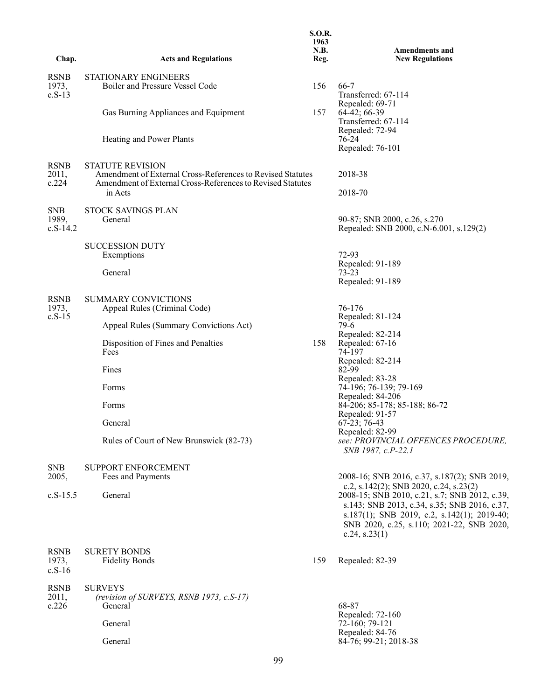| Chap.                             | <b>Acts and Regulations</b>                                                                                                                                    | <b>S.O.R.</b><br>1963<br>N.B.<br>Reg. | <b>Amendments and</b><br><b>New Regulations</b>                                                                                                                                                                                                         |
|-----------------------------------|----------------------------------------------------------------------------------------------------------------------------------------------------------------|---------------------------------------|---------------------------------------------------------------------------------------------------------------------------------------------------------------------------------------------------------------------------------------------------------|
|                                   |                                                                                                                                                                |                                       |                                                                                                                                                                                                                                                         |
| <b>RSNB</b><br>1973,<br>$c.S-13$  | <b>STATIONARY ENGINEERS</b><br>Boiler and Pressure Vessel Code                                                                                                 | 156                                   | 66-7<br>Transferred: 67-114                                                                                                                                                                                                                             |
|                                   | Gas Burning Appliances and Equipment                                                                                                                           | 157                                   | Repealed: 69-71<br>64-42; 66-39<br>Transferred: 67-114                                                                                                                                                                                                  |
|                                   | Heating and Power Plants                                                                                                                                       |                                       | Repealed: 72-94<br>76-24<br>Repealed: 76-101                                                                                                                                                                                                            |
| <b>RSNB</b><br>2011,<br>c.224     | <b>STATUTE REVISION</b><br>Amendment of External Cross-References to Revised Statutes<br>Amendment of External Cross-References to Revised Statutes<br>in Acts |                                       | 2018-38<br>2018-70                                                                                                                                                                                                                                      |
| <b>SNB</b><br>1989,<br>$c.S-14.2$ | <b>STOCK SAVINGS PLAN</b><br>General                                                                                                                           |                                       | 90-87; SNB 2000, c.26, s.270<br>Repealed: SNB 2000, c.N-6.001, s.129(2)                                                                                                                                                                                 |
|                                   | <b>SUCCESSION DUTY</b><br>Exemptions                                                                                                                           |                                       | 72-93<br>Repealed: 91-189                                                                                                                                                                                                                               |
|                                   | General                                                                                                                                                        |                                       | 73-23<br>Repealed: 91-189                                                                                                                                                                                                                               |
| <b>RSNB</b><br>1973,              | <b>SUMMARY CONVICTIONS</b><br>Appeal Rules (Criminal Code)                                                                                                     |                                       | 76-176                                                                                                                                                                                                                                                  |
| $c.S-15$                          | Appeal Rules (Summary Convictions Act)                                                                                                                         |                                       | Repealed: 81-124<br>79-6                                                                                                                                                                                                                                |
|                                   | Disposition of Fines and Penalties<br>Fees                                                                                                                     | 158                                   | Repealed: 82-214<br>Repealed: 67-16<br>74-197                                                                                                                                                                                                           |
|                                   | Fines                                                                                                                                                          |                                       | Repealed: 82-214<br>82-99                                                                                                                                                                                                                               |
|                                   | Forms                                                                                                                                                          |                                       | Repealed: 83-28<br>74-196; 76-139; 79-169<br>Repealed: 84-206                                                                                                                                                                                           |
|                                   | Forms                                                                                                                                                          |                                       | 84-206; 85-178; 85-188; 86-72<br>Repealed: 91-57                                                                                                                                                                                                        |
|                                   | General                                                                                                                                                        |                                       | $67-23$ ; 76-43<br>Repealed: 82-99                                                                                                                                                                                                                      |
|                                   | Rules of Court of New Brunswick (82-73)                                                                                                                        |                                       | see: PROVINCIAL OFFENCES PROCEDURE,<br>SNB 1987, c.P-22.1                                                                                                                                                                                               |
| <b>SNB</b><br>2005,               | SUPPORT ENFORCEMENT                                                                                                                                            |                                       | 2008-16; SNB 2016, c.37, s.187(2); SNB 2019,                                                                                                                                                                                                            |
| $c.S-15.5$                        | Fees and Payments<br>General                                                                                                                                   |                                       | c.2, s.142(2); SNB 2020, c.24, s.23(2)<br>2008-15; SNB 2010, c.21, s.7; SNB 2012, c.39,<br>s.143; SNB 2013, c.34, s.35; SNB 2016, c.37,<br>s.187(1); SNB 2019, c.2, s.142(1); 2019-40;<br>SNB 2020, c.25, s.110; 2021-22, SNB 2020,<br>c.24, s.23 $(1)$ |
| <b>RSNB</b><br>1973,<br>$c.S-16$  | <b>SURETY BONDS</b><br><b>Fidelity Bonds</b>                                                                                                                   | 159                                   | Repealed: 82-39                                                                                                                                                                                                                                         |
| <b>RSNB</b><br>2011,<br>c.226     | <b>SURVEYS</b><br>(revision of SURVEYS, RSNB 1973, c.S-17)<br>General                                                                                          |                                       | 68-87                                                                                                                                                                                                                                                   |
|                                   | General                                                                                                                                                        |                                       | Repealed: 72-160<br>72-160; 79-121<br>Repealed: 84-76                                                                                                                                                                                                   |
|                                   | General                                                                                                                                                        |                                       | 84-76; 99-21; 2018-38                                                                                                                                                                                                                                   |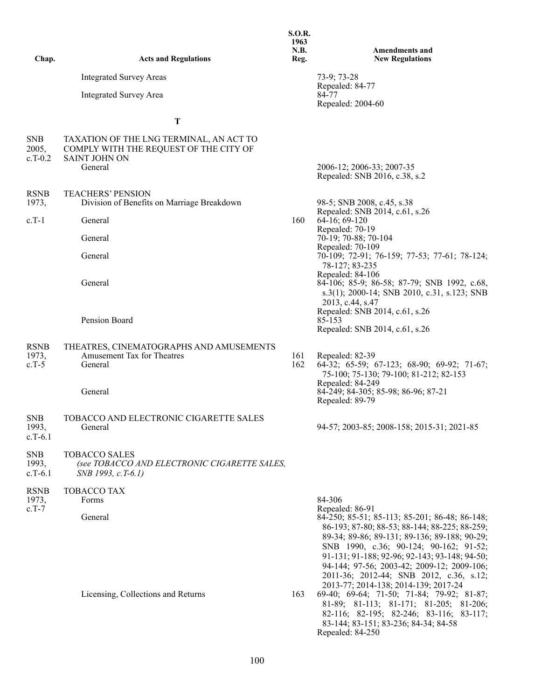| Chap.                            | <b>Acts and Regulations</b>                                                                                   | 1963<br>N.B.<br>Reg. | <b>Amendments and</b><br><b>New Regulations</b>                                                                                                                                                                                                                                                                                                                                                                                                                                                                                                                          |
|----------------------------------|---------------------------------------------------------------------------------------------------------------|----------------------|--------------------------------------------------------------------------------------------------------------------------------------------------------------------------------------------------------------------------------------------------------------------------------------------------------------------------------------------------------------------------------------------------------------------------------------------------------------------------------------------------------------------------------------------------------------------------|
|                                  | <b>Integrated Survey Areas</b>                                                                                |                      | $73-9; 73-28$                                                                                                                                                                                                                                                                                                                                                                                                                                                                                                                                                            |
|                                  | <b>Integrated Survey Area</b>                                                                                 |                      | Repealed: 84-77<br>84-77<br>Repealed: 2004-60                                                                                                                                                                                                                                                                                                                                                                                                                                                                                                                            |
|                                  | T                                                                                                             |                      |                                                                                                                                                                                                                                                                                                                                                                                                                                                                                                                                                                          |
| <b>SNB</b><br>2005,<br>$c.T-0.2$ | TAXATION OF THE LNG TERMINAL, AN ACT TO<br>COMPLY WITH THE REQUEST OF THE CITY OF<br>SAINT JOHN ON<br>General |                      | 2006-12; 2006-33; 2007-35<br>Repealed: SNB 2016, c.38, s.2                                                                                                                                                                                                                                                                                                                                                                                                                                                                                                               |
|                                  |                                                                                                               |                      |                                                                                                                                                                                                                                                                                                                                                                                                                                                                                                                                                                          |
| <b>RSNB</b><br>1973,             | <b>TEACHERS' PENSION</b><br>Division of Benefits on Marriage Breakdown                                        |                      | 98-5; SNB 2008, c.45, s.38<br>Repealed: SNB 2014, c.61, s.26                                                                                                                                                                                                                                                                                                                                                                                                                                                                                                             |
| $c.T-1$                          | General                                                                                                       | 160                  | 64-16; 69-120<br>Repealed: 70-19                                                                                                                                                                                                                                                                                                                                                                                                                                                                                                                                         |
|                                  | General                                                                                                       |                      | 70-19; 70-88; 70-104                                                                                                                                                                                                                                                                                                                                                                                                                                                                                                                                                     |
|                                  | General                                                                                                       |                      | Repealed: 70-109<br>70-109; 72-91; 76-159; 77-53; 77-61; 78-124;                                                                                                                                                                                                                                                                                                                                                                                                                                                                                                         |
|                                  | General                                                                                                       |                      | 78-127; 83-235<br>Repealed: 84-106<br>84-106; 85-9; 86-58; 87-79; SNB 1992, c.68,<br>s.3(1); 2000-14; SNB 2010, c.31, s.123; SNB<br>2013, c.44, s.47                                                                                                                                                                                                                                                                                                                                                                                                                     |
|                                  | Pension Board                                                                                                 |                      | Repealed: SNB 2014, c.61, s.26<br>85-153<br>Repealed: SNB 2014, c.61, s.26                                                                                                                                                                                                                                                                                                                                                                                                                                                                                               |
| <b>RSNB</b><br>1973,<br>$c.T-5$  | THEATRES, CINEMATOGRAPHS AND AMUSEMENTS<br>Amusement Tax for Theatres<br>General                              | 161<br>162           | Repealed: 82-39<br>64-32; 65-59; 67-123; 68-90; 69-92; 71-67;<br>75-100; 75-130; 79-100; 81-212; 82-153                                                                                                                                                                                                                                                                                                                                                                                                                                                                  |
|                                  | General                                                                                                       |                      | Repealed: 84-249<br>84-249; 84-305; 85-98; 86-96; 87-21<br>Repealed: 89-79                                                                                                                                                                                                                                                                                                                                                                                                                                                                                               |
| <b>SNB</b><br>1993,<br>$c.T-6.1$ | TOBACCO AND ELECTRONIC CIGARETTE SALES<br>General                                                             |                      | 94-57; 2003-85; 2008-158; 2015-31; 2021-85                                                                                                                                                                                                                                                                                                                                                                                                                                                                                                                               |
| <b>SNB</b><br>1993,<br>$c.T-6.1$ | <b>TOBACCO SALES</b><br>(see TOBACCO AND ELECTRONIC CIGARETTE SALES,<br>SNB 1993, c.T-6.1)                    |                      |                                                                                                                                                                                                                                                                                                                                                                                                                                                                                                                                                                          |
| <b>RSNB</b><br>1973,<br>$c.T-7$  | TOBACCO TAX<br>Forms                                                                                          |                      | 84-306<br>Repealed: 86-91                                                                                                                                                                                                                                                                                                                                                                                                                                                                                                                                                |
|                                  | General<br>Licensing, Collections and Returns                                                                 | 163                  | 84-250; 85-51; 85-113; 85-201; 86-48; 86-148;<br>86-193; 87-80; 88-53; 88-144; 88-225; 88-259;<br>89-34; 89-86; 89-131; 89-136; 89-188; 90-29;<br>SNB 1990, c.36; 90-124; 90-162; 91-52;<br>91-131; 91-188; 92-96; 92-143; 93-148; 94-50;<br>94-144; 97-56; 2003-42; 2009-12; 2009-106;<br>2011-36; 2012-44; SNB 2012, c.36, s.12;<br>2013-77; 2014-138; 2014-139; 2017-24<br>69-40; 69-64; 71-50; 71-84; 79-92; 81-87;<br>81-89; 81-113; 81-171; 81-205; 81-206;<br>82-116; 82-195; 82-246; 83-116; 83-117;<br>83-144; 83-151; 83-236; 84-34; 84-58<br>Repealed: 84-250 |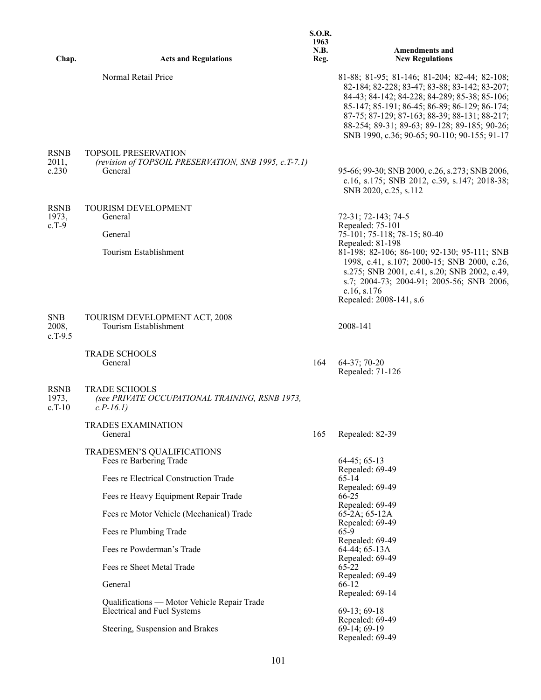|                                  |                                                                                                 | <b>S.O.R.</b><br>1963<br>N.B. | <b>Amendments and</b>                                                                                                                                                                                                                                                                                                                            |
|----------------------------------|-------------------------------------------------------------------------------------------------|-------------------------------|--------------------------------------------------------------------------------------------------------------------------------------------------------------------------------------------------------------------------------------------------------------------------------------------------------------------------------------------------|
| Chap.                            | <b>Acts and Regulations</b>                                                                     | Reg.                          | <b>New Regulations</b>                                                                                                                                                                                                                                                                                                                           |
|                                  | Normal Retail Price                                                                             |                               | 81-88; 81-95; 81-146; 81-204; 82-44; 82-108;<br>82-184; 82-228; 83-47; 83-88; 83-142; 83-207;<br>84-43; 84-142; 84-228; 84-289; 85-38; 85-106;<br>85-147; 85-191; 86-45; 86-89; 86-129; 86-174;<br>87-75; 87-129; 87-163; 88-39; 88-131; 88-217;<br>88-254; 89-31; 89-63; 89-128; 89-185; 90-26;<br>SNB 1990, c.36; 90-65; 90-110; 90-155; 91-17 |
| <b>RSNB</b><br>2011,<br>c.230    | <b>TOPSOIL PRESERVATION</b><br>(revision of TOPSOIL PRESERVATION, SNB 1995, c.T-7.1)<br>General |                               | 95-66; 99-30; SNB 2000, c.26, s.273; SNB 2006,<br>c.16, s.175; SNB 2012, c.39, s.147; 2018-38;<br>SNB 2020, c.25, s.112                                                                                                                                                                                                                          |
| <b>RSNB</b><br>1973,<br>$c.T-9$  | <b>TOURISM DEVELOPMENT</b><br>General<br>General<br>Tourism Establishment                       |                               | 72-31; 72-143; 74-5<br>Repealed: 75-101<br>75-101; 75-118; 78-15; 80-40<br>Repealed: 81-198<br>81-198; 82-106; 86-100; 92-130; 95-111; SNB<br>1998, c.41, s.107; 2000-15; SNB 2000, c.26,<br>s.275; SNB 2001, c.41, s.20; SNB 2002, c.49,<br>s.7; 2004-73; 2004-91; 2005-56; SNB 2006,<br>c.16, s.176<br>Repealed: 2008-141, s.6                 |
| <b>SNB</b><br>2008,<br>$c.T-9.5$ | TOURISM DEVELOPMENT ACT, 2008<br>Tourism Establishment                                          |                               | 2008-141                                                                                                                                                                                                                                                                                                                                         |
|                                  | TRADE SCHOOLS<br>General                                                                        | 164                           | $64-37; 70-20$<br>Repealed: 71-126                                                                                                                                                                                                                                                                                                               |
| <b>RSNB</b><br>1973,<br>$c.T-10$ | <b>TRADE SCHOOLS</b><br>(see PRIVATE OCCUPATIONAL TRAINING, RSNB 1973,<br>$c.P-16.1)$           |                               |                                                                                                                                                                                                                                                                                                                                                  |
|                                  | <b>TRADES EXAMINATION</b><br>General                                                            | 165                           | Repealed: 82-39                                                                                                                                                                                                                                                                                                                                  |
|                                  | TRADESMEN'S QUALIFICATIONS<br>Fees re Barbering Trade                                           |                               | $64-45; 65-13$<br>Repealed: 69-49                                                                                                                                                                                                                                                                                                                |
|                                  | Fees re Electrical Construction Trade                                                           |                               | 65-14                                                                                                                                                                                                                                                                                                                                            |
|                                  | Fees re Heavy Equipment Repair Trade                                                            |                               | Repealed: 69-49<br>66-25                                                                                                                                                                                                                                                                                                                         |
|                                  | Fees re Motor Vehicle (Mechanical) Trade                                                        |                               | Repealed: 69-49<br>$65-2A$ ; $65-12A$                                                                                                                                                                                                                                                                                                            |
|                                  | Fees re Plumbing Trade                                                                          |                               | Repealed: 69-49<br>65-9                                                                                                                                                                                                                                                                                                                          |
|                                  | Fees re Powderman's Trade                                                                       |                               | Repealed: 69-49<br>64-44; 65-13A                                                                                                                                                                                                                                                                                                                 |
|                                  | Fees re Sheet Metal Trade                                                                       |                               | Repealed: 69-49<br>65-22                                                                                                                                                                                                                                                                                                                         |
|                                  | General                                                                                         |                               | Repealed: 69-49<br>66-12                                                                                                                                                                                                                                                                                                                         |
|                                  | Qualifications — Motor Vehicle Repair Trade                                                     |                               | Repealed: 69-14                                                                                                                                                                                                                                                                                                                                  |
|                                  | Electrical and Fuel Systems                                                                     |                               | 69-13; 69-18<br>Repealed: 69-49                                                                                                                                                                                                                                                                                                                  |
|                                  | Steering, Suspension and Brakes                                                                 |                               | $69-14; 69-19$<br>Repealed: 69-49                                                                                                                                                                                                                                                                                                                |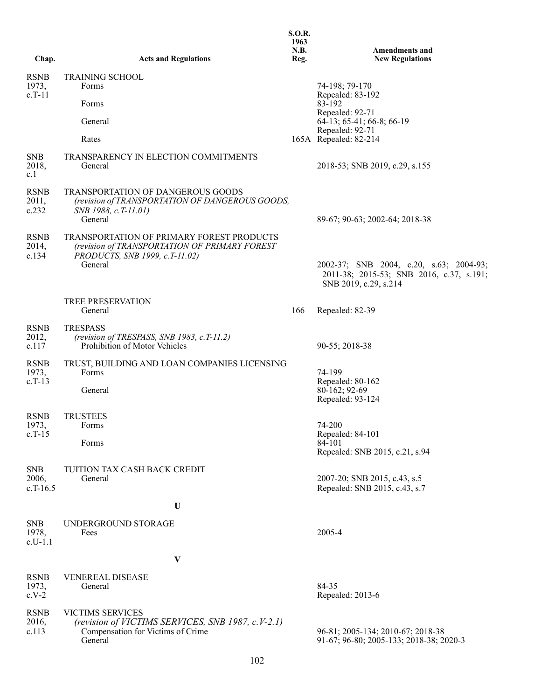| Chap.                            | <b>Acts and Regulations</b>                                                                                                    | <b>S.O.R.</b><br>1963<br>N.B.<br>Reg. | <b>Amendments and</b><br><b>New Regulations</b>                                                              |
|----------------------------------|--------------------------------------------------------------------------------------------------------------------------------|---------------------------------------|--------------------------------------------------------------------------------------------------------------|
| <b>RSNB</b>                      | <b>TRAINING SCHOOL</b>                                                                                                         |                                       |                                                                                                              |
| 1973,<br>$c.T-11$                | Forms<br>Forms                                                                                                                 |                                       | 74-198; 79-170<br>Repealed: 83-192<br>83-192                                                                 |
|                                  |                                                                                                                                |                                       | Repealed: 92-71                                                                                              |
|                                  | General                                                                                                                        |                                       | 64-13; 65-41; 66-8; 66-19<br>Repealed: 92-71                                                                 |
|                                  | Rates                                                                                                                          |                                       | 165A Repealed: 82-214                                                                                        |
| <b>SNB</b><br>2018,<br>c.l       | TRANSPARENCY IN ELECTION COMMITMENTS<br>General                                                                                |                                       | 2018-53; SNB 2019, c.29, s.155                                                                               |
| <b>RSNB</b><br>2011,<br>c.232    | <b>TRANSPORTATION OF DANGEROUS GOODS</b><br>(revision of TRANSPORTATION OF DANGEROUS GOODS,<br>SNB 1988, c.T-11.01)<br>General |                                       | 89-67; 90-63; 2002-64; 2018-38                                                                               |
| <b>RSNB</b><br>2014,<br>c.134    | TRANSPORTATION OF PRIMARY FOREST PRODUCTS<br>(revision of TRANSPORTATION OF PRIMARY FOREST                                     |                                       |                                                                                                              |
|                                  | PRODUCTS, SNB 1999, c.T-11.02)<br>General                                                                                      |                                       | 2002-37; SNB 2004, c.20, s.63; 2004-93;<br>2011-38; 2015-53; SNB 2016, c.37, s.191;<br>SNB 2019, c.29, s.214 |
|                                  | TREE PRESERVATION<br>General                                                                                                   | 166                                   | Repealed: 82-39                                                                                              |
| <b>RSNB</b><br>2012,<br>c.117    | <b>TRESPASS</b><br>(revision of TRESPASS, SNB 1983, c.T-11.2)<br>Prohibition of Motor Vehicles                                 |                                       | 90-55; 2018-38                                                                                               |
| <b>RSNB</b><br>1973,             | TRUST, BUILDING AND LOAN COMPANIES LICENSING<br>Forms                                                                          |                                       | 74-199                                                                                                       |
| $c.T-13$                         | General                                                                                                                        |                                       | Repealed: 80-162<br>80-162; 92-69<br>Repealed: 93-124                                                        |
| <b>RSNB</b>                      | <b>TRUSTEES</b>                                                                                                                |                                       |                                                                                                              |
| 1973,<br>$c.T-15$                | Forms<br>Forms                                                                                                                 |                                       | 74-200<br>Repealed: 84-101<br>84-101<br>Repealed: SNB 2015, c.21, s.94                                       |
| <b>SNB</b>                       | TUITION TAX CASH BACK CREDIT                                                                                                   |                                       |                                                                                                              |
| 2006,<br>$c.T-16.5$              | General                                                                                                                        |                                       | 2007-20; SNB 2015, c.43, s.5<br>Repealed: SNB 2015, c.43, s.7                                                |
|                                  | U                                                                                                                              |                                       |                                                                                                              |
| <b>SNB</b><br>1978,<br>$c.U-1.1$ | UNDERGROUND STORAGE<br>Fees                                                                                                    |                                       | 2005-4                                                                                                       |
|                                  | V                                                                                                                              |                                       |                                                                                                              |
| <b>RSNB</b><br>1973,<br>$c.V-2$  | <b>VENEREAL DISEASE</b><br>General                                                                                             |                                       | 84-35<br>Repealed: 2013-6                                                                                    |
| <b>RSNB</b><br>2016,<br>c.113    | <b>VICTIMS SERVICES</b><br>(revision of VICTIMS SERVICES, SNB 1987, c.V-2.1)<br>Compensation for Victims of Crime<br>General   |                                       | 96-81; 2005-134; 2010-67; 2018-38<br>91-67; 96-80; 2005-133; 2018-38; 2020-3                                 |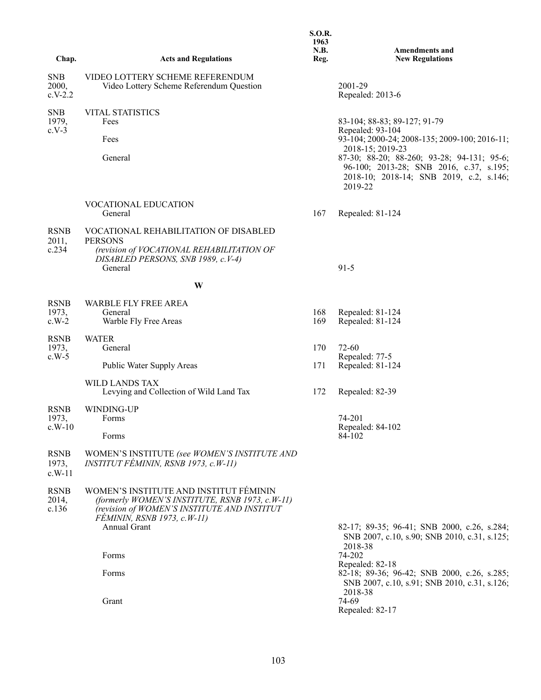|                                  |                                                                                                                                                                         | <b>S.O.R.</b><br>1963<br>N.B. | <b>Amendments and</b>                                                                                                                       |
|----------------------------------|-------------------------------------------------------------------------------------------------------------------------------------------------------------------------|-------------------------------|---------------------------------------------------------------------------------------------------------------------------------------------|
| Chap.                            | <b>Acts and Regulations</b>                                                                                                                                             | Reg.                          | <b>New Regulations</b>                                                                                                                      |
| <b>SNB</b><br>2000,<br>$c.V-2.2$ | VIDEO LOTTERY SCHEME REFERENDUM<br>Video Lottery Scheme Referendum Question                                                                                             |                               | 2001-29<br>Repealed: 2013-6                                                                                                                 |
| <b>SNB</b><br>1979,<br>$c.V-3$   | <b>VITAL STATISTICS</b><br>Fees                                                                                                                                         |                               | 83-104; 88-83; 89-127; 91-79<br>Repealed: 93-104                                                                                            |
|                                  | Fees                                                                                                                                                                    |                               | 93-104; 2000-24; 2008-135; 2009-100; 2016-11;<br>2018-15; 2019-23                                                                           |
|                                  | General                                                                                                                                                                 |                               | 87-30; 88-20; 88-260; 93-28; 94-131; 95-6;<br>96-100; 2013-28; SNB 2016, c.37, s.195;<br>2018-10; 2018-14; SNB 2019, c.2, s.146;<br>2019-22 |
|                                  | VOCATIONAL EDUCATION<br>General                                                                                                                                         | 167                           | Repealed: 81-124                                                                                                                            |
| <b>RSNB</b><br>2011,             | VOCATIONAL REHABILITATION OF DISABLED<br><b>PERSONS</b>                                                                                                                 |                               |                                                                                                                                             |
| c.234                            | (revision of VOCATIONAL REHABILITATION OF<br>DISABLED PERSONS, SNB 1989, c.V-4)<br>General                                                                              |                               | $91 - 5$                                                                                                                                    |
|                                  | W                                                                                                                                                                       |                               |                                                                                                                                             |
| <b>RSNB</b>                      | WARBLE FLY FREE AREA                                                                                                                                                    |                               |                                                                                                                                             |
| 1973,<br>$c.W-2$                 | General<br>Warble Fly Free Areas                                                                                                                                        | 168<br>169                    | Repealed: 81-124<br>Repealed: 81-124                                                                                                        |
| <b>RSNB</b><br>1973,             | <b>WATER</b><br>General                                                                                                                                                 | 170                           | 72-60                                                                                                                                       |
| $c.W-5$                          | Public Water Supply Areas                                                                                                                                               | 171                           | Repealed: 77-5<br>Repealed: 81-124                                                                                                          |
|                                  | <b>WILD LANDS TAX</b><br>Levying and Collection of Wild Land Tax                                                                                                        | 172                           | Repealed: 82-39                                                                                                                             |
| <b>RSNB</b><br>1973,             | WINDING-UP<br>Forms                                                                                                                                                     |                               | 74-201                                                                                                                                      |
| $c.W-10$                         | Forms                                                                                                                                                                   |                               | Repealed: 84-102<br>84-102                                                                                                                  |
| <b>RSNB</b><br>1973,<br>$c.W-11$ | WOMEN'S INSTITUTE (see WOMEN'S INSTITUTE AND<br>INSTITUT FÉMININ, RSNB 1973, c.W-11)                                                                                    |                               |                                                                                                                                             |
| <b>RSNB</b><br>2014,<br>c.136    | WOMEN'S INSTITUTE AND INSTITUT FÉMININ<br>(formerly WOMEN'S INSTITUTE, RSNB 1973, c.W-11)<br>(revision of WOMEN'S INSTITUTE AND INSTITUT<br>FÉMININ, RSNB 1973, c.W-11) |                               |                                                                                                                                             |
|                                  | Annual Grant                                                                                                                                                            |                               | 82-17; 89-35; 96-41; SNB 2000, c.26, s.284;<br>SNB 2007, c.10, s.90; SNB 2010, c.31, s.125;<br>2018-38                                      |
|                                  | Forms                                                                                                                                                                   |                               | 74-202<br>Repealed: 82-18                                                                                                                   |
|                                  | Forms                                                                                                                                                                   |                               | 82-18; 89-36; 96-42; SNB 2000, c.26, s.285;<br>SNB 2007, c.10, s.91; SNB 2010, c.31, s.126;<br>2018-38                                      |
|                                  | Grant                                                                                                                                                                   |                               | 74-69<br>Repealed: 82-17                                                                                                                    |